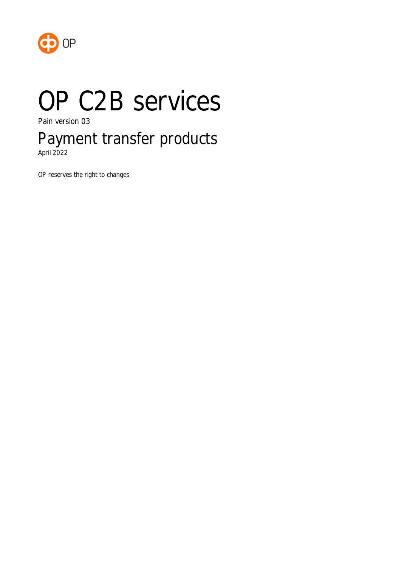

# OP C2B services

Pain version 03

# Payment transfer products

April 2022

OP reserves the right to changes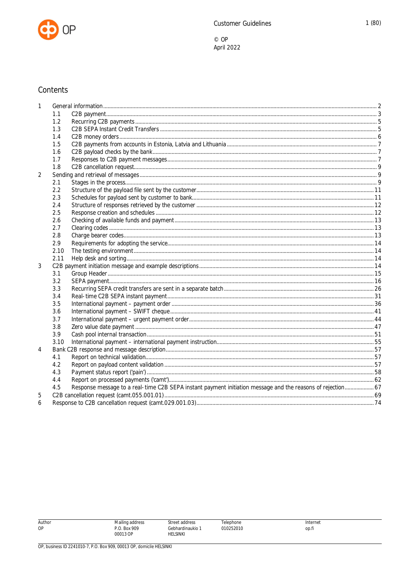

### Contents

| 1              |      |                                                                                                             |  |
|----------------|------|-------------------------------------------------------------------------------------------------------------|--|
|                | 1.1  |                                                                                                             |  |
|                | 1.2  |                                                                                                             |  |
|                | 1.3  |                                                                                                             |  |
|                | 1.4  |                                                                                                             |  |
|                | 1.5  |                                                                                                             |  |
|                | 1.6  |                                                                                                             |  |
|                | 1.7  |                                                                                                             |  |
|                | 1.8  |                                                                                                             |  |
| $\overline{2}$ |      |                                                                                                             |  |
|                | 2.1  |                                                                                                             |  |
|                | 2.2  |                                                                                                             |  |
|                | 2.3  |                                                                                                             |  |
|                | 2.4  |                                                                                                             |  |
|                | 2.5  |                                                                                                             |  |
|                | 2.6  |                                                                                                             |  |
|                | 2.7  |                                                                                                             |  |
|                | 2.8  |                                                                                                             |  |
|                | 2.9  |                                                                                                             |  |
|                | 2.10 |                                                                                                             |  |
|                | 2.11 |                                                                                                             |  |
| 3              |      |                                                                                                             |  |
|                | 3.1  |                                                                                                             |  |
|                | 3.2  |                                                                                                             |  |
|                | 3.3  |                                                                                                             |  |
|                | 3.4  |                                                                                                             |  |
|                | 3.5  |                                                                                                             |  |
|                | 3.6  |                                                                                                             |  |
|                | 3.7  |                                                                                                             |  |
|                | 3.8  |                                                                                                             |  |
|                | 3.9  |                                                                                                             |  |
|                | 3.10 |                                                                                                             |  |
| 4              |      |                                                                                                             |  |
|                | 4.1  |                                                                                                             |  |
|                | 4.2  |                                                                                                             |  |
|                | 4.3  |                                                                                                             |  |
|                | 4.4  |                                                                                                             |  |
|                | 4.5  | Response message to a real-time C2B SEPA instant payment initiation message and the reasons of rejection 67 |  |
| 5              |      |                                                                                                             |  |
| 6              |      |                                                                                                             |  |

Author<br>OP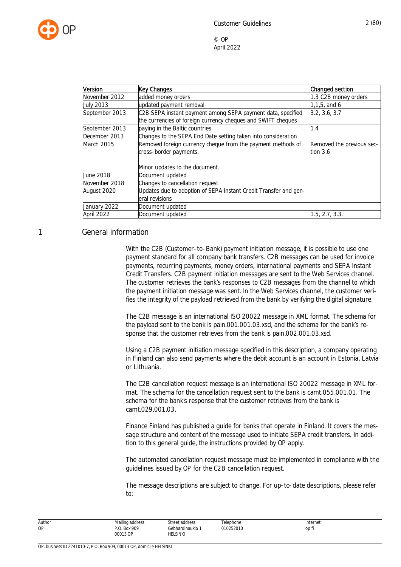

| Version          | Key Changes                                                      | Changed section           |
|------------------|------------------------------------------------------------------|---------------------------|
| November 2012    | added money orders                                               | 1.3 C2B money orders      |
| <b>July 2013</b> | updated payment removal                                          | $1, 1, 5,$ and 6          |
| September 2013   | C2B SEPA instant payment among SEPA payment data, specified      | 3.2, 3.6, 3.7             |
|                  | the currencies of foreign currency cheques and SWIFT cheques     |                           |
| September 2013   | paying in the Baltic countries                                   | 1.4                       |
| December 2013    | Changes to the SEPA End Date setting taken into consideration    |                           |
| March 2015       | Removed foreign currency cheque from the payment methods of      | Removed the previous sec- |
|                  | cross-border payments.                                           | tion $3.6$                |
|                  | Minor updates to the document.                                   |                           |
| June 2018        | Document updated                                                 |                           |
| November 2018    | Changes to cancellation request                                  |                           |
| August 2020      | Updates due to adoption of SEPA Instant Credit Transfer and gen- |                           |
|                  | eral revisions                                                   |                           |
| January 2022     | Document updated                                                 |                           |
| April 2022       | Document updated                                                 | 1.5, 2.7, 3.3.            |

#### <span id="page-2-0"></span>1 General information

With the C2B (Customer-to-Bank) payment initiation message, it is possible to use one payment standard for all company bank transfers. C2B messages can be used for invoice payments, recurring payments, money orders, international payments and SEPA Instant Credit Transfers. C2B payment initiation messages are sent to the Web Services channel. The customer retrieves the bank's responses to C2B messages from the channel to which the payment initiation message was sent. In the Web Services channel, the customer verifies the integrity of the payload retrieved from the bank by verifying the digital signature.

The C2B message is an international ISO 20022 message in XML format. The schema for the payload sent to the bank is pain.001.001.03.xsd, and the schema for the bank's response that the customer retrieves from the bank is pain.002.001.03.xsd.

Using a C2B payment initiation message specified in this description, a company operating in Finland can also send payments where the debit account is an account in Estonia, Latvia or Lithuania.

The C2B cancellation request message is an international ISO 20022 message in XML format. The schema for the cancellation request sent to the bank is camt.055.001.01. The schema for the bank's response that the customer retrieves from the bank is camt.029.001.03.

Finance Finland has published a guide for banks that operate in Finland. It covers the message structure and content of the message used to initiate SEPA credit transfers. In addition to this general guide, the instructions provided by OP apply.

The automated cancellation request message must be implemented in compliance with the guidelines issued by OP for the C2B cancellation request.

The message descriptions are subject to change. For up-to-date descriptions, please refer to:

| Author | Mailing address          | Street address               | Telephone | Internet |
|--------|--------------------------|------------------------------|-----------|----------|
| OP     | P.O. Box 909<br>00013 OP | Gebhardinaukio 1<br>HELSINKI | 010252010 | op.f     |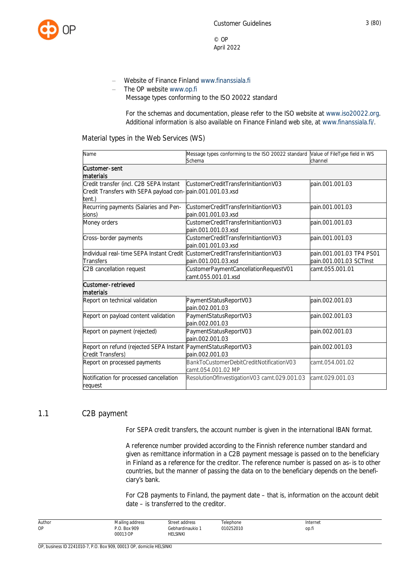

- Website of Finance Finland [www.finanssiala.fi](http://www.finanssiala.fi/)
- The OP website [www.op.fi](http://www.op.fi/)

Message types conforming to the ISO 20022 standard

For the schemas and documentation, please refer to the ISO website at [www.iso20022.org](http://www.iso20022.org/). Additional information is also available on Finance Finland web site, at [www.finanssiala.fi/](http://www.finanssiala.fi/).

#### Material types in the Web Services (WS)

| Name                                                           | Message types conforming to the ISO 20022 standard Value of FileType field in WS |                          |
|----------------------------------------------------------------|----------------------------------------------------------------------------------|--------------------------|
|                                                                | Schema                                                                           | channel                  |
| Customer-sent                                                  |                                                                                  |                          |
| materials                                                      |                                                                                  |                          |
| Credit transfer (incl. C2B SEPA Instant                        | CustomerCreditTransferInitiantionV03                                             | pain.001.001.03          |
| Credit Transfers with SEPA payload con-pain.001.001.03.xsd     |                                                                                  |                          |
| tent.)                                                         |                                                                                  |                          |
| Recurring payments (Salaries and Pen-                          | CustomerCreditTransferInitiantionV03                                             | pain.001.001.03          |
| sions)                                                         | pain.001.001.03.xsd                                                              |                          |
| Money orders                                                   | CustomerCreditTransferInitiantionV03                                             | pain.001.001.03          |
|                                                                | pain.001.001.03.xsd                                                              |                          |
| Cross-border payments                                          | CustomerCreditTransferInitiantionV03                                             | lpain.001.001.03         |
|                                                                | pain.001.001.03.xsd                                                              |                          |
| Individual real-time SEPA Instant Credit                       | CustomerCreditTransferInitiantionV03                                             | pain.001.001.03 TP4 PS01 |
| Transfers                                                      | pain.001.001.03.xsd                                                              | pain.001.001.03 SCTInst  |
| C2B cancellation request                                       | CustomerPaymentCancellationRequestV01                                            | camt.055.001.01          |
|                                                                | camt.055.001.01.xsd                                                              |                          |
| Customer-retrieved                                             |                                                                                  |                          |
| materials                                                      |                                                                                  |                          |
| Report on technical validation                                 | PaymentStatusReportV03                                                           | pain.002.001.03          |
|                                                                | pain.002.001.03                                                                  |                          |
| Report on payload content validation                           | PaymentStatusReportV03                                                           | pain.002.001.03          |
|                                                                | pain.002.001.03                                                                  |                          |
| Report on payment (rejected)                                   | PaymentStatusReportV03                                                           | pain.002.001.03          |
|                                                                | pain.002.001.03                                                                  |                          |
| Report on refund (rejected SEPA Instant PaymentStatusReportV03 |                                                                                  | pain.002.001.03          |
| Credit Transfers)                                              | pain.002.001.03                                                                  |                          |
| Report on processed payments                                   | BankToCustomerDebitCreditNotificationV03                                         | camt.054.001.02          |
|                                                                | camt.054.001.02 MP                                                               |                          |
| Notification for processed cancellation                        | ResolutionOfInvestigationV03 camt.029.001.03                                     | camt.029.001.03          |
| request                                                        |                                                                                  |                          |
|                                                                |                                                                                  |                          |

#### <span id="page-3-0"></span>1.1 C2B payment

For SEPA credit transfers, the account number is given in the international IBAN format.

A reference number provided according to the Finnish reference number standard and given as remittance information in a C2B payment message is passed on to the beneficiary in Finland as a reference for the creditor. The reference number is passed on as-is to other countries, but the manner of passing the data on to the beneficiary depends on the beneficiary's bank.

For C2B payments to Finland, the payment date – that is, information on the account debit date – is transferred to the creditor.

| Author | Mailing address | Street address | elephone                                                    | Internet |
|--------|-----------------|----------------|-------------------------------------------------------------|----------|
| OP     | Box 909         | ebhardinaukio  | 10252010<br>the contract of the contract of the contract of | op.fi    |
|        | 00013 OP        | helsinki       |                                                             |          |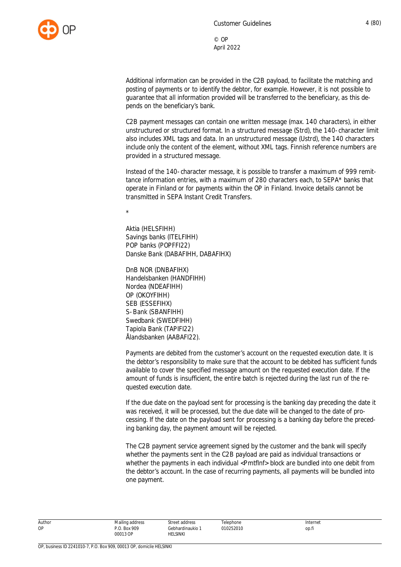

Additional information can be provided in the C2B payload, to facilitate the matching and posting of payments or to identify the debtor, for example. However, it is not possible to guarantee that all information provided will be transferred to the beneficiary, as this depends on the beneficiary's bank.

C2B payment messages can contain one written message (max. 140 characters), in either unstructured or structured format. In a structured message (Strd), the 140-character limit also includes XML tags and data. In an unstructured message (Ustrd), the 140 characters include only the content of the element, without XML tags. Finnish reference numbers are provided in a structured message.

Instead of the 140-character message, it is possible to transfer a maximum of 999 remittance information entries, with a maximum of 280 characters each, to SEPA\* banks that operate in Finland or for payments within the OP in Finland. Invoice details cannot be transmitted in SEPA Instant Credit Transfers.

\*

Aktia (HELSFIHH) Savings banks (ITELFIHH) POP banks (POPFFI22) Danske Bank (DABAFIHH, DABAFIHX)

DnB NOR (DNBAFIHX) Handelsbanken (HANDFIHH) Nordea (NDEAFIHH) OP (OKOYFIHH) SEB (ESSEFIHX) S-Bank (SBANFIHH) Swedbank (SWEDFIHH) Tapiola Bank (TAPIFI22) Ålandsbanken (AABAFI22).

Payments are debited from the customer's account on the requested execution date. It is the debtor's responsibility to make sure that the account to be debited has sufficient funds available to cover the specified message amount on the requested execution date. If the amount of funds is insufficient, the entire batch is rejected during the last run of the requested execution date.

If the due date on the payload sent for processing is the banking day preceding the date it was received, it will be processed, but the due date will be changed to the date of processing. If the date on the payload sent for processing is a banking day before the preceding banking day, the payment amount will be rejected.

The C2B payment service agreement signed by the customer and the bank will specify whether the payments sent in the C2B payload are paid as individual transactions or whether the payments in each individual <PmtfInf> block are bundled into one debit from the debtor's account. In the case of recurring payments, all payments will be bundled into one payment.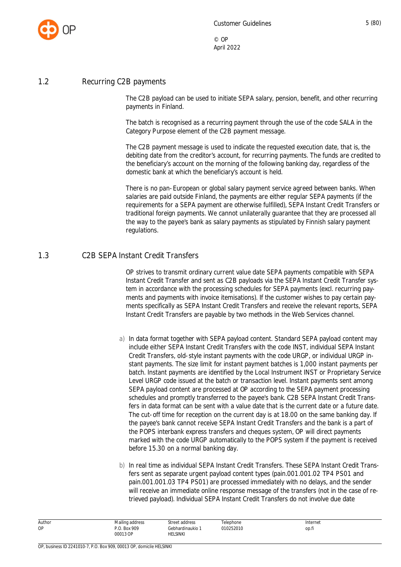

#### <span id="page-5-0"></span>1.2 Recurring C2B payments

The C2B payload can be used to initiate SEPA salary, pension, benefit, and other recurring payments in Finland.

The batch is recognised as a recurring payment through the use of the code SALA in the Category Purpose element of the C2B payment message.

The C2B payment message is used to indicate the requested execution date, that is, the debiting date from the creditor's account, for recurring payments. The funds are credited to the beneficiary's account on the morning of the following banking day, regardless of the domestic bank at which the beneficiary's account is held.

There is no pan-European or global salary payment service agreed between banks. When salaries are paid outside Finland, the payments are either regular SEPA payments (if the requirements for a SEPA payment are otherwise fulfilled), SEPA Instant Credit Transfers or traditional foreign payments. We cannot unilaterally guarantee that they are processed all the way to the payee's bank as salary payments as stipulated by Finnish salary payment regulations.

#### <span id="page-5-1"></span>1.3 C2B SEPA Instant Credit Transfers

OP strives to transmit ordinary current value date SEPA payments compatible with SEPA Instant Credit Transfer and sent as C2B payloads via the SEPA Instant Credit Transfer system in accordance with the processing schedules for SEPA payments (excl. recurring payments and payments with invoice itemisations). If the customer wishes to pay certain payments specifically as SEPA Instant Credit Transfers and receive the relevant reports, SEPA Instant Credit Transfers are payable by two methods in the Web Services channel.

- a) In data format together with SEPA payload content. Standard SEPA payload content may include either SEPA Instant Credit Transfers with the code INST, individual SEPA Instant Credit Transfers, old-style instant payments with the code URGP, or individual URGP instant payments. The size limit for instant payment batches is 1,000 instant payments per batch. Instant payments are identified by the Local Instrument INST or Proprietary Service Level URGP code issued at the batch or transaction level. Instant payments sent among SEPA payload content are processed at OP according to the SEPA payment processing schedules and promptly transferred to the payee's bank. C2B SEPA Instant Credit Transfers in data format can be sent with a value date that is the current date or a future date. The cut-off time for reception on the current day is at 18.00 on the same banking day. If the payee's bank cannot receive SEPA Instant Credit Transfers and the bank is a part of the POPS interbank express transfers and cheques system, OP will direct payments marked with the code URGP automatically to the POPS system if the payment is received before 15.30 on a normal banking day.
- b) In real time as individual SEPA Instant Credit Transfers. These SEPA Instant Credit Transfers sent as separate urgent payload content types (pain.001.001.02 TP4 PS01 and pain.001.001.03 TP4 PS01) are processed immediately with no delays, and the sender will receive an immediate online response message of the transfers (not in the case of retrieved payload). Individual SEPA Instant Credit Transfers do not involve due date

| Author | Mailing address    | Street address   | Telephone | Internet |
|--------|--------------------|------------------|-----------|----------|
| ОP     | .O. Box 909<br>ה ח | Gebhardinaukio 1 | 010252010 | op.fi    |
|        | 00013 OP           | HELSINKI         |           |          |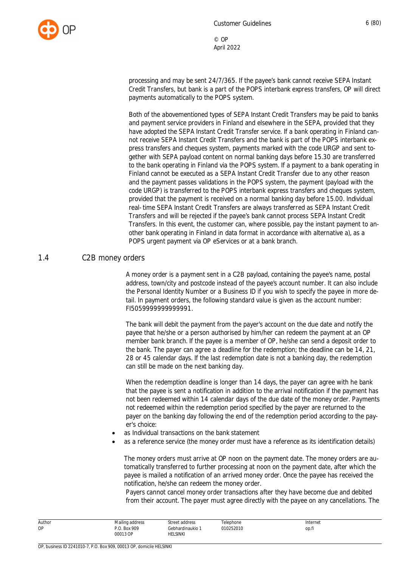

processing and may be sent 24/7/365. If the payee's bank cannot receive SEPA Instant Credit Transfers, but bank is a part of the POPS interbank express transfers, OP will direct payments automatically to the POPS system.

Both of the abovementioned types of SEPA Instant Credit Transfers may be paid to [banks](https://www.ebaclearing.eu/services/instant-payments/participants/) [and payment service providers](https://www.ebaclearing.eu/services/instant-payments/participants/) in Finland and elsewhere in the SEPA, provided that they have adopted the SEPA Instant Credit Transfer service. If a bank operating in Finland cannot receive SEPA Instant Credit Transfers and the bank is part of the POPS interbank express transfers and cheques system, payments marked with the code URGP and sent together with SEPA payload content on normal banking days before 15.30 are transferred to the bank operating in Finland via the POPS system. If a payment to a bank operating in Finland cannot be executed as a SEPA Instant Credit Transfer due to any other reason and the payment passes validations in the POPS system, the payment (payload with the code URGP) is transferred to the POPS interbank express transfers and cheques system, provided that the payment is received on a normal banking day before 15.00. Individual real-time SEPA Instant Credit Transfers are always transferred as SEPA Instant Credit Transfers and will be rejected if the payee's bank cannot process SEPA Instant Credit Transfers. In this event, the customer can, where possible, pay the instant payment to another bank operating in Finland in data format in accordance with alternative a), as a POPS urgent payment via OP eServices or at a bank branch.

#### <span id="page-6-0"></span>1.4 C2B money orders

A money order is a payment sent in a C2B payload, containing the payee's name, postal address, town/city and postcode instead of the payee's account number. It can also include the Personal Identity Number or a Business ID if you wish to specify the payee in more detail. In payment orders, the following standard value is given as the account number: FI5059999999999991.

The bank will debit the payment from the payer's account on the due date and notify the payee that he/she or a person authorised by him/her can redeem the payment at an OP member bank branch. If the payee is a member of OP, he/she can send a deposit order to the bank. The payer can agree a deadline for the redemption; the deadline can be 14, 21, 28 or 45 calendar days. If the last redemption date is not a banking day, the redemption can still be made on the next banking day.

When the redemption deadline is longer than 14 days, the payer can agree with he bank that the payee is sent a notification in addition to the arrival notification if the payment has not been redeemed within 14 calendar days of the due date of the money order. Payments not redeemed within the redemption period specified by the payer are returned to the payer on the banking day following the end of the redemption period according to the payer's choice:

- as Individual transactions on the bank statement
- as a reference service (the money order must have a reference as its identification details)

The money orders must arrive at OP noon on the payment date. The money orders are automatically transferred to further processing at noon on the payment date, after which the payee is mailed a notification of an arrived money order. Once the payee has received the notification, he/she can redeem the money order.

Payers cannot cancel money order transactions after they have become due and debited from their account. The payer must agree directly with the payee on any cancellations. The

| Author    | Mailing address       | Street address                      | Telephone      | Internet |
|-----------|-----------------------|-------------------------------------|----------------|----------|
| <b>OP</b> | . Box 909<br>00013 OP | Gebhardinaukio i<br><b>HELSINKI</b> | 010252010<br>. | op.fi    |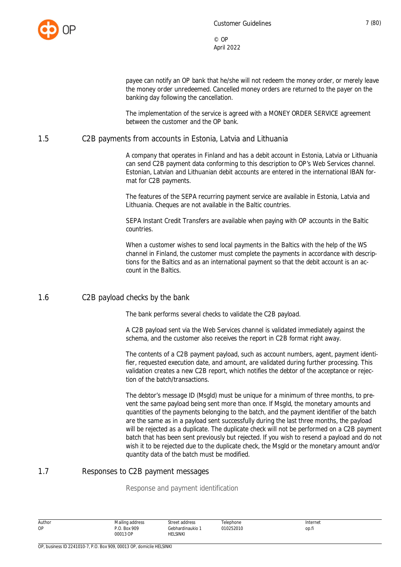

payee can notify an OP bank that he/she will not redeem the money order, or merely leave the money order unredeemed. Cancelled money orders are returned to the payer on the banking day following the cancellation.

The implementation of the service is agreed with a MONEY ORDER SERVICE agreement between the customer and the OP bank.

#### <span id="page-7-0"></span>1.5 C2B payments from accounts in Estonia, Latvia and Lithuania

A company that operates in Finland and has a debit account in Estonia, Latvia or Lithuania can send C2B payment data conforming to this description to OP's Web Services channel. Estonian, Latvian and Lithuanian debit accounts are entered in the international IBAN format for C2B payments.

The features of the SEPA recurring payment service are available in Estonia, Latvia and Lithuania. Cheques are not available in the Baltic countries.

SEPA Instant Credit Transfers are available when paying with OP accounts in the Baltic countries.

When a customer wishes to send local payments in the Baltics with the help of the WS channel in Finland, the customer must complete the payments in accordance with descriptions for the Baltics and as an international payment so that the debit account is an account in the Baltics.

#### <span id="page-7-1"></span>1.6 C2B payload checks by the bank

The bank performs several checks to validate the C2B payload.

A C2B payload sent via the Web Services channel is validated immediately against the schema, and the customer also receives the report in C2B format right away.

The contents of a C2B payment payload, such as account numbers, agent, payment identifier, requested execution date, and amount, are validated during further processing. This validation creates a new C2B report, which notifies the debtor of the acceptance or rejection of the batch/transactions.

The debtor's message ID (MsgId) must be unique for a minimum of three months, to prevent the same payload being sent more than once. If MsgId, the monetary amounts and quantities of the payments belonging to the batch, and the payment identifier of the batch are the same as in a payload sent successfully during the last three months, the payload will be rejected as a duplicate. The duplicate check will not be performed on a C2B payment batch that has been sent previously but rejected. If you wish to resend a payload and do not wish it to be rejected due to the duplicate check, the MsgId or the monetary amount and/or quantity data of the batch must be modified.

#### <span id="page-7-2"></span>1.7 Responses to C2B payment messages

Response and payment identification

| Author | Mailing address | Street address | Telephone | Internet |
|--------|-----------------|----------------|-----------|----------|
| ОP     | P.O. Box 909    | Gebhardinaukio | 010252010 | op.fi    |
|        | 00013 OP        | HELSINKI       |           |          |
|        |                 |                |           |          |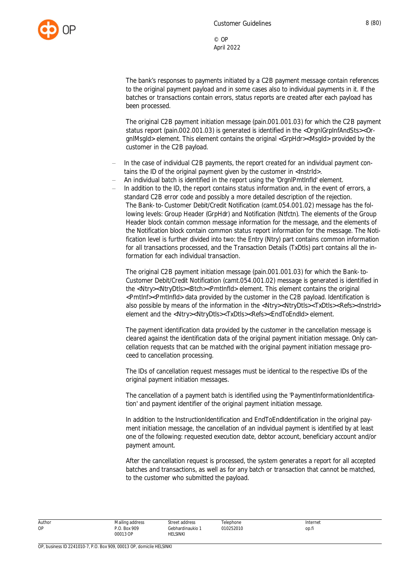

The bank's responses to payments initiated by a C2B payment message contain references to the original payment payload and in some cases also to individual payments in it. If the batches or transactions contain errors, status reports are created after each payload has been processed.

The original C2B payment initiation message (pain.001.001.03) for which the C2B payment status report (pain.002.001.03) is generated is identified in the <OrgnlGrpInfAndSts><OrgnlMsgId> element. This element contains the original <GrpHdr><MsgId> provided by the customer in the C2B payload.

- In the case of individual C2B payments, the report created for an individual payment contains the ID of the original payment given by the customer in <InstrId>.
- An individual batch is identified in the report using the 'OrgnlPmtInfId' element.
- In addition to the ID, the report contains status information and, in the event of errors, a standard C2B error code and possibly a more detailed description of the rejection. The Bank-to-Customer Debit/Credit Notification (camt.054.001.02) message has the following levels: Group Header (GrpHdr) and Notification (Ntfctn). The elements of the Group Header block contain common message information for the message, and the elements of the Notification block contain common status report information for the message. The Notification level is further divided into two: the Entry (Ntry) part contains common information for all transactions processed, and the Transaction Details (TxDtls) part contains all the information for each individual transaction.

The original C2B payment initiation message (pain.001.001.03) for which the Bank-to-Customer Debit/Credit Notification (camt.054.001.02) message is generated is identified in the <Ntry><NtryDtls><Btch><PmtInfId> element. This element contains the original <PmtInf><PmtInfId> data provided by the customer in the C2B payload. Identification is also possible by means of the information in the <Ntry><NtryDtls><TxDtls><Refs><InstrId> element and the <Ntry><NtryDtls><TxDtls><Refs><EndToEndId> element.

The payment identification data provided by the customer in the cancellation message is cleared against the identification data of the original payment initiation message. Only cancellation requests that can be matched with the original payment initiation message proceed to cancellation processing.

The IDs of cancellation request messages must be identical to the respective IDs of the original payment initiation messages.

The cancellation of a payment batch is identified using the 'PaymentInformationIdentification' and payment identifier of the original payment initiation message.

In addition to the InstructionIdentification and EndToEndIdentification in the original payment initiation message, the cancellation of an individual payment is identified by at least one of the following: requested execution date, debtor account, beneficiary account and/or payment amount.

After the cancellation request is processed, the system generates a report for all accepted batches and transactions, as well as for any batch or transaction that cannot be matched, to the customer who submitted the payload.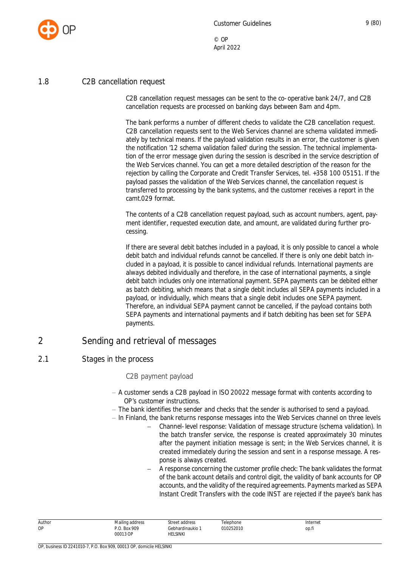

#### <span id="page-9-0"></span>1.8 C2B cancellation request

C2B cancellation request messages can be sent to the co-operative bank 24/7, and C2B cancellation requests are processed on banking days between 8am and 4pm.

The bank performs a number of different checks to validate the C2B cancellation request. C2B cancellation requests sent to the Web Services channel are schema validated immediately by technical means. If the payload validation results in an error, the customer is given the notification '12 schema validation failed' during the session. The technical implementation of the error message given during the session is described in the service description of the Web Services channel. You can get a more detailed description of the reason for the rejection by calling the Corporate and Credit Transfer Services, tel. +358 100 05151. If the payload passes the validation of the Web Services channel, the cancellation request is transferred to processing by the bank systems, and the customer receives a report in the camt.029 format.

The contents of a C2B cancellation request payload, such as account numbers, agent, payment identifier, requested execution date, and amount, are validated during further processing.

If there are several debit batches included in a payload, it is only possible to cancel a whole debit batch and individual refunds cannot be cancelled. If there is only one debit batch included in a payload, it is possible to cancel individual refunds. International payments are always debited individually and therefore, in the case of international payments, a single debit batch includes only one international payment. SEPA payments can be debited either as batch debiting, which means that a single debit includes all SEPA payments included in a payload, or individually, which means that a single debit includes one SEPA payment. Therefore, an individual SEPA payment cannot be cancelled, if the payload contains both SEPA payments and international payments and if batch debiting has been set for SEPA payments.

#### <span id="page-9-1"></span>2 Sending and retrieval of messages

#### <span id="page-9-2"></span>2.1 Stages in the process

#### C2B payment payload

- A customer sends a C2B payload in ISO 20022 message format with contents according to OP's customer instructions.
- The bank identifies the sender and checks that the sender is authorised to send a payload.
- In Finland, the bank returns response messages into the Web Services channel on three levels
	- Channel-level response: Validation of message structure (schema validation). In the batch transfer service, the response is created approximately 30 minutes after the payment initiation message is sent; in the Web Services channel, it is created immediately during the session and sent in a response message. A response is always created.
	- A response concerning the customer profile check: The bank validates the format of the bank account details and control digit, the validity of bank accounts for OP accounts, and the validity of the required agreements. Payments marked as SEPA Instant Credit Transfers with the code INST are rejected if the payee's bank has

| Author | Mailing address          | Street address                                                                  | Telephone | Internet |
|--------|--------------------------|---------------------------------------------------------------------------------|-----------|----------|
| OP     | P.O. Box 909<br>00013 OP | Gebhardinaukio 1<br>HELSINKI<br>the contract of the contract of the contract of | 010252010 | op.fi    |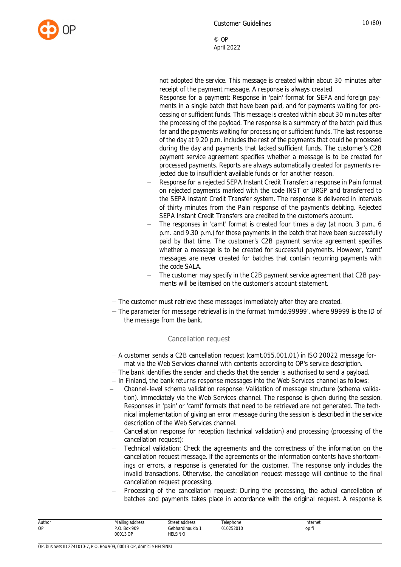not adopted the service. This message is created within about 30 minutes after receipt of the payment message. A response is always created.

- Response for a payment: Response in 'pain' format for SEPA and foreign payments in a single batch that have been paid, and for payments waiting for processing or sufficient funds. This message is created within about 30 minutes after the processing of the payload. The response is a summary of the batch paid thus far and the payments waiting for processing or sufficient funds. The last response of the day at 9.20 p.m. includes the rest of the payments that could be processed during the day and payments that lacked sufficient funds. The customer's C2B payment service agreement specifies whether a message is to be created for processed payments. Reports are always automatically created for payments rejected due to insufficient available funds or for another reason.
- Response for a rejected SEPA Instant Credit Transfer: a response in Pain format on rejected payments marked with the code INST or URGP and transferred to the SEPA Instant Credit Transfer system. The response is delivered in intervals of thirty minutes from the Pain response of the payment's debiting. Rejected SEPA Instant Credit Transfers are credited to the customer's account.
- The responses in 'camt' format is created four times a day (at noon, 3 p.m., 6 p.m. and 9.30 p.m.) for those payments in the batch that have been successfully paid by that time. The customer's C2B payment service agreement specifies whether a message is to be created for successful payments. However, 'camt' messages are never created for batches that contain recurring payments with the code SALA.
- The customer may specify in the C2B payment service agreement that C2B payments will be itemised on the customer's account statement.
- The customer must retrieve these messages immediately after they are created.
- The parameter for message retrieval is in the format 'mmdd.99999', where 99999 is the ID of the message from the bank.

#### Cancellation request

- A customer sends a C2B cancellation request (camt.055.001.01) in ISO 20022 message format via the Web Services channel with contents according to OP's service description.
- $-$  The bank identifies the sender and checks that the sender is authorised to send a payload.
- $-$  In Finland, the bank returns response messages into the Web Services channel as follows:
- Channel-level schema validation response: Validation of message structure (schema validation). Immediately via the Web Services channel. The response is given during the session. Responses in 'pain' or 'camt' formats that need to be retrieved are not generated. The technical implementation of giving an error message during the session is described in the service description of the Web Services channel.
- Cancellation response for reception (technical validation) and processing (processing of the cancellation request):
- Technical validation: Check the agreements and the correctness of the information on the cancellation request message. If the agreements or the information contents have shortcomings or errors, a response is generated for the customer. The response only includes the invalid transactions. Otherwise, the cancellation request message will continue to the final cancellation request processing.
- Processing of the cancellation request: During the processing, the actual cancellation of batches and payments takes place in accordance with the original request. A response is

| Author | Mailing address | Street address   | Telephone | Internet |
|--------|-----------------|------------------|-----------|----------|
| ОP     | P.O. Box 909    | Gebhardinaukio 1 | 010252010 | op.fi    |
|        | 00013 OP        | HELSINKI         |           |          |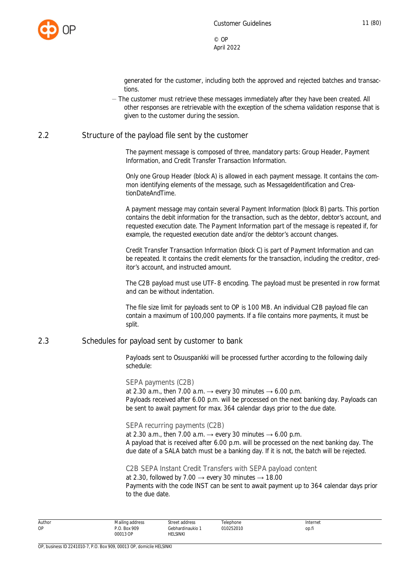

generated for the customer, including both the approved and rejected batches and transactions.

- The customer must retrieve these messages immediately after they have been created. All other responses are retrievable with the exception of the schema validation response that is given to the customer during the session.

#### <span id="page-11-0"></span>2.2 Structure of the payload file sent by the customer

The payment message is composed of three, mandatory parts: Group Header, Payment Information, and Credit Transfer Transaction Information.

Only one Group Header (block A) is allowed in each payment message. It contains the common identifying elements of the message, such as MessageIdentification and CreationDateAndTime.

A payment message may contain several Payment Information (block B) parts. This portion contains the debit information for the transaction, such as the debtor, debtor's account, and requested execution date. The Payment Information part of the message is repeated if, for example, the requested execution date and/or the debtor's account changes.

Credit Transfer Transaction Information (block C) is part of Payment Information and can be repeated. It contains the credit elements for the transaction, including the creditor, creditor's account, and instructed amount.

The C2B payload must use UTF-8 encoding. The payload must be presented in row format and can be without indentation.

The file size limit for payloads sent to OP is 100 MB. An individual C2B payload file can contain a maximum of 100,000 payments. If a file contains more payments, it must be split.

#### <span id="page-11-1"></span>2.3 Schedules for payload sent by customer to bank

Payloads sent to Osuuspankki will be processed further according to the following daily schedule:

SEPA payments (C2B) at 2.30 a.m., then 7.00 a.m.  $\rightarrow$  every 30 minutes  $\rightarrow$  6.00 p.m. Payloads received after 6.00 p.m. will be processed on the next banking day. Payloads can be sent to await payment for max. 364 calendar days prior to the due date.

SEPA recurring payments (C2B) at 2.30 a.m., then 7.00 a.m.  $\rightarrow$  every 30 minutes  $\rightarrow$  6.00 p.m. A payload that is received after 6.00 p.m. will be processed on the next banking day. The due date of a SALA batch must be a banking day. If it is not, the batch will be rejected.

C2B SEPA Instant Credit Transfers with SEPA payload content at 2.30, followed by 7.00  $\rightarrow$  every 30 minutes  $\rightarrow$  18.00 Payments with the code INST can be sent to await payment up to 364 calendar days prior to the due date.

| Author | Mailing address | Street address | Telephone      | Internet |
|--------|-----------------|----------------|----------------|----------|
| ОP     | <b>Box 909</b>  | Gebhardinaukio | 010252010<br>. | op.fi    |
|        | 00013 OP<br>.   | HELSINKI       |                |          |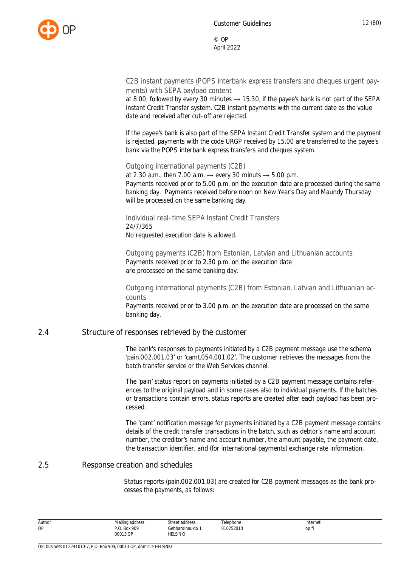

C2B instant payments (POPS interbank express transfers and cheques urgent payments) with SEPA payload content

at 8.00, followed by every 30 minutes  $\rightarrow$  15.30, if the payee's bank is not part of the SEPA Instant Credit Transfer system. C2B instant payments with the current date as the value date and received after cut-off are rejected.

If the payee's bank is also part of the SEPA Instant Credit Transfer system and the payment is rejected, payments with the code URGP received by 15.00 are transferred to the payee's bank via the POPS interbank express transfers and cheques system.

Outgoing international payments (C2B)

at 2.30 a.m., then 7.00 a.m.  $\rightarrow$  every 30 minuts  $\rightarrow$  5.00 p.m. Payments received prior to 5.00 p.m. on the execution date are processed during the same banking day. Payments received before noon on New Year's Day and Maundy Thursday will be processed on the same banking day.

Individual real-time SEPA Instant Credit Transfers 24/7/365 No requested execution date is allowed.

Outgoing payments (C2B) from Estonian, Latvian and Lithuanian accounts Payments received prior to 2.30 p.m. on the execution date are processed on the same banking day.

Outgoing international payments (C2B) from Estonian, Latvian and Lithuanian accounts

Payments received prior to 3.00 p.m. on the execution date are processed on the same banking day.

#### <span id="page-12-0"></span>2.4 Structure of responses retrieved by the customer

The bank's responses to payments initiated by a C2B payment message use the schema 'pain.002.001.03' or 'camt.054.001.02'. The customer retrieves the messages from the batch transfer service or the Web Services channel.

The 'pain' status report on payments initiated by a C2B payment message contains references to the original payload and in some cases also to individual payments. If the batches or transactions contain errors, status reports are created after each payload has been processed.

The 'camt' notification message for payments initiated by a C2B payment message contains details of the credit transfer transactions in the batch, such as debtor's name and account number, the creditor's name and account number, the amount payable, the payment date, the transaction identifier, and (for international payments) exchange rate information.

#### <span id="page-12-1"></span>2.5 Response creation and schedules

Status reports (pain.002.001.03) are created for C2B payment messages as the bank processes the payments, as follows:

| Author | Mailing address    | Street address   | Telephone | Internet |
|--------|--------------------|------------------|-----------|----------|
| ОP     | .O. Box 909<br>ה ה | Gebhardinaukio 1 | 010252010 | op.fi    |
|        | 00013 OP           | HELSINKI         |           |          |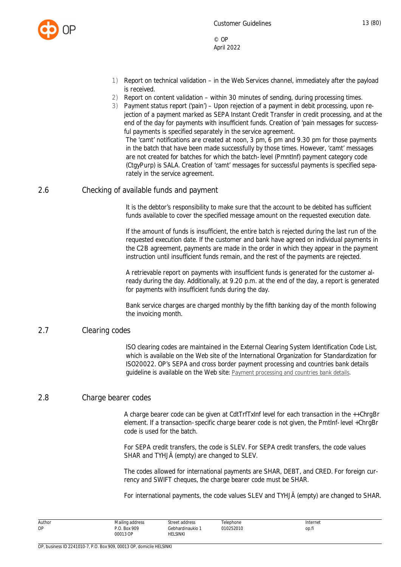

- 1) Report on technical validation in the Web Services channel, immediately after the payload is received.
- 2) Report on content validation within 30 minutes of sending, during processing times.
- 3) Payment status report ('pain') Upon rejection of a payment in debit processing, upon rejection of a payment marked as SEPA Instant Credit Transfer in credit processing, and at the end of the day for payments with insufficient funds. Creation of 'pain messages for successful payments is specified separately in the service agreement.

The 'camt' notifications are created at noon, 3 pm, 6 pm and 9.30 pm for those payments in the batch that have been made successfully by those times. However, 'camt' messages are not created for batches for which the batch-level (PmntInf) payment category code (CtgyPurp) is SALA. Creation of 'camt' messages for successful payments is specified separately in the service agreement.

#### <span id="page-13-0"></span>2.6 Checking of available funds and payment

It is the debtor's responsibility to make sure that the account to be debited has sufficient funds available to cover the specified message amount on the requested execution date.

If the amount of funds is insufficient, the entire batch is rejected during the last run of the requested execution date. If the customer and bank have agreed on individual payments in the C2B agreement, payments are made in the order in which they appear in the payment instruction until insufficient funds remain, and the rest of the payments are rejected.

A retrievable report on payments with insufficient funds is generated for the customer already during the day. Additionally, at 9.20 p.m. at the end of the day, a report is generated for payments with insufficient funds during the day.

Bank service charges are charged monthly by the fifth banking day of the month following the invoicing month.

#### <span id="page-13-1"></span>2.7 Clearing codes

ISO clearing codes are maintained in the External Clearing System Identification Code List, which is available on the Web site of the International Organization for Standardization for ISO20022. OP's SEPA and cross border payment processing and countries bank details guideline is available on the Web site: [Payment processing and countries bank details](https://www.op.fi/documents/20556/35498061/Countries+bank+details+Sepa+and+cross+border+payments/10b221c3-5ec1-0091-8018-e7ac25463cad).

#### <span id="page-13-2"></span>2.8 Charge bearer codes

A charge bearer code can be given at CdtTrfTxInf level for each transaction in the ++ChrgBr element. If a transaction-specific charge bearer code is not given, the PmtInf-level +ChrgBr code is used for the batch.

For SEPA credit transfers, the code is SLEV. For SEPA credit transfers, the code values SHAR and TYHJÄ (empty) are changed to SLEV.

The codes allowed for international payments are SHAR, DEBT, and CRED. For foreign currency and SWIFT cheques, the charge bearer code must be SHAR.

For international payments, the code values SLEV and TYHJÄ (empty) are changed to SHAR.

| Author<br><b>OP</b> | Mailing address<br>. Box 909 | Street address<br>Gebhardinaukio | elephone<br>010252010<br>. | Internet<br>op.h |
|---------------------|------------------------------|----------------------------------|----------------------------|------------------|
|                     | 00013 OP                     | <b>HELSINKI</b>                  |                            |                  |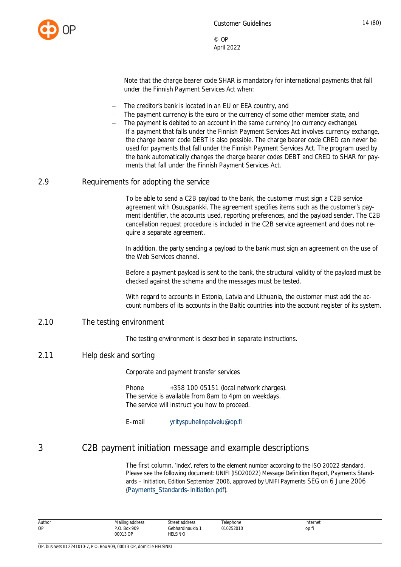

Note that the charge bearer code SHAR is mandatory for international payments that fall under the Finnish Payment Services Act when:

- The creditor's bank is located in an EU or EEA country, and
- The payment currency is the euro or the currency of some other member state, and
- The payment is debited to an account in the same currency (no currency exchange). If a payment that falls under the Finnish Payment Services Act involves currency exchange, the charge bearer code DEBT is also possible. The charge bearer code CRED can never be used for payments that fall under the Finnish Payment Services Act. The program used by the bank automatically changes the charge bearer codes DEBT and CRED to SHAR for payments that fall under the Finnish Payment Services Act.

#### <span id="page-14-0"></span>2.9 Requirements for adopting the service

To be able to send a C2B payload to the bank, the customer must sign a C2B service agreement with Osuuspankki. The agreement specifies items such as the customer's payment identifier, the accounts used, reporting preferences, and the payload sender. The C2B cancellation request procedure is included in the C2B service agreement and does not require a separate agreement.

In addition, the party sending a payload to the bank must sign an agreement on the use of the Web Services channel.

Before a payment payload is sent to the bank, the structural validity of the payload must be checked against the schema and the messages must be tested.

With regard to accounts in Estonia, Latvia and Lithuania, the customer must add the account numbers of its accounts in the Baltic countries into the account register of its system.

#### <span id="page-14-1"></span>2.10 The testing environment

The testing environment is described in separate instructions.

#### <span id="page-14-2"></span>2.11 Help desk and sorting

Corporate and payment transfer services

Phone  $+358$  100 05151 (local network charges). The service is available from 8am to 4pm on weekdays. The service will instruct you how to proceed.

E-mail [yrityspuhelinpalvelu@op.fi](mailto:yrityspuhelinpalvelu@op.fi)

#### <span id="page-14-3"></span>3 C2B payment initiation message and example descriptions

The first column, 'Index', refers to the element number according to the ISO 20022 standard. Please see the following document: UNIFI (ISO20022) Message Definition Report, Payments Standards – Initiation, Edition September 2006, approved by UNIFI Payments SEG on 6 June 2006 (Payments\_Standards-Initiation.pdf).

| Author | address!<br>Mailine | Street address | $\sim$<br>elephone | Internet    |
|--------|---------------------|----------------|--------------------|-------------|
| ОP     | . Box 909           | Gebhardinaukio | 010252010<br>.     | __<br>op.fi |
|        | 00013 OP<br>.       | HELSINKI       |                    |             |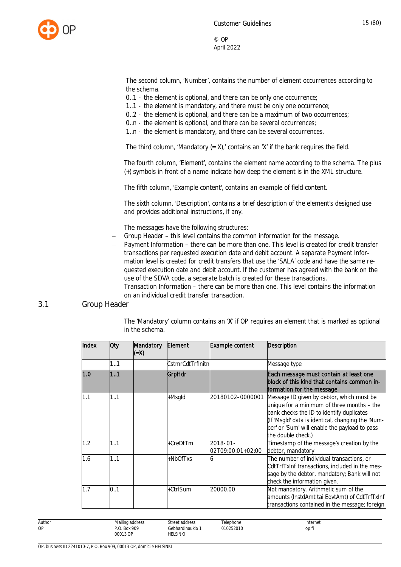

The second column, 'Number', contains the number of element occurrences according to the schema.

0..1 - the element is optional, and there can be only one occurrence;

- 1..1 the element is mandatory, and there must be only one occurrence;
- 0..2 the element is optional, and there can be a maximum of two occurrences;
- 0..n the element is optional, and there can be several occurrences;
- 1..n the element is mandatory, and there can be several occurrences.

The third column, 'Mandatory  $(= X)$ ,' contains an 'X' if the bank requires the field.

The fourth column, 'Element', contains the element name according to the schema. The plus (+) symbols in front of a name indicate how deep the element is in the XML structure.

The fifth column, 'Example content', contains an example of field content.

The sixth column. 'Description', contains a brief description of the element's designed use and provides additional instructions, if any.

The messages have the following structures:

- Group Header this level contains the common information for the message.
- Payment Information there can be more than one. This level is created for credit transfer transactions per requested execution date and debit account. A separate Payment Information level is created for credit transfers that use the 'SALA' code and have the same requested execution date and debit account. If the customer has agreed with the bank on the use of the SDVA code, a separate batch is created for these transactions.
- <span id="page-15-0"></span> Transaction Information – there can be more than one. This level contains the information on an individual credit transfer transaction.

#### 3.1 Group Header

The 'Mandatory' column contains an 'X' if OP requires an element that is marked as optional in the schema.

| Index | Oty | Mandatory<br>(=X) | Element           | Example content               | Description                                                                                                                                                                                                                                                      |
|-------|-----|-------------------|-------------------|-------------------------------|------------------------------------------------------------------------------------------------------------------------------------------------------------------------------------------------------------------------------------------------------------------|
|       | 11  |                   | CstmrCdtTrfInitnl |                               | Message type                                                                                                                                                                                                                                                     |
| 1.0   | 1.1 |                   | GrpHdr            |                               | Each message must contain at least one<br>block of this kind that contains common in-<br>formation for the message                                                                                                                                               |
| 1.1   | 1.1 |                   | +Msgld            | 20180102-0000001              | Message ID given by debtor, which must be<br>unique for a minimum of three months - the<br>bank checks the ID to identify duplicates<br>(If 'Msgld' data is identical, changing the 'Num-<br>ber' or 'Sum' will enable the payload to pass<br>the double check.) |
| 1.2   | 1.1 |                   | +CreDtTm          | 2018-01-<br>02T09:00:01+02:00 | Timestamp of the message's creation by the<br>debtor, mandatory                                                                                                                                                                                                  |
| 1.6   | 1.1 |                   | +NbOfTxs          | O                             | The number of individual transactions, or<br>CdtTrfTxInf transactions, included in the mes-<br>sage by the debtor, mandatory; Bank will not<br>check the information given.                                                                                      |
| 1.7   | 0.1 |                   | +CtrlSum          | 20000.00                      | Not mandatory. Arithmetic sum of the<br>amounts (InstdAmt tai EqvtAmt) of CdtTrfTxInf<br>transactions contained in the message; foreign                                                                                                                          |

| Author | $\cdots$<br>. .<br>Mailing<br>ັ<br>the contract of the contract of | stree<br>، ت ا                                                     | ----<br>hone | Internet<br>. |
|--------|--------------------------------------------------------------------|--------------------------------------------------------------------|--------------|---------------|
| OP     | 0 <sup>0</sup><br><b>Box</b><br>7 L J                              | dinaukic<br>.                                                      | F<br>.       | OD.I.         |
|        | <b>00012</b><br>$\sim$<br>JUU 1<br>.                               | <b>HELSINKI</b><br>the contract of the contract of the contract of |              |               |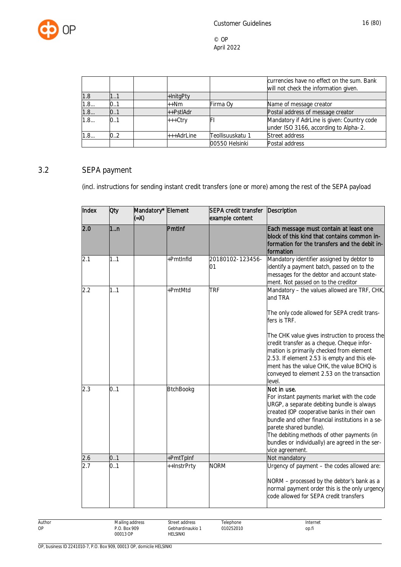

|     |     |            |                  | currencies have no effect on the sum. Bank<br>will not check the information given. |
|-----|-----|------------|------------------|-------------------------------------------------------------------------------------|
| 1.8 | 11  | +InitgPty  |                  |                                                                                     |
| 1.8 | 0.1 | ++Nm       | Firma Oy         | Name of message creator                                                             |
| 1.8 | 0.1 | ++PstlAdr  |                  | Postal address of message creator                                                   |
| 1.8 | 0.1 | +++Ctry    | FI               | Mandatory if AdrLine is given: Country code                                         |
|     |     |            |                  | under ISO 3166, according to Alpha-2.                                               |
| 1.8 | 0.2 | +++AdrLine | Teollisuuskatu 1 | Street address                                                                      |
|     |     |            | 00550 Helsinki   | Postal address                                                                      |

## 3.2 SEPA payment

<span id="page-16-0"></span>(incl. instructions for sending instant credit transfers (one or more) among the rest of the SEPA payload

| Index | Oty            | Mandatory* Element<br>$(X=)$ |                  | SEPA credit transfer<br>example content | Description                                                                                                                                                                                                                                                                                                                                            |
|-------|----------------|------------------------------|------------------|-----------------------------------------|--------------------------------------------------------------------------------------------------------------------------------------------------------------------------------------------------------------------------------------------------------------------------------------------------------------------------------------------------------|
| 2.0   | 1 <sub>n</sub> |                              | PmtInf           |                                         | Each message must contain at least one<br>block of this kind that contains common in-<br>formation for the transfers and the debit in-<br>formation                                                                                                                                                                                                    |
| 2.1   | 1.1            |                              | +PmtInfld        | 20180102-123456-<br>01                  | Mandatory identifier assigned by debtor to<br>identify a payment batch, passed on to the<br>messages for the debtor and account state-<br>ment. Not passed on to the creditor                                                                                                                                                                          |
| 2.2   | 1.1            |                              | +PmtMtd          | <b>TRF</b>                              | Mandatory - the values allowed are TRF, CHK,<br>and TRA<br>The only code allowed for SEPA credit trans-<br>fers is TRF.<br>The CHK value gives instruction to process the<br>credit transfer as a cheque. Cheque infor-<br>mation is primarily checked from element                                                                                    |
|       |                |                              |                  |                                         | 2.53. If element 2.53 is empty and this ele-<br>ment has the value CHK, the value BCHQ is<br>conveyed to element 2.53 on the transaction<br>level.                                                                                                                                                                                                     |
| 2.3   | 0.1            |                              | <b>BtchBookg</b> |                                         | Not in use.<br>For instant payments market with the code<br>URGP, a separate debiting bundle is always<br>created (OP cooperative banks in their own<br>bundle and other financial institutions in a se-<br>parete shared bundle).<br>The debiting methods of other payments (in<br>bundles or individually) are agreed in the ser-<br>vice agreement. |
| 2.6   | 0.1            |                              | +PmtTpInf        |                                         | Not mandatory                                                                                                                                                                                                                                                                                                                                          |
| 2.7   | 0.1            |                              | ++InstrPrty      | <b>NORM</b>                             | Urgency of payment - the codes allowed are:<br>NORM - processed by the debtor's bank as a<br>normal payment order this is the only urgency<br>code allowed for SEPA credit transfers                                                                                                                                                                   |

| Author | Mailing address | Street address                                                     | elephone  | Internet |
|--------|-----------------|--------------------------------------------------------------------|-----------|----------|
| ОP     | P.O. Box 909    | Gebhardinaukio                                                     | 010252010 | op.fi    |
|        | 00013 OP<br>.   | <b>HELSINKI</b><br>the contract of the contract of the contract of |           |          |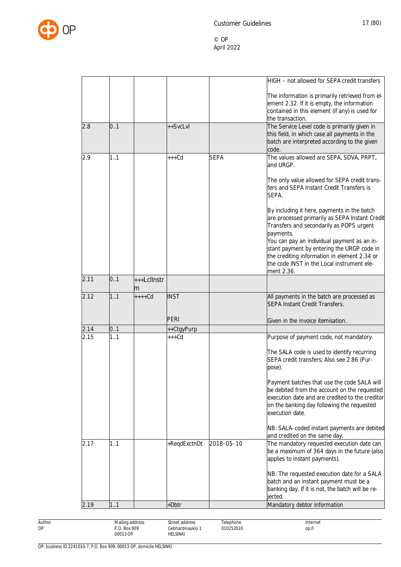

|      |     |                  |              |             | HIGH - not allowed for SEPA credit transfers                                                                                                                                                                                                                                                                                                                    |
|------|-----|------------------|--------------|-------------|-----------------------------------------------------------------------------------------------------------------------------------------------------------------------------------------------------------------------------------------------------------------------------------------------------------------------------------------------------------------|
|      |     |                  |              |             | The information is primarily retrieved from el-<br>ement 2.32. If it is empty, the information<br>contained in this element (if any) is used for<br>the transaction.                                                                                                                                                                                            |
| 2.8  | 0.1 |                  | ++SvcLvl     |             | The Service Level code is primarily given in<br>this field, in which case all payments in the<br>batch are interpreted according to the given<br>code.                                                                                                                                                                                                          |
| 2.9  | 1.1 |                  | $+++Cd$      | <b>SEPA</b> | The values allowed are SEPA, SDVA, PRPT,<br>and URGP.                                                                                                                                                                                                                                                                                                           |
|      |     |                  |              |             | The only value allowed for SEPA credit trans-<br>fers and SEPA Instant Credit Transfers is<br>SEPA.                                                                                                                                                                                                                                                             |
|      |     |                  |              |             | By including it here, payments in the batch<br>are processed primarily as SEPA Instant Credit<br>Transfers and secondarily as POPS urgent<br>payments.<br>You can pay an individual payment as an in-<br>stant payment by entering the URGP code in<br>the crediting information in element 2.34 or<br>the code INST in the Local instrument ele-<br>ment 2.36. |
| 2.11 | 0.1 | +++LclInstr<br>m |              |             |                                                                                                                                                                                                                                                                                                                                                                 |
| 2.12 | 1.1 | $++++$ Cd        | <b>INST</b>  |             | All payments in the batch are processed as<br><b>SEPA Instant Credit Transfers.</b>                                                                                                                                                                                                                                                                             |
|      |     |                  | PERI         |             | Given in the invoice itemisation.                                                                                                                                                                                                                                                                                                                               |
| 2.14 | 0.1 |                  | ++CtgyPurp   |             |                                                                                                                                                                                                                                                                                                                                                                 |
| 2.15 | 1.1 |                  | $***$ Cd     |             | Purpose of payment code, not mandatory.                                                                                                                                                                                                                                                                                                                         |
|      |     |                  |              |             | The SALA code is used to identify recurring<br>SEPA credit transfers; Also see 2.86 (Pur-<br>pose).                                                                                                                                                                                                                                                             |
|      |     |                  |              |             | Payment batches that use the code SALA will<br>be debited from the account on the requested<br>execution date and are credited to the creditor<br>on the banking day following the requested<br>execution date.                                                                                                                                                 |
|      |     |                  |              |             | NB: SALA-coded instant payments are debited<br>and credited on the same day.                                                                                                                                                                                                                                                                                    |
| 2.17 | 1.1 |                  | +ReqdExctnDt | 2018-05-10  | The mandatory requested execution date can<br>be a maximum of 364 days in the future (also<br>applies to instant payments).                                                                                                                                                                                                                                     |
|      |     |                  |              |             | NB: The requested execution date for a SALA<br>batch and an instant payment must be a<br>banking day. If it is not, the batch will be re-<br>jected.                                                                                                                                                                                                            |
| 2.19 | 1.1 |                  | +Dbtr        |             | Mandatory debtor information                                                                                                                                                                                                                                                                                                                                    |

Author OP Mailing address P.O. Box 909 00013 OP Street address Gebhardinaukio 1 HELSINKI Telephone 010252010 Internet op.fi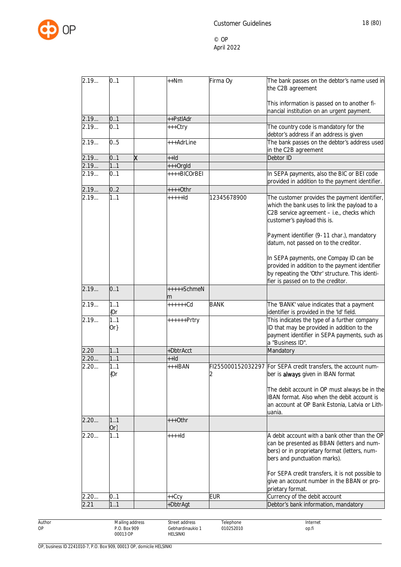

| 2.19 | 0.1           |   | $+$ + Nm         | Firma Oy                | The bank passes on the debtor's name used in<br>the C2B agreement                                                                                                                                                                                                 |
|------|---------------|---|------------------|-------------------------|-------------------------------------------------------------------------------------------------------------------------------------------------------------------------------------------------------------------------------------------------------------------|
|      |               |   |                  |                         | This information is passed on to another fi-<br>nancial institution on an urgent payment.                                                                                                                                                                         |
| 2.19 | 0.1           |   | ++PstlAdr        |                         |                                                                                                                                                                                                                                                                   |
| 2.19 | 0.1           |   | +++Ctry          |                         | The country code is mandatory for the<br>debtor's address if an address is given                                                                                                                                                                                  |
| 2.19 | 0.5           |   | +++AdrLine       |                         | The bank passes on the debtor's address used<br>in the C2B agreement                                                                                                                                                                                              |
| 2.19 | 0.1           | x | $+Hd$            |                         | Debtor ID                                                                                                                                                                                                                                                         |
| 2.19 | 1.1           |   | +++OrgId         |                         |                                                                                                                                                                                                                                                                   |
| 2.19 | 0.1           |   | ++++BICOrBEI     |                         | In SEPA payments, also the BIC or BEI code<br>provided in addition to the payment identifier.                                                                                                                                                                     |
| 2.19 | 0.2           |   | $++++$ Othr      |                         |                                                                                                                                                                                                                                                                   |
| 2.19 | 1.1           |   | $++++$           | 12345678900             | The customer provides the payment identifier,<br>which the bank uses to link the payload to a<br>C2B service agreement - i.e., checks which<br>customer's payload this is.<br>Payment identifier (9-11 char.), mandatory<br>datum, not passed on to the creditor. |
|      |               |   |                  |                         | In SEPA payments, one Compay ID can be<br>provided in addition to the payment identifier<br>by repeating the 'Othr' structure. This identi-<br>fier is passed on to the creditor.                                                                                 |
| 2.19 | 0.1           |   | +++++SchmeN<br>m |                         |                                                                                                                                                                                                                                                                   |
| 2.19 | 1.1<br>{Or    |   | ++++++Cd         | <b>BANK</b>             | The 'BANK' value indicates that a payment<br>identifier is provided in the 'Id' field.                                                                                                                                                                            |
| 2.19 | 1.1<br>$Or\}$ |   | ++++++Prtry      |                         | This indicates the type of a further company<br>ID that may be provided in addition to the<br>payment identifier in SEPA payments, such as<br>a "Business ID".                                                                                                    |
| 2.20 | 1.1           |   | +DbtrAcct        |                         | Mandatory                                                                                                                                                                                                                                                         |
| 2.20 | 1.1           |   | $+Hd$            |                         |                                                                                                                                                                                                                                                                   |
| 2.20 | 1.1<br>${0r}$ |   | +++IBAN          | FI255000152032297<br>I2 | For SEPA credit transfers, the account num-<br>ber is always given in IBAN format                                                                                                                                                                                 |
|      |               |   |                  |                         | The debit account in OP must always be in the<br>IBAN format. Also when the debit account is<br>an account at OP Bank Estonia, Latvia or Lith-<br>uania.                                                                                                          |
| 2.20 | 1.1<br>$Or\}$ |   | $***Other$       |                         |                                                                                                                                                                                                                                                                   |
| 2.20 | 1.1           |   | $+++d$           |                         | A debit account with a bank other than the OP<br>can be presented as BBAN (letters and num-<br>bers) or in proprietary format (letters, num-<br>bers and punctuation marks).                                                                                      |
|      |               |   |                  |                         | For SEPA credit transfers, it is not possible to<br>give an account number in the BBAN or pro-<br>prietary format.                                                                                                                                                |
| 2.20 | 0.1           |   | ++Ccy            | <b>EUR</b>              | Currency of the debit account                                                                                                                                                                                                                                     |
| 2.21 | 1.1           |   | +DbtrAgt         |                         | Debtor's bank information, mandatory                                                                                                                                                                                                                              |

Author OP

HELSINKI

OP, business ID 2241010-7, P.O. Box 909, 00013 OP, domicile HELSINKI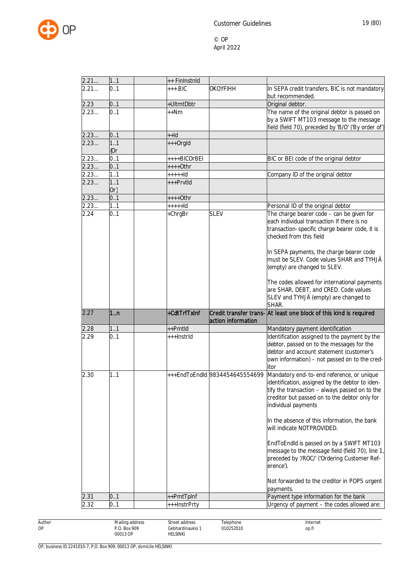

| 2.21<br>11<br>++ FinInstnId<br>2.21<br>0.1<br><b>OKOYFIHH</b><br>$***$ BIC<br>but recommended.<br>0.1<br>2.23<br>+UltmtDbtr<br>Original debtor.<br>0.1<br>2.23<br>$++Nm$<br>2.23<br>0.1<br>$+Hd$<br>2.23<br>+++OrgId<br>1.1<br>{Or<br>2.23<br>0.1<br>++++BICOrBEI<br>BIC or BEI code of the original debtor<br>2.23<br>0.1<br>$***+Othr$<br>2.23<br>1.1<br>$++++$<br>Company ID of the original debtor<br>2.23<br>1.1<br>+++PrvtId<br>$Or\}$<br>0.1<br>2.23<br>++++Othr<br>2.23<br>1.1<br>$++++$<br>Personal ID of the original debtor<br>0.1<br>2.24<br>+ChrgBr<br><b>SLEV</b><br>each individual transaction If there is no<br>checked from this field<br>(empty) are changed to SLEV. | In SEPA credit transfers, BIC is not mandatory<br>The name of the original debtor is passed on<br>by a SWIFT MT103 message to the message<br>field (field 70), preceded by 'B/O' ('By order of')<br>The charge bearer code - can be given for<br>transaction-specific charge bearer code, it is                                                                                                                                                |
|------------------------------------------------------------------------------------------------------------------------------------------------------------------------------------------------------------------------------------------------------------------------------------------------------------------------------------------------------------------------------------------------------------------------------------------------------------------------------------------------------------------------------------------------------------------------------------------------------------------------------------------------------------------------------------------|------------------------------------------------------------------------------------------------------------------------------------------------------------------------------------------------------------------------------------------------------------------------------------------------------------------------------------------------------------------------------------------------------------------------------------------------|
|                                                                                                                                                                                                                                                                                                                                                                                                                                                                                                                                                                                                                                                                                          |                                                                                                                                                                                                                                                                                                                                                                                                                                                |
|                                                                                                                                                                                                                                                                                                                                                                                                                                                                                                                                                                                                                                                                                          |                                                                                                                                                                                                                                                                                                                                                                                                                                                |
|                                                                                                                                                                                                                                                                                                                                                                                                                                                                                                                                                                                                                                                                                          |                                                                                                                                                                                                                                                                                                                                                                                                                                                |
|                                                                                                                                                                                                                                                                                                                                                                                                                                                                                                                                                                                                                                                                                          |                                                                                                                                                                                                                                                                                                                                                                                                                                                |
|                                                                                                                                                                                                                                                                                                                                                                                                                                                                                                                                                                                                                                                                                          |                                                                                                                                                                                                                                                                                                                                                                                                                                                |
|                                                                                                                                                                                                                                                                                                                                                                                                                                                                                                                                                                                                                                                                                          |                                                                                                                                                                                                                                                                                                                                                                                                                                                |
|                                                                                                                                                                                                                                                                                                                                                                                                                                                                                                                                                                                                                                                                                          |                                                                                                                                                                                                                                                                                                                                                                                                                                                |
|                                                                                                                                                                                                                                                                                                                                                                                                                                                                                                                                                                                                                                                                                          |                                                                                                                                                                                                                                                                                                                                                                                                                                                |
|                                                                                                                                                                                                                                                                                                                                                                                                                                                                                                                                                                                                                                                                                          |                                                                                                                                                                                                                                                                                                                                                                                                                                                |
|                                                                                                                                                                                                                                                                                                                                                                                                                                                                                                                                                                                                                                                                                          |                                                                                                                                                                                                                                                                                                                                                                                                                                                |
|                                                                                                                                                                                                                                                                                                                                                                                                                                                                                                                                                                                                                                                                                          |                                                                                                                                                                                                                                                                                                                                                                                                                                                |
|                                                                                                                                                                                                                                                                                                                                                                                                                                                                                                                                                                                                                                                                                          |                                                                                                                                                                                                                                                                                                                                                                                                                                                |
| are SHAR, DEBT, and CRED. Code values<br>SLEV and TYHJÄ (empty) are changed to<br>SHAR.                                                                                                                                                                                                                                                                                                                                                                                                                                                                                                                                                                                                  | In SEPA payments, the charge bearer code<br>must be SLEV. Code values SHAR and TYHJÄ<br>The codes allowed for international payments                                                                                                                                                                                                                                                                                                           |
| 2.27<br>+CdtTrfTxInf<br>Credit transfer trans- At least one block of this kind is required<br>1 <sub>n</sub><br>action information                                                                                                                                                                                                                                                                                                                                                                                                                                                                                                                                                       |                                                                                                                                                                                                                                                                                                                                                                                                                                                |
| 2.28<br>11<br>++Pmtld<br>Mandatory payment identification                                                                                                                                                                                                                                                                                                                                                                                                                                                                                                                                                                                                                                |                                                                                                                                                                                                                                                                                                                                                                                                                                                |
| 2.29<br>0.1<br>+++InstrId<br>debtor, passed on to the messages for the<br>debtor and account statement (customer's<br>itor                                                                                                                                                                                                                                                                                                                                                                                                                                                                                                                                                               | Identification assigned to the payment by the<br>own information) - not passed on to the cred-                                                                                                                                                                                                                                                                                                                                                 |
| ++EndToEndId 9834454645554699<br>2.30<br>11<br>individual payments<br>will indicate NOTPROVIDED.<br>erence').                                                                                                                                                                                                                                                                                                                                                                                                                                                                                                                                                                            | Mandatory end-to-end reference, or unique<br>identification, assigned by the debtor to iden-<br>tify the transaction - always passed on to the<br>creditor but passed on to the debtor only for<br>In the absence of this information, the bank<br>EndToEndId is passed on by a SWIFT MT103<br>message to the message field (field 70), line 1<br>preceded by '/ROC/' ('Ordering Customer Ref-<br>Not forwarded to the creditor in POPS urgent |
| payments.<br>Payment type information for the bank<br>2.31<br>0.1<br>++PmtTpInf                                                                                                                                                                                                                                                                                                                                                                                                                                                                                                                                                                                                          |                                                                                                                                                                                                                                                                                                                                                                                                                                                |
| 0.1<br>2.32<br>Urgency of payment - the codes allowed are:                                                                                                                                                                                                                                                                                                                                                                                                                                                                                                                                                                                                                               |                                                                                                                                                                                                                                                                                                                                                                                                                                                |

Author OP Mailing address P.O. Box 909 00013 OP Street address Gebhardinaukio 1 HELSINKI Telephone 010252010 Internet op.fi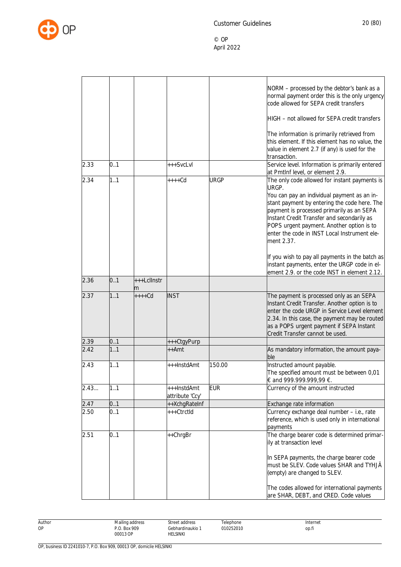

|      |     |                  |                                |             | NORM - processed by the debtor's bank as a<br>normal payment order this is the only urgency<br>code allowed for SEPA credit transfers                                                                                                                                                             |
|------|-----|------------------|--------------------------------|-------------|---------------------------------------------------------------------------------------------------------------------------------------------------------------------------------------------------------------------------------------------------------------------------------------------------|
|      |     |                  |                                |             | HIGH - not allowed for SEPA credit transfers                                                                                                                                                                                                                                                      |
|      |     |                  |                                |             | The information is primarily retrieved from<br>this element. If this element has no value, the<br>value in element 2.7 (if any) is used for the<br>transaction.                                                                                                                                   |
| 2.33 | 0.1 |                  | +++SvcLvl                      |             | Service level. Information is primarily entered<br>at PmtInf level, or element 2.9.                                                                                                                                                                                                               |
| 2.34 | 1.1 |                  | $***Cd$                        | <b>URGP</b> | The only code allowed for instant payments is<br>URGP.                                                                                                                                                                                                                                            |
|      |     |                  |                                |             | You can pay an individual payment as an in-<br>stant payment by entering the code here. The<br>payment is processed primarily as an SEPA<br>Instant Credit Transfer and secondarily as<br>POPS urgent payment. Another option is to<br>enter the code in INST Local Instrument ele-<br>ment 2.37. |
|      |     |                  |                                |             | If you wish to pay all payments in the batch as<br>instant payments, enter the URGP code in el-<br>ement 2.9. or the code INST in element 2.12.                                                                                                                                                   |
| 2.36 | 0.1 | +++Lcllnstr<br>m |                                |             |                                                                                                                                                                                                                                                                                                   |
| 2.37 | 1.1 | $++++$ Cd        | <b>INST</b>                    |             | The payment is processed only as an SEPA<br>Instant Credit Transfer. Another option is to<br>enter the code URGP in Service Level element<br>2.34. In this case, the payment may be routed<br>as a POPS urgent payment if SEPA Instant<br>Credit Transfer cannot be used.                         |
| 2.39 | 0.1 |                  | +++CtgyPurp                    |             |                                                                                                                                                                                                                                                                                                   |
| 2.42 | 1.1 |                  | $++Amt$                        |             | As mandatory information, the amount paya-<br>ble                                                                                                                                                                                                                                                 |
| 2.43 | 1.1 |                  | +++InstdAmt                    | 150.00      | Instructed amount payable.<br>The specified amount must be between 0,01<br>€ and 999.999.999,99 €.                                                                                                                                                                                                |
| 2.43 | 1.1 |                  | +++InstdAmt<br>attribute 'Ccy' | <b>EUR</b>  | Currency of the amount instructed                                                                                                                                                                                                                                                                 |
| 2.47 | 0.1 |                  | ++XchgRateInf                  |             | Exchange rate information                                                                                                                                                                                                                                                                         |
| 2.50 | 0.1 |                  | +++CtrctId                     |             | Currency exchange deal number - i.e., rate<br>reference, which is used only in international<br>payments                                                                                                                                                                                          |
| 2.51 | 0.1 |                  | ++ChrgBr                       |             | The charge bearer code is determined primar-<br>ily at transaction level<br>In SEPA payments, the charge bearer code<br>must be SLEV. Code values SHAR and TYHJÄ                                                                                                                                  |
|      |     |                  |                                |             | (empty) are changed to SLEV.                                                                                                                                                                                                                                                                      |
|      |     |                  |                                |             | The codes allowed for international payments<br>are SHAR, DEBT, and CRED. Code values                                                                                                                                                                                                             |

Author OP Mailing address P.O. Box 909 00013 OP Street address Gebhardinaukio 1 HELSINKI Telephone 010252010 Internet op.fi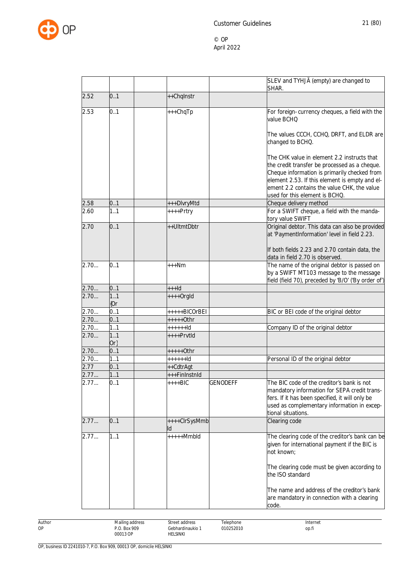

|      |               |                             | SLEV and TYHJÄ (empty) are changed to<br>SHAR.                                                                                                                                                                                                |
|------|---------------|-----------------------------|-----------------------------------------------------------------------------------------------------------------------------------------------------------------------------------------------------------------------------------------------|
| 2.52 | 0.1           | ++Chqlnstr                  |                                                                                                                                                                                                                                               |
| 2.53 | 0.1           | +++ChqTp                    | For foreign-currency cheques, a field with the<br>value BCHQ                                                                                                                                                                                  |
|      |               |                             | The values CCCH, CCHQ, DRFT, and ELDR are<br>changed to BCHQ.                                                                                                                                                                                 |
|      |               |                             | The CHK value in element 2.2 instructs that<br>the credit transfer be processed as a cheque.<br>Cheque information is primarily checked from<br>element 2.53. If this element is empty and el-<br>ement 2.2 contains the value CHK, the value |
|      |               |                             | used for this element is BCHQ.                                                                                                                                                                                                                |
| 2.58 | 0.1           | +++DlvryMtd                 | Cheque delivery method                                                                                                                                                                                                                        |
| 2.60 | 1.1           | ++++Prtry                   | For a SWIFT cheque, a field with the manda-<br>tory value SWIFT                                                                                                                                                                               |
| 2.70 | 0.1           | ++UltmtDbtr                 | Original debtor. This data can also be provided<br>at 'PaymentInformation' level in field 2.23.                                                                                                                                               |
|      |               |                             | If both fields 2.23 and 2.70 contain data, the<br>data in field 2.70 is observed.                                                                                                                                                             |
| 2.70 | 0.1           | $***Nm$                     | The name of the original debtor is passed on<br>by a SWIFT MT103 message to the message<br>field (field 70), preceded by 'B/O' ('By order of')                                                                                                |
| 2.70 | 0.1           | $++$ ld                     |                                                                                                                                                                                                                                               |
| 2.70 | 1.1<br>${or}$ | $++++$ Orgld                |                                                                                                                                                                                                                                               |
| 2.70 | 0.1           | +++++BICOrBEI               | BIC or BEI code of the original debtor                                                                                                                                                                                                        |
| 2.70 | 0.1           | +++++0thr                   |                                                                                                                                                                                                                                               |
| 2.70 | 1.1           | $+++++Id$                   | Company ID of the original debtor                                                                                                                                                                                                             |
| 2.70 | 1.1<br>Or     | $***$ PrvtId                |                                                                                                                                                                                                                                               |
| 2.70 | 0.1           | $++++$ Othr                 |                                                                                                                                                                                                                                               |
| 2.70 | 1.1           | $+++++Id$                   | Personal ID of the original debtor                                                                                                                                                                                                            |
| 2.77 | 0.1           | ++CdtrAgt                   |                                                                                                                                                                                                                                               |
| 2.77 | 1.1           | +++FinInstnId               |                                                                                                                                                                                                                                               |
| 2.77 | 0.1           | $+++BIC$<br><b>GENODEFF</b> | The BIC code of the creditor's bank is not<br>mandatory information for SEPA credit trans-<br>fers. If it has been specified, it will only be<br>used as complementary information in excep-<br>tional situations.                            |
| 2.77 | 0.1           | ++++ClrSysMmb<br>ld         | Clearing code                                                                                                                                                                                                                                 |
| 2.77 | 1.1           | $++++Mmbld$                 | The clearing code of the creditor's bank can be<br>given for international payment if the BIC is<br>not known;                                                                                                                                |
|      |               |                             | The clearing code must be given according to<br>the ISO standard                                                                                                                                                                              |
|      |               |                             | The name and address of the creditor's bank<br>are mandatory in connection with a clearing<br>code.                                                                                                                                           |

Author OP

Street address

HELSINKI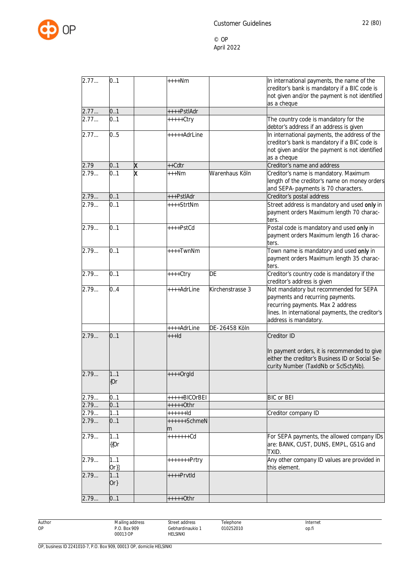

| 2.77  | 0.1    |   | $***Nm$        |                  | In international payments, the name of the       |
|-------|--------|---|----------------|------------------|--------------------------------------------------|
|       |        |   |                |                  | creditor's bank is mandatory if a BIC code is    |
|       |        |   |                |                  | not given and/or the payment is not identified   |
|       |        |   |                |                  | as a cheque                                      |
| 2.77  | 0.1    |   | ++++PstlAdr    |                  |                                                  |
| 2.77  | 0.1    |   | +++++Ctry      |                  | The country code is mandatory for the            |
|       |        |   |                |                  | debtor's address if an address is given          |
| 2.77  | 0.5    |   | +++++AdrLine   |                  | In international payments, the address of the    |
|       |        |   |                |                  | creditor's bank is mandatory if a BIC code is    |
|       |        |   |                |                  | not given and/or the payment is not identified   |
|       |        |   |                |                  | as a cheque                                      |
| 2.79  | 0.1    | X | ++Cdtr         |                  | Creditor's name and address                      |
| 2.79  |        | x |                |                  |                                                  |
|       | 0.1    |   | $***Nm$        | Warenhaus Köln   | Creditor's name is mandatory. Maximum            |
|       |        |   |                |                  | length of the creditor's name on money orders    |
|       |        |   |                |                  | and SEPA-payments is 70 characters.              |
| 2.79  | 0.1    |   | +++PstlAdr     |                  | Creditor's postal address                        |
| 2.79  | 0.1    |   | ++++StrtNm     |                  | Street address is mandatory and used only in     |
|       |        |   |                |                  | payment orders Maximum length 70 charac-         |
|       |        |   |                |                  | ters.                                            |
| 2.79  | 0.1    |   | ++++PstCd      |                  | Postal code is mandatory and used only in        |
|       |        |   |                |                  | payment orders Maximum length 16 charac-         |
|       |        |   |                |                  | ters.                                            |
| 2.79  | 0.1    |   | ++++TwnNm      |                  | Town name is mandatory and used only in          |
|       |        |   |                |                  | payment orders Maximum length 35 charac-         |
|       |        |   |                |                  | ters.                                            |
| 2.79  | 0.1    |   |                | <b>DE</b>        |                                                  |
|       |        |   | $++++$ Ctry    |                  | Creditor's country code is mandatory if the      |
|       |        |   |                |                  | creditor's address is given                      |
| 2.79  | 0.4    |   | ++++AdrLine    | Kirchenstrasse 3 | Not mandatory but recommended for SEPA           |
|       |        |   |                |                  | payments and recurring payments.                 |
|       |        |   |                |                  | recurring payments. Max 2 address                |
|       |        |   |                |                  | lines. In international payments, the creditor's |
|       |        |   |                |                  | address is mandatory.                            |
|       |        |   | ++++AdrLine    | DE-26458 Köln    |                                                  |
| 2.79  | 0.1    |   | $++$ $+d$      |                  | Creditor ID                                      |
|       |        |   |                |                  |                                                  |
|       |        |   |                |                  | In payment orders, it is recommended to give     |
|       |        |   |                |                  | either the creditor's Business ID or Social Se-  |
|       |        |   |                |                  | curity Number (TaxIdNb or SclSctyNb).            |
| 2.79. | 1.1    |   | ++++OrgId      |                  |                                                  |
|       | ${0r}$ |   |                |                  |                                                  |
|       |        |   |                |                  |                                                  |
| 2.79  | 0.1    |   | +++++BICOrBEI  |                  | <b>BIC</b> or BEI                                |
| 2.79  | 0.1    |   | +++++0thr      |                  |                                                  |
| 2.79  | 1.1    |   | $***++$ ld     |                  | Creditor company ID                              |
| 2.79  | 0.1    |   | ++++++SchmeN   |                  |                                                  |
|       |        |   |                |                  |                                                  |
| 2.79  | 11     |   | m<br>+++++++Cd |                  | For SEPA payments, the allowed company IDs       |
|       |        |   |                |                  |                                                  |
|       | {{Or   |   |                |                  | are: BANK, CUST, DUNS, EMPL, GS1G and            |
|       |        |   |                |                  | TXID.                                            |
| 2.79  | 1.1    |   | $+++++Prtry$   |                  | Any other company ID values are provided in      |
|       | $Or\}$ |   |                |                  | this element.                                    |
| 2.79  | 11     |   | ++++PrvtId     |                  |                                                  |
|       | $Or\}$ |   |                |                  |                                                  |
|       |        |   |                |                  |                                                  |
| 2.79  | 0.1    |   | $***+Othr$     |                  |                                                  |

Author OP

Street address

HELSINKI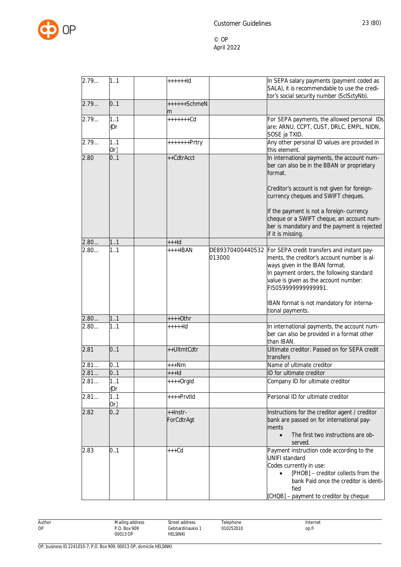

| 2.79 | 1.1        | $+++++Id$         |        | In SEPA salary payments (payment coded as<br>SALA), it is recommendable to use the credi-                                                                                                                                                                 |
|------|------------|-------------------|--------|-----------------------------------------------------------------------------------------------------------------------------------------------------------------------------------------------------------------------------------------------------------|
|      |            |                   |        | tor's social security number (SclSctyNb).                                                                                                                                                                                                                 |
| 2.79 | 0.1        | ++++++SchmeN<br>m |        |                                                                                                                                                                                                                                                           |
| 2.79 | 1.1<br>{Or | +++++++Cd         |        | For SEPA payments, the allowed personal IDs<br>are: ARNU, CCPT, CUST, DRLC, EMPL, NIDN,<br>SOSE ja TXID.                                                                                                                                                  |
| 2.79 | 1.1<br>Or} | +++++++Prtry      |        | Any other personal ID values are provided in<br>this element.                                                                                                                                                                                             |
| 2.80 | 0.1        | ++CdtrAcct        |        | In international payments, the account num-                                                                                                                                                                                                               |
|      |            |                   |        | ber can also be in the BBAN or proprietary<br>format.                                                                                                                                                                                                     |
|      |            |                   |        | Creditor's account is not given for foreign-<br>currency cheques and SWIFT cheques.                                                                                                                                                                       |
|      |            |                   |        | If the payment is not a foreign-currency<br>cheque or a SWIFT cheque, an account num-<br>ber is mandatory and the payment is rejected<br>if it is missing.                                                                                                |
| 2.80 | 1.1        | $++$ $+$ $d$      |        |                                                                                                                                                                                                                                                           |
| 2.80 | 1.1        | ++++IBAN          | 013000 | DE89370400440532 For SEPA credit transfers and instant pay-<br>ments, the creditor's account number is al-<br>ways given in the IBAN format.<br>In payment orders, the following standard<br>value is given as the account number:<br>FI5059999999999991. |
|      |            |                   |        | IBAN format is not mandatory for interna-<br>tional payments.                                                                                                                                                                                             |
| 2.80 | 11         | ++++0thr          |        |                                                                                                                                                                                                                                                           |
| 2.80 | 1.1        | $***+Id$          |        | In international payments, the account num-<br>ber can also be provided in a format other<br>than IBAN.                                                                                                                                                   |
| 2.81 | 0.1        | ++UltmtCdtr       |        | Ultimate creditor. Passed on for SEPA credit<br>transfers                                                                                                                                                                                                 |
| 2.81 | 0.1        | $***Nm$           |        | Name of ultimate creditor                                                                                                                                                                                                                                 |
| 2.81 | 0.1        | $++$ -Id          |        | ID for ultimate creditor                                                                                                                                                                                                                                  |
| 2.81 | 11<br>[Or  | $***+Orgld$       |        | Company ID for ultimate creditor                                                                                                                                                                                                                          |
| 2.81 | 1.1<br>Or} | ++++PrvtId        |        | Personal ID for ultimate creditor                                                                                                                                                                                                                         |
| 2.82 | 0.2        | ++Instr-          |        | Instructions for the creditor agent / creditor                                                                                                                                                                                                            |
|      |            | ForCdtrAgt        |        | bank are passed on for international pay-                                                                                                                                                                                                                 |
|      |            |                   |        | ments                                                                                                                                                                                                                                                     |
|      |            |                   |        | The first two instructions are ob-<br>$\bullet$<br>served.                                                                                                                                                                                                |
| 2.83 | 0.1        | $***$ Cd          |        | Payment instruction code according to the<br><b>UNIFI standard</b><br>Codes currently in use:                                                                                                                                                             |
|      |            |                   |        | [PHOB] - creditor collects from the<br>$\bullet$<br>bank Paid once the creditor is identi-<br>fied                                                                                                                                                        |
|      |            |                   |        | [CHQB] - payment to creditor by cheque                                                                                                                                                                                                                    |

Author OP Mailing address P.O. Box 909 00013 OP Street address Gebhardinaukio 1 HELSINKI Telephone 010252010 Internet op.fi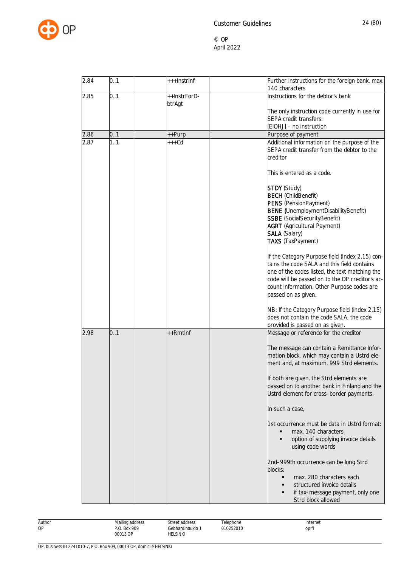

| 2.84 | 0.1 | +++InstrInf            | Further instructions for the foreign bank, max.<br>140 characters                                                                                                                                                                                                                                                          |
|------|-----|------------------------|----------------------------------------------------------------------------------------------------------------------------------------------------------------------------------------------------------------------------------------------------------------------------------------------------------------------------|
| 2.85 | 0.1 | ++InstrForD-<br>btrAgt | Instructions for the debtor's bank                                                                                                                                                                                                                                                                                         |
|      |     |                        | The only instruction code currently in use for<br>SEPA credit transfers:                                                                                                                                                                                                                                                   |
|      |     |                        | [EIOHJ] - no instruction                                                                                                                                                                                                                                                                                                   |
| 2.86 | 0.1 | ++Purp                 | Purpose of payment                                                                                                                                                                                                                                                                                                         |
| 2.87 | 1.1 | +++Cd                  | Additional information on the purpose of the<br>SEPA credit transfer from the debtor to the<br>creditor                                                                                                                                                                                                                    |
|      |     |                        | This is entered as a code.                                                                                                                                                                                                                                                                                                 |
|      |     |                        | STDY (Study)<br><b>BECH</b> (ChildBenefit)<br>PENS (PensionPayment)<br><b>BENE</b> (UnemploymentDisabilityBenefit)<br><b>SSBE</b> (SocialSecurityBenefit)<br><b>AGRT</b> (Agricultural Payment)<br><b>SALA</b> (Salary)<br><b>TAXS</b> (TaxPayment)                                                                        |
|      |     |                        | If the Category Purpose field (Index 2.15) con-<br>tains the code SALA and this field contains<br>one of the codes listed, the text matching the<br>code will be passed on to the OP creditor's ac-<br>count information. Other Purpose codes are<br>passed on as given.<br>NB: If the Category Purpose field (index 2.15) |
|      |     |                        | does not contain the code SALA, the code<br>provided is passed on as given.                                                                                                                                                                                                                                                |
| 2.98 | 0.1 | ++Rmtlnf               | Message or reference for the creditor<br>The message can contain a Remittance Infor-<br>mation block, which may contain a Ustrd ele-<br>ment and, at maximum, 999 Strd elements.<br>If both are given, the Strd elements are                                                                                               |
|      |     |                        | passed on to another bank in Finland and the<br>Ustrd element for cross-border payments.                                                                                                                                                                                                                                   |
|      |     |                        | In such a case,                                                                                                                                                                                                                                                                                                            |
|      |     |                        | 1st occurrence must be data in Ustrd format:<br>max. 140 characters<br>option of supplying invoice details<br>٠<br>using code words                                                                                                                                                                                        |
|      |     |                        | 2nd-999th occurrence can be long Strd<br>blocks:<br>max. 280 characters each<br>structured invoice details<br>if tax-message payment, only one<br>Strd block allowed                                                                                                                                                       |

| Author | Mailing address       | Street address   | elephone       | 'nternet |
|--------|-----------------------|------------------|----------------|----------|
| OP     | <b>Box 909</b><br>n c | ≩ebhardinaukio ∶ | 010252010<br>. | op.fi    |
|        | 00013 OP<br>.         | <b>HELSINKI</b>  |                |          |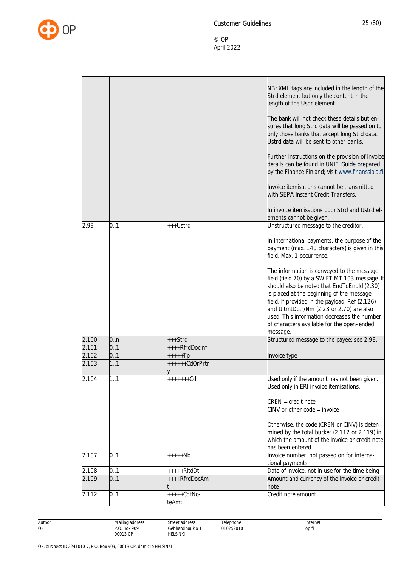

|       |     |                        | NB: XML tags are included in the length of the<br>Strd element but only the content in the<br>length of the Usdr element.<br>The bank will not check these details but en-<br>sures that long Strd data will be passed on to<br>only those banks that accept long Strd data.<br>Ustrd data will be sent to other banks.<br>Further instructions on the provision of invoice<br>details can be found in UNIFI Guide prepared<br>by the Finance Finland; visit www.finanssiala.fi.<br>Invoice itemisations cannot be transmitted |
|-------|-----|------------------------|--------------------------------------------------------------------------------------------------------------------------------------------------------------------------------------------------------------------------------------------------------------------------------------------------------------------------------------------------------------------------------------------------------------------------------------------------------------------------------------------------------------------------------|
|       |     |                        | with SEPA Instant Credit Transfers.                                                                                                                                                                                                                                                                                                                                                                                                                                                                                            |
|       |     |                        | In invoice itemisations both Strd and Ustrd el-<br>ements cannot be given.                                                                                                                                                                                                                                                                                                                                                                                                                                                     |
| 2.99  | 0.1 | +++Ustrd               | Unstructured message to the creditor.                                                                                                                                                                                                                                                                                                                                                                                                                                                                                          |
|       |     |                        | In international payments, the purpose of the<br>payment (max. 140 characters) is given in this<br>field. Max. 1 occurrence.                                                                                                                                                                                                                                                                                                                                                                                                   |
|       |     |                        | The information is conveyed to the message<br>field (field 70) by a SWIFT MT 103 message. It<br>should also be noted that EndToEndId (2.30)<br>is placed at the beginning of the message<br>field. If provided in the payload, Ref (2.126)                                                                                                                                                                                                                                                                                     |
|       |     |                        | and UltmtDbtr/Nm (2.23 or 2.70) are also<br>used. This information decreases the number<br>of characters available for the open-ended<br>message.                                                                                                                                                                                                                                                                                                                                                                              |
| 2.100 | 0n  | +++Strd                | Structured message to the payee; see 2.98.                                                                                                                                                                                                                                                                                                                                                                                                                                                                                     |
| 2.101 | 0.1 | ++++RfrdDocInf         |                                                                                                                                                                                                                                                                                                                                                                                                                                                                                                                                |
| 2.102 | 0.1 | +++++Tp                | Invoice type                                                                                                                                                                                                                                                                                                                                                                                                                                                                                                                   |
| 2.103 | 1.1 | ++++++CdOrPrtr         |                                                                                                                                                                                                                                                                                                                                                                                                                                                                                                                                |
| 2.104 | 1.1 | +++++++Cd              | Used only if the amount has not been given.<br>Used only in ERI invoice itemisations.<br>$CREN = credit note$                                                                                                                                                                                                                                                                                                                                                                                                                  |
|       |     |                        | $CINV$ or other code = invoice                                                                                                                                                                                                                                                                                                                                                                                                                                                                                                 |
|       |     |                        | Otherwise, the code (CREN or CINV) is deter-<br>mined by the total bucket (2.112 or 2.119) in<br>which the amount of the invoice or credit note<br>has been entered.                                                                                                                                                                                                                                                                                                                                                           |
| 2.107 | 0.1 | +++++Nb                | Invoice number, not passed on for interna-<br>tional payments                                                                                                                                                                                                                                                                                                                                                                                                                                                                  |
| 2.108 | 0.1 | +++++RltdDt            | Date of invoice, not in use for the time being                                                                                                                                                                                                                                                                                                                                                                                                                                                                                 |
| 2.109 | 0.1 | ++++RfrdDocAm          | Amount and currency of the invoice or credit<br>note                                                                                                                                                                                                                                                                                                                                                                                                                                                                           |
| 2.112 | 0.1 | $++++-CdtNo-$<br>teAmt | Credit note amount                                                                                                                                                                                                                                                                                                                                                                                                                                                                                                             |

Author OP

Street address Gebhardinaukio 1 HELSINKI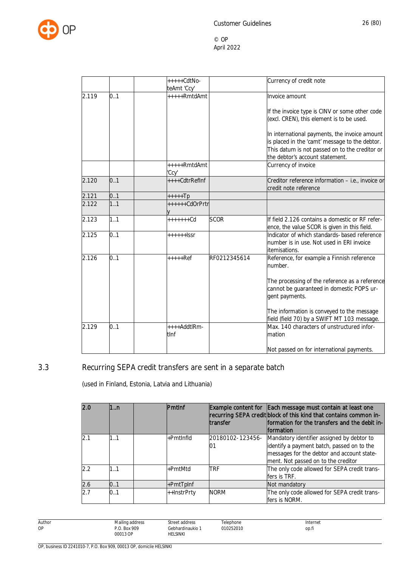

|       |     | $***+CdtNo-$<br>teAmt 'Ccy' |              | Currency of credit note                                                                                       |
|-------|-----|-----------------------------|--------------|---------------------------------------------------------------------------------------------------------------|
| 2.119 | 0.1 | $***+RmtdAmt$               |              | Invoice amount                                                                                                |
|       |     |                             |              | If the invoice type is CINV or some other code<br>(excl. CREN), this element is to be used.                   |
|       |     |                             |              | In international payments, the invoice amount<br>is placed in the 'camt' message to the debtor.               |
|       |     |                             |              | This datum is not passed on to the creditor or<br>the debtor's account statement.                             |
|       |     | +++++RmtdAmt<br>'Ccy'       |              | Currency of invoice                                                                                           |
| 2.120 | 0.1 | ++++CdtrRefInf              |              | Creditor reference information - i.e., invoice or<br>credit note reference                                    |
| 2.121 | 0.1 | $++++$                      |              |                                                                                                               |
| 2.122 | 1.1 | ++++++CdOrPrtr              |              |                                                                                                               |
| 2.123 | 1.1 | $+++++Cd$                   | <b>SCOR</b>  | If field 2.126 contains a domestic or RF refer-<br>ence, the value SCOR is given in this field.               |
| 2.125 | 0.1 | $+++++I$ sr                 |              | Indicator of which standards-based reference<br>number is in use. Not used in ERI invoice<br>itemisations.    |
| 2.126 | 0.1 | $+++++Ref$                  | RF0212345614 | Reference, for example a Finnish reference<br>number.                                                         |
|       |     |                             |              | The processing of the reference as a reference<br>cannot be guaranteed in domestic POPS ur-<br>gent payments. |
|       |     |                             |              | The information is conveyed to the message<br>field (field 70) by a SWIFT MT 103 message.                     |
| 2.129 | 0.1 | ++++AddtlRm-<br>tlnf        |              | Max. 140 characters of unstructured infor-<br>mation                                                          |
|       |     |                             |              | Not passed on for international payments.                                                                     |

# 3.3 Recurring SEPA credit transfers are sent in a separate batch

<span id="page-26-0"></span>(used in Finland, Estonia, Latvia and Lithuania)

| <b>2.0</b> | 1:n | Pmtlnf       | <b>transfer</b>  | Example content for Each message must contain at least one<br>recurring SEPA credit block of this kind that contains common in-<br>formation for the transfers and the debit in-<br><b>formation</b> |
|------------|-----|--------------|------------------|------------------------------------------------------------------------------------------------------------------------------------------------------------------------------------------------------|
| 2.1        | 1.1 | $+$ PmtInfld | 20180102-123456- | Mandatory identifier assigned by debtor to<br>identify a payment batch, passed on to the<br>messages for the debtor and account state-<br>ment. Not passed on to the creditor                        |
| 2.2        | 1.1 | +PmtMtd      | <b>TRF</b>       | The only code allowed for SEPA credit trans-<br>fers is TRF.                                                                                                                                         |
| 2.6        | 0.1 | $+PmtTplnf$  |                  | Not mandatory                                                                                                                                                                                        |
| 2.7        | 0.1 | ++InstrPrty  | <b>NORM</b>      | The only code allowed for SEPA credit trans-<br>fers is NORM.                                                                                                                                        |

Author OP Mailing address P.O. Box 909 00013 OP Street address Gebhardinaukio 1 HELSINKI Telephone 010252010 Internet op.fi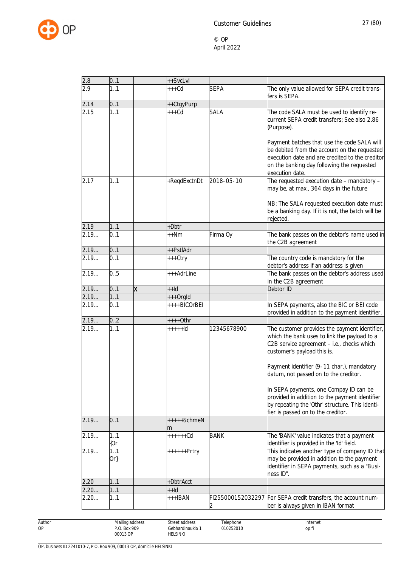

| 2.8  | 0.1           |   | ++SvcLvl           |             |                                                                                                                                                                                                                                                                                                             |
|------|---------------|---|--------------------|-------------|-------------------------------------------------------------------------------------------------------------------------------------------------------------------------------------------------------------------------------------------------------------------------------------------------------------|
| 2.9  | 1.1           |   | $***$ Cd           | <b>SEPA</b> | The only value allowed for SEPA credit trans-<br>fers is SEPA.                                                                                                                                                                                                                                              |
| 2.14 | 0.1           |   | ++CtgyPurp         |             |                                                                                                                                                                                                                                                                                                             |
| 2.15 | 1.1           |   | $+++Cd$            | <b>SALA</b> | The code SALA must be used to identify re-<br>current SEPA credit transfers; See also 2.86<br>(Purpose).<br>Payment batches that use the code SALA will                                                                                                                                                     |
|      |               |   |                    |             | be debited from the account on the requested<br>execution date and are credited to the creditor<br>on the banking day following the requested<br>execution date.                                                                                                                                            |
| 2.17 | 1.1           |   | +ReqdExctnDt       | 2018-05-10  | The requested execution date - mandatory -<br>may be, at max., 364 days in the future<br>NB: The SALA requested execution date must<br>be a banking day. If it is not, the batch will be                                                                                                                    |
|      |               |   |                    |             | rejected.                                                                                                                                                                                                                                                                                                   |
| 2.19 | 1.1           |   | +Dbtr              |             |                                                                                                                                                                                                                                                                                                             |
| 2.19 | 0.1           |   | ++Nm               | Firma Oy    | The bank passes on the debtor's name used in<br>the C2B agreement                                                                                                                                                                                                                                           |
| 2.19 | 0.1           |   | ++PstlAdr          |             |                                                                                                                                                                                                                                                                                                             |
| 2.19 | 0.1           |   | +++Ctry            |             | The country code is mandatory for the<br>debtor's address if an address is given                                                                                                                                                                                                                            |
| 2.19 | 0.5           |   | +++AdrLine         |             | The bank passes on the debtor's address used<br>in the C2B agreement                                                                                                                                                                                                                                        |
| 2.19 | 0.1           | X | ++ld               |             | Debtor ID                                                                                                                                                                                                                                                                                                   |
| 2.19 | 1.1           |   | +++OrgId           |             |                                                                                                                                                                                                                                                                                                             |
| 2.19 | 0.1           |   | ++++BICOrBEI       |             | In SEPA payments, also the BIC or BEI code<br>provided in addition to the payment identifier.                                                                                                                                                                                                               |
| 2.19 | 0.2           |   | $***+Othr$         |             |                                                                                                                                                                                                                                                                                                             |
| 2.19 | 1.1           |   | $++++$             | 12345678900 | The customer provides the payment identifier,<br>which the bank uses to link the payload to a<br>C2B service agreement - i.e., checks which<br>customer's payload this is.<br>Payment identifier (9-11 char.), mandatory<br>datum, not passed on to the creditor.<br>In SEPA payments, one Compay ID can be |
|      |               |   |                    |             | provided in addition to the payment identifier<br>by repeating the 'Othr' structure. This identi-<br>fier is passed on to the creditor.                                                                                                                                                                     |
| 2.19 | 0.1           |   | $++++$ SchmeN<br>m |             |                                                                                                                                                                                                                                                                                                             |
| 2.19 | 1.1<br>{Or    |   | $+++++Cd$          | <b>BANK</b> | The 'BANK' value indicates that a payment<br>identifier is provided in the 'Id' field.                                                                                                                                                                                                                      |
| 2.19 | 1.1<br>$Or\}$ |   | $+++++Prtry$       |             | This indicates another type of company ID that<br>may be provided in addition to the payment<br>identifier in SEPA payments, such as a "Busi-<br>ness ID".                                                                                                                                                  |
| 2.20 | 1.1           |   | +DbtrAcct          |             |                                                                                                                                                                                                                                                                                                             |
| 2.20 | 1.1           |   | $++Id$             |             |                                                                                                                                                                                                                                                                                                             |
| 2.20 | 1.1           |   | $+++IBAN$          |             | FI255000152032297 For SEPA credit transfers, the account num-<br>ber is always given in IBAN format                                                                                                                                                                                                         |

Author OP

HELSINKI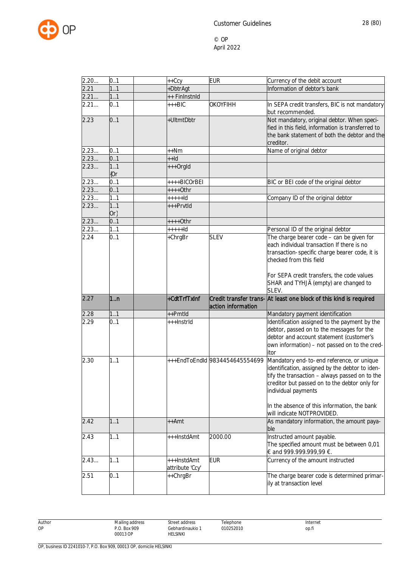

| 2.20         | 0.1            | $++Ccy$                        | <b>EUR</b>                     | Currency of the debit account                                                                                                                                                                                                                                                                        |
|--------------|----------------|--------------------------------|--------------------------------|------------------------------------------------------------------------------------------------------------------------------------------------------------------------------------------------------------------------------------------------------------------------------------------------------|
| 2.21         | 1.1            | +DbtrAgt                       |                                | Information of debtor's bank                                                                                                                                                                                                                                                                         |
| 2.21         | 11             | ++ FinInstnId                  |                                |                                                                                                                                                                                                                                                                                                      |
| 2.21         | 0.1            | $+++BIC$                       | <b>OKOYFIHH</b>                | In SEPA credit transfers, BIC is not mandatory<br>but recommended.                                                                                                                                                                                                                                   |
| 2.23         | 0.1            | +UltmtDbtr                     |                                | Not mandatory, original debtor. When speci-<br>fied in this field, information is transferred to<br>the bank statement of both the debtor and the<br>creditor.                                                                                                                                       |
| 2.23         | 0.1            | ++Nm                           |                                | Name of original debtor                                                                                                                                                                                                                                                                              |
| 2.23         | 0.1            | $+Hd$                          |                                |                                                                                                                                                                                                                                                                                                      |
| 2.23         | 1.1<br>{Or     | +++OrgId                       |                                |                                                                                                                                                                                                                                                                                                      |
| 2.23         | 0.1            | ++++BICOrBEI                   |                                | BIC or BEI code of the original debtor                                                                                                                                                                                                                                                               |
| 2.23         | 0.1            | $***+Othr$                     |                                |                                                                                                                                                                                                                                                                                                      |
| 2.23         | 1.1            | $++++$                         |                                | Company ID of the original debtor                                                                                                                                                                                                                                                                    |
| 2.23         | 11<br>$Or\}$   | +++Prvtld                      |                                |                                                                                                                                                                                                                                                                                                      |
| 2.23         | 0.1            | $***+0$ thr                    |                                |                                                                                                                                                                                                                                                                                                      |
| 2.23         | 11             | $++++$                         |                                | Personal ID of the original debtor                                                                                                                                                                                                                                                                   |
| 2.24         | 0.1            | +ChrgBr                        | <b>SLEV</b>                    | The charge bearer code - can be given for<br>each individual transaction If there is no<br>transaction-specific charge bearer code, it is<br>checked from this field<br>For SEPA credit transfers, the code values                                                                                   |
|              |                |                                |                                | SHAR and TYHJÄ (empty) are changed to                                                                                                                                                                                                                                                                |
| 2.27         | 1 <sub>n</sub> | +CdtTrfTxInf                   |                                | SLEV.<br>Credit transfer trans- At least one block of this kind is required                                                                                                                                                                                                                          |
|              |                |                                | action information             |                                                                                                                                                                                                                                                                                                      |
| 2.28<br>2.29 | 1.1<br>0.1     | ++Pmtld<br>+++InstrId          |                                | Mandatory payment identification<br>Identification assigned to the payment by the<br>debtor, passed on to the messages for the<br>debtor and account statement (customer's<br>own information) - not passed on to the cred-<br>itor                                                                  |
| 2.30         | 1.1            |                                | +++EndToEndId 9834454645554699 | Mandatory end-to-end reference, or unique<br>identification, assigned by the debtor to iden-<br>tify the transaction - always passed on to the<br>creditor but passed on to the debtor only for<br>individual payments<br>In the absence of this information, the bank<br>will indicate NOTPROVIDED. |
| 2.42         | 1.1            | ++Amt                          |                                | As mandatory information, the amount paya-<br>ble                                                                                                                                                                                                                                                    |
| 2.43         | 11             | +++InstdAmt                    | 2000.00                        | Instructed amount payable.<br>The specified amount must be between 0,01<br>€ and 999.999.999,99 €.                                                                                                                                                                                                   |
| 2.43         | 1.1            | +++InstdAmt<br>attribute 'Ccy' | <b>EUR</b>                     | Currency of the amount instructed                                                                                                                                                                                                                                                                    |

| Author | Mailing address | Street address                                                     | Telephone      | Internet |
|--------|-----------------|--------------------------------------------------------------------|----------------|----------|
| ОP     | P.O. Box 909    | Gebhardinaukio 1                                                   | 010252010<br>. | op.fi    |
|        | 00013 OP<br>.   | <b>HELSINKI</b><br>the contract of the contract of the contract of |                |          |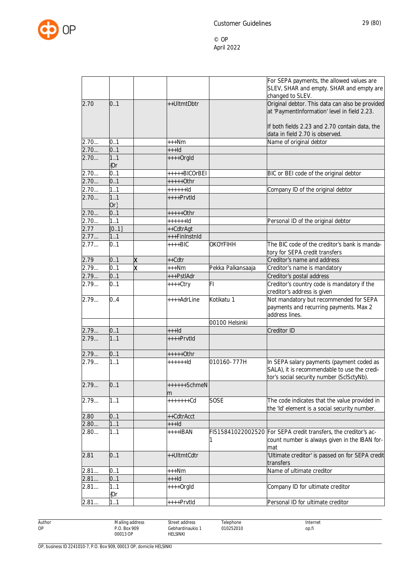

|      |            |   |                |                   | For SEPA payments, the allowed values are        |
|------|------------|---|----------------|-------------------|--------------------------------------------------|
|      |            |   |                |                   | SLEV, SHAR and empty. SHAR and empty are         |
|      |            |   |                |                   | changed to SLEV.                                 |
| 2.70 | 0.1        |   | ++UltmtDbtr    |                   | Original debtor. This data can also be provided  |
|      |            |   |                |                   | at 'PaymentInformation' level in field 2.23.     |
|      |            |   |                |                   |                                                  |
|      |            |   |                |                   | If both fields 2.23 and 2.70 contain data, the   |
|      |            |   |                |                   | data in field 2.70 is observed.                  |
| 2.70 | 0.1        |   | $***Nm$        |                   | Name of original debtor                          |
| 2.70 | 0.1        |   | $++$ -Id       |                   |                                                  |
| 2.70 | 1.1        |   | $++++$ Orgld   |                   |                                                  |
|      | ${0r}$     |   |                |                   |                                                  |
| 2.70 | 0.1        |   | +++++BICOrBEI  |                   | BIC or BEI code of the original debtor           |
| 2.70 | 0.1        |   | $++++-0$ thr   |                   |                                                  |
| 2.70 | 1.1        |   | $+++++Id$      |                   | Company ID of the original debtor                |
| 2.70 | 1.1        |   | $+++$ Prvtld   |                   |                                                  |
|      | $Or\}$     |   |                |                   |                                                  |
| 2.70 | 0.1        |   | +++++0thr      |                   |                                                  |
| 2.70 | 1.1        |   | $+++++Id$      |                   | Personal ID of the original debtor               |
| 2.77 | [01]       |   | ++CdtrAgt      |                   |                                                  |
| 2.77 | 1.1        |   | +++FinInstnId  |                   |                                                  |
| 2.77 | 0.1        |   | $***BIC$       | <b>OKOYFIHH</b>   | The BIC code of the creditor's bank is manda-    |
|      |            |   |                |                   | tory for SEPA credit transfers                   |
| 2.79 | 0.1        | X | ++Cdtr         |                   | Creditor's name and address                      |
| 2.79 | 0.1        | x | $***Nm$        | Pekka Palkansaaja | Creditor's name is mandatory                     |
| 2.79 | 0.1        |   | +++PstlAdr     |                   | Creditor's postal address                        |
| 2.79 | 0.1        |   | $++++Ctry$     | FI                | Creditor's country code is mandatory if the      |
|      |            |   |                |                   | creditor's address is given                      |
| 2.79 | 0.4        |   | ++++AdrLine    | Kotikatu 1        | Not mandatory but recommended for SEPA           |
|      |            |   |                |                   | payments and recurring payments. Max 2           |
|      |            |   |                |                   | address lines.                                   |
|      |            |   |                | 00100 Helsinki    |                                                  |
| 2.79 | 0.1        |   | $++$ -Id       |                   | Creditor ID                                      |
| 2.79 | 1.1        |   | $***$ Prvtld   |                   |                                                  |
|      |            |   |                |                   |                                                  |
| 2.79 | 0.1        |   | $***+Othr$     |                   |                                                  |
| 2.79 | 1.1        |   | $+++++Id$      | 010160-777H       | In SEPA salary payments (payment coded as        |
|      |            |   |                |                   | SALA), it is recommendable to use the credi-     |
|      |            |   |                |                   | tor's social security number (SclSctyNb).        |
| 2.79 | 0.1        |   | $+++++SchmeN$  |                   |                                                  |
|      |            |   |                |                   |                                                  |
| 2.79 | 1.1        |   | m<br>+++++++Cd | <b>SOSE</b>       | The code indicates that the value provided in    |
|      |            |   |                |                   | the 'Id' element is a social security number.    |
|      |            |   |                |                   |                                                  |
| 2.80 | 0.1<br>1.1 |   | ++CdtrAcct     |                   |                                                  |
| 2.80 |            |   | $++$ ld        |                   |                                                  |
| 2.80 | 11         |   | $***$ HBAN     | FI515841022002520 | For SEPA credit transfers, the creditor's ac-    |
|      |            |   |                |                   | count number is always given in the IBAN for-    |
|      |            |   |                |                   | mat                                              |
| 2.81 | 0.1        |   | ++UltmtCdtr    |                   | 'Ultimate creditor' is passed on for SEPA credit |
|      |            |   |                |                   | transfers                                        |
| 2.81 | 0.1        |   | $***Nm$        |                   | Name of ultimate creditor                        |
| 2.81 | 0.1        |   | $++$ ld        |                   |                                                  |
| 2.81 | 1.1        |   | $++++$ Orgld   |                   | Company ID for ultimate creditor                 |
|      | $\{0r$     |   |                |                   |                                                  |
| 2.81 | 11         |   | ++++PrvtId     |                   | Personal ID for ultimate creditor                |

Author OP

Gebhardinaukio 1 Telephone 010252010

Street address

HELSINKI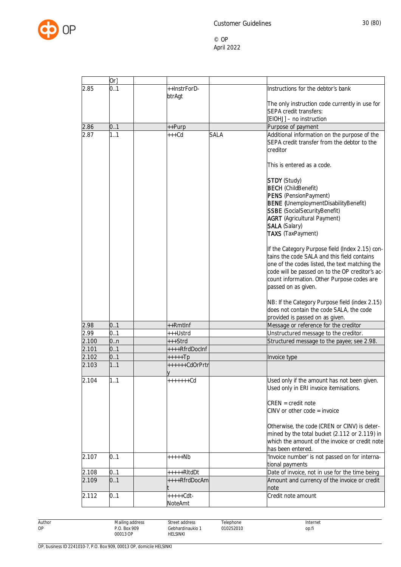

| 2.85<br>0.1<br>++InstrForD-<br>Instructions for the debtor's bank<br>btrAgt<br>The only instruction code currently in use for<br><b>SEPA credit transfers:</b><br>[EIOHJ] - no instruction<br>2.86<br>0.1<br>Purpose of payment<br>++Purp<br>Additional information on the purpose of the<br>2.87<br>1.1<br>$***$ Cd<br><b>SALA</b><br>SEPA credit transfer from the debtor to the<br>creditor<br>This is entered as a code.<br><b>STDY</b> (Study)<br><b>BECH</b> (ChildBenefit)<br>PENS (PensionPayment)<br><b>BENE</b> (UnemploymentDisabilityBenefit)<br><b>SSBE</b> (SocialSecurityBenefit)<br><b>AGRT</b> (Agricultural Payment)<br><b>SALA (Salary)</b><br><b>TAXS</b> (TaxPayment)<br>tains the code SALA and this field contains<br>one of the codes listed, the text matching the<br>code will be passed on to the OP creditor's ac-<br>count information. Other Purpose codes are<br>passed on as given.<br>NB: If the Category Purpose field (index 2.15)<br>does not contain the code SALA, the code<br>provided is passed on as given.<br>2.98<br>0.1<br>++Rmtlnf<br>Message or reference for the creditor<br>2.99<br>0.1<br>Unstructured message to the creditor.<br>+++Ustrd<br>2.100<br>0n<br>+++Strd<br>Structured message to the payee; see 2.98.<br>0.1<br>++++RfrdDocInf<br>2.101<br>0.1<br>2.102<br>+++++Tp<br>Invoice type<br>1.1<br>2.103<br>++++++CdOrPrtr<br>Ŋ<br>2.104<br>1.1<br>+++++++Cd<br>Used only if the amount has not been given.<br>Used only in ERI invoice itemisations.<br>$CREN = credit note$<br>$CINV$ or other code = invoice<br>Otherwise, the code (CREN or CINV) is deter-<br>mined by the total bucket (2.112 or 2.119) in<br>which the amount of the invoice or credit note<br>has been entered.<br>'Invoice number' is not passed on for interna-<br>2.107<br>0.1<br>+++++Nb<br>tional payments<br>0.1<br>2.108<br>Date of invoice, not in use for the time being<br>+++++RItdDt<br>2.109<br>Amount and currency of the invoice or credit<br>0.1<br>++++RfrdDocAm<br>note<br>0.1<br>$++++Cdt -$<br>Credit note amount<br>2.112<br>NoteAmt | Or |  |                                                 |
|--------------------------------------------------------------------------------------------------------------------------------------------------------------------------------------------------------------------------------------------------------------------------------------------------------------------------------------------------------------------------------------------------------------------------------------------------------------------------------------------------------------------------------------------------------------------------------------------------------------------------------------------------------------------------------------------------------------------------------------------------------------------------------------------------------------------------------------------------------------------------------------------------------------------------------------------------------------------------------------------------------------------------------------------------------------------------------------------------------------------------------------------------------------------------------------------------------------------------------------------------------------------------------------------------------------------------------------------------------------------------------------------------------------------------------------------------------------------------------------------------------------------------------------------------------------------------------------------------------------------------------------------------------------------------------------------------------------------------------------------------------------------------------------------------------------------------------------------------------------------------------------------------------------------------------------------------------------------------------------------------------------------------------------------------------------------------------------------|----|--|-------------------------------------------------|
|                                                                                                                                                                                                                                                                                                                                                                                                                                                                                                                                                                                                                                                                                                                                                                                                                                                                                                                                                                                                                                                                                                                                                                                                                                                                                                                                                                                                                                                                                                                                                                                                                                                                                                                                                                                                                                                                                                                                                                                                                                                                                            |    |  |                                                 |
|                                                                                                                                                                                                                                                                                                                                                                                                                                                                                                                                                                                                                                                                                                                                                                                                                                                                                                                                                                                                                                                                                                                                                                                                                                                                                                                                                                                                                                                                                                                                                                                                                                                                                                                                                                                                                                                                                                                                                                                                                                                                                            |    |  |                                                 |
|                                                                                                                                                                                                                                                                                                                                                                                                                                                                                                                                                                                                                                                                                                                                                                                                                                                                                                                                                                                                                                                                                                                                                                                                                                                                                                                                                                                                                                                                                                                                                                                                                                                                                                                                                                                                                                                                                                                                                                                                                                                                                            |    |  |                                                 |
|                                                                                                                                                                                                                                                                                                                                                                                                                                                                                                                                                                                                                                                                                                                                                                                                                                                                                                                                                                                                                                                                                                                                                                                                                                                                                                                                                                                                                                                                                                                                                                                                                                                                                                                                                                                                                                                                                                                                                                                                                                                                                            |    |  |                                                 |
|                                                                                                                                                                                                                                                                                                                                                                                                                                                                                                                                                                                                                                                                                                                                                                                                                                                                                                                                                                                                                                                                                                                                                                                                                                                                                                                                                                                                                                                                                                                                                                                                                                                                                                                                                                                                                                                                                                                                                                                                                                                                                            |    |  |                                                 |
|                                                                                                                                                                                                                                                                                                                                                                                                                                                                                                                                                                                                                                                                                                                                                                                                                                                                                                                                                                                                                                                                                                                                                                                                                                                                                                                                                                                                                                                                                                                                                                                                                                                                                                                                                                                                                                                                                                                                                                                                                                                                                            |    |  |                                                 |
|                                                                                                                                                                                                                                                                                                                                                                                                                                                                                                                                                                                                                                                                                                                                                                                                                                                                                                                                                                                                                                                                                                                                                                                                                                                                                                                                                                                                                                                                                                                                                                                                                                                                                                                                                                                                                                                                                                                                                                                                                                                                                            |    |  |                                                 |
|                                                                                                                                                                                                                                                                                                                                                                                                                                                                                                                                                                                                                                                                                                                                                                                                                                                                                                                                                                                                                                                                                                                                                                                                                                                                                                                                                                                                                                                                                                                                                                                                                                                                                                                                                                                                                                                                                                                                                                                                                                                                                            |    |  |                                                 |
|                                                                                                                                                                                                                                                                                                                                                                                                                                                                                                                                                                                                                                                                                                                                                                                                                                                                                                                                                                                                                                                                                                                                                                                                                                                                                                                                                                                                                                                                                                                                                                                                                                                                                                                                                                                                                                                                                                                                                                                                                                                                                            |    |  |                                                 |
|                                                                                                                                                                                                                                                                                                                                                                                                                                                                                                                                                                                                                                                                                                                                                                                                                                                                                                                                                                                                                                                                                                                                                                                                                                                                                                                                                                                                                                                                                                                                                                                                                                                                                                                                                                                                                                                                                                                                                                                                                                                                                            |    |  |                                                 |
|                                                                                                                                                                                                                                                                                                                                                                                                                                                                                                                                                                                                                                                                                                                                                                                                                                                                                                                                                                                                                                                                                                                                                                                                                                                                                                                                                                                                                                                                                                                                                                                                                                                                                                                                                                                                                                                                                                                                                                                                                                                                                            |    |  |                                                 |
|                                                                                                                                                                                                                                                                                                                                                                                                                                                                                                                                                                                                                                                                                                                                                                                                                                                                                                                                                                                                                                                                                                                                                                                                                                                                                                                                                                                                                                                                                                                                                                                                                                                                                                                                                                                                                                                                                                                                                                                                                                                                                            |    |  |                                                 |
|                                                                                                                                                                                                                                                                                                                                                                                                                                                                                                                                                                                                                                                                                                                                                                                                                                                                                                                                                                                                                                                                                                                                                                                                                                                                                                                                                                                                                                                                                                                                                                                                                                                                                                                                                                                                                                                                                                                                                                                                                                                                                            |    |  |                                                 |
|                                                                                                                                                                                                                                                                                                                                                                                                                                                                                                                                                                                                                                                                                                                                                                                                                                                                                                                                                                                                                                                                                                                                                                                                                                                                                                                                                                                                                                                                                                                                                                                                                                                                                                                                                                                                                                                                                                                                                                                                                                                                                            |    |  |                                                 |
|                                                                                                                                                                                                                                                                                                                                                                                                                                                                                                                                                                                                                                                                                                                                                                                                                                                                                                                                                                                                                                                                                                                                                                                                                                                                                                                                                                                                                                                                                                                                                                                                                                                                                                                                                                                                                                                                                                                                                                                                                                                                                            |    |  |                                                 |
|                                                                                                                                                                                                                                                                                                                                                                                                                                                                                                                                                                                                                                                                                                                                                                                                                                                                                                                                                                                                                                                                                                                                                                                                                                                                                                                                                                                                                                                                                                                                                                                                                                                                                                                                                                                                                                                                                                                                                                                                                                                                                            |    |  |                                                 |
|                                                                                                                                                                                                                                                                                                                                                                                                                                                                                                                                                                                                                                                                                                                                                                                                                                                                                                                                                                                                                                                                                                                                                                                                                                                                                                                                                                                                                                                                                                                                                                                                                                                                                                                                                                                                                                                                                                                                                                                                                                                                                            |    |  |                                                 |
|                                                                                                                                                                                                                                                                                                                                                                                                                                                                                                                                                                                                                                                                                                                                                                                                                                                                                                                                                                                                                                                                                                                                                                                                                                                                                                                                                                                                                                                                                                                                                                                                                                                                                                                                                                                                                                                                                                                                                                                                                                                                                            |    |  | If the Category Purpose field (Index 2.15) con- |
|                                                                                                                                                                                                                                                                                                                                                                                                                                                                                                                                                                                                                                                                                                                                                                                                                                                                                                                                                                                                                                                                                                                                                                                                                                                                                                                                                                                                                                                                                                                                                                                                                                                                                                                                                                                                                                                                                                                                                                                                                                                                                            |    |  |                                                 |
|                                                                                                                                                                                                                                                                                                                                                                                                                                                                                                                                                                                                                                                                                                                                                                                                                                                                                                                                                                                                                                                                                                                                                                                                                                                                                                                                                                                                                                                                                                                                                                                                                                                                                                                                                                                                                                                                                                                                                                                                                                                                                            |    |  |                                                 |
|                                                                                                                                                                                                                                                                                                                                                                                                                                                                                                                                                                                                                                                                                                                                                                                                                                                                                                                                                                                                                                                                                                                                                                                                                                                                                                                                                                                                                                                                                                                                                                                                                                                                                                                                                                                                                                                                                                                                                                                                                                                                                            |    |  |                                                 |
|                                                                                                                                                                                                                                                                                                                                                                                                                                                                                                                                                                                                                                                                                                                                                                                                                                                                                                                                                                                                                                                                                                                                                                                                                                                                                                                                                                                                                                                                                                                                                                                                                                                                                                                                                                                                                                                                                                                                                                                                                                                                                            |    |  |                                                 |
|                                                                                                                                                                                                                                                                                                                                                                                                                                                                                                                                                                                                                                                                                                                                                                                                                                                                                                                                                                                                                                                                                                                                                                                                                                                                                                                                                                                                                                                                                                                                                                                                                                                                                                                                                                                                                                                                                                                                                                                                                                                                                            |    |  |                                                 |
|                                                                                                                                                                                                                                                                                                                                                                                                                                                                                                                                                                                                                                                                                                                                                                                                                                                                                                                                                                                                                                                                                                                                                                                                                                                                                                                                                                                                                                                                                                                                                                                                                                                                                                                                                                                                                                                                                                                                                                                                                                                                                            |    |  |                                                 |
|                                                                                                                                                                                                                                                                                                                                                                                                                                                                                                                                                                                                                                                                                                                                                                                                                                                                                                                                                                                                                                                                                                                                                                                                                                                                                                                                                                                                                                                                                                                                                                                                                                                                                                                                                                                                                                                                                                                                                                                                                                                                                            |    |  |                                                 |
|                                                                                                                                                                                                                                                                                                                                                                                                                                                                                                                                                                                                                                                                                                                                                                                                                                                                                                                                                                                                                                                                                                                                                                                                                                                                                                                                                                                                                                                                                                                                                                                                                                                                                                                                                                                                                                                                                                                                                                                                                                                                                            |    |  |                                                 |
|                                                                                                                                                                                                                                                                                                                                                                                                                                                                                                                                                                                                                                                                                                                                                                                                                                                                                                                                                                                                                                                                                                                                                                                                                                                                                                                                                                                                                                                                                                                                                                                                                                                                                                                                                                                                                                                                                                                                                                                                                                                                                            |    |  |                                                 |
|                                                                                                                                                                                                                                                                                                                                                                                                                                                                                                                                                                                                                                                                                                                                                                                                                                                                                                                                                                                                                                                                                                                                                                                                                                                                                                                                                                                                                                                                                                                                                                                                                                                                                                                                                                                                                                                                                                                                                                                                                                                                                            |    |  |                                                 |
|                                                                                                                                                                                                                                                                                                                                                                                                                                                                                                                                                                                                                                                                                                                                                                                                                                                                                                                                                                                                                                                                                                                                                                                                                                                                                                                                                                                                                                                                                                                                                                                                                                                                                                                                                                                                                                                                                                                                                                                                                                                                                            |    |  |                                                 |
|                                                                                                                                                                                                                                                                                                                                                                                                                                                                                                                                                                                                                                                                                                                                                                                                                                                                                                                                                                                                                                                                                                                                                                                                                                                                                                                                                                                                                                                                                                                                                                                                                                                                                                                                                                                                                                                                                                                                                                                                                                                                                            |    |  |                                                 |
|                                                                                                                                                                                                                                                                                                                                                                                                                                                                                                                                                                                                                                                                                                                                                                                                                                                                                                                                                                                                                                                                                                                                                                                                                                                                                                                                                                                                                                                                                                                                                                                                                                                                                                                                                                                                                                                                                                                                                                                                                                                                                            |    |  |                                                 |
|                                                                                                                                                                                                                                                                                                                                                                                                                                                                                                                                                                                                                                                                                                                                                                                                                                                                                                                                                                                                                                                                                                                                                                                                                                                                                                                                                                                                                                                                                                                                                                                                                                                                                                                                                                                                                                                                                                                                                                                                                                                                                            |    |  |                                                 |
|                                                                                                                                                                                                                                                                                                                                                                                                                                                                                                                                                                                                                                                                                                                                                                                                                                                                                                                                                                                                                                                                                                                                                                                                                                                                                                                                                                                                                                                                                                                                                                                                                                                                                                                                                                                                                                                                                                                                                                                                                                                                                            |    |  |                                                 |
|                                                                                                                                                                                                                                                                                                                                                                                                                                                                                                                                                                                                                                                                                                                                                                                                                                                                                                                                                                                                                                                                                                                                                                                                                                                                                                                                                                                                                                                                                                                                                                                                                                                                                                                                                                                                                                                                                                                                                                                                                                                                                            |    |  |                                                 |
|                                                                                                                                                                                                                                                                                                                                                                                                                                                                                                                                                                                                                                                                                                                                                                                                                                                                                                                                                                                                                                                                                                                                                                                                                                                                                                                                                                                                                                                                                                                                                                                                                                                                                                                                                                                                                                                                                                                                                                                                                                                                                            |    |  |                                                 |
|                                                                                                                                                                                                                                                                                                                                                                                                                                                                                                                                                                                                                                                                                                                                                                                                                                                                                                                                                                                                                                                                                                                                                                                                                                                                                                                                                                                                                                                                                                                                                                                                                                                                                                                                                                                                                                                                                                                                                                                                                                                                                            |    |  |                                                 |
|                                                                                                                                                                                                                                                                                                                                                                                                                                                                                                                                                                                                                                                                                                                                                                                                                                                                                                                                                                                                                                                                                                                                                                                                                                                                                                                                                                                                                                                                                                                                                                                                                                                                                                                                                                                                                                                                                                                                                                                                                                                                                            |    |  |                                                 |
|                                                                                                                                                                                                                                                                                                                                                                                                                                                                                                                                                                                                                                                                                                                                                                                                                                                                                                                                                                                                                                                                                                                                                                                                                                                                                                                                                                                                                                                                                                                                                                                                                                                                                                                                                                                                                                                                                                                                                                                                                                                                                            |    |  |                                                 |
|                                                                                                                                                                                                                                                                                                                                                                                                                                                                                                                                                                                                                                                                                                                                                                                                                                                                                                                                                                                                                                                                                                                                                                                                                                                                                                                                                                                                                                                                                                                                                                                                                                                                                                                                                                                                                                                                                                                                                                                                                                                                                            |    |  |                                                 |
|                                                                                                                                                                                                                                                                                                                                                                                                                                                                                                                                                                                                                                                                                                                                                                                                                                                                                                                                                                                                                                                                                                                                                                                                                                                                                                                                                                                                                                                                                                                                                                                                                                                                                                                                                                                                                                                                                                                                                                                                                                                                                            |    |  |                                                 |
|                                                                                                                                                                                                                                                                                                                                                                                                                                                                                                                                                                                                                                                                                                                                                                                                                                                                                                                                                                                                                                                                                                                                                                                                                                                                                                                                                                                                                                                                                                                                                                                                                                                                                                                                                                                                                                                                                                                                                                                                                                                                                            |    |  |                                                 |
|                                                                                                                                                                                                                                                                                                                                                                                                                                                                                                                                                                                                                                                                                                                                                                                                                                                                                                                                                                                                                                                                                                                                                                                                                                                                                                                                                                                                                                                                                                                                                                                                                                                                                                                                                                                                                                                                                                                                                                                                                                                                                            |    |  |                                                 |
|                                                                                                                                                                                                                                                                                                                                                                                                                                                                                                                                                                                                                                                                                                                                                                                                                                                                                                                                                                                                                                                                                                                                                                                                                                                                                                                                                                                                                                                                                                                                                                                                                                                                                                                                                                                                                                                                                                                                                                                                                                                                                            |    |  |                                                 |
|                                                                                                                                                                                                                                                                                                                                                                                                                                                                                                                                                                                                                                                                                                                                                                                                                                                                                                                                                                                                                                                                                                                                                                                                                                                                                                                                                                                                                                                                                                                                                                                                                                                                                                                                                                                                                                                                                                                                                                                                                                                                                            |    |  |                                                 |
|                                                                                                                                                                                                                                                                                                                                                                                                                                                                                                                                                                                                                                                                                                                                                                                                                                                                                                                                                                                                                                                                                                                                                                                                                                                                                                                                                                                                                                                                                                                                                                                                                                                                                                                                                                                                                                                                                                                                                                                                                                                                                            |    |  |                                                 |
|                                                                                                                                                                                                                                                                                                                                                                                                                                                                                                                                                                                                                                                                                                                                                                                                                                                                                                                                                                                                                                                                                                                                                                                                                                                                                                                                                                                                                                                                                                                                                                                                                                                                                                                                                                                                                                                                                                                                                                                                                                                                                            |    |  |                                                 |
|                                                                                                                                                                                                                                                                                                                                                                                                                                                                                                                                                                                                                                                                                                                                                                                                                                                                                                                                                                                                                                                                                                                                                                                                                                                                                                                                                                                                                                                                                                                                                                                                                                                                                                                                                                                                                                                                                                                                                                                                                                                                                            |    |  |                                                 |
|                                                                                                                                                                                                                                                                                                                                                                                                                                                                                                                                                                                                                                                                                                                                                                                                                                                                                                                                                                                                                                                                                                                                                                                                                                                                                                                                                                                                                                                                                                                                                                                                                                                                                                                                                                                                                                                                                                                                                                                                                                                                                            |    |  |                                                 |
|                                                                                                                                                                                                                                                                                                                                                                                                                                                                                                                                                                                                                                                                                                                                                                                                                                                                                                                                                                                                                                                                                                                                                                                                                                                                                                                                                                                                                                                                                                                                                                                                                                                                                                                                                                                                                                                                                                                                                                                                                                                                                            |    |  |                                                 |

Author OP

Street address

HELSINKI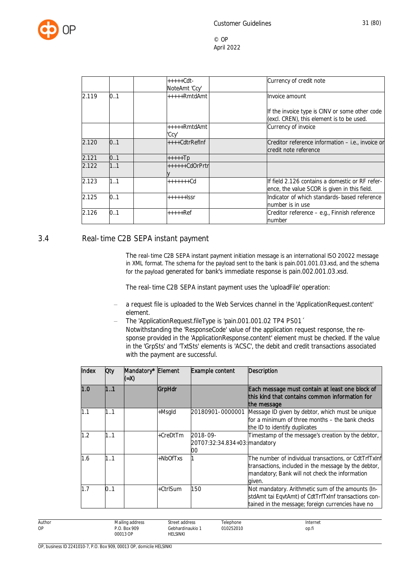

|       |     | $++++Cdt -$<br>NoteAmt 'Ccy' | Currency of credit note                                                                          |
|-------|-----|------------------------------|--------------------------------------------------------------------------------------------------|
| 2.119 | 0.1 | +++++RmtdAmt                 | Invoice amount                                                                                   |
|       |     |                              | If the invoice type is CINV or some other code<br>(excl. CREN), this element is to be used.      |
|       |     | +++++RmtdAmt<br>'Ccv'        | Currency of invoice                                                                              |
| 2.120 | 0.1 | ++++CdtrRefInf               | Creditor reference information - i.e., invoice or<br>credit note reference                       |
| 2.121 | 0.1 | $++++$ Tp                    |                                                                                                  |
| 2.122 | 1.1 | ++++++CdOrPrtr               |                                                                                                  |
| 2.123 | 1.1 | $+++++Cd$                    | llf field 2.126 contains a domestic or RF refer-<br>ence, the value SCOR is given in this field. |
| 2.125 | 0.1 | ++++++lssr                   | Indicator of which standards-based reference<br>number is in use                                 |
| 2.126 | 0.1 | $***+Ref$                    | Creditor reference - e.g., Finnish reference<br>number                                           |

#### <span id="page-31-0"></span>3.4 Real-time C2B SEPA instant payment

The real-time C2B SEPA instant payment initiation message is an international ISO 20022 message in XML format. The schema for the payload sent to the bank is pain.001.001.03.xsd, and the schema for the payload generated for bank's immediate response is pain.002.001.03.xsd.

The real-time C2B SEPA instant payment uses the 'uploadFile' operation:

- a request file is uploaded to the Web Services channel in the 'ApplicationRequest.content' element.
- The 'ApplicationRequest.fileType is 'pain.001.001.02 TP4 PS01 Notwithstanding the 'ResponseCode' value of the application request response, the response provided in the 'ApplicationResponse.content' element must be checked. If the value in the 'GrpSts' and 'TxtSts' elements is 'ACSC', the debit and credit transactions associated with the payment are successful.

| Index | <b>Oty</b> | Mandatory* Element<br>(=X) |          | Example content                                 | <b>Description</b>                                                                                                                                                        |
|-------|------------|----------------------------|----------|-------------------------------------------------|---------------------------------------------------------------------------------------------------------------------------------------------------------------------------|
| 1.0   | 1.1        |                            | GrpHdr   |                                                 | Each message must contain at least one block of<br>this kind that contains common information for<br>the message                                                          |
| 1.1   | 11         |                            | +Msgld   | 20180901-0000001                                | Message ID given by debtor, which must be unique<br>for a minimum of three months – the bank checks<br>the ID to identify duplicates                                      |
| 1.2   | 11         |                            | +CreDtTm | 2018-09-<br>20T07:32:34.834+03: mandatory<br>00 | Timestamp of the message's creation by the debtor,                                                                                                                        |
| 1.6   | 1.1        |                            | +NbOfTxs |                                                 | The number of individual transactions, or CdtTrfTxInf<br>transactions, included in the message by the debtor,<br>mandatory; Bank will not check the information<br>aiven. |
| 1.7   | 0.1        |                            | +CtrlSum | 150                                             | Not mandatory. Arithmetic sum of the amounts (In-<br>stdAmt tai EqvtAmt) of CdtTrfTxInf transactions con-<br>tained in the message; foreign currencies have no            |

| Author    | $\cdots$<br>. Mailine<br>address | Street<br>∶address | Telephone     | Internet |
|-----------|----------------------------------|--------------------|---------------|----------|
| <b>OP</b> | <b>Box 909</b><br>P.O            | Gebhardinaukio     | 10252010<br>. | op.fi    |
|           | 00013 OP                         | <b>HELSINKI</b>    |               |          |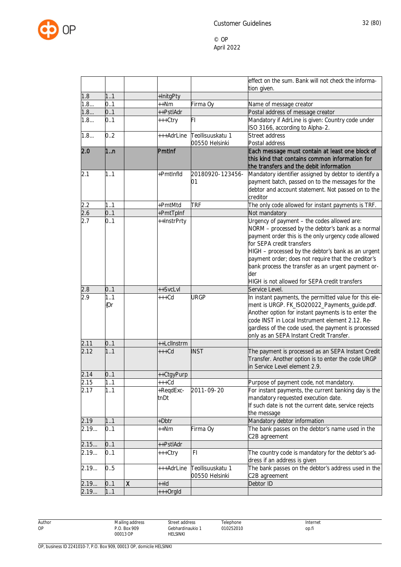

|       |            |   |                   |                                    | effect on the sum. Bank will not check the informa-                                                                                                                                                                                                                                                                                                                                                             |
|-------|------------|---|-------------------|------------------------------------|-----------------------------------------------------------------------------------------------------------------------------------------------------------------------------------------------------------------------------------------------------------------------------------------------------------------------------------------------------------------------------------------------------------------|
| 1.8   | 11         |   |                   |                                    | tion given.                                                                                                                                                                                                                                                                                                                                                                                                     |
| 1.8   | 0.1        |   | +InitgPty<br>++Nm | Firma Oy                           |                                                                                                                                                                                                                                                                                                                                                                                                                 |
| 1.8   | 0.1        |   | ++PstlAdr         |                                    | Name of message creator<br>Postal address of message creator                                                                                                                                                                                                                                                                                                                                                    |
| 1.8   | 0.1        |   | +++Ctry           | FI                                 | Mandatory if AdrLine is given: Country code under                                                                                                                                                                                                                                                                                                                                                               |
|       |            |   |                   |                                    | ISO 3166, according to Alpha-2.                                                                                                                                                                                                                                                                                                                                                                                 |
| 1.8   | 0.2        |   | +++AdrLine        | Teollisuuskatu 1                   | Street address                                                                                                                                                                                                                                                                                                                                                                                                  |
|       |            |   |                   | 00550 Helsinki                     | Postal address                                                                                                                                                                                                                                                                                                                                                                                                  |
| 2.0   | 1n         |   | PmtInf            |                                    | Each message must contain at least one block of<br>this kind that contains common information for<br>the transfers and the debit information                                                                                                                                                                                                                                                                    |
| 2.1   | 1.1        |   | +PmtInfld         | 20180920-123456-<br>01             | Mandatory identifier assigned by debtor to identify a<br>payment batch, passed on to the messages for the<br>debtor and account statement. Not passed on to the<br>creditor                                                                                                                                                                                                                                     |
| 2.2   | 1.1        |   | +PmtMtd           | <b>TRF</b>                         | The only code allowed for instant payments is TRF.                                                                                                                                                                                                                                                                                                                                                              |
| 2.6   | 0.1        |   | +PmtTpInf         |                                    | Not mandatory                                                                                                                                                                                                                                                                                                                                                                                                   |
| 2.7   | 0.1        |   | ++InstrPrty       |                                    | Urgency of payment - the codes allowed are:<br>NORM - processed by the debtor's bank as a normal<br>payment order this is the only urgency code allowed<br>for SEPA credit transfers<br>HIGH - processed by the debtor's bank as an urgent<br>payment order; does not require that the creditor's<br>bank process the transfer as an urgent payment or-<br>der<br>HIGH is not allowed for SEPA credit transfers |
| 2.8   | 0.1        |   | ++SvcLvl          |                                    | Service Level.                                                                                                                                                                                                                                                                                                                                                                                                  |
| 2.9   | 1.1<br>{Or |   | $+++Cd$           | <b>URGP</b>                        | In instant payments, the permitted value for this ele-<br>ment is URGP. FK_ISO20022_Payments_guide.pdf.<br>Another option for instant payments is to enter the<br>code INST in Local Instrument element 2.12. Re-<br>gardless of the code used, the payment is processed<br>only as an SEPA Instant Credit Transfer.                                                                                            |
| 2.11  | 0.1        |   | ++LclInstrm       |                                    |                                                                                                                                                                                                                                                                                                                                                                                                                 |
| 2.12  | 11         |   | $+++Cd$           | <b>INST</b>                        | The payment is processed as an SEPA Instant Credit<br>Transfer. Another option is to enter the code URGP<br>in Service Level element 2.9.                                                                                                                                                                                                                                                                       |
| 2.14  | 0.1        |   | ++CtgyPurp        |                                    |                                                                                                                                                                                                                                                                                                                                                                                                                 |
| 2.15  | 11         |   | $***Cd$           |                                    | Purpose of payment code, not mandatory.                                                                                                                                                                                                                                                                                                                                                                         |
| 2.17  | 1.1        |   | +RegdExc-<br>tnDt | 2011-09-20                         | For instant payments, the current banking day is the<br>mandatory requested execution date.<br>If such date is not the current date, service rejects<br>the message                                                                                                                                                                                                                                             |
| 2.19  | 11         |   | +Dbtr             |                                    | Mandatory debtor information                                                                                                                                                                                                                                                                                                                                                                                    |
| 2.19  | 0.1        |   | ++Nm              | Firma Oy                           | The bank passes on the debtor's name used in the<br>C2B agreement                                                                                                                                                                                                                                                                                                                                               |
| 2.15  | 0.1        |   | ++PstlAdr         |                                    |                                                                                                                                                                                                                                                                                                                                                                                                                 |
| 2.19  | 0.1        |   | +++Ctry           | F1                                 | The country code is mandatory for the debtor's ad-<br>dress if an address is given                                                                                                                                                                                                                                                                                                                              |
| 2.19  | 0.5        |   | +++AdrLine        | Teollisuuskatu 1<br>00550 Helsinki | The bank passes on the debtor's address used in the<br>C2B agreement                                                                                                                                                                                                                                                                                                                                            |
| 2.19  | 0.1        | Χ | $+$ -Id           |                                    | Debtor ID                                                                                                                                                                                                                                                                                                                                                                                                       |
| 2.19. | 11         |   | +++OrgId          |                                    |                                                                                                                                                                                                                                                                                                                                                                                                                 |

Author OP

Telephone 010252010

Street address Gebhardinaukio 1 HELSINKI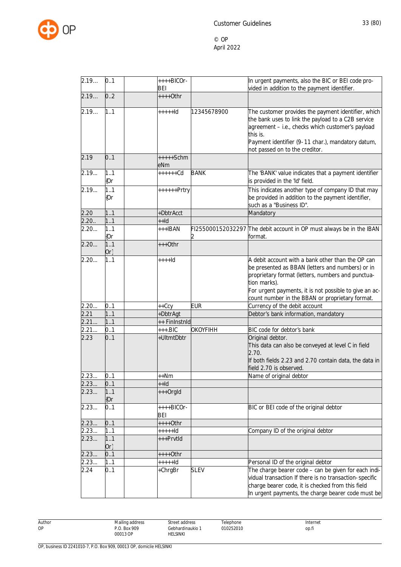

| 2.19  | 0.1           | $++++BICOr-$<br><b>BEI</b> |                 | In urgent payments, also the BIC or BEI code pro-<br>vided in addition to the payment identifier.                                                                                                                                                                                       |
|-------|---------------|----------------------------|-----------------|-----------------------------------------------------------------------------------------------------------------------------------------------------------------------------------------------------------------------------------------------------------------------------------------|
| 2.19  | 0.2           | $***+0$ thr                |                 |                                                                                                                                                                                                                                                                                         |
| 2.19  | 1.1           | $++++$                     | 12345678900     | The customer provides the payment identifier, which<br>the bank uses to link the payload to a C2B service<br>agreement - i.e., checks which customer's payload<br>this is.<br>Payment identifier (9-11 char.), mandatory datum,<br>not passed on to the creditor.                       |
| 2.19  | 0.1           | $++++Schm$<br>eNm          |                 |                                                                                                                                                                                                                                                                                         |
| 2.19  | 1.1<br>{Or    | $+++++Cd$                  | <b>BANK</b>     | The 'BANK' value indicates that a payment identifier<br>is provided in the 'Id' field.                                                                                                                                                                                                  |
| 2.19  | 1.1<br>{Or    | ++++++Prtry                |                 | This indicates another type of company ID that may<br>be provided in addition to the payment identifier,<br>such as a "Business ID".                                                                                                                                                    |
| 2.20  | 1.1           | +DbtrAcct                  |                 | Mandatory                                                                                                                                                                                                                                                                               |
| 2.20. | 1.1           | $++Id$                     |                 |                                                                                                                                                                                                                                                                                         |
| 2.20  | 1.1<br>[Or    | $+++IBAN$                  |                 | FI255000152032297 The debit account in OP must always be in the IBAN<br>format.                                                                                                                                                                                                         |
| 2.20  | 1.1<br>$Or\}$ | $+++O$ thr                 |                 |                                                                                                                                                                                                                                                                                         |
| 2.20  | 1.1           | $+++Id$                    |                 | A debit account with a bank other than the OP can<br>be presented as BBAN (letters and numbers) or in<br>proprietary format (letters, numbers and punctua-<br>tion marks).<br>For urgent payments, it is not possible to give an ac-<br>count number in the BBAN or proprietary format. |
| 2.20  | 0.1           | $++Ccy$                    | <b>EUR</b>      | Currency of the debit account                                                                                                                                                                                                                                                           |
| 2.21  | 11            | +DbtrAgt                   |                 | Debtor's bank information, mandatory                                                                                                                                                                                                                                                    |
| 2.21  | 1.1           | ++ FinInstnId              |                 |                                                                                                                                                                                                                                                                                         |
| 2.21  | 01            | $+++.BIC$                  | <b>OKOYFIHH</b> | BIC code for debtor's bank                                                                                                                                                                                                                                                              |
| 2.23  | 0.1           | +UltmtDbtr                 |                 | Original debtor.<br>This data can also be conveyed at level C in field<br>2.70.<br>If both fields 2.23 and 2.70 contain data, the data in<br>field 2.70 is observed.                                                                                                                    |
| 2.23  | 01            | $++Nm$                     |                 | Name of original debtor                                                                                                                                                                                                                                                                 |
| 2.23  | 0.1           | $+Hd$                      |                 |                                                                                                                                                                                                                                                                                         |
| 2.23  | 11<br>[0r]    | +++OrgId                   |                 |                                                                                                                                                                                                                                                                                         |
| 2.23  | 0.1           | ++++BICOr-<br>BEI          |                 | BIC or BEI code of the original debtor                                                                                                                                                                                                                                                  |
| 2.23  | 0.1           | $***+0$ thr                |                 |                                                                                                                                                                                                                                                                                         |
| 2.23  | 1.1           | +++++ld                    |                 | Company ID of the original debtor                                                                                                                                                                                                                                                       |
| 2.23  | 1.1<br>$Or\}$ | +++PrvtId                  |                 |                                                                                                                                                                                                                                                                                         |
| 2.23  | 0.1           | ++++0thr                   |                 |                                                                                                                                                                                                                                                                                         |
| 2.23. | 11            | $++++$                     |                 | Personal ID of the original debtor                                                                                                                                                                                                                                                      |
| 2.24  | 0.1           | +ChrgBr                    | <b>SLEV</b>     | The charge bearer code - can be given for each indi-<br>vidual transaction If there is no transaction-specific<br>charge bearer code, it is checked from this field<br>In urgent payments, the charge bearer code must be                                                               |

Author OP Mailing address P.O. Box 909 00013 OP Street address Gebhardinaukio 1 HELSINKI Telephone 010252010 Internet op.fi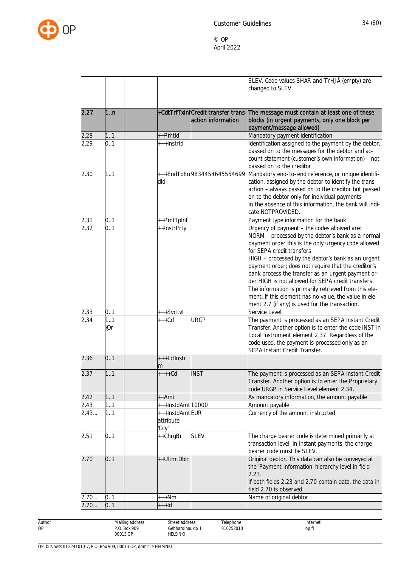

|      |     |                  |                            | SLEV. Code values SHAR and TYHJÄ (empty) are                                                              |
|------|-----|------------------|----------------------------|-----------------------------------------------------------------------------------------------------------|
|      |     |                  |                            | changed to SLEV.                                                                                          |
|      |     |                  |                            |                                                                                                           |
|      |     |                  |                            |                                                                                                           |
| 2.27 | 1n  |                  |                            | +CdtTrfTxInfCredit transfer trans-The message must contain at least one of these                          |
|      |     |                  | action information         | blocks (in urgent payments, only one block per                                                            |
| 2.28 | 11  | ++Pmtld          |                            | payment/message allowed)                                                                                  |
| 2.29 | 0.1 | +++InstrId       |                            | Mandatory payment identification<br>Identification assigned to the payment by the debtor,                 |
|      |     |                  |                            | passed on to the messages for the debtor and ac-                                                          |
|      |     |                  |                            | count statement (customer's own information) - not                                                        |
|      |     |                  |                            | passed on to the creditor                                                                                 |
| 2.30 | 1.1 |                  | +++EndToEn9834454645554699 | Mandatory end-to-end reference, or unique identifi-                                                       |
|      |     | dld              |                            | cation, assigned by the debtor to identify the trans-                                                     |
|      |     |                  |                            | action - always passed on to the creditor but passed                                                      |
|      |     |                  |                            | on to the debtor only for individual payments                                                             |
|      |     |                  |                            | In the absence of this information, the bank will indi-                                                   |
|      |     |                  |                            | cate NOTPROVIDED.                                                                                         |
| 2.31 | 0.1 | ++PmtTpInf       |                            | Payment type information for the bank                                                                     |
| 2.32 | 0.1 | ++InstrPrty      |                            | Urgency of payment - the codes allowed are:                                                               |
|      |     |                  |                            | NORM - processed by the debtor's bank as a normal<br>payment order this is the only urgency code allowed  |
|      |     |                  |                            | for SEPA credit transfers                                                                                 |
|      |     |                  |                            | HIGH - processed by the debtor's bank as an urgent                                                        |
|      |     |                  |                            | payment order; does not require that the creditor's                                                       |
|      |     |                  |                            | bank process the transfer as an urgent payment or-                                                        |
|      |     |                  |                            | der HIGH is not allowed for SEPA credit transfers                                                         |
|      |     |                  |                            | The information is primarily retrieved from this ele-                                                     |
|      |     |                  |                            | ment. If this element has no value, the value in ele-                                                     |
|      |     |                  |                            | ment 2.7 (if any) is used for the transaction.                                                            |
| 2.33 | 0.1 | +++SvcLvl        |                            | Service Level.                                                                                            |
| 2.34 | 1.1 | $+++Cd$          | <b>URGP</b>                | The payment is processed as an SEPA Instant Credit                                                        |
|      | {Or |                  |                            | Transfer. Another option is to enter the code INST in<br>Local Instrument element 2.37. Regardless of the |
|      |     |                  |                            | code used, the payment is processed only as an                                                            |
|      |     |                  |                            | SEPA Instant Credit Transfer.                                                                             |
| 2.36 | 0.1 | +++Lcllnstr      |                            |                                                                                                           |
|      |     | m                |                            |                                                                                                           |
| 2.37 | 11  | $++++$ Cd        | <b>INST</b>                | The payment is processed as an SEPA Instant Credit                                                        |
|      |     |                  |                            | Transfer. Another option is to enter the Proprietary                                                      |
|      |     |                  |                            | code URGP in Service Level element 2.34.                                                                  |
| 2.42 | 1.1 | ++Amt            |                            | As mandatory information, the amount payable                                                              |
| 2.43 | 11  | +++InstdAmt10000 |                            | Amount payable                                                                                            |
| 2.43 | 1.1 | +++InstdAmtEUR   |                            | Currency of the amount instructed                                                                         |
|      |     | attribute        |                            |                                                                                                           |
| 2.51 | 0.1 | 'Ccy'            | <b>SLEV</b>                |                                                                                                           |
|      |     | ++ChrgBr         |                            | The charge bearer code is determined primarily at<br>transaction level. In instant payments, the charge   |
|      |     |                  |                            | bearer code must be SLEV.                                                                                 |
| 2.70 | 0.1 | ++UltmtDbtr      |                            | Original debtor. This data can also be conveyed at                                                        |
|      |     |                  |                            | the 'Payment Information' hierarchy level in field                                                        |
|      |     |                  |                            | 2.23.                                                                                                     |
|      |     |                  |                            | If both fields 2.23 and 2.70 contain data, the data in                                                    |
|      |     |                  |                            | field 2.70 is observed.                                                                                   |
| 2.70 | 0.1 | +++Nm            |                            | Name of original debtor                                                                                   |
| 2.70 | 0.1 | $++$ -Id         |                            |                                                                                                           |

Author OP

Gebhardinaukio 1 Telephone 010252010

Street address

HELSINKI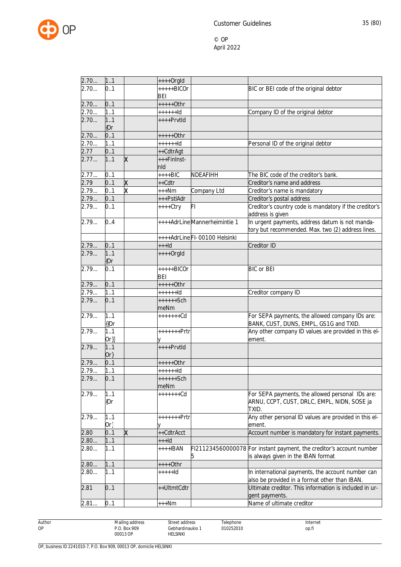

| 2.70 | 1.1    |   | $***+Orgld$  |                              |                                                                                                            |
|------|--------|---|--------------|------------------------------|------------------------------------------------------------------------------------------------------------|
| 2.70 | 0.1    |   | $+++++BICOr$ |                              | BIC or BEI code of the original debtor                                                                     |
|      |        |   | BEI          |                              |                                                                                                            |
| 2.70 | 0.1    |   | +++++0thr    |                              |                                                                                                            |
| 2.70 | 1.1    |   | $+++++d$     |                              | Company ID of the original debtor                                                                          |
| 2.70 | 1.1    |   | ++++Prvtld   |                              |                                                                                                            |
|      | ${0r}$ |   |              |                              |                                                                                                            |
| 2.70 | 0.1    |   | +++++0thr    |                              |                                                                                                            |
| 2.70 | 1.1    |   | $+++++d$     |                              | Personal ID of the original debtor                                                                         |
| 2.77 | 0.1    |   | ++CdtrAgt    |                              |                                                                                                            |
| 2.77 | 1.1    | x | +++FinInst-  |                              |                                                                                                            |
|      |        |   | nld          |                              |                                                                                                            |
| 2.77 | 01     |   | $***BIC$     | NDEAFIHH                     | The BIC code of the creditor's bank.                                                                       |
| 2.79 | 0.1    | X | ++Cdtr       |                              | Creditor's name and address                                                                                |
| 2.79 | 0.1    | ᡑ | $***Nm$      | Company Ltd                  | Creditor's name is mandatory                                                                               |
| 2.79 | 0.1    |   | +++PstlAdr   |                              | Creditor's postal address                                                                                  |
| 2.79 | 0.1    |   | ++++Ctry     | FI                           | Creditor's country code is mandatory if the creditor's                                                     |
|      |        |   |              |                              | address is given                                                                                           |
| 2.79 | 0.4    |   |              | ++++AdrLineMannerheimintie 1 | In urgent payments, address datum is not manda-                                                            |
|      |        |   |              |                              | tory but recommended. Max. two (2) address lines.                                                          |
|      |        |   |              | ++++AdrLineFI-00100 Helsinki |                                                                                                            |
| 2.79 | 0.1    |   | $++$ -Id     |                              | Creditor ID                                                                                                |
| 2.79 | 1.1    |   | $++++$ Orgld |                              |                                                                                                            |
|      | {Or    |   |              |                              |                                                                                                            |
| 2.79 | 0.1    |   | +++++BICOr   |                              | <b>BIC or BEI</b>                                                                                          |
|      |        |   | <b>BEI</b>   |                              |                                                                                                            |
| 2.79 | 0.1    |   | $***+Othr$   |                              |                                                                                                            |
| 2.79 | 1.1    |   | $+++++Id$    |                              | Creditor company ID                                                                                        |
| 2.79 | 0.1    |   | $+++++Sch$   |                              |                                                                                                            |
|      |        |   | meNm         |                              |                                                                                                            |
| 2.79 | 1.1    |   | $+++++Cd$    |                              | For SEPA payments, the allowed company IDs are:                                                            |
|      | {{Or   |   |              |                              | BANK, CUST, DUNS, EMPL, GS1G and TXID.                                                                     |
| 2.79 | 1.1    |   | +++++++Prtr  |                              | Any other company ID values are provided in this el-                                                       |
|      | $Or\}$ |   |              |                              | ement.                                                                                                     |
| 2.79 | 1.1    |   | ++++Prvtld   |                              |                                                                                                            |
|      | $Or\}$ |   |              |                              |                                                                                                            |
| 2.79 | 0.1    |   | +++++0thr    |                              |                                                                                                            |
| 2.79 | 1.1    |   | $+++++Id$    |                              |                                                                                                            |
|      |        |   | ++++++Sch    |                              |                                                                                                            |
| 2.79 | 01     |   | meNm         |                              |                                                                                                            |
| 2.79 | 11     |   | +++++++Cd    |                              | For SEPA payments, the allowed personal IDs are:                                                           |
|      | ${0r}$ |   |              |                              | ARNU, CCPT, CUST, DRLC, EMPL, NIDN, SOSE ja                                                                |
|      |        |   |              |                              | TXID.                                                                                                      |
|      |        |   |              |                              |                                                                                                            |
| 2.79 | 1.1    |   | +++++++Prtr  |                              | Any other personal ID values are provided in this el-                                                      |
|      | $Or\}$ |   |              |                              | ement.                                                                                                     |
| 2.80 | 0.1    | x | ++CdtrAcct   |                              | Account number is mandatory for instant payments.                                                          |
| 2.80 | 11     |   | $++$ -Id     |                              |                                                                                                            |
| 2.80 | 1.1    |   | $***+IBAN$   | 5                            | FI211234560000078 For instant payment, the creditor's account number<br>is always given in the IBAN format |
| 2.80 | 1.1    |   | ++++0thr     |                              |                                                                                                            |
| 2.80 | 1.1    |   | +++++ld      |                              |                                                                                                            |
|      |        |   |              |                              | In international payments, the account number can<br>also be provided in a format other than IBAN.         |
| 2.81 | 0.1    |   | ++UltmtCdtr  |                              | Ultimate creditor. This information is included in ur-                                                     |
|      |        |   |              |                              | gent payments.                                                                                             |
| 2.81 | 0.1    |   | $***Nm$      |                              | Name of ultimate creditor                                                                                  |
|      |        |   |              |                              |                                                                                                            |

Author OP

Gebhardinaukio 1 Telephone 010252010

Street address

HELSINKI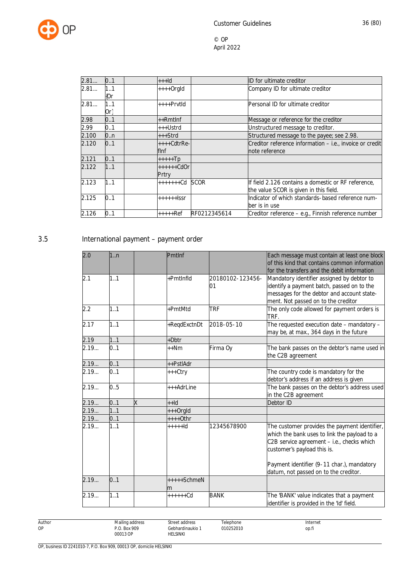

| 2.81  | 0.1        | $++$ ld               |              | ID for ultimate creditor                                                                      |
|-------|------------|-----------------------|--------------|-----------------------------------------------------------------------------------------------|
| 2.81  | 1.1<br>{Or | $+++Orgld$            |              | Company ID for ultimate creditor                                                              |
| 2.81  | 1.1<br>Or} | $***$ Prvtld          |              | Personal ID for ultimate creditor                                                             |
| 2.98  | 0.1        | $++RmtInf$            |              | Message or reference for the creditor                                                         |
| 2.99  | 0.1        | +++Ustrd              |              | Unstructured message to creditor.                                                             |
| 2.100 | 0.n        | $++strd$              |              | Structured message to the payee; see 2.98.                                                    |
| 2.120 | 0.1        | $+++Cdt$ rRe-<br>finf |              | Creditor reference information - i.e., invoice or credit<br>note reference                    |
| 2.121 | 0.1        | $++++$ Tp             |              |                                                                                               |
| 2.122 | 1.1        | $+++++CdOr$<br>Prtry  |              |                                                                                               |
| 2.123 | 1.1        | $++++++Cd$ SCOR       |              | If field 2.126 contains a domestic or RF reference,<br>the value SCOR is given in this field. |
| 2.125 | 0.1        | $++++$                |              | Indicator of which standards-based reference num-<br>ber is in use                            |
| 2.126 | 0.1        | +++++Ref              | RF0212345614 | Creditor reference - e.g., Finnish reference number                                           |

## 3.5 International payment – payment order

| 2.0  | 1:n               |   | PmtInf         |                  | Each message must contain at least one block<br>of this kind that contains common information |
|------|-------------------|---|----------------|------------------|-----------------------------------------------------------------------------------------------|
|      |                   |   |                |                  | for the transfers and the debit information                                                   |
| 2.1  | 1.1               |   | +PmtInfld      | 20180102-123456- | Mandatory identifier assigned by debtor to                                                    |
|      |                   |   |                | 01               | identify a payment batch, passed on to the                                                    |
|      |                   |   |                |                  | messages for the debtor and account state-                                                    |
|      |                   |   |                |                  | ment. Not passed on to the creditor                                                           |
| 2.2  | 1.1               |   | +PmtMtd        | <b>TRF</b>       | The only code allowed for payment orders is<br>TRF.                                           |
| 2.17 | 1.1               |   | +RegdExctnDt   | 2018-05-10       | The requested execution date - mandatory -                                                    |
|      |                   |   |                |                  | may be, at max., 364 days in the future                                                       |
| 2.19 | 1.1               |   | $+Dbtr$        |                  |                                                                                               |
| 2.19 | 0.1               |   | $++Nm$         | Firma Oy         | The bank passes on the debtor's name used in<br>the C2B agreement                             |
| 2.19 | 0.1               |   | ++PstlAdr      |                  |                                                                                               |
| 2.19 | 0.1               |   | +++Ctry        |                  | The country code is mandatory for the                                                         |
|      |                   |   |                |                  | debtor's address if an address is given                                                       |
| 2.19 | 0.5               |   | $++AdrLine$    |                  | The bank passes on the debtor's address used                                                  |
|      |                   |   |                |                  | in the C2B agreement                                                                          |
| 2.19 | 0.1               | X | $hH+$          |                  | Debtor ID                                                                                     |
| 2.19 | 1.1               |   | +++OrgId       |                  |                                                                                               |
| 2.19 | 0.1               |   | $***+0$ thr    |                  |                                                                                               |
| 2.19 | $\overline{1}$ .1 |   | $+ + + + +$ Id | 12345678900      | The customer provides the payment identifier,                                                 |
|      |                   |   |                |                  | which the bank uses to link the payload to a                                                  |
|      |                   |   |                |                  | C2B service agreement - i.e., checks which                                                    |
|      |                   |   |                |                  | customer's payload this is.                                                                   |
|      |                   |   |                |                  | Payment identifier (9-11 char.), mandatory                                                    |
|      |                   |   |                |                  | datum, not passed on to the creditor.                                                         |
| 2.19 | 0.1               |   | $++++SchmeN$   |                  |                                                                                               |
|      |                   |   | m              |                  |                                                                                               |
| 2.19 | 1.1               |   | $+++++Cd$      | <b>BANK</b>      | The 'BANK' value indicates that a payment                                                     |
|      |                   |   |                |                  | identifier is provided in the 'Id' field.                                                     |

Author OP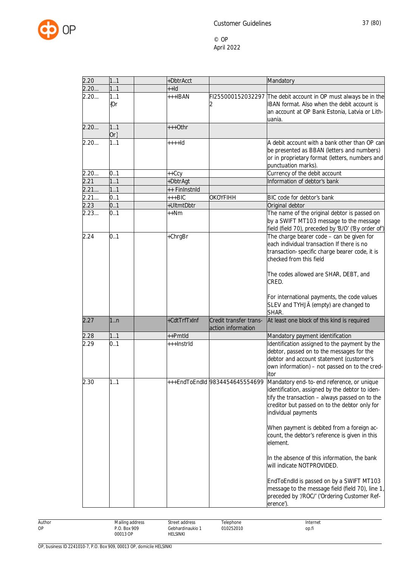

| 2.20 | 1.1           | +DbtrAcct     |                                              | Mandatory                                                                                                                                                                                                                                                                                                                                                                                                                                                                                                                                                        |
|------|---------------|---------------|----------------------------------------------|------------------------------------------------------------------------------------------------------------------------------------------------------------------------------------------------------------------------------------------------------------------------------------------------------------------------------------------------------------------------------------------------------------------------------------------------------------------------------------------------------------------------------------------------------------------|
| 2.20 | 1.1           | $++Id$        |                                              |                                                                                                                                                                                                                                                                                                                                                                                                                                                                                                                                                                  |
| 2.20 | 1.1<br>{Or    | +++IBAN       |                                              | FI255000152032297 The debit account in OP must always be in the<br>IBAN format. Also when the debit account is<br>an account at OP Bank Estonia, Latvia or Lith-<br>uania.                                                                                                                                                                                                                                                                                                                                                                                       |
| 2.20 | 1.1<br>$Or\}$ | $+++O$ thr    |                                              |                                                                                                                                                                                                                                                                                                                                                                                                                                                                                                                                                                  |
| 2.20 | 1.1           | $+++Id$       |                                              | A debit account with a bank other than OP can<br>be presented as BBAN (letters and numbers)<br>or in proprietary format (letters, numbers and<br>punctuation marks).                                                                                                                                                                                                                                                                                                                                                                                             |
| 2.20 | 0.1           | ++Ccy         |                                              | Currency of the debit account                                                                                                                                                                                                                                                                                                                                                                                                                                                                                                                                    |
| 2.21 | 11            | +DbtrAgt      |                                              | Information of debtor's bank                                                                                                                                                                                                                                                                                                                                                                                                                                                                                                                                     |
| 2.21 | 1.1           | ++ FinInstnId |                                              |                                                                                                                                                                                                                                                                                                                                                                                                                                                                                                                                                                  |
| 2.21 | 0.1           | $++BIC$       | <b>OKOYFIHH</b>                              | BIC code for debtor's bank                                                                                                                                                                                                                                                                                                                                                                                                                                                                                                                                       |
| 2.23 | 0.1           | +UltmtDbtr    |                                              | Original debtor                                                                                                                                                                                                                                                                                                                                                                                                                                                                                                                                                  |
| 2.23 | 0.1           | $++Nm$        |                                              | The name of the original debtor is passed on<br>by a SWIFT MT103 message to the message<br>field (field 70), preceded by 'B/O' ('By order of')                                                                                                                                                                                                                                                                                                                                                                                                                   |
| 2.24 | 0.1           | +ChrgBr       |                                              | The charge bearer code - can be given for<br>each individual transaction If there is no<br>transaction-specific charge bearer code, it is<br>checked from this field<br>The codes allowed are SHAR, DEBT, and<br>CRED.                                                                                                                                                                                                                                                                                                                                           |
|      |               |               |                                              | For international payments, the code values<br>SLEV and TYHJÄ (empty) are changed to<br>SHAR.                                                                                                                                                                                                                                                                                                                                                                                                                                                                    |
| 2.27 | 1:n           | +CdtTrfTxInf  | Credit transfer trans-<br>action information | At least one block of this kind is required                                                                                                                                                                                                                                                                                                                                                                                                                                                                                                                      |
| 2.28 | 1.1           | ++Pmtld       |                                              | Mandatory payment identification                                                                                                                                                                                                                                                                                                                                                                                                                                                                                                                                 |
| 2.29 | 0.1           | +++InstrId    |                                              | Identification assigned to the payment by the<br>debtor, passed on to the messages for the<br>debtor and account statement (customer's<br>own information) - not passed on to the cred-<br>itor                                                                                                                                                                                                                                                                                                                                                                  |
| 2.30 | 1.1           |               | +++EndToEndId 9834454645554699               | Mandatory end-to-end reference, or unique<br>identification, assigned by the debtor to iden-<br>tify the transaction - always passed on to the<br>creditor but passed on to the debtor only for<br>individual payments<br>When payment is debited from a foreign ac-<br>count, the debtor's reference is given in this<br>element.<br>In the absence of this information, the bank<br>will indicate NOTPROVIDED.<br>EndToEndId is passed on by a SWIFT MT103<br>message to the message field (field 70), line 1,<br>preceded by '/ROC/' ('Ordering Customer Ref- |

Author OP Mailing address P.O. Box 909 00013 OP Street address Gebhardinaukio 1 HELSINKI Telephone 010252010 Internet op.fi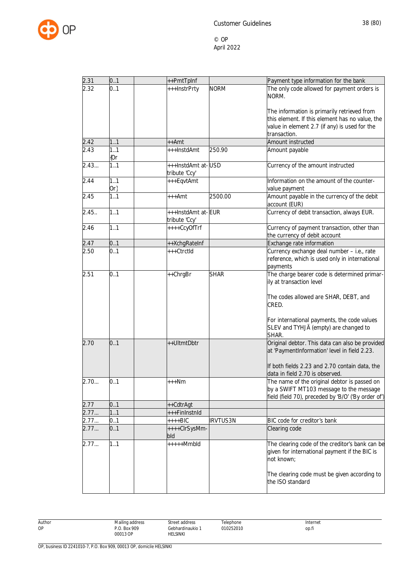

| 2.31              | 0.1           | ++PmtTpInf                          |                 | Payment type information for the bank                                                                                                          |
|-------------------|---------------|-------------------------------------|-----------------|------------------------------------------------------------------------------------------------------------------------------------------------|
| 2.32              | 0.1           | +++InstrPrty                        | <b>NORM</b>     | The only code allowed for payment orders is<br>NORM.                                                                                           |
|                   |               |                                     |                 | The information is primarily retrieved from<br>this element. If this element has no value, the                                                 |
|                   |               |                                     |                 | value in element 2.7 (if any) is used for the<br>transaction.                                                                                  |
| 2.42              | 1.1           | ++Amt                               |                 | Amount instructed                                                                                                                              |
| $\overline{2}.43$ | 1.1<br>${0r}$ | +++InstdAmt                         | 250.90          | Amount payable                                                                                                                                 |
| 2.43              | 1.1           | +++InstdAmt at-USD<br>tribute 'Ccy' |                 | Currency of the amount instructed                                                                                                              |
| 2.44              | 1.1<br>$Or\}$ | +++EqvtAmt                          |                 | Information on the amount of the counter-<br>value payment                                                                                     |
| 2.45              | 1.1           | +++Amt                              | 2500.00         | Amount payable in the currency of the debit<br>account (EUR)                                                                                   |
| 2.45.             | 1.1           | +++InstdAmt at-EUR<br>tribute 'Ccy' |                 | Currency of debit transaction, always EUR.                                                                                                     |
| 2.46              | 1.1           | ++++CcyOfTrf                        |                 | Currency of payment transaction, other than<br>the currency of debit account                                                                   |
| 2.47              | 0.1           | ++XchgRateInf                       |                 | Exchange rate information                                                                                                                      |
| 2.50              | 0.1           | +++CtrctId                          |                 | Currency exchange deal number - i.e., rate<br>reference, which is used only in international<br>payments                                       |
| 2.51              | 0.1           | ++ChrgBr                            | <b>SHAR</b>     | The charge bearer code is determined primar-<br>ily at transaction level                                                                       |
|                   |               |                                     |                 | The codes allowed are SHAR, DEBT, and<br>CRED.                                                                                                 |
|                   |               |                                     |                 | For international payments, the code values<br>SLEV and TYHJÄ (empty) are changed to<br>SHAR.                                                  |
| 2.70              | 0.1           | ++UltmtDbtr                         |                 | Original debtor. This data can also be provided<br>at 'PaymentInformation' level in field 2.23.                                                |
|                   |               |                                     |                 | If both fields 2.23 and 2.70 contain data, the<br>data in field 2.70 is observed.                                                              |
| 2.70              | 0.1           | $***Nm$                             |                 | The name of the original debtor is passed on<br>by a SWIFT MT103 message to the message<br>field (field 70), preceded by 'B/O' ('By order of') |
| 2.77              | 0.1           | ++CdtrAgt                           |                 |                                                                                                                                                |
| 2.77              | 1.1           | +++FinInstnId                       |                 |                                                                                                                                                |
| 2.77              | 0.1           | $***BIC$                            | <b>IRVTUS3N</b> | BIC code for creditor's bank                                                                                                                   |
| 2.77              | 0.1           | ++++ClrSysMm-<br>bld                |                 | Clearing code                                                                                                                                  |
| 2.77              | 1.1           | $***+Mmbld$                         |                 | The clearing code of the creditor's bank can be<br>given for international payment if the BIC is<br>not known;                                 |
|                   |               |                                     |                 | The clearing code must be given according to<br>the ISO standard                                                                               |

Author Mailing address P.O. Box 909 00013 OP Street address Gebhardinaukio 1 HELSINKI Telephone 010252010 Internet op.fi

OP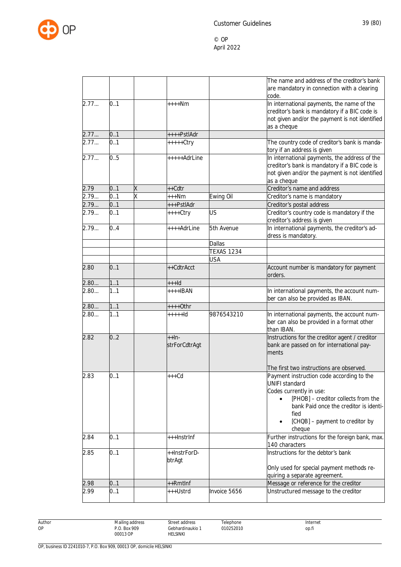

|      |     |   |                                 |                   | The name and address of the creditor's bank<br>are mandatory in connection with a clearing<br>code.                                                                                                                                                                   |
|------|-----|---|---------------------------------|-------------------|-----------------------------------------------------------------------------------------------------------------------------------------------------------------------------------------------------------------------------------------------------------------------|
| 2.77 | 0.1 |   | ++++Nm                          |                   | In international payments, the name of the<br>creditor's bank is mandatory if a BIC code is<br>not given and/or the payment is not identified<br>as a cheque                                                                                                          |
| 2.77 | 0.1 |   | ++++PstlAdr                     |                   |                                                                                                                                                                                                                                                                       |
| 2.77 | 0.1 |   | +++++Ctry                       |                   | The country code of creditor's bank is manda-<br>tory if an address is given                                                                                                                                                                                          |
| 2.77 | 0.5 |   | +++++AdrLine                    |                   | In international payments, the address of the<br>creditor's bank is mandatory if a BIC code is<br>not given and/or the payment is not identified<br>as a cheque                                                                                                       |
| 2.79 | 0.1 | Χ | ++Cdtr                          |                   | Creditor's name and address                                                                                                                                                                                                                                           |
| 2.79 | 0.1 | Χ | +++Nm                           | Ewing Oil         | Creditor's name is mandatory                                                                                                                                                                                                                                          |
| 2.79 | 0.1 |   | +++PstlAdr                      |                   | Creditor's postal address                                                                                                                                                                                                                                             |
| 2.79 | 0.1 |   | ++++Ctry                        | US                | Creditor's country code is mandatory if the<br>creditor's address is given                                                                                                                                                                                            |
| 2.79 | 0.4 |   | ++++AdrLine                     | 5th Avenue        | In international payments, the creditor's ad-<br>dress is mandatory.                                                                                                                                                                                                  |
|      |     |   |                                 | Dallas            |                                                                                                                                                                                                                                                                       |
|      |     |   |                                 | <b>TEXAS 1234</b> |                                                                                                                                                                                                                                                                       |
|      |     |   |                                 | USA               |                                                                                                                                                                                                                                                                       |
| 2.80 | 0.1 |   | ++CdtrAcct                      |                   | Account number is mandatory for payment<br>orders.                                                                                                                                                                                                                    |
| 2.80 | 11  |   | $++$ -Id                        |                   |                                                                                                                                                                                                                                                                       |
| 2.80 | 1.1 |   | $++++IBAN$                      |                   | In international payments, the account num-<br>ber can also be provided as IBAN.                                                                                                                                                                                      |
| 2.80 | 11  |   | $***+Othr$                      |                   |                                                                                                                                                                                                                                                                       |
| 2.80 | 1.1 |   | $++++$                          | 9876543210        | In international payments, the account num-<br>ber can also be provided in a format other<br>than IBAN.                                                                                                                                                               |
| 2.82 | 0.2 |   | $+$ $+$ $ln$ -<br>strForCdtrAgt |                   | Instructions for the creditor agent / creditor<br>bank are passed on for international pay-<br>ments                                                                                                                                                                  |
| 2.83 | 0.1 |   | $+++Cd$                         |                   | The first two instructions are observed.<br>Payment instruction code according to the<br><b>UNIFI standard</b><br>Codes currently in use:<br>[PHOB] - creditor collects from the<br>bank Paid once the creditor is identi-<br>fied<br>[CHQB] - payment to creditor by |
| 2.84 | 0.1 |   | +++InstrInf                     |                   | cheque<br>Further instructions for the foreign bank, max.<br>140 characters                                                                                                                                                                                           |
| 2.85 | 0.1 |   | ++InstrForD-<br>btrAgt          |                   | Instructions for the debtor's bank<br>Only used for special payment methods re-<br>quiring a separate agreement.                                                                                                                                                      |
| 2.98 | 0.1 |   | ++Rmtlnf                        |                   | Message or reference for the creditor                                                                                                                                                                                                                                 |
| 2.99 | 0.1 |   | +++Ustrd                        | Invoice 5656      | Unstructured message to the creditor                                                                                                                                                                                                                                  |

Author OP

Street address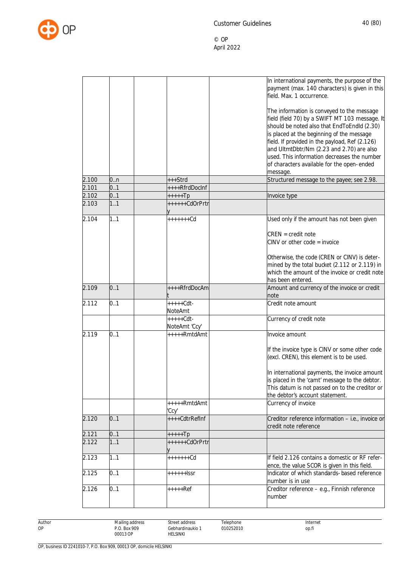

|       |     |                | In international payments, the purpose of the                                                                                                                |
|-------|-----|----------------|--------------------------------------------------------------------------------------------------------------------------------------------------------------|
|       |     |                | payment (max. 140 characters) is given in this                                                                                                               |
|       |     |                | field. Max. 1 occurrence.                                                                                                                                    |
|       |     |                |                                                                                                                                                              |
|       |     |                |                                                                                                                                                              |
|       |     |                | The information is conveyed to the message                                                                                                                   |
|       |     |                | field (field 70) by a SWIFT MT 103 message. It                                                                                                               |
|       |     |                | should be noted also that EndToEndId (2.30)                                                                                                                  |
|       |     |                | is placed at the beginning of the message                                                                                                                    |
|       |     |                | field. If provided in the payload, Ref (2.126)                                                                                                               |
|       |     |                | and UltmtDbtr/Nm (2.23 and 2.70) are also                                                                                                                    |
|       |     |                | used. This information decreases the number                                                                                                                  |
|       |     |                | of characters available for the open-ended                                                                                                                   |
|       |     |                | message.                                                                                                                                                     |
| 2.100 | 0.n | +++Strd        | Structured message to the payee; see 2.98.                                                                                                                   |
| 2.101 | 0.1 | ++++RfrdDocInf |                                                                                                                                                              |
| 2.102 | 0.1 | +++++Tp        | Invoice type                                                                                                                                                 |
| 2.103 | 1.1 | ++++++CdOrPrtr |                                                                                                                                                              |
|       |     |                |                                                                                                                                                              |
| 2.104 | 1.1 | +++++++Cd      | Used only if the amount has not been given                                                                                                                   |
|       |     |                |                                                                                                                                                              |
|       |     |                | $CREN = credit note$                                                                                                                                         |
|       |     |                | CINV or other code = invoice                                                                                                                                 |
|       |     |                |                                                                                                                                                              |
|       |     |                | Otherwise, the code (CREN or CINV) is deter-                                                                                                                 |
|       |     |                | mined by the total bucket (2.112 or 2.119) in                                                                                                                |
|       |     |                | which the amount of the invoice or credit note                                                                                                               |
|       |     |                |                                                                                                                                                              |
|       |     |                | has been entered.                                                                                                                                            |
|       |     |                |                                                                                                                                                              |
| 2.109 | 0.1 | ++++RfrdDocAm  | Amount and currency of the invoice or credit                                                                                                                 |
|       |     |                | note                                                                                                                                                         |
| 2.112 | 0.1 | +++++Cdt-      | Credit note amount                                                                                                                                           |
|       |     | NoteAmt        |                                                                                                                                                              |
|       |     | $++++-Cdt-$    | Currency of credit note                                                                                                                                      |
|       |     | NoteAmt 'Ccy'  |                                                                                                                                                              |
| 2.119 | 0.1 | +++++RmtdAmt   | Invoice amount                                                                                                                                               |
|       |     |                |                                                                                                                                                              |
|       |     |                | If the invoice type is CINV or some other code                                                                                                               |
|       |     |                | (excl. CREN), this element is to be used.                                                                                                                    |
|       |     |                |                                                                                                                                                              |
|       |     |                |                                                                                                                                                              |
|       |     |                | is placed in the 'camt' message to the debtor.                                                                                                               |
|       |     |                | This datum is not passed on to the creditor or                                                                                                               |
|       |     |                | the debtor's account statement.                                                                                                                              |
|       |     | +++++RmtdAmt   | Currency of invoice                                                                                                                                          |
|       |     | 'Ccy'          |                                                                                                                                                              |
| 2.120 | 0.1 | ++++CdtrRefInf |                                                                                                                                                              |
|       |     |                | credit note reference                                                                                                                                        |
| 2.121 | 0.1 | +++++Tp        |                                                                                                                                                              |
| 2.122 | 1.1 | ++++++CdOrPrtr |                                                                                                                                                              |
|       | 1.1 | +++++++Cd      | If field 2.126 contains a domestic or RF refer-                                                                                                              |
| 2.123 |     |                |                                                                                                                                                              |
|       |     |                | ence, the value SCOR is given in this field.                                                                                                                 |
| 2.125 | 0.1 | ++++++lssr     | Indicator of which standards-based reference                                                                                                                 |
| 2.126 | 0.1 | +++++Ref       | number is in use                                                                                                                                             |
|       |     |                | In international payments, the invoice amount<br>Creditor reference information - i.e., invoice or<br>Creditor reference - e.g., Finnish reference<br>number |

Author OP

Telephone 010252010

Street address Gebhardinaukio 1 HELSINKI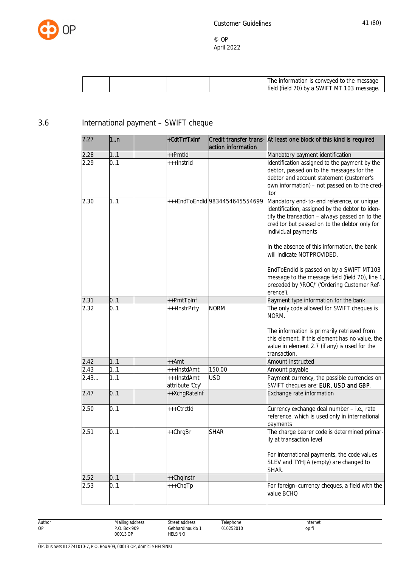

|  |  | II he information is conveved to the message                            |
|--|--|-------------------------------------------------------------------------|
|  |  | 03 ا<br>МT<br>lfield<br>a SWIET.<br>$.101$ hy $2.1$<br>esage.<br>(field |

# 3.6 International payment – SWIFT cheque

| 2.27 | 1n  | +CdtTrfTxInf                   | action information             | Credit transfer trans- At least one block of this kind is required                                                                                                                                                                                                                                                                                                                                                                                                |
|------|-----|--------------------------------|--------------------------------|-------------------------------------------------------------------------------------------------------------------------------------------------------------------------------------------------------------------------------------------------------------------------------------------------------------------------------------------------------------------------------------------------------------------------------------------------------------------|
| 2.28 | 1.1 | ++Pmtld                        |                                | Mandatory payment identification                                                                                                                                                                                                                                                                                                                                                                                                                                  |
| 2.29 | 0.1 | +++InstrId                     |                                | Identification assigned to the payment by the<br>debtor, passed on to the messages for the<br>debtor and account statement (customer's<br>own information) - not passed on to the cred-<br>itor                                                                                                                                                                                                                                                                   |
| 2.30 | 1.1 |                                | +++EndToEndId 9834454645554699 | Mandatory end-to-end reference, or unique<br>identification, assigned by the debtor to iden-<br>tify the transaction - always passed on to the<br>creditor but passed on to the debtor only for<br>individual payments<br>In the absence of this information, the bank<br>will indicate NOTPROVIDED.<br>EndToEndId is passed on by a SWIFT MT103<br>message to the message field (field 70), line 1,<br>preceded by '/ROC/' ('Ordering Customer Ref-<br>erence'). |
| 2.31 | 0.1 | ++PmtTpInf                     |                                | Payment type information for the bank                                                                                                                                                                                                                                                                                                                                                                                                                             |
| 2.32 | 0.1 | +++InstrPrty                   | <b>NORM</b>                    | The only code allowed for SWIFT cheques is<br>NORM.<br>The information is primarily retrieved from<br>this element. If this element has no value, the<br>value in element 2.7 (if any) is used for the<br>transaction.                                                                                                                                                                                                                                            |
| 2.42 | 1.1 | $++Amt$                        |                                | Amount instructed                                                                                                                                                                                                                                                                                                                                                                                                                                                 |
| 2.43 | 1.1 | +++InstdAmt                    | 150.00                         | Amount payable                                                                                                                                                                                                                                                                                                                                                                                                                                                    |
| 2.43 | 1.1 | +++InstdAmt<br>attribute 'Ccy' | <b>USD</b>                     | Payment currency, the possible currencies on<br>SWIFT cheques are: EUR, USD and GBP.                                                                                                                                                                                                                                                                                                                                                                              |
| 2.47 | 0.1 | ++XchgRateInf                  |                                | Exchange rate information                                                                                                                                                                                                                                                                                                                                                                                                                                         |
| 2.50 | 0.1 | +++CtrctId                     |                                | Currency exchange deal number - i.e., rate<br>reference, which is used only in international<br>payments                                                                                                                                                                                                                                                                                                                                                          |
| 2.51 | 0.1 | ++ChrgBr                       | <b>SHAR</b>                    | The charge bearer code is determined primar-<br>ily at transaction level<br>For international payments, the code values<br>SLEV and TYHJÄ (empty) are changed to<br>SHAR.                                                                                                                                                                                                                                                                                         |
| 2.52 | 0.1 | ++Chqlnstr                     |                                |                                                                                                                                                                                                                                                                                                                                                                                                                                                                   |
| 2.53 | 0.1 | +++ChqTp                       |                                | For foreign-currency cheques, a field with the<br>value BCHQ                                                                                                                                                                                                                                                                                                                                                                                                      |

Author OP

Gebhardinaukio 1 Telephone 010252010

Street address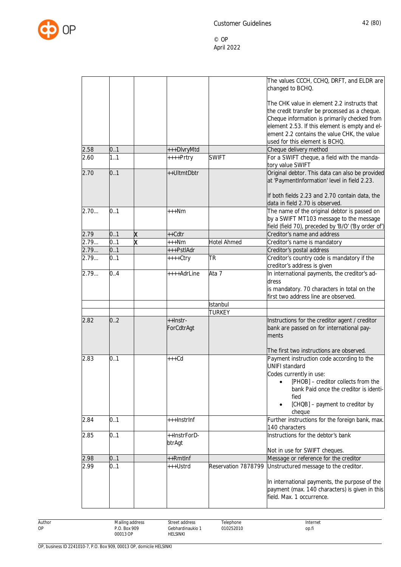

|      |     |                         |              |                     | The values CCCH, CCHQ, DRFT, and ELDR are           |
|------|-----|-------------------------|--------------|---------------------|-----------------------------------------------------|
|      |     |                         |              |                     | changed to BCHQ.                                    |
|      |     |                         |              |                     |                                                     |
|      |     |                         |              |                     | The CHK value in element 2.2 instructs that         |
|      |     |                         |              |                     | the credit transfer be processed as a cheque.       |
|      |     |                         |              |                     | Cheque information is primarily checked from        |
|      |     |                         |              |                     | element 2.53. If this element is empty and el-      |
|      |     |                         |              |                     | ement 2.2 contains the value CHK, the value         |
|      |     |                         |              |                     |                                                     |
|      |     |                         |              |                     | used for this element is BCHQ.                      |
| 2.58 | 0.1 |                         | +++DlvryMtd  |                     | Cheque delivery method                              |
| 2.60 | 1.1 |                         | ++++Prtry    | <b>SWIFT</b>        | For a SWIFT cheque, a field with the manda-         |
|      |     |                         |              |                     | tory value SWIFT                                    |
| 2.70 | 0.1 |                         | ++UltmtDbtr  |                     | Original debtor. This data can also be provided     |
|      |     |                         |              |                     | at 'PaymentInformation' level in field 2.23.        |
|      |     |                         |              |                     |                                                     |
|      |     |                         |              |                     | If both fields 2.23 and 2.70 contain data, the      |
|      |     |                         |              |                     | data in field 2.70 is observed.                     |
| 2.70 | 0.1 |                         | $***Nm$      |                     | The name of the original debtor is passed on        |
|      |     |                         |              |                     | by a SWIFT MT103 message to the message             |
|      |     |                         |              |                     | field (field 70), preceded by 'B/O' ('By order of') |
| 2.79 | 0.1 | X                       | ++Cdtr       |                     | Creditor's name and address                         |
| 2.79 | 0.1 | $\overline{\mathsf{x}}$ |              |                     |                                                     |
|      |     |                         | $***Nm$      | <b>Hotel Ahmed</b>  | Creditor's name is mandatory                        |
| 2.79 | 0.1 |                         | +++PstlAdr   |                     | Creditor's postal address                           |
| 2.79 | 0.1 |                         | $++++Ctry$   | <b>TR</b>           | Creditor's country code is mandatory if the         |
|      |     |                         |              |                     | creditor's address is given                         |
| 2.79 | 0.4 |                         | ++++AdrLine  | Ata 7               | In international payments, the creditor's ad-       |
|      |     |                         |              |                     | dress                                               |
|      |     |                         |              |                     | is mandatory. 70 characters in total on the         |
|      |     |                         |              |                     | first two address line are observed.                |
|      |     |                         |              | Istanbul            |                                                     |
|      |     |                         |              | <b>TURKEY</b>       |                                                     |
| 2.82 | 0.2 |                         | ++Instr-     |                     | Instructions for the creditor agent / creditor      |
|      |     |                         | ForCdtrAgt   |                     | bank are passed on for international pay-           |
|      |     |                         |              |                     | ments                                               |
|      |     |                         |              |                     |                                                     |
|      |     |                         |              |                     | The first two instructions are observed.            |
| 2.83 | 0.1 |                         | $+++Cd$      |                     | Payment instruction code according to the           |
|      |     |                         |              |                     | <b>UNIFI standard</b>                               |
|      |     |                         |              |                     | Codes currently in use:                             |
|      |     |                         |              |                     | [PHOB] - creditor collects from the                 |
|      |     |                         |              |                     | bank Paid once the creditor is identi-              |
|      |     |                         |              |                     |                                                     |
|      |     |                         |              |                     | fied                                                |
|      |     |                         |              |                     | [CHQB] - payment to creditor by                     |
|      |     |                         |              |                     | cheque                                              |
| 2.84 | 0.1 |                         | +++InstrInf  |                     | Further instructions for the foreign bank, max.     |
|      |     |                         |              |                     | 140 characters                                      |
| 2.85 | 0.1 |                         | ++InstrForD- |                     | Instructions for the debtor's bank                  |
|      |     |                         | btrAgt       |                     |                                                     |
|      |     |                         |              |                     | Not in use for SWIFT cheques.                       |
| 2.98 | 0.1 |                         | ++Rmtlnf     |                     | Message or reference for the creditor               |
| 2.99 | 0.1 |                         | +++Ustrd     | Reservation 7878799 | Unstructured message to the creditor.               |
|      |     |                         |              |                     |                                                     |
|      |     |                         |              |                     | In international payments, the purpose of the       |
|      |     |                         |              |                     | payment (max. 140 characters) is given in this      |
|      |     |                         |              |                     | field. Max. 1 occurrence.                           |
|      |     |                         |              |                     |                                                     |
|      |     |                         |              |                     |                                                     |

Author OP

Street address Gebhardinaukio 1 HELSINKI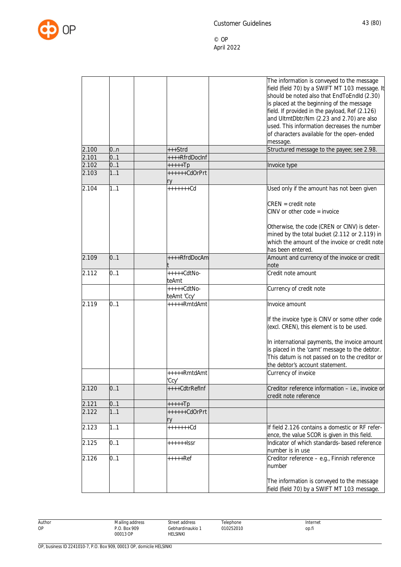

|                |            |                           | The information is conveyed to the message<br>field (field 70) by a SWIFT MT 103 message. It<br>should be noted also that EndToEndId (2.30) |
|----------------|------------|---------------------------|---------------------------------------------------------------------------------------------------------------------------------------------|
|                |            |                           | is placed at the beginning of the message<br>field. If provided in the payload, Ref (2.126)                                                 |
|                |            |                           | and UltmtDbtr/Nm (2.23 and 2.70) are also                                                                                                   |
|                |            |                           | used. This information decreases the number                                                                                                 |
|                |            |                           | of characters available for the open-ended                                                                                                  |
|                |            |                           | message.                                                                                                                                    |
| 2.100<br>2.101 | 0.n<br>0.1 | +++Strd<br>++++RfrdDocInf | Structured message to the payee; see 2.98.                                                                                                  |
| 2.102          | 0.1        | $++++$                    | Invoice type                                                                                                                                |
| 2.103          | 1.1        | ++++++CdOrPrt             |                                                                                                                                             |
|                |            | ry                        |                                                                                                                                             |
| 2.104          | 1.1        | $+++++Cd$                 | Used only if the amount has not been given                                                                                                  |
|                |            |                           | $CREN = credit note$                                                                                                                        |
|                |            |                           | $CINV$ or other code = invoice                                                                                                              |
|                |            |                           | Otherwise, the code (CREN or CINV) is deter-                                                                                                |
|                |            |                           | mined by the total bucket (2.112 or 2.119) in                                                                                               |
|                |            |                           | which the amount of the invoice or credit note                                                                                              |
|                |            |                           | has been entered.                                                                                                                           |
| 2.109          | 0.1        | ++++RfrdDocAm             | Amount and currency of the invoice or credit<br>note                                                                                        |
| 2.112          | 0.1        | +++++CdtNo-<br>teAmt      | Credit note amount                                                                                                                          |
|                |            | $++++-CdtNo-$             | Currency of credit note                                                                                                                     |
|                |            | teAmt 'Ccy'               |                                                                                                                                             |
| 2.119          | 0.1        | +++++RmtdAmt              | Invoice amount                                                                                                                              |
|                |            |                           | If the invoice type is CINV or some other code                                                                                              |
|                |            |                           | (excl. CREN), this element is to be used.                                                                                                   |
|                |            |                           | In international payments, the invoice amount                                                                                               |
|                |            |                           | is placed in the 'camt' message to the debtor.                                                                                              |
|                |            |                           | This datum is not passed on to the creditor or<br>the debtor's account statement.                                                           |
|                |            | +++++RmtdAmt              | Currency of invoice                                                                                                                         |
|                |            | 'Ccy'                     |                                                                                                                                             |
| 2.120          | 0.1        | ++++CdtrRefInf            | Creditor reference information - i.e., invoice or                                                                                           |
|                |            |                           | credit note reference                                                                                                                       |
| 2.121          | 0.1        | $+++++Tp$                 |                                                                                                                                             |
| 2.122          | 11         | ++++++CdOrPrt<br>ry       |                                                                                                                                             |
| 2.123          | 1.1        | $+++++Cd$                 | If field 2.126 contains a domestic or RF refer-<br>ence, the value SCOR is given in this field.                                             |
| 2.125          | 0.1        | $+++++I$                  | Indicator of which standards-based reference                                                                                                |
| 2.126          | 0.1        | $+++++Ref$                | number is in use<br>Creditor reference - e.g., Finnish reference                                                                            |
|                |            |                           | number                                                                                                                                      |
|                |            |                           | The information is conveyed to the message                                                                                                  |
|                |            |                           | field (field 70) by a SWIFT MT 103 message.                                                                                                 |

Author OP Mailing address P.O. Box 909 00013 OP Street address Gebhardinaukio 1 HELSINKI Telephone 010252010 Internet op.fi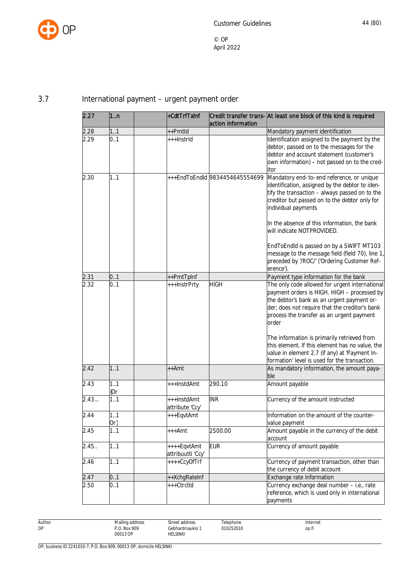

# 3.7 International payment – urgent payment order

| 2.27  | 1n         | +CdtTrfTxInf                     | action information             | Credit transfer trans- At least one block of this kind is required                                                                                                                                                                                                                                                                               |
|-------|------------|----------------------------------|--------------------------------|--------------------------------------------------------------------------------------------------------------------------------------------------------------------------------------------------------------------------------------------------------------------------------------------------------------------------------------------------|
| 2.28  | 11         | ++Pmtld                          |                                | Mandatory payment identification                                                                                                                                                                                                                                                                                                                 |
| 2.29  | 0.1        | +++InstrId                       |                                | Identification assigned to the payment by the<br>debtor, passed on to the messages for the<br>debtor and account statement (customer's<br>own information) - not passed on to the cred-<br>itor                                                                                                                                                  |
| 2.30  | 1.1        |                                  | +++EndToEndId 9834454645554699 | Mandatory end-to-end reference, or unique<br>identification, assigned by the debtor to iden-<br>tify the transaction - always passed on to the<br>creditor but passed on to the debtor only for<br>individual payments<br>In the absence of this information, the bank<br>will indicate NOTPROVIDED.<br>EndToEndId is passed on by a SWIFT MT103 |
|       |            |                                  |                                | message to the message field (field 70), line 1,<br>preceded by '/ROC/' ('Ordering Customer Ref-<br>erence').                                                                                                                                                                                                                                    |
| 2.31  | 0.1        | ++PmtTpInf                       |                                | Payment type information for the bank                                                                                                                                                                                                                                                                                                            |
| 2.32  | 0.1        | +++InstrPrty                     | <b>HIGH</b>                    | The only code allowed for urgent international<br>payment orders is HIGH. HIGH - processed by<br>the debtor's bank as an urgent payment or-<br>der; does not require that the creditor's bank<br>process the transfer as an urgent payment<br>order                                                                                              |
|       |            |                                  |                                | The information is primarily retrieved from<br>this element. If this element has no value, the<br>value in element 2.7 (if any) at 'Payment In-<br>formation' level is used for the transaction.                                                                                                                                                 |
| 2.42  | 1.1        | ++Amt                            |                                | As mandatory information, the amount paya-<br>ble                                                                                                                                                                                                                                                                                                |
| 2.43  | 11<br>{Or  | +++InstdAmt                      | 290.10                         | Amount payable                                                                                                                                                                                                                                                                                                                                   |
| 2.43  | 1.1        | +++InstdAmt<br>attribute 'Ccy'   | <b>INR</b>                     | Currency of the amount instructed                                                                                                                                                                                                                                                                                                                |
| 2.44  | 1.,1<br>Or | +++EqvtAmt                       |                                | Information on the amount of the counter-<br>value payment                                                                                                                                                                                                                                                                                       |
| 2.45  | 1.1        | $***Amt$                         | 2500.00                        | Amount payable in the currency of the debit<br>account                                                                                                                                                                                                                                                                                           |
| 2.45. | 1.1        | ++++EqvtAmt<br>attribuutti 'Ccy' | <b>EUR</b>                     | Currency of amount payable                                                                                                                                                                                                                                                                                                                       |
| 2.46  | 1.1        | ++++CcyOfTrf                     |                                | Currency of payment transaction, other than<br>the currency of debit account                                                                                                                                                                                                                                                                     |
| 2.47  | 0.1        | ++XchgRateInf                    |                                | Exchange rate information                                                                                                                                                                                                                                                                                                                        |
| 2.50  | 0.1        | +++CtrctId                       |                                | Currency exchange deal number - i.e., rate<br>reference, which is used only in international<br>payments                                                                                                                                                                                                                                         |

Author OP

Gebhardinaukio 1 Telephone 010252010

Street address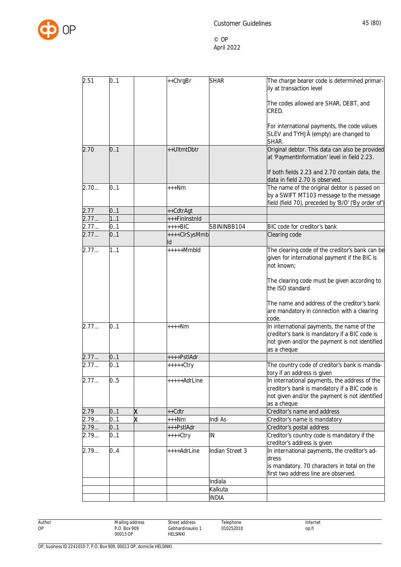

| 2.51<br>0.1<br>++ChrgBr<br><b>SHAR</b><br>The charge bearer code is determined primar-<br>ily at transaction level<br>The codes allowed are SHAR, DEBT, and<br>CRED.<br>For international payments, the code values<br>SLEV and TYHJÄ (empty) are changed to<br>SHAR.<br>Original debtor. This data can also be provided<br>0.1<br>++UltmtDbtr<br>2.70<br>at 'PaymentInformation' level in field 2.23.<br>If both fields 2.23 and 2.70 contain data, the<br>data in field 2.70 is observed.<br>0.1<br>The name of the original debtor is passed on<br>2.70<br>$+++Nm$<br>by a SWIFT MT103 message to the message<br>field (field 70), preceded by 'B/O' ('By order of')<br>2.77<br>0.1<br>++CdtrAgt<br>2.77<br>1.1<br>+++FinInstnId<br>2.77<br>0.1<br>BIC code for creditor's bank<br>SBININBB104<br>++++BIC<br>0.1<br>2.77<br>Clearing code<br>++++ClrSysMmb<br>lld<br>1.1<br>2.77<br>$++++Mmbld$<br>The clearing code of the creditor's bank can be<br>given for international payment if the BIC is<br>not known;<br>The clearing code must be given according to<br>the ISO standard<br>The name and address of the creditor's bank<br>are mandatory in connection with a clearing<br>code.<br>0.1<br>2.77<br>In international payments, the name of the<br>$***Nm$<br>creditor's bank is mandatory if a BIC code is<br>not given and/or the payment is not identified<br>as a cheque<br>2.77<br>0.1<br>++++PstlAdr<br>0.1<br>2.77<br>The country code of creditor's bank is manda-<br>+++++Ctry<br>tory if an address is given<br>In international payments, the address of the<br>0.5<br>+++++AdrLine<br>2.77<br>creditor's bank is mandatory if a BIC code is<br>not given and/or the payment is not identified<br>as a cheque<br>2.79<br>0.1<br>++Cdtr<br>Creditor's name and address<br>Χ<br>0.1<br>X<br>2.79<br>Indi As<br>+++Nm<br>Creditor's name is mandatory<br>0.1<br>2.79<br>+++PstlAdr<br>Creditor's postal address<br>0.1<br>Creditor's country code is mandatory if the<br>IN<br>2.79<br>++++Ctry<br>creditor's address is given<br>2.79<br>0.4<br>Indian Street 3<br>In international payments, the creditor's ad-<br>++++AdrLine<br>dress<br>is mandatory. 70 characters in total on the<br>first two address line are observed.<br>Indiala<br>Kalkuta<br><b>INDIA</b> |  |  |  |
|---------------------------------------------------------------------------------------------------------------------------------------------------------------------------------------------------------------------------------------------------------------------------------------------------------------------------------------------------------------------------------------------------------------------------------------------------------------------------------------------------------------------------------------------------------------------------------------------------------------------------------------------------------------------------------------------------------------------------------------------------------------------------------------------------------------------------------------------------------------------------------------------------------------------------------------------------------------------------------------------------------------------------------------------------------------------------------------------------------------------------------------------------------------------------------------------------------------------------------------------------------------------------------------------------------------------------------------------------------------------------------------------------------------------------------------------------------------------------------------------------------------------------------------------------------------------------------------------------------------------------------------------------------------------------------------------------------------------------------------------------------------------------------------------------------------------------------------------------------------------------------------------------------------------------------------------------------------------------------------------------------------------------------------------------------------------------------------------------------------------------------------------------------------------------------------------------------------------------------------------------------------------------------------------|--|--|--|
|                                                                                                                                                                                                                                                                                                                                                                                                                                                                                                                                                                                                                                                                                                                                                                                                                                                                                                                                                                                                                                                                                                                                                                                                                                                                                                                                                                                                                                                                                                                                                                                                                                                                                                                                                                                                                                                                                                                                                                                                                                                                                                                                                                                                                                                                                             |  |  |  |
|                                                                                                                                                                                                                                                                                                                                                                                                                                                                                                                                                                                                                                                                                                                                                                                                                                                                                                                                                                                                                                                                                                                                                                                                                                                                                                                                                                                                                                                                                                                                                                                                                                                                                                                                                                                                                                                                                                                                                                                                                                                                                                                                                                                                                                                                                             |  |  |  |
|                                                                                                                                                                                                                                                                                                                                                                                                                                                                                                                                                                                                                                                                                                                                                                                                                                                                                                                                                                                                                                                                                                                                                                                                                                                                                                                                                                                                                                                                                                                                                                                                                                                                                                                                                                                                                                                                                                                                                                                                                                                                                                                                                                                                                                                                                             |  |  |  |
|                                                                                                                                                                                                                                                                                                                                                                                                                                                                                                                                                                                                                                                                                                                                                                                                                                                                                                                                                                                                                                                                                                                                                                                                                                                                                                                                                                                                                                                                                                                                                                                                                                                                                                                                                                                                                                                                                                                                                                                                                                                                                                                                                                                                                                                                                             |  |  |  |
|                                                                                                                                                                                                                                                                                                                                                                                                                                                                                                                                                                                                                                                                                                                                                                                                                                                                                                                                                                                                                                                                                                                                                                                                                                                                                                                                                                                                                                                                                                                                                                                                                                                                                                                                                                                                                                                                                                                                                                                                                                                                                                                                                                                                                                                                                             |  |  |  |
|                                                                                                                                                                                                                                                                                                                                                                                                                                                                                                                                                                                                                                                                                                                                                                                                                                                                                                                                                                                                                                                                                                                                                                                                                                                                                                                                                                                                                                                                                                                                                                                                                                                                                                                                                                                                                                                                                                                                                                                                                                                                                                                                                                                                                                                                                             |  |  |  |
|                                                                                                                                                                                                                                                                                                                                                                                                                                                                                                                                                                                                                                                                                                                                                                                                                                                                                                                                                                                                                                                                                                                                                                                                                                                                                                                                                                                                                                                                                                                                                                                                                                                                                                                                                                                                                                                                                                                                                                                                                                                                                                                                                                                                                                                                                             |  |  |  |
|                                                                                                                                                                                                                                                                                                                                                                                                                                                                                                                                                                                                                                                                                                                                                                                                                                                                                                                                                                                                                                                                                                                                                                                                                                                                                                                                                                                                                                                                                                                                                                                                                                                                                                                                                                                                                                                                                                                                                                                                                                                                                                                                                                                                                                                                                             |  |  |  |
|                                                                                                                                                                                                                                                                                                                                                                                                                                                                                                                                                                                                                                                                                                                                                                                                                                                                                                                                                                                                                                                                                                                                                                                                                                                                                                                                                                                                                                                                                                                                                                                                                                                                                                                                                                                                                                                                                                                                                                                                                                                                                                                                                                                                                                                                                             |  |  |  |
|                                                                                                                                                                                                                                                                                                                                                                                                                                                                                                                                                                                                                                                                                                                                                                                                                                                                                                                                                                                                                                                                                                                                                                                                                                                                                                                                                                                                                                                                                                                                                                                                                                                                                                                                                                                                                                                                                                                                                                                                                                                                                                                                                                                                                                                                                             |  |  |  |
|                                                                                                                                                                                                                                                                                                                                                                                                                                                                                                                                                                                                                                                                                                                                                                                                                                                                                                                                                                                                                                                                                                                                                                                                                                                                                                                                                                                                                                                                                                                                                                                                                                                                                                                                                                                                                                                                                                                                                                                                                                                                                                                                                                                                                                                                                             |  |  |  |
|                                                                                                                                                                                                                                                                                                                                                                                                                                                                                                                                                                                                                                                                                                                                                                                                                                                                                                                                                                                                                                                                                                                                                                                                                                                                                                                                                                                                                                                                                                                                                                                                                                                                                                                                                                                                                                                                                                                                                                                                                                                                                                                                                                                                                                                                                             |  |  |  |
|                                                                                                                                                                                                                                                                                                                                                                                                                                                                                                                                                                                                                                                                                                                                                                                                                                                                                                                                                                                                                                                                                                                                                                                                                                                                                                                                                                                                                                                                                                                                                                                                                                                                                                                                                                                                                                                                                                                                                                                                                                                                                                                                                                                                                                                                                             |  |  |  |
|                                                                                                                                                                                                                                                                                                                                                                                                                                                                                                                                                                                                                                                                                                                                                                                                                                                                                                                                                                                                                                                                                                                                                                                                                                                                                                                                                                                                                                                                                                                                                                                                                                                                                                                                                                                                                                                                                                                                                                                                                                                                                                                                                                                                                                                                                             |  |  |  |
|                                                                                                                                                                                                                                                                                                                                                                                                                                                                                                                                                                                                                                                                                                                                                                                                                                                                                                                                                                                                                                                                                                                                                                                                                                                                                                                                                                                                                                                                                                                                                                                                                                                                                                                                                                                                                                                                                                                                                                                                                                                                                                                                                                                                                                                                                             |  |  |  |
|                                                                                                                                                                                                                                                                                                                                                                                                                                                                                                                                                                                                                                                                                                                                                                                                                                                                                                                                                                                                                                                                                                                                                                                                                                                                                                                                                                                                                                                                                                                                                                                                                                                                                                                                                                                                                                                                                                                                                                                                                                                                                                                                                                                                                                                                                             |  |  |  |
|                                                                                                                                                                                                                                                                                                                                                                                                                                                                                                                                                                                                                                                                                                                                                                                                                                                                                                                                                                                                                                                                                                                                                                                                                                                                                                                                                                                                                                                                                                                                                                                                                                                                                                                                                                                                                                                                                                                                                                                                                                                                                                                                                                                                                                                                                             |  |  |  |
|                                                                                                                                                                                                                                                                                                                                                                                                                                                                                                                                                                                                                                                                                                                                                                                                                                                                                                                                                                                                                                                                                                                                                                                                                                                                                                                                                                                                                                                                                                                                                                                                                                                                                                                                                                                                                                                                                                                                                                                                                                                                                                                                                                                                                                                                                             |  |  |  |
|                                                                                                                                                                                                                                                                                                                                                                                                                                                                                                                                                                                                                                                                                                                                                                                                                                                                                                                                                                                                                                                                                                                                                                                                                                                                                                                                                                                                                                                                                                                                                                                                                                                                                                                                                                                                                                                                                                                                                                                                                                                                                                                                                                                                                                                                                             |  |  |  |
|                                                                                                                                                                                                                                                                                                                                                                                                                                                                                                                                                                                                                                                                                                                                                                                                                                                                                                                                                                                                                                                                                                                                                                                                                                                                                                                                                                                                                                                                                                                                                                                                                                                                                                                                                                                                                                                                                                                                                                                                                                                                                                                                                                                                                                                                                             |  |  |  |
|                                                                                                                                                                                                                                                                                                                                                                                                                                                                                                                                                                                                                                                                                                                                                                                                                                                                                                                                                                                                                                                                                                                                                                                                                                                                                                                                                                                                                                                                                                                                                                                                                                                                                                                                                                                                                                                                                                                                                                                                                                                                                                                                                                                                                                                                                             |  |  |  |
|                                                                                                                                                                                                                                                                                                                                                                                                                                                                                                                                                                                                                                                                                                                                                                                                                                                                                                                                                                                                                                                                                                                                                                                                                                                                                                                                                                                                                                                                                                                                                                                                                                                                                                                                                                                                                                                                                                                                                                                                                                                                                                                                                                                                                                                                                             |  |  |  |
|                                                                                                                                                                                                                                                                                                                                                                                                                                                                                                                                                                                                                                                                                                                                                                                                                                                                                                                                                                                                                                                                                                                                                                                                                                                                                                                                                                                                                                                                                                                                                                                                                                                                                                                                                                                                                                                                                                                                                                                                                                                                                                                                                                                                                                                                                             |  |  |  |
|                                                                                                                                                                                                                                                                                                                                                                                                                                                                                                                                                                                                                                                                                                                                                                                                                                                                                                                                                                                                                                                                                                                                                                                                                                                                                                                                                                                                                                                                                                                                                                                                                                                                                                                                                                                                                                                                                                                                                                                                                                                                                                                                                                                                                                                                                             |  |  |  |
|                                                                                                                                                                                                                                                                                                                                                                                                                                                                                                                                                                                                                                                                                                                                                                                                                                                                                                                                                                                                                                                                                                                                                                                                                                                                                                                                                                                                                                                                                                                                                                                                                                                                                                                                                                                                                                                                                                                                                                                                                                                                                                                                                                                                                                                                                             |  |  |  |
|                                                                                                                                                                                                                                                                                                                                                                                                                                                                                                                                                                                                                                                                                                                                                                                                                                                                                                                                                                                                                                                                                                                                                                                                                                                                                                                                                                                                                                                                                                                                                                                                                                                                                                                                                                                                                                                                                                                                                                                                                                                                                                                                                                                                                                                                                             |  |  |  |
|                                                                                                                                                                                                                                                                                                                                                                                                                                                                                                                                                                                                                                                                                                                                                                                                                                                                                                                                                                                                                                                                                                                                                                                                                                                                                                                                                                                                                                                                                                                                                                                                                                                                                                                                                                                                                                                                                                                                                                                                                                                                                                                                                                                                                                                                                             |  |  |  |
|                                                                                                                                                                                                                                                                                                                                                                                                                                                                                                                                                                                                                                                                                                                                                                                                                                                                                                                                                                                                                                                                                                                                                                                                                                                                                                                                                                                                                                                                                                                                                                                                                                                                                                                                                                                                                                                                                                                                                                                                                                                                                                                                                                                                                                                                                             |  |  |  |
|                                                                                                                                                                                                                                                                                                                                                                                                                                                                                                                                                                                                                                                                                                                                                                                                                                                                                                                                                                                                                                                                                                                                                                                                                                                                                                                                                                                                                                                                                                                                                                                                                                                                                                                                                                                                                                                                                                                                                                                                                                                                                                                                                                                                                                                                                             |  |  |  |
|                                                                                                                                                                                                                                                                                                                                                                                                                                                                                                                                                                                                                                                                                                                                                                                                                                                                                                                                                                                                                                                                                                                                                                                                                                                                                                                                                                                                                                                                                                                                                                                                                                                                                                                                                                                                                                                                                                                                                                                                                                                                                                                                                                                                                                                                                             |  |  |  |
|                                                                                                                                                                                                                                                                                                                                                                                                                                                                                                                                                                                                                                                                                                                                                                                                                                                                                                                                                                                                                                                                                                                                                                                                                                                                                                                                                                                                                                                                                                                                                                                                                                                                                                                                                                                                                                                                                                                                                                                                                                                                                                                                                                                                                                                                                             |  |  |  |
|                                                                                                                                                                                                                                                                                                                                                                                                                                                                                                                                                                                                                                                                                                                                                                                                                                                                                                                                                                                                                                                                                                                                                                                                                                                                                                                                                                                                                                                                                                                                                                                                                                                                                                                                                                                                                                                                                                                                                                                                                                                                                                                                                                                                                                                                                             |  |  |  |
|                                                                                                                                                                                                                                                                                                                                                                                                                                                                                                                                                                                                                                                                                                                                                                                                                                                                                                                                                                                                                                                                                                                                                                                                                                                                                                                                                                                                                                                                                                                                                                                                                                                                                                                                                                                                                                                                                                                                                                                                                                                                                                                                                                                                                                                                                             |  |  |  |
|                                                                                                                                                                                                                                                                                                                                                                                                                                                                                                                                                                                                                                                                                                                                                                                                                                                                                                                                                                                                                                                                                                                                                                                                                                                                                                                                                                                                                                                                                                                                                                                                                                                                                                                                                                                                                                                                                                                                                                                                                                                                                                                                                                                                                                                                                             |  |  |  |
|                                                                                                                                                                                                                                                                                                                                                                                                                                                                                                                                                                                                                                                                                                                                                                                                                                                                                                                                                                                                                                                                                                                                                                                                                                                                                                                                                                                                                                                                                                                                                                                                                                                                                                                                                                                                                                                                                                                                                                                                                                                                                                                                                                                                                                                                                             |  |  |  |
|                                                                                                                                                                                                                                                                                                                                                                                                                                                                                                                                                                                                                                                                                                                                                                                                                                                                                                                                                                                                                                                                                                                                                                                                                                                                                                                                                                                                                                                                                                                                                                                                                                                                                                                                                                                                                                                                                                                                                                                                                                                                                                                                                                                                                                                                                             |  |  |  |
|                                                                                                                                                                                                                                                                                                                                                                                                                                                                                                                                                                                                                                                                                                                                                                                                                                                                                                                                                                                                                                                                                                                                                                                                                                                                                                                                                                                                                                                                                                                                                                                                                                                                                                                                                                                                                                                                                                                                                                                                                                                                                                                                                                                                                                                                                             |  |  |  |
|                                                                                                                                                                                                                                                                                                                                                                                                                                                                                                                                                                                                                                                                                                                                                                                                                                                                                                                                                                                                                                                                                                                                                                                                                                                                                                                                                                                                                                                                                                                                                                                                                                                                                                                                                                                                                                                                                                                                                                                                                                                                                                                                                                                                                                                                                             |  |  |  |
|                                                                                                                                                                                                                                                                                                                                                                                                                                                                                                                                                                                                                                                                                                                                                                                                                                                                                                                                                                                                                                                                                                                                                                                                                                                                                                                                                                                                                                                                                                                                                                                                                                                                                                                                                                                                                                                                                                                                                                                                                                                                                                                                                                                                                                                                                             |  |  |  |
|                                                                                                                                                                                                                                                                                                                                                                                                                                                                                                                                                                                                                                                                                                                                                                                                                                                                                                                                                                                                                                                                                                                                                                                                                                                                                                                                                                                                                                                                                                                                                                                                                                                                                                                                                                                                                                                                                                                                                                                                                                                                                                                                                                                                                                                                                             |  |  |  |
|                                                                                                                                                                                                                                                                                                                                                                                                                                                                                                                                                                                                                                                                                                                                                                                                                                                                                                                                                                                                                                                                                                                                                                                                                                                                                                                                                                                                                                                                                                                                                                                                                                                                                                                                                                                                                                                                                                                                                                                                                                                                                                                                                                                                                                                                                             |  |  |  |
|                                                                                                                                                                                                                                                                                                                                                                                                                                                                                                                                                                                                                                                                                                                                                                                                                                                                                                                                                                                                                                                                                                                                                                                                                                                                                                                                                                                                                                                                                                                                                                                                                                                                                                                                                                                                                                                                                                                                                                                                                                                                                                                                                                                                                                                                                             |  |  |  |
|                                                                                                                                                                                                                                                                                                                                                                                                                                                                                                                                                                                                                                                                                                                                                                                                                                                                                                                                                                                                                                                                                                                                                                                                                                                                                                                                                                                                                                                                                                                                                                                                                                                                                                                                                                                                                                                                                                                                                                                                                                                                                                                                                                                                                                                                                             |  |  |  |
|                                                                                                                                                                                                                                                                                                                                                                                                                                                                                                                                                                                                                                                                                                                                                                                                                                                                                                                                                                                                                                                                                                                                                                                                                                                                                                                                                                                                                                                                                                                                                                                                                                                                                                                                                                                                                                                                                                                                                                                                                                                                                                                                                                                                                                                                                             |  |  |  |
|                                                                                                                                                                                                                                                                                                                                                                                                                                                                                                                                                                                                                                                                                                                                                                                                                                                                                                                                                                                                                                                                                                                                                                                                                                                                                                                                                                                                                                                                                                                                                                                                                                                                                                                                                                                                                                                                                                                                                                                                                                                                                                                                                                                                                                                                                             |  |  |  |
|                                                                                                                                                                                                                                                                                                                                                                                                                                                                                                                                                                                                                                                                                                                                                                                                                                                                                                                                                                                                                                                                                                                                                                                                                                                                                                                                                                                                                                                                                                                                                                                                                                                                                                                                                                                                                                                                                                                                                                                                                                                                                                                                                                                                                                                                                             |  |  |  |
|                                                                                                                                                                                                                                                                                                                                                                                                                                                                                                                                                                                                                                                                                                                                                                                                                                                                                                                                                                                                                                                                                                                                                                                                                                                                                                                                                                                                                                                                                                                                                                                                                                                                                                                                                                                                                                                                                                                                                                                                                                                                                                                                                                                                                                                                                             |  |  |  |
|                                                                                                                                                                                                                                                                                                                                                                                                                                                                                                                                                                                                                                                                                                                                                                                                                                                                                                                                                                                                                                                                                                                                                                                                                                                                                                                                                                                                                                                                                                                                                                                                                                                                                                                                                                                                                                                                                                                                                                                                                                                                                                                                                                                                                                                                                             |  |  |  |
|                                                                                                                                                                                                                                                                                                                                                                                                                                                                                                                                                                                                                                                                                                                                                                                                                                                                                                                                                                                                                                                                                                                                                                                                                                                                                                                                                                                                                                                                                                                                                                                                                                                                                                                                                                                                                                                                                                                                                                                                                                                                                                                                                                                                                                                                                             |  |  |  |
|                                                                                                                                                                                                                                                                                                                                                                                                                                                                                                                                                                                                                                                                                                                                                                                                                                                                                                                                                                                                                                                                                                                                                                                                                                                                                                                                                                                                                                                                                                                                                                                                                                                                                                                                                                                                                                                                                                                                                                                                                                                                                                                                                                                                                                                                                             |  |  |  |
|                                                                                                                                                                                                                                                                                                                                                                                                                                                                                                                                                                                                                                                                                                                                                                                                                                                                                                                                                                                                                                                                                                                                                                                                                                                                                                                                                                                                                                                                                                                                                                                                                                                                                                                                                                                                                                                                                                                                                                                                                                                                                                                                                                                                                                                                                             |  |  |  |
|                                                                                                                                                                                                                                                                                                                                                                                                                                                                                                                                                                                                                                                                                                                                                                                                                                                                                                                                                                                                                                                                                                                                                                                                                                                                                                                                                                                                                                                                                                                                                                                                                                                                                                                                                                                                                                                                                                                                                                                                                                                                                                                                                                                                                                                                                             |  |  |  |
|                                                                                                                                                                                                                                                                                                                                                                                                                                                                                                                                                                                                                                                                                                                                                                                                                                                                                                                                                                                                                                                                                                                                                                                                                                                                                                                                                                                                                                                                                                                                                                                                                                                                                                                                                                                                                                                                                                                                                                                                                                                                                                                                                                                                                                                                                             |  |  |  |
|                                                                                                                                                                                                                                                                                                                                                                                                                                                                                                                                                                                                                                                                                                                                                                                                                                                                                                                                                                                                                                                                                                                                                                                                                                                                                                                                                                                                                                                                                                                                                                                                                                                                                                                                                                                                                                                                                                                                                                                                                                                                                                                                                                                                                                                                                             |  |  |  |

Author OP

Street address Gebhardinaukio 1 Telephone 010252010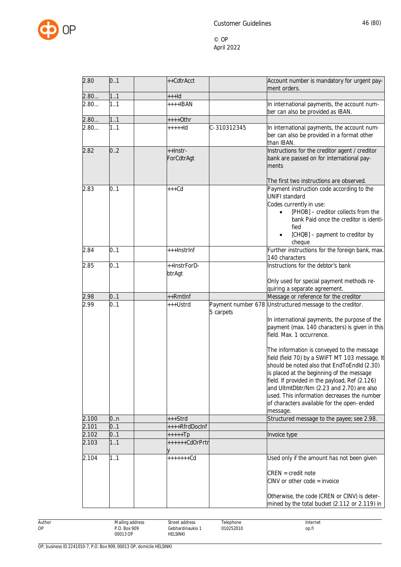

| 2.80  | 0.1 | ++CdtrAcct             |             | Account number is mandatory for urgent pay-<br>ment orders.                                                                                                                                                                                                                                                                                                                                                                                                                                                                                                                                  |
|-------|-----|------------------------|-------------|----------------------------------------------------------------------------------------------------------------------------------------------------------------------------------------------------------------------------------------------------------------------------------------------------------------------------------------------------------------------------------------------------------------------------------------------------------------------------------------------------------------------------------------------------------------------------------------------|
| 2.80  | 11  | $++$ -Id               |             |                                                                                                                                                                                                                                                                                                                                                                                                                                                                                                                                                                                              |
| 2.80  | 1.1 | $++++IBAN$             |             | In international payments, the account num-<br>ber can also be provided as IBAN.                                                                                                                                                                                                                                                                                                                                                                                                                                                                                                             |
| 2.80  | 11  | ++++0thr               |             |                                                                                                                                                                                                                                                                                                                                                                                                                                                                                                                                                                                              |
| 2.80  | 1.1 | $++++$                 | C-310312345 | In international payments, the account num-<br>ber can also be provided in a format other<br>than IBAN.                                                                                                                                                                                                                                                                                                                                                                                                                                                                                      |
| 2.82  | 0.2 | ++Instr-<br>ForCdtrAgt |             | Instructions for the creditor agent / creditor<br>bank are passed on for international pay-<br>ments<br>The first two instructions are observed.                                                                                                                                                                                                                                                                                                                                                                                                                                             |
| 2.83  | 0.1 | $+++Cd$                |             | Payment instruction code according to the<br><b>UNIFI standard</b><br>Codes currently in use:<br>[PHOB] - creditor collects from the<br>bank Paid once the creditor is identi-<br>fied<br>[CHQB] - payment to creditor by<br>cheque                                                                                                                                                                                                                                                                                                                                                          |
| 2.84  | 0.1 | +++InstrInf            |             | Further instructions for the foreign bank, max.<br>140 characters                                                                                                                                                                                                                                                                                                                                                                                                                                                                                                                            |
| 2.85  | 0.1 | ++InstrForD-<br>btrAgt |             | Instructions for the debtor's bank<br>Only used for special payment methods re-                                                                                                                                                                                                                                                                                                                                                                                                                                                                                                              |
|       |     |                        |             | quiring a separate agreement.                                                                                                                                                                                                                                                                                                                                                                                                                                                                                                                                                                |
| 2.98  | 0.1 | ++Rmtlnf               |             | Message or reference for the creditor                                                                                                                                                                                                                                                                                                                                                                                                                                                                                                                                                        |
| 2.99  | 0.1 | +++Ustrd               | 5 carpets   | Payment number 678 Unstructured message to the creditor.<br>In international payments, the purpose of the<br>payment (max. 140 characters) is given in this<br>field. Max. 1 occurrence.<br>The information is conveyed to the message<br>field (field 70) by a SWIFT MT 103 message. It<br>should be noted also that EndToEndld (2.30)<br>is placed at the beginning of the message<br>field. If provided in the payload, Ref (2.126)<br>and UltmtDbtr/Nm (2.23 and 2.70) are also<br>used. This information decreases the number<br>of characters available for the open-ended<br>message. |
| 2.100 | 0n  | +++Strd                |             | Structured message to the payee; see 2.98.                                                                                                                                                                                                                                                                                                                                                                                                                                                                                                                                                   |
| 2.101 | 0.1 | ++++RfrdDocInf         |             |                                                                                                                                                                                                                                                                                                                                                                                                                                                                                                                                                                                              |
| 2.102 | 0.1 | $++++$ Fp              |             | Invoice type                                                                                                                                                                                                                                                                                                                                                                                                                                                                                                                                                                                 |
| 2.103 | 1.1 | ++++++CdOrPrtr         |             |                                                                                                                                                                                                                                                                                                                                                                                                                                                                                                                                                                                              |
| 2.104 | 1.1 | +++++++Cd              |             | Used only if the amount has not been given<br>$CREN = credit note$<br>$CINV$ or other code = invoice<br>Otherwise, the code (CREN or CINV) is deter-<br>mined by the total bucket (2.112 or 2.119) in                                                                                                                                                                                                                                                                                                                                                                                        |

Author Mailing address P.O. Box 909 00013 OP Street address Gebhardinaukio 1 HELSINKI Telephone 010252010 Internet op.fi

OP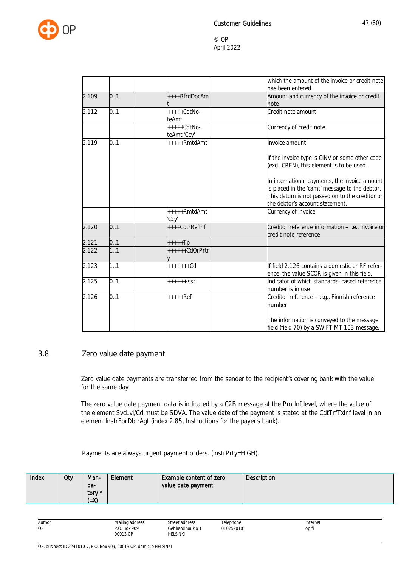

|       |     |                              | which the amount of the invoice or credit note<br>has been entered.                                                                                                                  |
|-------|-----|------------------------------|--------------------------------------------------------------------------------------------------------------------------------------------------------------------------------------|
| 2.109 | 0.1 | ++++RfrdDocAm                | Amount and currency of the invoice or credit<br>note                                                                                                                                 |
| 2.112 | 0.1 | $++++CdtNo-$<br>teAmt        | Credit note amount                                                                                                                                                                   |
|       |     | $++++-CdtNo-$<br>teAmt 'Ccy' | Currency of credit note                                                                                                                                                              |
| 2.119 | 0.1 | +++++RmtdAmt                 | Invoice amount                                                                                                                                                                       |
|       |     |                              | If the invoice type is CINV or some other code<br>(excl. CREN), this element is to be used.                                                                                          |
|       |     |                              | In international payments, the invoice amount<br>is placed in the 'camt' message to the debtor.<br>This datum is not passed on to the creditor or<br>the debtor's account statement. |
|       |     | +++++RmtdAmt<br>'Ccv'        | Currency of invoice                                                                                                                                                                  |
| 2.120 | 0.1 | ++++CdtrRefInf               | Creditor reference information - i.e., invoice or<br>credit note reference                                                                                                           |
| 2.121 | 0.1 | $++++$ Tp                    |                                                                                                                                                                                      |
| 2.122 | 1.1 | ++++++CdOrPrtr               |                                                                                                                                                                                      |
| 2.123 | 1.1 |                              | If field 2.126 contains a domestic or RF refer-<br>ence, the value SCOR is given in this field.                                                                                      |
| 2.125 | 0.1 | $+++++$                      | Indicator of which standards-based reference<br>number is in use                                                                                                                     |
| 2.126 | 0.1 | $++++-Ref$                   | Creditor reference - e.g., Finnish reference<br>number                                                                                                                               |
|       |     |                              | The information is conveyed to the message<br>field (field 70) by a SWIFT MT 103 message.                                                                                            |

### 3.8 Zero value date payment

Zero value date payments are transferred from the sender to the recipient's covering bank with the value for the same day.

The zero value date payment data is indicated by a C2B message at the PmtInf level, where the value of the element SvcLvl/Cd must be SDVA. The value date of the payment is stated at the CdtTrfTxInf level in an element InstrForDbtrAgt (index 2.85, Instructions for the payer's bank).

Payments are always urgent payment orders. (InstrPrty=HIGH).

| Index | Qty | Man-<br>da-<br>tory *<br>(=X) | Element | <b>Example content of zero</b><br>value date payment | <b>Description</b> |
|-------|-----|-------------------------------|---------|------------------------------------------------------|--------------------|
|-------|-----|-------------------------------|---------|------------------------------------------------------|--------------------|

| Author<br>. | $\cdots$<br>Mailing address<br>the contract of the contract of the<br>. | street address<br>. | elephone<br>$\sim$ $\sim$ | Internet<br>. |
|-------------|-------------------------------------------------------------------------|---------------------|---------------------------|---------------|
| OP          | <b>Box 909</b><br>$\sim$                                                | iebhardinaukio<br>. | 010252010<br>.            | OD.I.         |
|             | 00013 OP<br>.                                                           | LSINKI              |                           |               |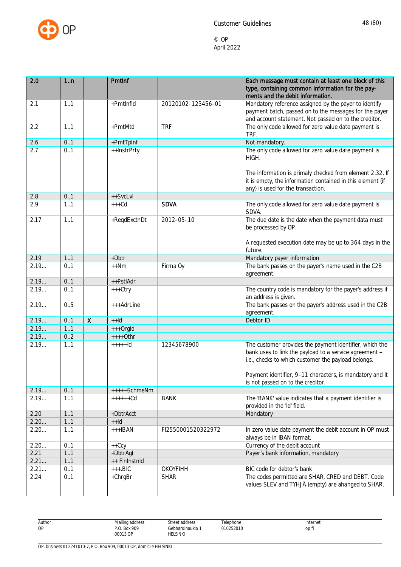

| ments and the debit information.<br>Mandatory reference assigned by the payer to identify<br>+PmtInfld<br>2.1<br>20120102-123456-01<br>1.1<br>payment batch, passed on to the messages for the payer<br>and account statement. Not passed on to the creditor.                  |  |
|--------------------------------------------------------------------------------------------------------------------------------------------------------------------------------------------------------------------------------------------------------------------------------|--|
|                                                                                                                                                                                                                                                                                |  |
| The only code allowed for zero value date payment is<br>+PmtMtd<br><b>TRF</b><br>2.2<br>1.1<br>TRF.                                                                                                                                                                            |  |
| 2.6<br>0.1<br>+PmtTpInf<br>Not mandatory.                                                                                                                                                                                                                                      |  |
| The only code allowed for zero value date payment is<br>2.7<br>0.1<br>++InstrPrty<br>HIGH.                                                                                                                                                                                     |  |
| The information is primaly checked from element 2.32. If<br>it is empty, the information contained in this element (if<br>any) is used for the transaction.                                                                                                                    |  |
| 2.8<br>0.1<br>++SvcLvl                                                                                                                                                                                                                                                         |  |
| <b>SDVA</b><br>2.9<br>The only code allowed for zero value date payment is<br>$+++Cd$<br>1.1<br>SDVA.                                                                                                                                                                          |  |
| +ReqdExctnDt<br>1.1<br>2012-05-10<br>The due date is the date when the payment data must<br>2.17<br>be processed by OP.                                                                                                                                                        |  |
| A requested execution date may be up to 364 days in the<br>future.                                                                                                                                                                                                             |  |
| $+Dbtr$<br>2.19<br>1.1<br>Mandatory payer information                                                                                                                                                                                                                          |  |
| 2.19<br>The bank passes on the payer's name used in the C2B<br>Firma Oy<br>0.1<br>$++Nm$<br>agreement.                                                                                                                                                                         |  |
| 2.19<br>0.1<br>++PstlAdr                                                                                                                                                                                                                                                       |  |
| The country code is mandatory for the payer's address if<br>2.19<br>0.1<br>$+++Ctry$<br>an address is given.                                                                                                                                                                   |  |
| 2.19<br>The bank passes on the payer's address used in the C2B<br>0.5<br>+++AdrLine<br>agreement.                                                                                                                                                                              |  |
| $\mathsf{X}$<br>2.19<br>0.1<br>Debtor ID<br>$++Id$                                                                                                                                                                                                                             |  |
| 2.19<br>1.1<br>+++OrgId                                                                                                                                                                                                                                                        |  |
| 2.19<br>0.2<br>$++++$ Othr                                                                                                                                                                                                                                                     |  |
| 2.19<br>1.1<br>The customer provides the payment identifier, which the<br>$++++Id$<br>12345678900<br>bank uses to link the payload to a service agreement -<br>i.e., checks to which customer the payload belongs.<br>Payment identifier, 9-11 characters, is mandatory and it |  |
| is not passed on to the creditor.                                                                                                                                                                                                                                              |  |
| 0.1<br>2.19<br>+++++SchmeNm                                                                                                                                                                                                                                                    |  |
| 2.19<br><b>BANK</b><br>$+++++Cd$<br>The 'BANK' value indicates that a payment identifier is<br>1.1<br>provided in the 'Id' field.                                                                                                                                              |  |
| 2.20<br>11<br>Mandatory<br>+DbtrAcct                                                                                                                                                                                                                                           |  |
| 11<br>2.20<br>$+Hd$                                                                                                                                                                                                                                                            |  |
| 2.20<br>1.1<br>$+++IBAN$<br>FI2550001520322972<br>In zero value date payment the debit account in OP must<br>always be in IBAN format.                                                                                                                                         |  |
| Currency of the debit account<br>2.20<br>0.1<br>$++Ccy$                                                                                                                                                                                                                        |  |
| 2.21<br>11<br>+DbtrAgt<br>Payer's bank information, mandatory                                                                                                                                                                                                                  |  |
| 2.21<br>11<br>++ FinInstnId                                                                                                                                                                                                                                                    |  |
| 2.21<br><b>OKOYFIHH</b><br>0.1<br>$++.BIC$<br>BIC code for debtor's bank                                                                                                                                                                                                       |  |
| The codes permitted are SHAR, CRED and DEBT. Code<br>2.24<br>0.1<br>+ChrgBr<br><b>SHAR</b><br>values SLEV and TYHJÄ (empty) are ahanged to SHAR.                                                                                                                               |  |

| Author | Mailing address  | Street address                                              | Telephone | Internet |
|--------|------------------|-------------------------------------------------------------|-----------|----------|
| OP     | . Box 909<br>n n | `ebhardinaukio                                              | 010252010 | OD.fi    |
|        | 00013 OP         | HELSINKI<br>the contract of the contract of the contract of |           |          |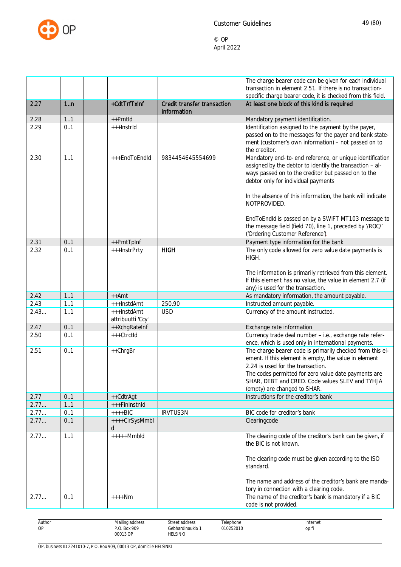

| 1n<br>+CdtTrfTxInf<br>Credit transfer transaction<br>At least one block of this kind is required<br>2.27<br>information<br>1.1<br>2.28<br>++Pmtld<br>Mandatory payment identification.<br>0.1<br>Identification assigned to the payment by the payer,<br>2.29<br>+++InstrId<br>passed on to the messages for the payer and bank state-<br>ment (customer's own information) - not passed on to<br>the creditor.<br>Mandatory end-to-end reference, or unique identification<br>1.1<br>+++EndToEndId<br>2.30<br>9834454645554699<br>assigned by the debtor to identify the transaction - al-<br>ways passed on to the creditor but passed on to the<br>debtor only for individual payments<br>In the absence of this information, the bank will indicate<br>NOTPROVIDED.<br>EndToEndId is passed on by a SWIFT MT103 message to<br>the message field (field 70), line 1, preceded by '/ROC/'<br>('Ordering Customer Reference').<br>0.1<br>Payment type information for the bank<br>2.31<br>++PmtTpInf<br><b>HIGH</b><br>The only code allowed for zero value date payments is<br>2.32<br>0.1<br>+++InstrPrty<br>HIGH.<br>The information is primarily retrieved from this element.<br>If this element has no value, the value in element 2.7 (if<br>any) is used for the transaction.<br>2.42<br>1.1<br>As mandatory information, the amount payable.<br>$++Amt$<br>Instructed amount payable.<br>2.43<br>1.1<br>250.90<br>+++InstdAmt<br>2.43<br><b>USD</b><br>1.1<br>+++InstdAmt<br>Currency of the amount instructed.<br>attribuutti 'Ccy'<br>2.47<br>0.1<br>++XchgRateInf<br>Exchange rate information<br>Currency trade deal number - i.e., exchange rate refer-<br>+++CtrctId<br>2.50<br>0.1<br>ence, which is used only in international payments.<br>The charge bearer code is primarily checked from this el-<br>0.1<br>2.51<br>++ChrgBr<br>ement. If this element is empty, the value in element<br>2.24 is used for the transaction.<br>The codes permitted for zero value date payments are<br>SHAR, DEBT and CRED. Code values SLEV and TYHJÄ<br>(empty) are changed to SHAR.<br>Instructions for the creditor's bank<br>2.77<br>0.1<br>++CdtrAgt<br>2.77<br>+++FinInstnId<br>1.1<br>2.77<br>$++++BIC$<br>IRVTUS3N<br>BIC code for creditor's bank<br>0.1<br>2.77<br>++++ClrSysMmbl<br>Clearingcode<br>0.1<br>d<br>2.77<br>$++++Mmbld$<br>The clearing code of the creditor's bank can be given, if<br>11<br>the BIC is not known.<br>The clearing code must be given according to the ISO<br>standard.<br>The name and address of the creditor's bank are manda-<br>tory in connection with a clearing code.<br>The name of the creditor's bank is mandatory if a BIC<br>2.77<br>0.1<br>$+++Nm$<br>code is not provided. |  |  | The charge bearer code can be given for each individual<br>transaction in element 2.51. If there is no transaction-<br>specific charge bearer code, it is checked from this field. |
|----------------------------------------------------------------------------------------------------------------------------------------------------------------------------------------------------------------------------------------------------------------------------------------------------------------------------------------------------------------------------------------------------------------------------------------------------------------------------------------------------------------------------------------------------------------------------------------------------------------------------------------------------------------------------------------------------------------------------------------------------------------------------------------------------------------------------------------------------------------------------------------------------------------------------------------------------------------------------------------------------------------------------------------------------------------------------------------------------------------------------------------------------------------------------------------------------------------------------------------------------------------------------------------------------------------------------------------------------------------------------------------------------------------------------------------------------------------------------------------------------------------------------------------------------------------------------------------------------------------------------------------------------------------------------------------------------------------------------------------------------------------------------------------------------------------------------------------------------------------------------------------------------------------------------------------------------------------------------------------------------------------------------------------------------------------------------------------------------------------------------------------------------------------------------------------------------------------------------------------------------------------------------------------------------------------------------------------------------------------------------------------------------------------------------------------------------------------------------------------------------------------------------------------------------------------------------------------------------------------------------------------------------------------------------------------------------------------------------------------|--|--|------------------------------------------------------------------------------------------------------------------------------------------------------------------------------------|
|                                                                                                                                                                                                                                                                                                                                                                                                                                                                                                                                                                                                                                                                                                                                                                                                                                                                                                                                                                                                                                                                                                                                                                                                                                                                                                                                                                                                                                                                                                                                                                                                                                                                                                                                                                                                                                                                                                                                                                                                                                                                                                                                                                                                                                                                                                                                                                                                                                                                                                                                                                                                                                                                                                                                        |  |  |                                                                                                                                                                                    |
|                                                                                                                                                                                                                                                                                                                                                                                                                                                                                                                                                                                                                                                                                                                                                                                                                                                                                                                                                                                                                                                                                                                                                                                                                                                                                                                                                                                                                                                                                                                                                                                                                                                                                                                                                                                                                                                                                                                                                                                                                                                                                                                                                                                                                                                                                                                                                                                                                                                                                                                                                                                                                                                                                                                                        |  |  |                                                                                                                                                                                    |
|                                                                                                                                                                                                                                                                                                                                                                                                                                                                                                                                                                                                                                                                                                                                                                                                                                                                                                                                                                                                                                                                                                                                                                                                                                                                                                                                                                                                                                                                                                                                                                                                                                                                                                                                                                                                                                                                                                                                                                                                                                                                                                                                                                                                                                                                                                                                                                                                                                                                                                                                                                                                                                                                                                                                        |  |  |                                                                                                                                                                                    |
|                                                                                                                                                                                                                                                                                                                                                                                                                                                                                                                                                                                                                                                                                                                                                                                                                                                                                                                                                                                                                                                                                                                                                                                                                                                                                                                                                                                                                                                                                                                                                                                                                                                                                                                                                                                                                                                                                                                                                                                                                                                                                                                                                                                                                                                                                                                                                                                                                                                                                                                                                                                                                                                                                                                                        |  |  |                                                                                                                                                                                    |
|                                                                                                                                                                                                                                                                                                                                                                                                                                                                                                                                                                                                                                                                                                                                                                                                                                                                                                                                                                                                                                                                                                                                                                                                                                                                                                                                                                                                                                                                                                                                                                                                                                                                                                                                                                                                                                                                                                                                                                                                                                                                                                                                                                                                                                                                                                                                                                                                                                                                                                                                                                                                                                                                                                                                        |  |  |                                                                                                                                                                                    |
|                                                                                                                                                                                                                                                                                                                                                                                                                                                                                                                                                                                                                                                                                                                                                                                                                                                                                                                                                                                                                                                                                                                                                                                                                                                                                                                                                                                                                                                                                                                                                                                                                                                                                                                                                                                                                                                                                                                                                                                                                                                                                                                                                                                                                                                                                                                                                                                                                                                                                                                                                                                                                                                                                                                                        |  |  |                                                                                                                                                                                    |
|                                                                                                                                                                                                                                                                                                                                                                                                                                                                                                                                                                                                                                                                                                                                                                                                                                                                                                                                                                                                                                                                                                                                                                                                                                                                                                                                                                                                                                                                                                                                                                                                                                                                                                                                                                                                                                                                                                                                                                                                                                                                                                                                                                                                                                                                                                                                                                                                                                                                                                                                                                                                                                                                                                                                        |  |  |                                                                                                                                                                                    |
|                                                                                                                                                                                                                                                                                                                                                                                                                                                                                                                                                                                                                                                                                                                                                                                                                                                                                                                                                                                                                                                                                                                                                                                                                                                                                                                                                                                                                                                                                                                                                                                                                                                                                                                                                                                                                                                                                                                                                                                                                                                                                                                                                                                                                                                                                                                                                                                                                                                                                                                                                                                                                                                                                                                                        |  |  |                                                                                                                                                                                    |
|                                                                                                                                                                                                                                                                                                                                                                                                                                                                                                                                                                                                                                                                                                                                                                                                                                                                                                                                                                                                                                                                                                                                                                                                                                                                                                                                                                                                                                                                                                                                                                                                                                                                                                                                                                                                                                                                                                                                                                                                                                                                                                                                                                                                                                                                                                                                                                                                                                                                                                                                                                                                                                                                                                                                        |  |  |                                                                                                                                                                                    |
|                                                                                                                                                                                                                                                                                                                                                                                                                                                                                                                                                                                                                                                                                                                                                                                                                                                                                                                                                                                                                                                                                                                                                                                                                                                                                                                                                                                                                                                                                                                                                                                                                                                                                                                                                                                                                                                                                                                                                                                                                                                                                                                                                                                                                                                                                                                                                                                                                                                                                                                                                                                                                                                                                                                                        |  |  |                                                                                                                                                                                    |
|                                                                                                                                                                                                                                                                                                                                                                                                                                                                                                                                                                                                                                                                                                                                                                                                                                                                                                                                                                                                                                                                                                                                                                                                                                                                                                                                                                                                                                                                                                                                                                                                                                                                                                                                                                                                                                                                                                                                                                                                                                                                                                                                                                                                                                                                                                                                                                                                                                                                                                                                                                                                                                                                                                                                        |  |  |                                                                                                                                                                                    |
|                                                                                                                                                                                                                                                                                                                                                                                                                                                                                                                                                                                                                                                                                                                                                                                                                                                                                                                                                                                                                                                                                                                                                                                                                                                                                                                                                                                                                                                                                                                                                                                                                                                                                                                                                                                                                                                                                                                                                                                                                                                                                                                                                                                                                                                                                                                                                                                                                                                                                                                                                                                                                                                                                                                                        |  |  |                                                                                                                                                                                    |
|                                                                                                                                                                                                                                                                                                                                                                                                                                                                                                                                                                                                                                                                                                                                                                                                                                                                                                                                                                                                                                                                                                                                                                                                                                                                                                                                                                                                                                                                                                                                                                                                                                                                                                                                                                                                                                                                                                                                                                                                                                                                                                                                                                                                                                                                                                                                                                                                                                                                                                                                                                                                                                                                                                                                        |  |  |                                                                                                                                                                                    |
|                                                                                                                                                                                                                                                                                                                                                                                                                                                                                                                                                                                                                                                                                                                                                                                                                                                                                                                                                                                                                                                                                                                                                                                                                                                                                                                                                                                                                                                                                                                                                                                                                                                                                                                                                                                                                                                                                                                                                                                                                                                                                                                                                                                                                                                                                                                                                                                                                                                                                                                                                                                                                                                                                                                                        |  |  |                                                                                                                                                                                    |
|                                                                                                                                                                                                                                                                                                                                                                                                                                                                                                                                                                                                                                                                                                                                                                                                                                                                                                                                                                                                                                                                                                                                                                                                                                                                                                                                                                                                                                                                                                                                                                                                                                                                                                                                                                                                                                                                                                                                                                                                                                                                                                                                                                                                                                                                                                                                                                                                                                                                                                                                                                                                                                                                                                                                        |  |  |                                                                                                                                                                                    |
|                                                                                                                                                                                                                                                                                                                                                                                                                                                                                                                                                                                                                                                                                                                                                                                                                                                                                                                                                                                                                                                                                                                                                                                                                                                                                                                                                                                                                                                                                                                                                                                                                                                                                                                                                                                                                                                                                                                                                                                                                                                                                                                                                                                                                                                                                                                                                                                                                                                                                                                                                                                                                                                                                                                                        |  |  |                                                                                                                                                                                    |
|                                                                                                                                                                                                                                                                                                                                                                                                                                                                                                                                                                                                                                                                                                                                                                                                                                                                                                                                                                                                                                                                                                                                                                                                                                                                                                                                                                                                                                                                                                                                                                                                                                                                                                                                                                                                                                                                                                                                                                                                                                                                                                                                                                                                                                                                                                                                                                                                                                                                                                                                                                                                                                                                                                                                        |  |  |                                                                                                                                                                                    |
|                                                                                                                                                                                                                                                                                                                                                                                                                                                                                                                                                                                                                                                                                                                                                                                                                                                                                                                                                                                                                                                                                                                                                                                                                                                                                                                                                                                                                                                                                                                                                                                                                                                                                                                                                                                                                                                                                                                                                                                                                                                                                                                                                                                                                                                                                                                                                                                                                                                                                                                                                                                                                                                                                                                                        |  |  |                                                                                                                                                                                    |
|                                                                                                                                                                                                                                                                                                                                                                                                                                                                                                                                                                                                                                                                                                                                                                                                                                                                                                                                                                                                                                                                                                                                                                                                                                                                                                                                                                                                                                                                                                                                                                                                                                                                                                                                                                                                                                                                                                                                                                                                                                                                                                                                                                                                                                                                                                                                                                                                                                                                                                                                                                                                                                                                                                                                        |  |  |                                                                                                                                                                                    |
|                                                                                                                                                                                                                                                                                                                                                                                                                                                                                                                                                                                                                                                                                                                                                                                                                                                                                                                                                                                                                                                                                                                                                                                                                                                                                                                                                                                                                                                                                                                                                                                                                                                                                                                                                                                                                                                                                                                                                                                                                                                                                                                                                                                                                                                                                                                                                                                                                                                                                                                                                                                                                                                                                                                                        |  |  |                                                                                                                                                                                    |

| Author<br><b>OP</b> | .<br>Mailing address<br>the contract of the contract of<br>.<br>Box 909<br>D O<br>00013 OP | Stree<br>. addr∆cc<br>uuuroo<br>.<br>Gebhardinaukio<br><b>HELSINKI</b> | elephone<br>010252010<br>. | Internet<br>.<br>op.fi |
|---------------------|--------------------------------------------------------------------------------------------|------------------------------------------------------------------------|----------------------------|------------------------|
|                     |                                                                                            |                                                                        |                            |                        |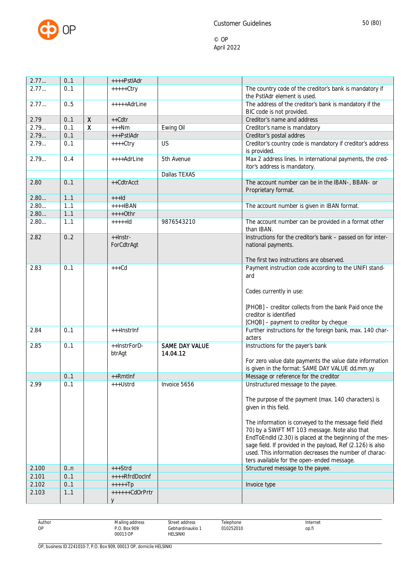

| 2.77  | 0.1 |              | ++++PstlAdr            |                                   |                                                                                                                                                                                                                                                                                                                                                                                                                                                                  |
|-------|-----|--------------|------------------------|-----------------------------------|------------------------------------------------------------------------------------------------------------------------------------------------------------------------------------------------------------------------------------------------------------------------------------------------------------------------------------------------------------------------------------------------------------------------------------------------------------------|
| 2.77  | 0.1 |              | $++++-ctry$            |                                   | The country code of the creditor's bank is mandatory if<br>the PstlAdr element is used.                                                                                                                                                                                                                                                                                                                                                                          |
| 2.77  | 0.5 |              | +++++AdrLine           |                                   | The address of the creditor's bank is mandatory if the                                                                                                                                                                                                                                                                                                                                                                                                           |
|       |     |              |                        |                                   | BIC code is not provided.                                                                                                                                                                                                                                                                                                                                                                                                                                        |
| 2.79  | 0.1 | $\mathsf{X}$ | $++Cdtr$               |                                   | Creditor's name and address                                                                                                                                                                                                                                                                                                                                                                                                                                      |
| 2.79  | 0.1 | $\pmb{\chi}$ | $+++Nm$                | Ewing Oil                         | Creditor's name is mandatory                                                                                                                                                                                                                                                                                                                                                                                                                                     |
| 2.79  | 0.1 |              | +++PstlAdr             |                                   | Creditor's postal addres                                                                                                                                                                                                                                                                                                                                                                                                                                         |
| 2.79  | 0.1 |              | $++++$ Ctry            | US                                | Creditor's country code is mandatory if creditor's address<br>is provided.                                                                                                                                                                                                                                                                                                                                                                                       |
| 2.79  | 0.4 |              | ++++AdrLine            | 5th Avenue                        | Max 2 address lines. In international payments, the cred-<br>itor's address is mandatory.                                                                                                                                                                                                                                                                                                                                                                        |
|       |     |              |                        | Dallas TEXAS                      |                                                                                                                                                                                                                                                                                                                                                                                                                                                                  |
| 2.80  | 0.1 |              | ++CdtrAcct             |                                   | The account number can be in the IBAN-, BBAN- or<br>Proprietary format.                                                                                                                                                                                                                                                                                                                                                                                          |
| 2.80  | 1.1 |              | $++$ -Id               |                                   |                                                                                                                                                                                                                                                                                                                                                                                                                                                                  |
| 2.80  | 1.1 |              | $+++$ <b>BAN</b>       |                                   | The account number is given in IBAN format.                                                                                                                                                                                                                                                                                                                                                                                                                      |
| 2.80  | 1.1 |              | $++++$ Othr            |                                   |                                                                                                                                                                                                                                                                                                                                                                                                                                                                  |
| 2.80  | 1.1 |              | $++++$                 | 9876543210                        | The account number can be provided in a format other<br>than IBAN.                                                                                                                                                                                                                                                                                                                                                                                               |
| 2.82  | 0.2 |              | ++Instr-<br>ForCdtrAgt |                                   | Instructions for the creditor's bank - passed on for inter-<br>national payments.                                                                                                                                                                                                                                                                                                                                                                                |
| 2.83  | 0.1 |              | $+++Cd$                |                                   | The first two instructions are observed.<br>Payment instruction code according to the UNIFI stand-                                                                                                                                                                                                                                                                                                                                                               |
|       |     |              |                        |                                   | ard<br>Codes currently in use:<br>[PHOB] - creditor collects from the bank Paid once the<br>creditor is identified<br>[CHQB] - payment to creditor by cheque                                                                                                                                                                                                                                                                                                     |
| 2.84  | 0.1 |              | +++InstrInf            |                                   | Further instructions for the foreign bank, max. 140 char-<br>acters                                                                                                                                                                                                                                                                                                                                                                                              |
| 2.85  | 0.1 |              | ++InstrForD-<br>btrAgt | <b>SAME DAY VALUE</b><br>14.04.12 | Instructions for the payer's bank<br>For zero value date payments the value date information<br>is given in the format: SAME DAY VALUE dd.mm.yy                                                                                                                                                                                                                                                                                                                  |
|       | 0.1 |              | ++Rmtlnf               |                                   | Message or reference for the creditor                                                                                                                                                                                                                                                                                                                                                                                                                            |
| 2.99  | 0.1 |              | +++Ustrd               | Invoice 5656                      | Unstructured message to the payee.<br>The purpose of the payment (max. 140 characters) is<br>given in this field.<br>The information is conveyed to the message field (field<br>70) by a SWIFT MT 103 message. Note also that<br>EndToEndId (2.30) is placed at the beginning of the mes-<br>sage field. If provided in the payload, Ref (2.126) is also<br>used. This information decreases the number of charac-<br>ters available for the open-ended message. |
| 2.100 | 0.n |              | $+++Strd$              |                                   | Structured message to the payee.                                                                                                                                                                                                                                                                                                                                                                                                                                 |
| 2.101 | 0.1 |              | ++++RfrdDocInf         |                                   |                                                                                                                                                                                                                                                                                                                                                                                                                                                                  |
| 2.102 | 0.1 |              | $++++$                 |                                   | Invoice type                                                                                                                                                                                                                                                                                                                                                                                                                                                     |
| 2.103 | 11  |              | ++++++CdOrPrtr         |                                   |                                                                                                                                                                                                                                                                                                                                                                                                                                                                  |
|       |     |              |                        |                                   |                                                                                                                                                                                                                                                                                                                                                                                                                                                                  |
|       |     |              |                        |                                   |                                                                                                                                                                                                                                                                                                                                                                                                                                                                  |

| Author  | $\cdots$<br>Mailing address | --<br>Street address | elephone       | Internet |
|---------|-----------------------------|----------------------|----------------|----------|
| ΛE<br>ັ | $9.0.$ Box 909              | Gebhardinaukio 1     | 010252010<br>. | op.fi    |
|         | 00013 OP                    | HELSINKI             |                |          |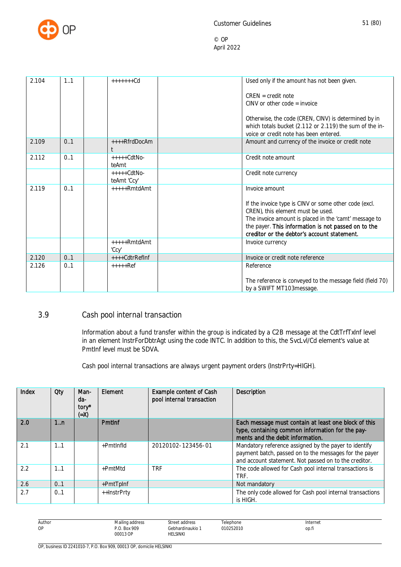

| 2.104 | 1.1 | $+++++Cd$                    | Used only if the amount has not been given.<br>$CREN = credit note$                                                                                                                                                                                                         |
|-------|-----|------------------------------|-----------------------------------------------------------------------------------------------------------------------------------------------------------------------------------------------------------------------------------------------------------------------------|
|       |     |                              | $CINV$ or other code = invoice                                                                                                                                                                                                                                              |
|       |     |                              | Otherwise, the code (CREN, CINV) is determined by in<br>which totals bucket (2.112 or 2.119) the sum of the in-<br>voice or credit note has been entered.                                                                                                                   |
| 2.109 | 0.1 | ++++RfrdDocAm                | Amount and currency of the invoice or credit note                                                                                                                                                                                                                           |
| 2.112 | 0.1 | $++++-CdtNo-$<br>teAmt       | Credit note amount                                                                                                                                                                                                                                                          |
|       |     | $++++-CdtNo-$<br>teAmt 'Ccy' | Credit note currency                                                                                                                                                                                                                                                        |
| 2.119 | 0.1 | $***+RmtdAmt$                | Invoice amount<br>If the invoice type is CINV or some other code (excl.<br>CREN), this element must be used.<br>The invoice amount is placed in the 'camt' message to<br>the payer. This information is not passed on to the<br>creditor or the debtor's account statement. |
|       |     | $++++$ RmtdAmt<br>'Ccy'      | Invoice currency                                                                                                                                                                                                                                                            |
| 2.120 | 0.1 | ++++CdtrRefInf               | Invoice or credit note reference                                                                                                                                                                                                                                            |
| 2.126 | 0.1 | $++++-Ref$                   | Reference<br>The reference is conveyed to the message field (field 70)<br>by a SWIFT MT103message.                                                                                                                                                                          |

## 3.9 Cash pool internal transaction

Information about a fund transfer within the group is indicated by a C2B message at the CdtTrfTxInf level in an element InstrForDbtrAgt using the code INTC. In addition to this, the SvcLvl/Cd element's value at PmtInf level must be SDVA.

Cash pool internal transactions are always urgent payment orders (InstrPrty=HIGH).

| Index | Qty            | Man-<br>da-<br>tory*<br>(=X) | Element      | <b>Example content of Cash</b><br>pool internal transaction | <b>Description</b>                                                                                                                                                       |
|-------|----------------|------------------------------|--------------|-------------------------------------------------------------|--------------------------------------------------------------------------------------------------------------------------------------------------------------------------|
| 2.0   | 1 <sub>n</sub> |                              | Pmtlnf       |                                                             | Each message must contain at least one block of this<br>type, containing common information for the pay-<br>ments and the debit information.                             |
| 2.1   | 1.1            |                              | $+$ PmtInfld | 20120102-123456-01                                          | Mandatory reference assigned by the payer to identify<br>payment batch, passed on to the messages for the payer<br>and account statement. Not passed on to the creditor. |
| 2.2   | 1.1            |                              | $+PmtMtd$    | <b>TRF</b>                                                  | The code allowed for Cash pool internal transactions is<br>TRF.                                                                                                          |
| 2.6   | 0.1            |                              | +PmtTpInf    |                                                             | Not mandatory                                                                                                                                                            |
| 2.7   | 0.1            |                              | ++InstrPrty  |                                                             | The only code allowed for Cash pool internal transactions<br>is HIGH.                                                                                                    |

| Author | address<br>Mai<br>the contract of the contract of | stre<br>. uull CSS                                                 | Telephone | Internet |
|--------|---------------------------------------------------|--------------------------------------------------------------------|-----------|----------|
| OF     | <b>Box 909</b><br>$D^{\circ}$<br>$\cdot$          | iebhardinaukio                                                     | 010252010 | op.fi    |
|        | 000130<br>$\cap$                                  | <b>HELSINKI</b><br>the contract of the contract of the contract of |           |          |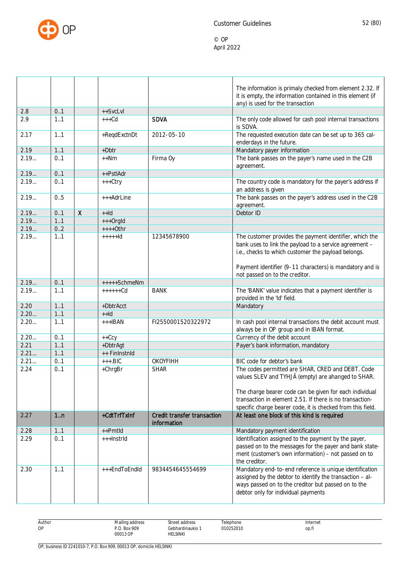

|      |     |              |               |                                            | The information is primaly checked from element 2.32. If<br>it is empty, the information contained in this element (if<br>any) is used for the transaction                                                        |
|------|-----|--------------|---------------|--------------------------------------------|-------------------------------------------------------------------------------------------------------------------------------------------------------------------------------------------------------------------|
| 2.8  | 0.1 |              | ++SvcLvl      |                                            |                                                                                                                                                                                                                   |
| 2.9  | 1.1 |              | $+++Cd$       | <b>SDVA</b>                                | The only code allowed for cash pool internal transactions<br>is SDVA.                                                                                                                                             |
| 2.17 | 1.1 |              | +ReqdExctnDt  | 2012-05-10                                 | The requested execution date can be set up to 365 cal-<br>enderdays in the future.                                                                                                                                |
| 2.19 | 1.1 |              | +Dbtr         |                                            | Mandatory payer information                                                                                                                                                                                       |
| 2.19 | 0.1 |              | $++Nm$        | Firma Oy                                   | The bank passes on the payer's name used in the C2B<br>agreement.                                                                                                                                                 |
| 2.19 | 0.1 |              | ++PstlAdr     |                                            |                                                                                                                                                                                                                   |
| 2.19 | 0.1 |              | +++Ctry       |                                            | The country code is mandatory for the payer's address if<br>an address is given                                                                                                                                   |
| 2.19 | 0.5 |              | +++AdrLine    |                                            | The bank passes on the payer's address used in the C2B<br>agreement.                                                                                                                                              |
| 2.19 | 0.1 | $\mathsf{X}$ | $++Id$        |                                            | Debtor ID                                                                                                                                                                                                         |
| 2.19 | 1.1 |              | +++OrgId      |                                            |                                                                                                                                                                                                                   |
| 2.19 | 0.2 |              | $++++$ Othr   |                                            |                                                                                                                                                                                                                   |
| 2.19 | 1.1 |              | $++++$        | 12345678900                                | The customer provides the payment identifier, which the<br>bank uses to link the payload to a service agreement -<br>i.e., checks to which customer the payload belongs.                                          |
|      |     |              |               |                                            | Payment identifier (9-11 characters) is mandatory and is<br>not passed on to the creditor.                                                                                                                        |
| 2.19 | 0.1 |              | +++++SchmeNm  |                                            |                                                                                                                                                                                                                   |
| 2.19 | 1.1 |              | $+++++Cd$     | <b>BANK</b>                                | The 'BANK' value indicates that a payment identifier is<br>provided in the 'Id' field.                                                                                                                            |
| 2.20 | 1.1 |              | +DbtrAcct     |                                            | Mandatory                                                                                                                                                                                                         |
| 2.20 | 1.1 |              | $++Id$        |                                            |                                                                                                                                                                                                                   |
| 2.20 | 1.1 |              | $+++IBAN$     | FI2550001520322972                         | In cash pool internal transactions the debit account must<br>always be in OP group and in IBAN format.                                                                                                            |
| 2.20 | 0.1 |              | $++Ccy$       |                                            | Currency of the debit account                                                                                                                                                                                     |
| 2.21 | 1.1 |              | +DbtrAgt      |                                            | Payer's bank information, mandatory                                                                                                                                                                               |
| 2.21 | 1.1 |              | ++ FinInstnId |                                            |                                                                                                                                                                                                                   |
| 2.21 | 0.1 |              | $++.BIC$      | <b>OKOYFIHH</b>                            | BIC code for debtor's bank                                                                                                                                                                                        |
| 2.24 | 0.1 |              | +ChrgBr       | <b>SHAR</b>                                | The codes permitted are SHAR, CRED and DEBT. Code<br>values SLEV and TYHJÄ (empty) are ahanged to SHAR.                                                                                                           |
|      |     |              |               |                                            | The charge bearer code can be given for each individual<br>transaction in element 2.51. If there is no transaction-<br>specific charge bearer code, it is checked from this field.                                |
| 2.27 | 1n  |              | +CdtTrfTxInf  | Credit transfer transaction<br>information | At least one block of this kind is required                                                                                                                                                                       |
| 2.28 | 11  |              | ++Pmtld       |                                            | Mandatory payment identification                                                                                                                                                                                  |
| 2.29 | 0.1 |              | +++InstrId    |                                            | Identification assigned to the payment by the payer,<br>passed on to the messages for the payer and bank state-<br>ment (customer's own information) - not passed on to<br>the creditor.                          |
| 2.30 | 1.1 |              | +++EndToEndId | 9834454645554699                           | Mandatory end-to-end reference is unique identification<br>assigned by the debtor to identify the transaction - al-<br>ways passed on to the creditor but passed on to the<br>debtor only for individual payments |

| Author<br>.                           | $\cdots$<br>Mailing address<br>the contract of the contract of<br>. | street address<br>$\sim$<br>.<br>. | elephone      | Internet<br>. |  |
|---------------------------------------|---------------------------------------------------------------------|------------------------------------|---------------|---------------|--|
| ОP<br>the contract of the contract of | : 909<br><b>Box</b><br>ח ח<br>$\cdot$                               | ∔ebhardinaukio∶                    | 01025201<br>. | op.fi         |  |
|                                       | 00013 OP<br>.                                                       | <b>IELSINKI</b>                    |               |               |  |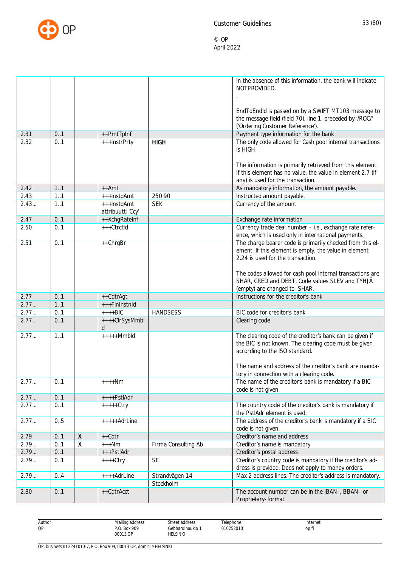

|      |     |                           |                     |                     | In the absence of this information, the bank will indicate                                                       |
|------|-----|---------------------------|---------------------|---------------------|------------------------------------------------------------------------------------------------------------------|
|      |     |                           |                     |                     | NOTPROVIDED.                                                                                                     |
|      |     |                           |                     |                     |                                                                                                                  |
|      |     |                           |                     |                     |                                                                                                                  |
|      |     |                           |                     |                     | EndToEndId is passed on by a SWIFT MT103 message to<br>the message field (field 70), line 1, preceded by '/ROC/' |
|      |     |                           |                     |                     | ('Ordering Customer Reference').                                                                                 |
| 2.31 | 0.1 |                           | ++PmtTpInf          |                     | Payment type information for the bank                                                                            |
| 2.32 | 0.1 |                           | +++InstrPrty        | <b>HIGH</b>         | The only code allowed for Cash pool internal transactions                                                        |
|      |     |                           |                     |                     | is HIGH.                                                                                                         |
|      |     |                           |                     |                     |                                                                                                                  |
|      |     |                           |                     |                     | The information is primarily retrieved from this element.                                                        |
|      |     |                           |                     |                     | If this element has no value, the value in element 2.7 (if                                                       |
|      |     |                           |                     |                     | any) is used for the transaction.                                                                                |
| 2.42 | 1.1 |                           | $++Amt$             |                     | As mandatory information, the amount payable.                                                                    |
| 2.43 | 1.1 |                           | +++InstdAmt         | 250.90              | Instructed amount payable.                                                                                       |
| 2.43 | 1.1 |                           | +++InstdAmt         | <b>SEK</b>          | Currency of the amount                                                                                           |
|      |     |                           | attribuutti 'Ccy'   |                     |                                                                                                                  |
| 2.47 | 0.1 |                           | ++XchgRateInf       |                     | Exchange rate information                                                                                        |
| 2.50 | 0.1 |                           | $+++C$ trctId       |                     | Currency trade deal number - i.e., exchange rate refer-<br>ence, which is used only in international payments.   |
| 2.51 | 0.1 |                           | ++ChrgBr            |                     | The charge bearer code is primarily checked from this el-                                                        |
|      |     |                           |                     |                     | ement. If this element is empty, the value in element                                                            |
|      |     |                           |                     |                     | 2.24 is used for the transaction.                                                                                |
|      |     |                           |                     |                     |                                                                                                                  |
|      |     |                           |                     |                     | The codes allowed for cash pool internal transactions are                                                        |
|      |     |                           |                     |                     | SHAR, CRED and DEBT. Code values SLEV and TYHJÄ                                                                  |
|      |     |                           |                     |                     | (empty) are changed to SHAR.                                                                                     |
| 2.77 | 0.1 |                           | ++CdtrAgt           |                     | Instructions for the creditor's bank                                                                             |
| 2.77 | 1.1 |                           | +++FinInstnId       |                     |                                                                                                                  |
| 2.77 | 0.1 |                           | $++++BIC$           | <b>HANDSESS</b>     | BIC code for creditor's bank                                                                                     |
| 2.77 | 0.1 |                           | ++++ClrSysMmbl<br>d |                     | Clearing code                                                                                                    |
| 2.77 | 1.1 |                           | $++++Mmbld$         |                     | The clearing code of the creditor's bank can be given if                                                         |
|      |     |                           |                     |                     | the BIC is not known. The clearing code must be given                                                            |
|      |     |                           |                     |                     | according to the ISO standard.                                                                                   |
|      |     |                           |                     |                     |                                                                                                                  |
|      |     |                           |                     |                     | The name and address of the creditor's bank are manda-                                                           |
|      |     |                           |                     |                     | tory in connection with a clearing code.                                                                         |
| 2.77 | 0.1 |                           | $++++Nm$            |                     | The name of the creditor's bank is mandatory if a BIC<br>code is not given.                                      |
| 2.77 | 0.1 |                           | ++++PstlAdr         |                     |                                                                                                                  |
| 2.77 | 0.1 |                           | $++++Ctry$          |                     | The country code of the creditor's bank is mandatory if                                                          |
|      |     |                           |                     |                     | the PstlAdr element is used.                                                                                     |
| 2.77 | 0.5 |                           | $++++$ AdrLine      |                     | The address of the creditor's bank is mandatory if a BIC                                                         |
|      |     |                           |                     |                     | code is not given.                                                                                               |
| 2.79 | 0.1 | $\pmb{\mathsf{X}}$        | $++Cdtr$            |                     | Creditor's name and address                                                                                      |
| 2.79 | 0.1 | $\boldsymbol{\mathsf{X}}$ | $+++Nm$             | Firma Consulting Ab | Creditor's name is mandatory                                                                                     |
| 2.79 | 0.1 |                           | +++PstlAdr          |                     | Creditor's postal address                                                                                        |
| 2.79 | 0.1 |                           | $++++$ Ctry         | <b>SE</b>           | Creditor's country code is mandatory if the creditor's ad-                                                       |
|      |     |                           |                     |                     | dress is provided. Does not apply to money orders.                                                               |
| 2.79 | 0.4 |                           | ++++AdrLine         | Strandvägen 14      | Max 2 address lines. The creditor's address is mandatory.                                                        |
|      |     |                           |                     | Stockholm           |                                                                                                                  |
| 2.80 | 0.1 |                           | ++CdtrAcct          |                     | The account number can be in the IBAN-, BBAN- or                                                                 |
|      |     |                           |                     |                     | Proprietary-format.                                                                                              |

Author OP

Street address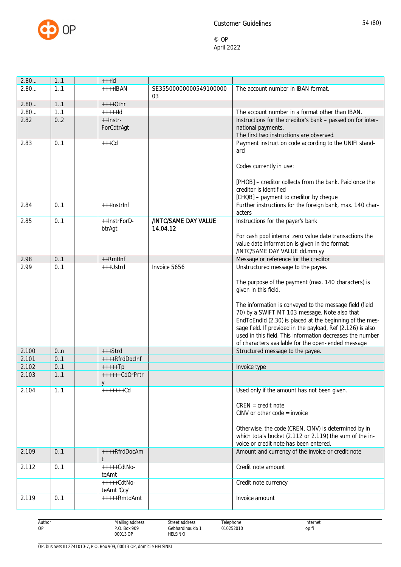

| 2.80  | 1.1 | $++$ -Id                     |                        |                                                                                                                          |
|-------|-----|------------------------------|------------------------|--------------------------------------------------------------------------------------------------------------------------|
| 2.80  | 1.1 | $+++$ <b>IBAN</b>            | SE35500000000549100000 | The account number in IBAN format.                                                                                       |
|       |     |                              | 03                     |                                                                                                                          |
| 2.80  | 1.1 | $++++$ Othr                  |                        |                                                                                                                          |
| 2.80  | 1.1 | $+++++Id$                    |                        | The account number in a format other than IBAN.                                                                          |
| 2.82  | 0.2 | ++Instr-                     |                        | Instructions for the creditor's bank - passed on for inter-                                                              |
|       |     | ForCdtrAgt                   |                        | national payments.<br>The first two instructions are observed.                                                           |
| 2.83  | 0.1 | $+++Cd$                      |                        | Payment instruction code according to the UNIFI stand-                                                                   |
|       |     |                              |                        | ard                                                                                                                      |
|       |     |                              |                        |                                                                                                                          |
|       |     |                              |                        | Codes currently in use:                                                                                                  |
|       |     |                              |                        |                                                                                                                          |
|       |     |                              |                        | [PHOB] - creditor collects from the bank. Paid once the                                                                  |
|       |     |                              |                        | creditor is identified                                                                                                   |
|       |     |                              |                        | [CHQB] - payment to creditor by cheque                                                                                   |
| 2.84  | 0.1 | +++InstrInf                  |                        | Further instructions for the foreign bank, max. 140 char-<br>acters                                                      |
| 2.85  | 0.1 | ++InstrForD-                 | /INTC/SAME DAY VALUE   | Instructions for the payer's bank                                                                                        |
|       |     | btrAgt                       | 14.04.12               |                                                                                                                          |
|       |     |                              |                        | For cash pool internal zero value date transactions the                                                                  |
|       |     |                              |                        | value date information is given in the format:                                                                           |
|       |     |                              |                        | /INTC/SAME DAY VALUE dd.mm.yy                                                                                            |
| 2.98  | 0.1 | ++Rmtlnf                     |                        | Message or reference for the creditor                                                                                    |
| 2.99  | 0.1 | +++Ustrd                     | Invoice 5656           | Unstructured message to the payee.                                                                                       |
|       |     |                              |                        | The purpose of the payment (max. 140 characters) is                                                                      |
|       |     |                              |                        | given in this field.                                                                                                     |
|       |     |                              |                        |                                                                                                                          |
|       |     |                              |                        | The information is conveyed to the message field (field                                                                  |
|       |     |                              |                        | 70) by a SWIFT MT 103 message. Note also that                                                                            |
|       |     |                              |                        | EndToEndId (2.30) is placed at the beginning of the mes-                                                                 |
|       |     |                              |                        | sage field. If provided in the payload, Ref (2.126) is also<br>used in this field. This information decreases the number |
|       |     |                              |                        | of characters available for the open-ended message                                                                       |
| 2.100 | 0.n | $+++Strd$                    |                        | Structured message to the payee.                                                                                         |
| 2.101 | 0.1 | ++++RfrdDocInf               |                        |                                                                                                                          |
| 2.102 | 0.1 | $++++$ Tp                    |                        | Invoice type                                                                                                             |
| 2.103 | 1.1 | ++++++CdOrPrtr               |                        |                                                                                                                          |
|       |     | V                            |                        |                                                                                                                          |
| 2.104 | 1.1 | $+++++Cd$                    |                        | Used only if the amount has not been given.                                                                              |
|       |     |                              |                        | $CREN = credit note$                                                                                                     |
|       |     |                              |                        | CINV or other $code = invoice$                                                                                           |
|       |     |                              |                        |                                                                                                                          |
|       |     |                              |                        | Otherwise, the code (CREN, CINV) is determined by in                                                                     |
|       |     |                              |                        | which totals bucket (2.112 or 2.119) the sum of the in-                                                                  |
|       |     |                              |                        | voice or credit note has been entered.                                                                                   |
| 2.109 | 0.1 | ++++RfrdDocAm                |                        | Amount and currency of the invoice or credit note                                                                        |
| 2.112 | 0.1 | $++++CdtNo-$<br>teAmt        |                        | Credit note amount                                                                                                       |
|       |     | $++++-CdtNo-$<br>teAmt 'Ccy' |                        | Credit note currency                                                                                                     |
| 2.119 | 0.1 | +++++RmtdAmt                 |                        | Invoice amount                                                                                                           |
|       |     |                              |                        |                                                                                                                          |

| Author<br>. | Mailing address<br>the contract of the contract of<br>. | Street address<br>.                                         | elephone  | Internet |
|-------------|---------------------------------------------------------|-------------------------------------------------------------|-----------|----------|
| OP          | P.O. Box 909                                            | Gebhardinaukio                                              | 010252010 | op.t     |
|             | 00013 OP<br>.                                           | HELSINKI<br>the contract of the contract of the contract of |           |          |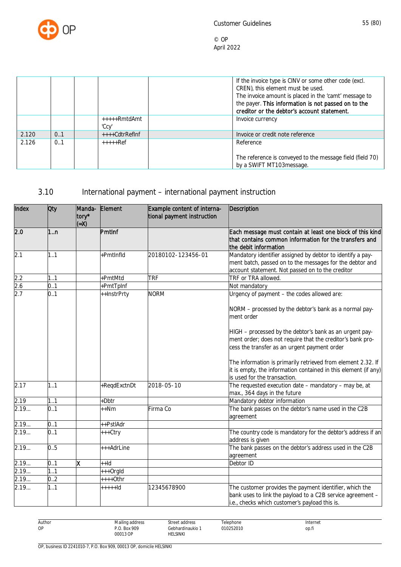

|       |     |                | If the invoice type is CINV or some other code (excl.     |
|-------|-----|----------------|-----------------------------------------------------------|
|       |     |                | CREN), this element must be used.                         |
|       |     |                | The invoice amount is placed in the 'camt' message to     |
|       |     |                | the payer. This information is not passed on to the       |
|       |     |                | creditor or the debtor's account statement.               |
|       |     | +++++RmtdAmt   | Invoice currency                                          |
|       |     | 'Ccy'          |                                                           |
| 2.120 | 0.1 | ++++CdtrRefInf | Invoice or credit note reference                          |
| 2.126 | 0.1 | $***+Ref$      | Reference                                                 |
|       |     |                |                                                           |
|       |     |                | The reference is conveyed to the message field (field 70) |
|       |     |                | by a SWIFT MT103message.                                  |

# 3.10 International payment – international payment instruction

| Index             | <b>Oty</b> | tory*<br>$(X=)$ | Manda- Element | Example content of interna-<br>tional payment instruction | <b>Description</b>                                                                                                                                                         |
|-------------------|------------|-----------------|----------------|-----------------------------------------------------------|----------------------------------------------------------------------------------------------------------------------------------------------------------------------------|
| 2.0               | 1n         |                 | PmtInf         |                                                           | Each message must contain at least one block of this kind<br>that contains common information for the transfers and<br>the debit information                               |
| 2.1               | 1.1        |                 | +PmtInfld      | 20180102-123456-01                                        | Mandatory identifier assigned by debtor to identify a pay-<br>ment batch, passed on to the messages for the debtor and<br>account statement. Not passed on to the creditor |
| 2.2               | 1.1        |                 | +PmtMtd        | <b>TRF</b>                                                | TRF or TRA allowed.                                                                                                                                                        |
|                   | 0.1        |                 | +PmtTpInf      |                                                           | Not mandatory                                                                                                                                                              |
| $\frac{2.6}{2.7}$ | 0.1        |                 | ++InstrPrty    | <b>NORM</b>                                               | Urgency of payment - the codes allowed are:                                                                                                                                |
|                   |            |                 |                |                                                           | NORM - processed by the debtor's bank as a normal pay-<br>ment order                                                                                                       |
|                   |            |                 |                |                                                           | HIGH - processed by the debtor's bank as an urgent pay-<br>ment order; does not require that the creditor's bank pro-<br>cess the transfer as an urgent payment order      |
|                   |            |                 |                |                                                           | The information is primarily retrieved from element 2.32. If<br>it is empty, the information contained in this element (if any)<br>is used for the transaction.            |
| 2.17              | 1.1        |                 | +ReqdExctnDt   | 2018-05-10                                                | The requested execution date - mandatory - may be, at<br>max., 364 days in the future                                                                                      |
| 2.19              | 1.1        |                 | +Dbtr          |                                                           | Mandatory debtor information                                                                                                                                               |
| 2.19              | 0.1        |                 | $+$ + $Nm$     | Firma Co                                                  | The bank passes on the debtor's name used in the C2B<br>agreement                                                                                                          |
| 2.19              | 0.1        |                 | ++PstlAdr      |                                                           |                                                                                                                                                                            |
| 2.19              | 0.1        |                 | +++Ctry        |                                                           | The country code is mandatory for the debtor's address if an<br>address is given                                                                                           |
| 2.19              | 0.5        |                 | +++AdrLine     |                                                           | The bank passes on the debtor's address used in the C2B<br>agreement                                                                                                       |
| 2.19              | 0.1        | x               | $+$ -Id        |                                                           | Debtor ID                                                                                                                                                                  |
| 2.19              | 1.1        |                 | +++OrgId       |                                                           |                                                                                                                                                                            |
| 2.19              | 0.2        |                 | $***+0$ thr    |                                                           |                                                                                                                                                                            |
| 2.19              | 1.1        |                 | +++++ld        | 12345678900                                               | The customer provides the payment identifier, which the<br>bank uses to link the payload to a C2B service agreement -<br>i.e., checks which customer's payload this is.    |

| Author | ւilinα<br>oonhha ı<br>ט ט<br>the contract of the contract of<br>. | Street address<br>.                                         | elephone  | Internet |
|--------|-------------------------------------------------------------------|-------------------------------------------------------------|-----------|----------|
| OP     | . Box 909<br>ח מ<br>.U                                            | Gebhardinaukio 1                                            | )10252010 | op.h     |
|        | 00013 OP<br>.                                                     | HELSINKI<br>the contract of the contract of the contract of |           |          |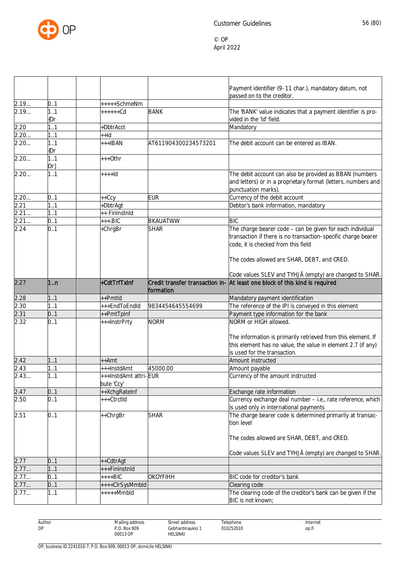

|                   |               |                                     |                      | Payment identifier (9-11 char.), mandatory datum, not<br>passed on to the creditor.                                                                                                                              |
|-------------------|---------------|-------------------------------------|----------------------|------------------------------------------------------------------------------------------------------------------------------------------------------------------------------------------------------------------|
| 2.19              | 0.1           | +++++SchmeNm                        |                      |                                                                                                                                                                                                                  |
| 2.19              | 1.1<br>(Or    | ++++++Cd                            | <b>BANK</b>          | The 'BANK' value indicates that a payment identifier is pro-<br>vided in the 'Id' field.                                                                                                                         |
| 2.20              | 1.1           | +DbtrAcct                           |                      | Mandatory                                                                                                                                                                                                        |
| 2.20              | 1.1           | $++Id$                              |                      |                                                                                                                                                                                                                  |
| 2.20              | 1.1<br>(Or    | $++IBAN$                            | AT611904300234573201 | The debit account can be entered as IBAN.                                                                                                                                                                        |
| 2.20              | 1.1<br>$Or\}$ | $***Other$                          |                      |                                                                                                                                                                                                                  |
| 2.20              | 1.1           | ++++ld                              |                      | The debit account can also be provided as BBAN (numbers<br>and letters) or in a proprietary format (letters, numbers and<br>punctuation marks).                                                                  |
| 2.20              | 0.1           | $++Ccy$                             | <b>EUR</b>           | Currency of the debit account                                                                                                                                                                                    |
| 2.21              | 11            | +DbtrAgt                            |                      | Debtor's bank information, mandatory                                                                                                                                                                             |
| 2.21              | 11            | ++ FinInstnId                       |                      |                                                                                                                                                                                                                  |
| $\overline{2.21}$ | 0.1           | $+++.BIC$                           | <b>BKAUATWW</b>      | <b>BIC</b>                                                                                                                                                                                                       |
| 2.24              | 0.1           | +ChrgBr                             | <b>SHAR</b>          | The charge bearer code - can be given for each individual<br>transaction if there is no transaction-specific charge bearer<br>code, it is checked from this field<br>The codes allowed are SHAR, DEBT, and CRED. |
|                   |               |                                     |                      | Code values SLEV and TYHJÄ (empty) are changed to SHAR.                                                                                                                                                          |
| 2.27              | 1.n           | +CdtTrfTxInf                        | formation            | Credit transfer transaction in- At least one block of this kind is required                                                                                                                                      |
| 2.28              | 1.1           | ++Pmtld                             |                      | Mandatory payment identification                                                                                                                                                                                 |
| 2.30              | 11            | +++EndToEndId                       | 9834454645554699     | The reference of the IPI is conveyed in this element                                                                                                                                                             |
| 2.31              | 0.1           | ++PmtTpInf                          |                      | Payment type information for the bank                                                                                                                                                                            |
| 2.32              | 0.1           | +++InstrPrty                        | <b>NORM</b>          | NORM or HIGH allowed.<br>The information is primarily retrieved from this element. If<br>this element has no value, the value in element 2.7 (if any)<br>is used for the transaction.                            |
| 2.42              | 1.1           | ++Amt                               |                      | Amount instructed                                                                                                                                                                                                |
| 2.43              | 1.1           | +++InstdAmt                         | 45000.00             | Amount payable                                                                                                                                                                                                   |
| 2.43.             | 1.1           | +++InstdAmt attri-EUR<br>bute 'Ccy' |                      | Currency of the amount instructed                                                                                                                                                                                |
| 2.47              | 01            | ++XchgRateInf                       |                      | Exchange rate information                                                                                                                                                                                        |
| 2.50              | 0.1           | +++CtrctId                          |                      | Currency exchange deal number - i.e., rate reference, which<br>is used only in international payments                                                                                                            |
| 2.51              | 0.1           | ++ChrgBr                            | <b>SHAR</b>          | The charge bearer code is determined primarily at transac-<br>tion level                                                                                                                                         |
|                   |               |                                     |                      | The codes allowed are SHAR, DEBT, and CRED.<br>Code values SLEV and TYHJÄ (empty) are changed to SHAR.                                                                                                           |
| 2.77              | 0.1           | ++CdtrAgt                           |                      |                                                                                                                                                                                                                  |
| 2.77              | 1.1           | +++FinInstnId                       |                      |                                                                                                                                                                                                                  |
| 2.77              | 0.1           | ++++BIC                             | <b>OKOYFIHH</b>      | BIC code for creditor's bank                                                                                                                                                                                     |
| 2.77              | 0.1           | ++++ClrSysMmbld                     |                      | Clearing code                                                                                                                                                                                                    |
| 2.77              | 1.1           | $++++Mmbld$                         |                      | The clearing code of the creditor's bank can be given if the<br>BIC is not known;                                                                                                                                |

Author OP Mailing address P.O. Box 909 00013 OP Street address Gebhardinaukio 1 HELSINKI Telephone 010252010 Internet op.fi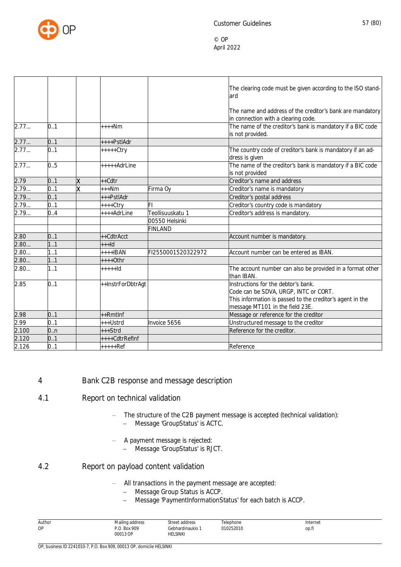

|       |     |   |                   |                    | The clearing code must be given according to the ISO stand-<br>lard                                                                                                          |
|-------|-----|---|-------------------|--------------------|------------------------------------------------------------------------------------------------------------------------------------------------------------------------------|
|       |     |   |                   |                    | The name and address of the creditor's bank are mandatory<br>in connection with a clearing code.                                                                             |
| 2.77  | 0.1 |   | $***Nm$           |                    | The name of the creditor's bank is mandatory if a BIC code<br>is not provided.                                                                                               |
| 2.77  | 0.1 |   | ++++PstlAdr       |                    |                                                                                                                                                                              |
| 2.77  | 0.1 |   | $++++Ctry$        |                    | The country code of creditor's bank is mandatory if an ad-<br>dress is given                                                                                                 |
| 2.77  | 0.5 |   | $++++$ AdrLine    |                    | The name of the creditor's bank is mandatory if a BIC code<br>is not provided                                                                                                |
| 2.79  | 0.1 | x | $++Cdtr$          |                    | Creditor's name and address                                                                                                                                                  |
| 2.79  | 0.1 | X | $***Nm$           | Firma Oy           | Creditor's name is mandatory                                                                                                                                                 |
| 2.79  | 0.1 |   | +++PstlAdr        |                    | Creditor's postal address                                                                                                                                                    |
| 2.79  | 0.1 |   | ++++Ctry          | l۴۱                | Creditor's country code is mandatory                                                                                                                                         |
| 2.79  | 0.4 |   | ++++AdrLine       | Teollisuuskatu 1   | Creditor's address is mandatory.                                                                                                                                             |
|       |     |   |                   | 00550 Helsinki     |                                                                                                                                                                              |
|       |     |   |                   | <b>FINLAND</b>     |                                                                                                                                                                              |
| 2.80  | 0.1 |   | ++CdtrAcct        |                    | Account number is mandatory.                                                                                                                                                 |
| 2.80  | 11  |   | $++$ -Id          |                    |                                                                                                                                                                              |
| 2.80  | 1.1 |   | $++++IBAN$        | FI2550001520322972 | Account number can be entered as IBAN.                                                                                                                                       |
| 2.80  | 1.1 |   | $***+Othr$        |                    |                                                                                                                                                                              |
| 2.80  | 1.1 |   | $+ + + + +$ Id    |                    | The account number can also be provided in a format other<br>than IBAN.                                                                                                      |
| 2.85  | 0.1 |   | ++InstrForDbtrAgt |                    | Instructions for the debtor's bank.<br>Code can be SDVA, URGP, INTC or CORT.<br>This information is passed to the creditor's agent in the<br>message MT101 in the field 23E. |
| 2.98  | 0.1 |   | $++Rmtlnf$        |                    | Message or reference for the creditor                                                                                                                                        |
| 2.99  | 0.1 |   | +++Ustrd          | Invoice 5656       | Unstructured message to the creditor                                                                                                                                         |
| 2.100 | 0n  |   | $***strd$         |                    | Reference for the creditor.                                                                                                                                                  |
| 2.120 | 0.1 |   | ++++CdtrRefInf    |                    |                                                                                                                                                                              |
| 2.126 | 0.1 |   | $***+Ref$         |                    | Reference                                                                                                                                                                    |

## 4 Bank C2B response and message description

- 4.1 Report on technical validation
	- The structure of the C2B payment message is accepted (technical validation): Message 'GroupStatus' is ACTC.
	- A payment message is rejected:<br>- Message 'GroupStatus' is RI
		- Message 'GroupStatus' is RJCT.
- 4.2 Report on payload content validation
	- All transactions in the payment message are accepted:
		- Message Group Status is ACCP.
		- Message 'PaymentInformationStatus' for each batch is ACCP.

| Author | Mailing address           | Street address                    | Telephone | Internet |
|--------|---------------------------|-----------------------------------|-----------|----------|
| OP     | . Box 909<br>D O<br>00013 | Gebhardinaukio<br><b>HELSINKI</b> | 010252010 | op.fi    |
|        | .                         |                                   |           |          |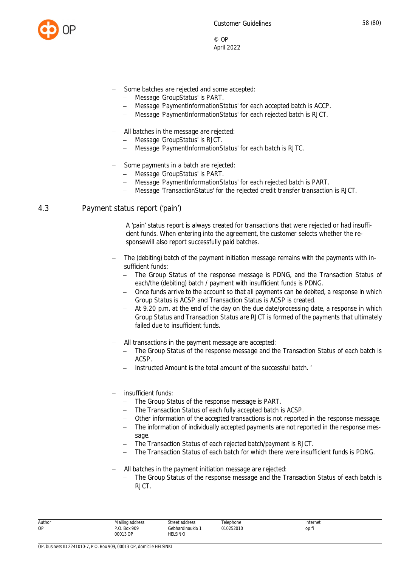

- Some batches are rejected and some accepted:
	- Message 'GroupStatus' is PART.
	- Message 'PaymentInformationStatus' for each accepted batch is ACCP.
	- Message 'PaymentInformationStatus' for each rejected batch is RJCT.
- All batches in the message are rejected:
	- Message 'GroupStatus' is RJCT.
	- Message 'PaymentInformationStatus' for each batch is RJTC.
- Some payments in a batch are rejected:
	- Message 'GroupStatus' is PART.
	- Message 'PaymentInformationStatus' for each rejected batch is PART.
	- Message 'TransactionStatus' for the rejected credit transfer transaction is RJCT.

#### 4.3 Payment status report ('pain')

A 'pain' status report is always created for transactions that were rejected or had insufficient funds. When entering into the agreement, the customer selects whether the responsewill also report successfully paid batches.

- The (debiting) batch of the payment initiation message remains with the payments with insufficient funds:
	- The Group Status of the response message is PDNG, and the Transaction Status of each/the (debiting) batch / payment with insufficient funds is PDNG.
	- Once funds arrive to the account so that all payments can be debited, a response in which Group Status is ACSP and Transaction Status is ACSP is created.
	- At 9.20 p.m. at the end of the day on the due date/processing date, a response in which Group Status and Transaction Status are RJCT is formed of the payments that ultimately failed due to insufficient funds.
- All transactions in the payment message are accepted:
	- The Group Status of the response message and the Transaction Status of each batch is ACSP.
	- Instructed Amount is the total amount of the successful batch. '

#### insufficient funds:

- The Group Status of the response message is PART.
- The Transaction Status of each fully accepted batch is ACSP.
- Other information of the accepted transactions is not reported in the response message.
- The information of individually accepted payments are not reported in the response message.
- The Transaction Status of each rejected batch/payment is RJCT.
- The Transaction Status of each batch for which there were insufficient funds is PDNG.
- All batches in the payment initiation message are rejected:
	- The Group Status of the response message and the Transaction Status of each batch is RJCT.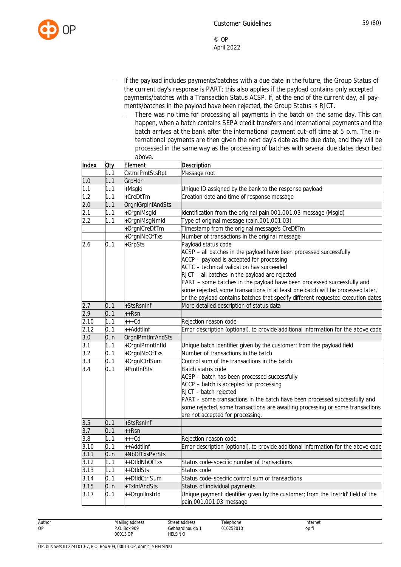

- If the payload includes payments/batches with a due date in the future, the Group Status of the current day's response is PART; this also applies if the payload contains only accepted payments/batches with a Transaction Status ACSP. If, at the end of the current day, all payments/batches in the payload have been rejected, the Group Status is RJCT.
	- There was no time for processing all payments in the batch on the same day. This can happen, when a batch contains SEPA credit transfers and international payments and the batch arrives at the bank after the international payment cut-off time at 5 p.m. The international payments are then given the next day's date as the due date, and they will be processed in the same way as the processing of batches with several due dates described above.

| Index | Oty | Element                  | <b>Description</b>                                                                 |
|-------|-----|--------------------------|------------------------------------------------------------------------------------|
|       | 11  | CstmrPmtStsRpt           | Message root                                                                       |
| 1.0   | 11  | GrpHdr                   |                                                                                    |
| 1.1   | 1.1 | +Msgld                   | Unique ID assigned by the bank to the response payload                             |
| 1.2   | 11  | +CreDtTm                 | Creation date and time of response message                                         |
| 2.0   | 1.1 | <b>OrgnIGrpInfAndSts</b> |                                                                                    |
| 2.1   | 11  | +OrgnlMsgld              | Identification from the original pain.001.001.03 message (Msgld)                   |
| 2.2   | 11  | +OrgnlMsgNmld            | Type of original message (pain.001.001.03)                                         |
|       |     | +OrgnlCreDtTm            | Timestamp from the original message's CreDtTm                                      |
|       |     | +OrgnINbOfTxs            | Number of transactions in the original message                                     |
| 2.6   | 0.1 | +GrpSts                  | Payload status code                                                                |
|       |     |                          | ACSP - all batches in the payload have been processed successfully                 |
|       |     |                          | ACCP - payload is accepted for processing                                          |
|       |     |                          | ACTC - technical validation has succeeded                                          |
|       |     |                          | RJCT - all batches in the payload are rejected                                     |
|       |     |                          | PART - some batches in the payload have been processed successfully and            |
|       |     |                          | some rejected, some transactions in at least one batch will be processed later,    |
|       |     |                          | or the payload contains batches that specify different requested execution dates   |
| 2.7   | 0.1 | +StsRsnInf               | More detailed description of status data                                           |
| 2.9   | 0.1 | $++Rsn$                  |                                                                                    |
| 2.10  | 11  | $***$ Cd                 | Rejection reason code                                                              |
| 2.12  | 0.1 | ++AddtlInf               | Error description (optional), to provide additional information for the above code |
| 3.0   | 0n  | OrgnlPmtInfAndSts        |                                                                                    |
| 3.1   | 1.1 | +OrgnlPmntInfld          | Unique batch identifier given by the customer; from the payload field              |
| 3.2   | 0.1 | +OrgnINbOfTxs            | Number of transactions in the batch                                                |
| 3.3   | 0.1 | +OrgnlCtrlSum            | Control sum of the transactions in the batch                                       |
| 3.4   | 0.1 | +PmtInfSts               | Batch status code                                                                  |
|       |     |                          | ACSP - batch has been processed successfully                                       |
|       |     |                          | ACCP - batch is accepted for processing                                            |
|       |     |                          | RJCT - batch rejected                                                              |
|       |     |                          | PART - some transactions in the batch have been processed successfully and         |
|       |     |                          | some rejected, some transactions are awaiting processing or some transactions      |
|       |     |                          | are not accepted for processing.                                                   |
| 3.5   | 0.1 | +StsRsnInf               |                                                                                    |
| 3.7   | 0.1 | $++Rsn$                  |                                                                                    |
| 3.8   | 1.1 | $***$ Cd                 | Rejection reason code                                                              |
| 3.10  | 0.1 | ++AddtlInf               | Error description (optional), to provide additional information for the above code |
| 3.11  | 0n  | +NbOfTxsPerSts           |                                                                                    |
| 3.12  | 11  | ++DtldNbOfTxs            | Status code-specific number of transactions                                        |
| 3.13  | 1.1 | ++DtldSts                | Status code                                                                        |
| 3.14  | 0.1 | ++DtldCtrlSum            | Status code-specific control sum of transactions                                   |
| 3.15  | 0n  | +TxInfAndSts             | Status of individual payments                                                      |
| 3.17  | 0.1 | ++Orgnllnstrld           | Unique payment identifier given by the customer; from the 'Instrid' field of the   |
|       |     |                          | pain.001.001.03 message                                                            |

Author OP

Street address Gebhardinaukio 1 Telephone 010252010

HELSINKI

OP, business ID 2241010-7, P.O. Box 909, 00013 OP, domicile HELSINKI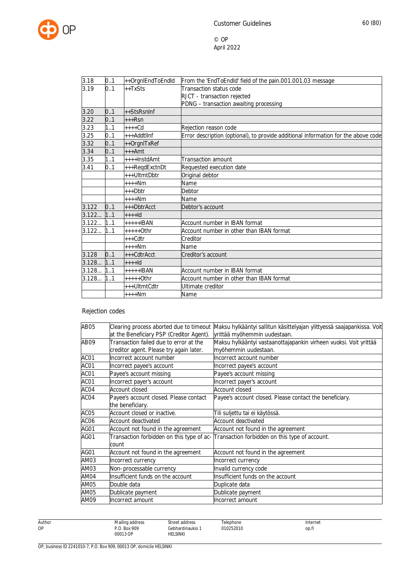

| 3.18  | 0.1 | ++OrgnlEndToEndId | From the 'EndToEndId' field of the pain.001.001.03 message                         |
|-------|-----|-------------------|------------------------------------------------------------------------------------|
| 3.19  | 0.1 | $++TxSts$         | Transaction status code                                                            |
|       |     |                   | RJCT - transaction rejected                                                        |
|       |     |                   | PDNG - transaction awaiting processing                                             |
| 3.20  | 0.1 | $++StsRsnInf$     |                                                                                    |
| 3.22  | 0.1 | $+++Rsn$          |                                                                                    |
| 3.23  | 1.1 | $++++$ Cd         | Rejection reason code                                                              |
| 3.25  | 0.1 | $++$ Addtllnf     | Error description (optional), to provide additional information for the above code |
| 3.32  | 0.1 | ++OrgnITxRef      |                                                                                    |
| 3.34  | 0.1 | $+++Amt$          |                                                                                    |
| 3.35  | 1.1 | $+++$ lnstdAmt    | <b>Transaction amount</b>                                                          |
| 3.41  | 0.1 | +++RegdExctnDt    | Requested execution date                                                           |
|       |     | +++UltmtDbtr      | Original debtor                                                                    |
|       |     | $***Nm$           | Name                                                                               |
|       |     | +++Dbtr           | Debtor                                                                             |
|       |     | $***Nm$           | Name                                                                               |
| 3.122 | 0.1 | $+++DbrA.$        | Debtor's account                                                                   |
| 3.122 | 1.1 | $+++Id$           |                                                                                    |
| 3.122 | 1.1 | $++++IBAN$        | Account number in IBAN format                                                      |
| 3.122 | 1.1 | $***++O$ thr      | Account number in other than IBAN format                                           |
|       |     | +++Cdtr           | Creditor                                                                           |
|       |     | $***Nm$           | Name                                                                               |
| 3.128 | 0.1 | $+++CdtrAcct$     | Creditor's account                                                                 |
| 3.128 | 1.1 | $++++$            |                                                                                    |
| 3.128 | 1.1 | $++++IBAN$        | Account number in IBAN format                                                      |
| 3.128 | 1.1 | +++++0thr         | Account number in other than IBAN format                                           |
|       |     | +++UltmtCdtr      | Ultimate creditor                                                                  |
|       |     | $***Nm$           | Name                                                                               |

# Rejection codes

| AB05             | Clearing process aborted due to timeout  | Maksu hylkääntyi sallitun käsittelyajan ylittyessä saajapankissa. Voit                   |
|------------------|------------------------------------------|------------------------------------------------------------------------------------------|
|                  | at the Beneficiary PSP (Creditor Agent). | yrittää myöhemmin uudestaan.                                                             |
| AB09             | Transaction failed due to error at the   | Maksu hylkääntyi vastaanottajapankin virheen vuoksi. Voit yrittää                        |
|                  | creditor agent. Please try again later.  | myöhemmin uudestaan.                                                                     |
| ACO1             | Incorrect account number                 | Incorrect account number                                                                 |
| ACO1             | Incorrect payee's account                | Incorrect payee's account                                                                |
| ACO1             | Payee's account missing                  | Payee's account missing                                                                  |
| ACO1             | Incorrect payer's account                | Incorrect payer's account                                                                |
| ACO4             | <b>Account closed</b>                    | <b>Account closed</b>                                                                    |
| ACO4             | Payee's account closed. Please contact   | Payee's account closed. Please contact the beneficiary.                                  |
|                  | the beneficiary.                         |                                                                                          |
| ACO <sub>5</sub> | Account closed or inactive.              | Tili suljettu tai ei käytössä.                                                           |
| ACO6             | Account deactivated                      | Account deactivated                                                                      |
| AGO1             | Account not found in the agreement       | Account not found in the agreement                                                       |
| AGO1             |                                          | Transaction forbidden on this type of ac- Transaction forbidden on this type of account. |
|                  | count                                    |                                                                                          |
| AGO1             | Account not found in the agreement       | Account not found in the agreement                                                       |
| AM03             | Incorrect currency                       | Incorrect currency                                                                       |
| AM03             | Non-processable currency                 | Invalid currency code                                                                    |
| AM04             | Insufficient funds on the account        | Insufficient funds on the account                                                        |
| AM05             | Double data                              | Duplicate data                                                                           |
| AM05             | Dublicate payment                        | Dublicate payment                                                                        |
| AM09             | Incorrect amount                         | Incorrect amount                                                                         |

Author OP

Street address Gebhardinaukio 1 Telephone 010252010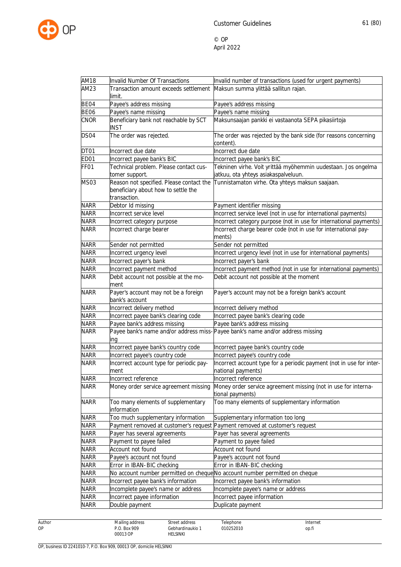

| AM18        | Invalid Number Of Transactions                                                                  | Invalid number of transactions (used for urgent payments)                                             |
|-------------|-------------------------------------------------------------------------------------------------|-------------------------------------------------------------------------------------------------------|
| AM23        | Transaction amount exceeds settlement                                                           | Maksun summa ylittää sallitun rajan.                                                                  |
|             | limit.                                                                                          |                                                                                                       |
| BE04        | Payee's address missing                                                                         | Payee's address missing                                                                               |
| <b>BE06</b> | Payee's name missing                                                                            | Payee's name missing                                                                                  |
| CNOR        | Beneficiary bank not reachable by SCT<br><b>INST</b>                                            | Maksunsaajan pankki ei vastaanota SEPA pikasiirtoja                                                   |
| DS04        | The order was rejected.                                                                         | The order was rejected by the bank side (for reasons concerning                                       |
|             |                                                                                                 | content).                                                                                             |
| DT01        | Incorrect due date                                                                              | Incorrect due date                                                                                    |
| ED01        | Incorrect payee bank's BIC                                                                      | Incorrect payee bank's BIC                                                                            |
| FF01        | Technical problem. Please contact cus-<br>tomer support.                                        | Tekninen virhe. Voit yrittää myöhemmin uudestaan. Jos ongelma<br>jatkuu, ota yhteys asiakaspalveluun. |
| MS03        | Reason not specified. Please contact the<br>beneficiary about how to settle the<br>transaction. | Tunnistamaton virhe. Ota yhteys maksun saajaan.                                                       |
| <b>NARR</b> | Debtor Id missing                                                                               | Payment identifier missing                                                                            |
| <b>NARR</b> | Incorrect service level                                                                         | Incorrect service level (not in use for international payments)                                       |
| <b>NARR</b> | Incorrect category purpose                                                                      | Incorrect category purpose (not in use for international payments)                                    |
| <b>NARR</b> | Incorrect charge bearer                                                                         | Incorrect charge bearer code (not in use for international pay-                                       |
|             |                                                                                                 | ments)                                                                                                |
| <b>NARR</b> | Sender not permitted                                                                            | Sender not permitted                                                                                  |
| <b>NARR</b> | Incorrect urgency level                                                                         | Incorrect urgency level (not in use for international payments)                                       |
| <b>NARR</b> | Incorrect payer's bank                                                                          | Incorrect payer's bank                                                                                |
| <b>NARR</b> | Incorrect payment method                                                                        | Incorrect payment method (not in use for international payments)                                      |
| <b>NARR</b> | Debit account not possible at the mo-<br>ment                                                   | Debit account not possible at the moment                                                              |
| <b>NARR</b> | Payer's account may not be a foreign<br>bank's account                                          | Payer's account may not be a foreign bank's account                                                   |
| <b>NARR</b> | Incorrect delivery method                                                                       | Incorrect delivery method                                                                             |
| <b>NARR</b> | Incorrect payee bank's clearing code                                                            | Incorrect payee bank's clearing code                                                                  |
| <b>NARR</b> | Payee bank's address missing                                                                    | Payee bank's address missing                                                                          |
| <b>NARR</b> | ing                                                                                             | Payee bank's name and/or address miss-Payee bank's name and/or address missing                        |
| <b>NARR</b> | Incorrect payee bank's country code                                                             | Incorrect payee bank's country code                                                                   |
| <b>NARR</b> | Incorrect payee's country code                                                                  | Incorrect payee's country code                                                                        |
| <b>NARR</b> | Incorrect account type for periodic pay-                                                        | Incorrect account type for a periodic payment (not in use for inter-                                  |
|             | ment                                                                                            | national payments)                                                                                    |
| NARR        | Incorrect reference                                                                             | Incorrect reference                                                                                   |
| NARR        | Money order service agreement missing                                                           | Money order service agreement missing (not in use for interna-<br>tional payments)                    |
| <b>NARR</b> | Too many elements of supplementary<br>information                                               | Too many elements of supplementary information                                                        |
| <b>NARR</b> | Too much supplementary information                                                              | Supplementary information too long                                                                    |
| <b>NARR</b> |                                                                                                 | Payment removed at customer's request Payment removed at customer's request                           |
| NARR        | Payer has several agreements                                                                    | Payer has several agreements                                                                          |
| <b>NARR</b> | Payment to payee failed                                                                         | Payment to payee failed                                                                               |
| <b>NARR</b> | Account not found                                                                               | Account not found                                                                                     |
| NARR        | Payee's account not found                                                                       | Payee's account not found                                                                             |
| <b>NARR</b> | Error in IBAN-BIC checking                                                                      | Error in IBAN-BIC checking                                                                            |
| NARR        |                                                                                                 | No account number permitted on cheque No account number permitted on cheque                           |
| NARR        | Incorrect payee bank's information                                                              | Incorrect payee bank's information                                                                    |
| <b>NARR</b> | Incomplete payee's name or address                                                              | Incomplete payee's name or address                                                                    |
| <b>NARR</b> | Incorrect payee information                                                                     | Incorrect payee information                                                                           |
| <b>NARR</b> | Double payment                                                                                  | Duplicate payment                                                                                     |

Author OP

Street address Gebhardinaukio 1 Telephone 010252010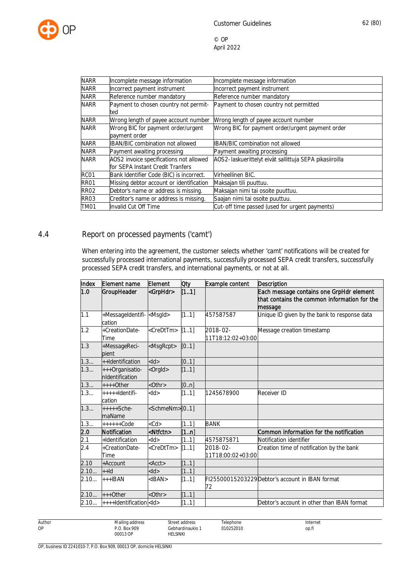

| <b>NARR</b> | Incomplete message information           | Incomplete message information                          |  |  |
|-------------|------------------------------------------|---------------------------------------------------------|--|--|
| <b>NARR</b> | Incorrect payment instrument             | Incorrect payment instrument                            |  |  |
| <b>NARR</b> | Reference number mandatory               | Reference number mandatory                              |  |  |
| <b>NARR</b> | Payment to chosen country not permit-    | Payment to chosen country not permitted                 |  |  |
|             | ted                                      |                                                         |  |  |
| <b>NARR</b> | Wrong length of payee account number     | Wrong length of payee account number                    |  |  |
| <b>NARR</b> | Wrong BIC for payment order/urgent       | Wrong BIC for payment order/urgent payment order        |  |  |
|             | payment order                            |                                                         |  |  |
| <b>NARR</b> | <b>IBAN/BIC combination not allowed</b>  | <b>IBAN/BIC combination not allowed</b>                 |  |  |
| <b>NARR</b> | Payment awaiting processing              | Payment awaiting processing                             |  |  |
| <b>NARR</b> | AOS2 invoice specifications not allowed  | AOS2-laskuerittelyt eivät sallittuja SEPA pikasiiroilla |  |  |
|             | for SEPA Instant Credit Tranfers         |                                                         |  |  |
| RC01        | Bank Identifier Code (BIC) is incorrect. | Virheellinen BIC.                                       |  |  |
| RR01        | Missing debtor account or identification | Maksajan tili puuttuu.                                  |  |  |
| <b>RR02</b> | Debtor's name or address is missing.     | Maksajan nimi tai osoite puuttuu.                       |  |  |
| RR03        | Creditor's name or address is missing.   | Saajan nimi tai osoite puuttuu.                         |  |  |
| TM01        | Invalid Cut Off Time                     | Cut-off time passed (used for urgent payments)          |  |  |

## 4.4 Report on processed payments ('camt')

When entering into the agreement, the customer selects whether 'camt' notifications will be created for successfully processed international payments, successfully processed SEPA credit transfers, successfully processed SEPA credit transfers, and international payments, or not at all.

| Index | Element name                                 | Element                 | Oty   | Example content               | Description                                                                                         |
|-------|----------------------------------------------|-------------------------|-------|-------------------------------|-----------------------------------------------------------------------------------------------------|
| 1.0   | GroupHeader                                  | <grphdr></grphdr>       | [11]  |                               | Each message contains one GrpHdr element<br>that contains the common information for the<br>message |
| 1.1   | +MessageIdentifi- <msgld><br/>cation</msgld> |                         | [11]  | 457587587                     | Unique ID given by the bank to response data                                                        |
| 1.2   | +CreationDate-<br>Time                       | <credttm></credttm>     | [11]  | 2018-02-<br>11T18:12:02+03:00 | Message creation timestamp                                                                          |
| 1.3   | +MessageReci-<br>pient                       | <msgrcpt></msgrcpt>     | [0.1] |                               |                                                                                                     |
| 1.3   | ++Identification                             | $<$ ld $>$              | [0.1] |                               |                                                                                                     |
| 1.3   | +++Organisatio-<br>nIdentification           | <orgld></orgld>         | [11]  |                               |                                                                                                     |
| 1.3   | $***+Other$                                  | <0thr>                  | [0n]  |                               |                                                                                                     |
| 1.3   | +++++ldentifi-<br>cation                     | $<$ ld $>$              | [11]  | 1245678900                    | <b>Receiver ID</b>                                                                                  |
| 1.3   | +++++Sche-<br>maName                         | <schmenm>[01]</schmenm> |       |                               |                                                                                                     |
| 1.3   | $+++++Code$                                  | $<$ Cd $>$              | [11]  | <b>BANK</b>                   |                                                                                                     |
| 2.0   | Notification                                 | <ntfctn></ntfctn>       | [1n]  |                               | Common information for the notification                                                             |
| 2.1   | +Identification                              | $<$ ld $>$              | [11]  | 4575875871                    | Notification identifier                                                                             |
| 2.4   | +CreationDate-<br><b>Time</b>                | <credttm></credttm>     | [11]  | 2018-02-<br>11T18:00:02+03:00 | Creation time of notification by the bank                                                           |
| 2.10  | +Account                                     | ACC                     | [11]  |                               |                                                                                                     |
| 2.10  | $+$ -Id                                      | $<$ ld $>$              | [11]  |                               |                                                                                                     |
| 2.10  | $+++IBAN$                                    | $<$ IBAN $>$            | [11]  | 72                            | FI25500015203229Debtor's account in IBAN format                                                     |
| 2.10  | $+++0$ ther                                  | $<$ Othr $>$            | [11]  |                               |                                                                                                     |
| 2.10  | ++++Identification <ld></ld>                 |                         | [11]  |                               | Debtor's account in other than IBAN format                                                          |

Author OP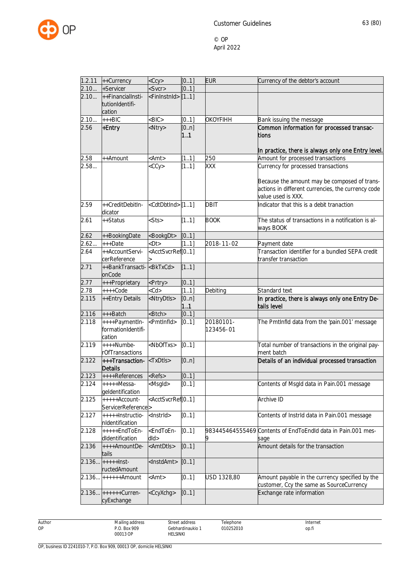

| 1.2.11 | ++Currency                                           | $<$ Ccy $>$                                                                                                                                     | [0.1]       | <b>EUR</b>             | Currency of the debtor's account                                                                                         |
|--------|------------------------------------------------------|-------------------------------------------------------------------------------------------------------------------------------------------------|-------------|------------------------|--------------------------------------------------------------------------------------------------------------------------|
| 2.10   | +Servicer                                            | <svcr></svcr>                                                                                                                                   | [0.1]       |                        |                                                                                                                          |
| 2.10   | ++FinancialInsti-<br>tutionIdentifi-<br>cation       | <fininstnid> [11]</fininstnid>                                                                                                                  |             |                        |                                                                                                                          |
| 2.10   | $++BIC$                                              | $-BIC$                                                                                                                                          | [0.1]       | <b>OKOYFIHH</b>        | Bank issuing the message                                                                                                 |
| 2.56   | +Entry                                               | <ntry></ntry>                                                                                                                                   | [0n]<br>1.1 |                        | Common information for processed transac-<br><b>tions</b><br>In practice, there is always only one Entry level.          |
| 2.58   | ++Amount                                             | <amt></amt>                                                                                                                                     | [11]        | 250                    | Amount for processed transactions                                                                                        |
| 2.58   |                                                      | $<$ CCy $>$                                                                                                                                     | [11]        | XXX                    | Currency for processed transactions                                                                                      |
|        |                                                      |                                                                                                                                                 |             |                        | Because the amount may be composed of trans-<br>actions in different currencies, the currency code<br>value used is XXX. |
| 2.59   | ++CreditDebitIn-<br>dicator                          | <cdtdbtind>[11]</cdtdbtind>                                                                                                                     |             | <b>DBIT</b>            | Indicator that this is a debit tranaction                                                                                |
| 2.61   | ++Status                                             | $<$ Sts>                                                                                                                                        | [11]        | <b>BOOK</b>            | The status of transactions in a notification is al-<br>ways BOOK                                                         |
| 2.62   | ++BookingDate                                        | <bookgdt></bookgdt>                                                                                                                             | [0.1]       |                        |                                                                                                                          |
| 2.62   | +++Date                                              | $<$ Dt $>$                                                                                                                                      | [11]        | 2018-11-02             | Payment date                                                                                                             |
| 2.64   | ++AccountServi-<br>cerReference                      | <acctsvcrref[01]< td=""><td></td><td></td><td>Transaction identifier for a bundled SEPA credit<br/>transfer transaction</td></acctsvcrref[01]<> |             |                        | Transaction identifier for a bundled SEPA credit<br>transfer transaction                                                 |
| 2.71   | ++BankTransacti- <bktxcd><br/>onCode</bktxcd>        |                                                                                                                                                 | [11]        |                        |                                                                                                                          |
| 2.77   | +++Proprietary                                       | <prtry></prtry>                                                                                                                                 | [0.1]       |                        |                                                                                                                          |
| 2.78   | $***$ Code                                           | $<$ Cd $>$                                                                                                                                      | [11]        | Debiting               | Standard text                                                                                                            |
| 2.115  | ++Entry Details                                      | <ntrydtls></ntrydtls>                                                                                                                           | [0n]<br>11  |                        | In practice, there is always only one Entry De-<br>tails level                                                           |
| 2.116  | $++$ Batch                                           | <btch></btch>                                                                                                                                   | [01]        |                        |                                                                                                                          |
| 2.118  | ++++PaymentIn-<br>formationIdentifi-<br>cation       | <pmtlnfld></pmtlnfld>                                                                                                                           | [01]        | 20180101-<br>123456-01 | The PmtInfld data from the 'pain.001' message                                                                            |
| 2.119  | ++++Numbe-<br>rOfTransactions                        | <nboftxs></nboftxs>                                                                                                                             | [01]        |                        | Total number of transactions in the original pay-<br>ment batch                                                          |
| 2.122  | +++Transaction- <txdtls><br/><b>Details</b></txdtls> |                                                                                                                                                 | [0n]        |                        | Details of an individual processed transaction                                                                           |
|        | $2.123$ $++++$ References $\leq$ Refs>               |                                                                                                                                                 | [0.1]       |                        |                                                                                                                          |
| 2.124  | $+++++Messa-$<br>geldentification                    | <msgld></msgld>                                                                                                                                 | [0.1]       |                        | Contents of Msgld data in Pain.001 message                                                                               |
| 2.125  | $++++$ Account-<br>ServicerReference>                | <acctsvcrref[01]< td=""><td></td><td></td><td><b>Archive ID</b></td></acctsvcrref[01]<>                                                         |             |                        | <b>Archive ID</b>                                                                                                        |
| 2.127  | +++++Instructio-<br>nIdentification                  | <lnstrld></lnstrld>                                                                                                                             | [0.1]       |                        | Contents of Instrid data in Pain.001 message                                                                             |
| 2.128  | +++++EndToEn-<br>dIdentification                     | <endtoen-<br><math>d</math>ld<math>&gt;</math></endtoen-<br>                                                                                    | [01]        |                        | 983445464555469 Contents of EndToEndld data in Pain.001 mes-<br>sage                                                     |
| 2.136  | ++++AmountDe-<br>tails                               | <amtdtls></amtdtls>                                                                                                                             | [01]        |                        | Amount details for the transaction                                                                                       |
|        | $2.136$ +++++lnst-<br>ructedAmount                   | <instdamt></instdamt>                                                                                                                           | [0.1]       |                        |                                                                                                                          |
|        | $2.136$ ++++++Amount                                 | <amt></amt>                                                                                                                                     | [01]        | USD 1328,80            | Amount payable in the currency specified by the<br>customer, Ccy the same as SourceCurrency                              |
|        | 2.136 ++++++Curren-<br>cyExchange                    | <ccyxchg></ccyxchg>                                                                                                                             | [01]        |                        | Exchange rate information                                                                                                |

Author OP

Telephone 010252010

Street address Gebhardinaukio 1 HELSINKI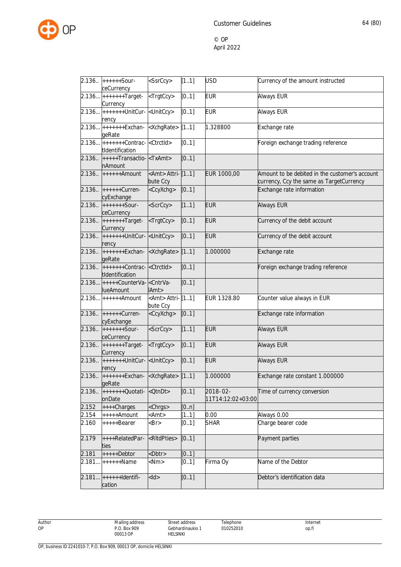

|        | 2.136 ++++++Sour-<br>ceCurrency                                    | <ssrccy></ssrccy>                   | [11]  | <b>USD</b>                    | Currency of the amount instructed                                                          |
|--------|--------------------------------------------------------------------|-------------------------------------|-------|-------------------------------|--------------------------------------------------------------------------------------------|
|        | 2.136 ++++++++Target- <trgtccy><br/>Currency</trgtccy>             |                                     | [0.1] | <b>EUR</b>                    | Always EUR                                                                                 |
|        | 2.136 ++++++++UnitCur- <unitccy><br/>rency</unitccy>               |                                     | [0.1] | <b>EUR</b>                    | Always EUR                                                                                 |
|        | 2.136 <sup> +++++++</sup> Exchan- <xchgrate><br/>geRate</xchgrate> |                                     | [11]  | 1.328800                      | Exchange rate                                                                              |
|        | tIdentification                                                    |                                     | [0.1] |                               | Foreign exchange trading reference                                                         |
|        | 2.136. +++++Transactio- <txamt><br/>nAmount</txamt>                |                                     | [01]  |                               |                                                                                            |
|        | $2.136.$ ++++++Amount                                              | <amt> Attri-[11]<br/>bute Ccy</amt> |       | EUR 1000,00                   | Amount to be debited in the customer's account<br>currency, Ccy the same as TargetCurrency |
|        | 2.136 ++++++Curren-<br>cyExchange                                  | <ccyxchg></ccyxchg>                 | [01]  |                               | Exchange rate information                                                                  |
|        | $2.136.$ +++++++Sour-<br>ceCurrency                                | <scrccy></scrccy>                   | [11]  | <b>EUR</b>                    | <b>Always EUR</b>                                                                          |
| 2.136. | $+++++Target-$<br>Currency                                         | <trgtccy></trgtccy>                 | [01]  | <b>EUR</b>                    | Currency of the debit account                                                              |
| 2.136. | $ $ +++++++UnitCur- $ $ <unitccy><br/>rency</unitccy>              |                                     | [01]  | <b>EUR</b>                    | Currency of the debit account                                                              |
|        | 2.136. $ $ +++++++Exchan- $ $ <xchgrate><br/>geRate</xchgrate>     |                                     | [11]  | 1.000000                      | Exchange rate                                                                              |
|        | 2.136. ++++++++Contrac- <ctrctid><br/>tIdentification</ctrctid>    |                                     | [01]  |                               | Foreign exchange trading reference                                                         |
|        | 2.136 +++++CounterVa- <cntrva-<br><b>lueAmount</b></cntrva-<br>    | IAmt>                               | [01]  |                               |                                                                                            |
|        | $2.136$ ++++++Amount                                               | <amt> Attri-[11]<br/>bute Ccy</amt> |       | EUR 1328.80                   | Counter value always in EUR                                                                |
|        | 2.136 ++++++Curren-<br>cyExchange                                  | <ccyxchg></ccyxchg>                 | [01]  |                               | Exchange rate information                                                                  |
| 2.136  | $++***+Sour-$<br>ceCurrency                                        | <scrccy></scrccy>                   | [11]  | <b>EUR</b>                    | <b>Always EUR</b>                                                                          |
| 2.136  | $+$ +++++++Target-<br>Currency                                     | <trgtccy></trgtccy>                 | [01]  | <b>EUR</b>                    | <b>Always EUR</b>                                                                          |
|        | 2.136. ++++++++UnitCur- <unitccy><br/>rency</unitccy>              |                                     | [01]  | <b>EUR</b>                    | <b>Always EUR</b>                                                                          |
|        | 2.136 ++++++++Exchan- <xchgrate> [11]<br/>geRate</xchgrate>        |                                     |       | 1.000000                      | Exchange rate constant 1.000000                                                            |
| 2.136. | $+$ ++++++Quotati- $ $ <qtndt><br/>onDate</qtndt>                  |                                     | [01]  | 2018-02-<br>11T14:12:02+03:00 | Time of currency conversion                                                                |
| 2.152  | ++++Charges                                                        | <chrgs></chrgs>                     | [0n]  |                               |                                                                                            |
| 2.154  | +++++Amount                                                        | <amt></amt>                         | [11]  | 0.00                          | Always 0.00                                                                                |
| 2.160  | +++++Bearer                                                        | $-Br$                               | [01]  | <b>SHAR</b>                   | Charge bearer code                                                                         |
| 2.179  | ++++RelatedPar-<br>ties                                            | <ritdpties></ritdpties>             | [01]  |                               | Payment parties                                                                            |
| 2.181  | $++++-Dektor$                                                      | <dbtr></dbtr>                       | [0.1] |                               |                                                                                            |
| 2.181. | $++++$ -Mame                                                       | $<$ Nm $>$                          | [0.1] | Firma Oy                      | Name of the Debtor                                                                         |
| 2.181  | $+$ +++++ $\text{Identity}$<br>cation                              | $<$ ld $>$                          | [01]  |                               | Debtor's identification data                                                               |

Author OP

Street address Gebhardinaukio 1 HELSINKI

Telephone 010252010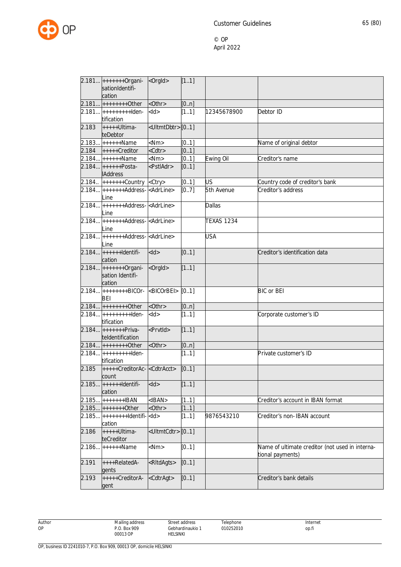

|        | 2.181 ++++++++0rgani-<br>sationIdentifi-<br>cation                     | <orgld></orgld>             | [11]  |                   |                                                                     |
|--------|------------------------------------------------------------------------|-----------------------------|-------|-------------------|---------------------------------------------------------------------|
|        | 2.181 +++++++++0ther                                                   | <0thr>                      | [0n]  |                   |                                                                     |
|        | 2.181 ++++++++++lden-<br>tification                                    | $<$ ld>                     | [11]  | 12345678900       | Debtor ID                                                           |
| 2.183  | +++++Ultima-<br>teDebtor                                               | <ultmtdbtr>[01]</ultmtdbtr> |       |                   |                                                                     |
|        | $2.183$ ++++++Name                                                     | $<$ Nm $>$                  | [01]  |                   | Name of original debtor                                             |
| 2.184  | $+++++Creditor$                                                        | <cdtr></cdtr>               | [01]  |                   |                                                                     |
|        | 2.184 ++++++Name                                                       | $<$ Nm $>$                  | [0.1] | Ewing Oil         | Creditor's name                                                     |
|        | 2.184 +++++++Posta-<br><b>IAddress</b>                                 | <pstladr></pstladr>         | [01]  |                   |                                                                     |
|        | 2.184 ++++++++Country < Ctry>                                          |                             | [01]  | <b>US</b>         | Country code of creditor's bank                                     |
|        | 2.184 ++++++++Address- <adrline><br/>Line</adrline>                    |                             | [07]  | 5th Avenue        | Creditor's address                                                  |
| 2.184  | $+$ ++++++ $+$ Address- $\leq$ AdrLine><br>Line                        |                             |       | <b>Dallas</b>     |                                                                     |
|        | $2.184$ +++++++Address- $\overline{\overline{\text{AdrLine}}}$<br>Line |                             |       | <b>TEXAS 1234</b> |                                                                     |
| 2.184  | $+$ ++++++ $+$ Address- $\leq$ AdrLine><br>Line                        |                             |       | <b>USA</b>        |                                                                     |
|        | $2.184$ ++++++ldentifi-<br>cation                                      | $<$ ld $>$                  | [01]  |                   | Creditor's identification data                                      |
|        | 2.184 ++++++++0rgani-<br>sation Identifi-<br>cation                    | <orgld></orgld>             | [11]  |                   |                                                                     |
|        | 2.184 +++++++++BICOr-<br><b>BEI</b>                                    | <bicorbei></bicorbei>       | [0.1] |                   | <b>BIC</b> or <b>BEI</b>                                            |
|        | 2.184 +++++++++0ther                                                   | <0thr>                      | [0n]  |                   |                                                                     |
|        | 2.184 ++++++++++lden-<br>tification                                    | $<$ ld>                     | [11]  |                   | Corporate customer's ID                                             |
|        | $2.184$ +++++++Priva-<br>teldentification                              | <prvtid></prvtid>           | [11]  |                   |                                                                     |
|        | $2.184$ +++++++++0ther                                                 | <0thr>                      | [0n]  |                   |                                                                     |
| 2.184  | $+++++++lden-$<br>tification                                           |                             | [11]  |                   | Private customer's ID                                               |
| 2.185  | +++++CreditorAc- <cdtracct><br/>count</cdtracct>                       |                             | [0.1] |                   |                                                                     |
|        | 2.185 +++++++ Identifi-<br>cation                                      | $<$ ld $>$                  | [11]  |                   |                                                                     |
| 2.185  | +++++++IBAN                                                            | $<$ IBAN $>$                | [11]  |                   | Creditor's account in IBAN format                                   |
| 2.185. | $+***++Other$                                                          | <0thr>                      | [11]  |                   |                                                                     |
| 2.185… | $+++++++$ -Identifi- <ld><br/>cation</ld>                              |                             | [11]  | 9876543210        | Creditor's non-IBAN account                                         |
| 2.186  | +++++Ultima-<br>teCreditor                                             | <ultmtcdtr>[01]</ultmtcdtr> |       |                   |                                                                     |
| 2.186. | ++++++Name                                                             | $<$ Nm $>$                  | [01]  |                   | Name of ultimate creditor (not used in interna-<br>tional payments) |
| 2.191  | ++++RelatedA-<br>gents                                                 | <ritdagts></ritdagts>       | [01]  |                   |                                                                     |
| 2.193  | +++++CreditorA-<br>gent                                                | <cdtragt></cdtragt>         | [01]  |                   | Creditor's bank details                                             |

Author OP

Gebhardinaukio 1 Telephone 010252010

Street address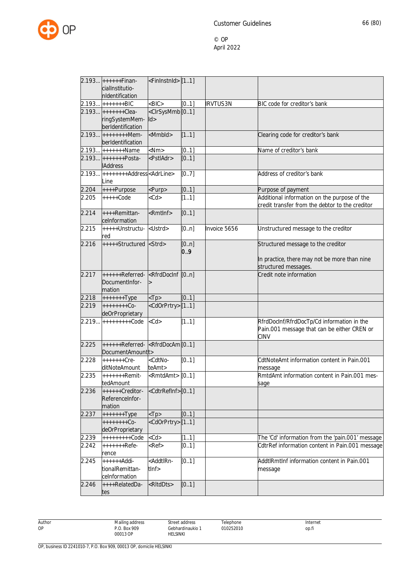

|       | 2.193 ++++++Finan-                                             | <fininstnid> [11]</fininstnid>                                                                          |       |                 |                                                  |
|-------|----------------------------------------------------------------|---------------------------------------------------------------------------------------------------------|-------|-----------------|--------------------------------------------------|
|       | cialInstitutio-                                                |                                                                                                         |       |                 |                                                  |
|       | nIdentification                                                |                                                                                                         |       |                 |                                                  |
|       | 2.193 +++++++BIC                                               | $<$ BIC $>$                                                                                             | [01]  | <b>IRVTUS3N</b> | BIC code for creditor's bank                     |
|       | 2.193 +++++++Clea-                                             | <clrsysmmb<sup>[01]</clrsysmmb<sup>                                                                     |       |                 |                                                  |
|       | ringSystemMem- Id>                                             |                                                                                                         |       |                 |                                                  |
|       | berIdentification                                              |                                                                                                         |       |                 |                                                  |
|       |                                                                |                                                                                                         |       |                 |                                                  |
| 2.193 | $+ + + + + + + +$ Mem-                                         | <mmbld></mmbld>                                                                                         | [11]  |                 | Clearing code for creditor's bank                |
|       | berIdentification                                              |                                                                                                         |       |                 |                                                  |
|       | 2.193 +++++++Name                                              | $<$ Nm $>$                                                                                              | [01]  |                 | Name of creditor's bank                          |
|       | 2.193 +++++++Posta-                                            | <pstladr></pstladr>                                                                                     | [01]  |                 |                                                  |
|       | <b>IAddress</b>                                                |                                                                                                         |       |                 |                                                  |
| 2.193 | ++++++++Address <adrline></adrline>                            |                                                                                                         | [07]  |                 | Address of creditor's bank                       |
|       | Line                                                           |                                                                                                         |       |                 |                                                  |
| 2.204 | ++++Purpose                                                    | <purp></purp>                                                                                           | [01]  |                 | Purpose of payment                               |
| 2.205 | $++++$ Code                                                    | $<$ Cd $>$                                                                                              | [11]  |                 | Additional information on the purpose of the     |
|       |                                                                |                                                                                                         |       |                 | credit transfer from the debtor to the creditor  |
|       |                                                                |                                                                                                         |       |                 |                                                  |
| 2.214 | ++++Remittan-                                                  | <rmtlnf></rmtlnf>                                                                                       | [01]  |                 |                                                  |
|       | ceInformation                                                  |                                                                                                         |       |                 |                                                  |
| 2.215 | +++++Unstructu- <ustrd></ustrd>                                |                                                                                                         | [0n]  | Invoice 5656    | Unstructured message to the creditor             |
|       | red                                                            |                                                                                                         |       |                 |                                                  |
| 2.216 | +++++Structured <strd></strd>                                  |                                                                                                         | [0n]  |                 | Structured message to the creditor               |
|       |                                                                |                                                                                                         | 0.9   |                 |                                                  |
|       |                                                                |                                                                                                         |       |                 | In practice, there may not be more than nine     |
|       |                                                                |                                                                                                         |       |                 | structured messages.                             |
| 2.217 | $+++++Referred-$                                               | <rfrddocinf [0n]<="" td=""><td></td><td></td><td>Credit note information</td></rfrddocinf>              |       |                 | Credit note information                          |
|       | DocumentInfor-                                                 |                                                                                                         |       |                 |                                                  |
|       | mation                                                         |                                                                                                         |       |                 |                                                  |
|       |                                                                |                                                                                                         |       |                 |                                                  |
| 2.218 | $+++++Type$                                                    | $<$ Tp>                                                                                                 | [01]  |                 |                                                  |
| 2.219 | $++++++CO-$                                                    | <cdorprtry>[11]</cdorprtry>                                                                             |       |                 |                                                  |
|       | deOrProprietary                                                |                                                                                                         |       |                 |                                                  |
| 2.219 | +++++++++Code                                                  | $<$ Cd $>$                                                                                              | [11]  |                 | RfrdDocInf/RfrdDocTp/Cd information in the       |
|       |                                                                |                                                                                                         |       |                 | Pain.001 message that can be either CREN or      |
|       |                                                                |                                                                                                         |       |                 | <b>CINV</b>                                      |
| 2.225 | $ $ ++++++Referred- $ $ <rfrddocam<math> [01]</rfrddocam<math> |                                                                                                         |       |                 |                                                  |
|       | DocumentAmountt>                                               |                                                                                                         |       |                 |                                                  |
| 2.228 | $***+++Cre-$                                                   | <cdtno-< td=""><td>[01]</td><td></td><td>CdtNoteAmt information content in Pain.001</td></cdtno-<>      | [01]  |                 | CdtNoteAmt information content in Pain.001       |
|       | ditNoteAmount                                                  | teAmt>                                                                                                  |       |                 | message                                          |
| 2.235 | +++++++Remit-                                                  | <rmtdamt> [01]</rmtdamt>                                                                                |       |                 | RmtdAmt information content in Pain.001 mes-     |
|       |                                                                |                                                                                                         |       |                 |                                                  |
|       | tedAmount                                                      |                                                                                                         |       |                 | sage                                             |
| 2.236 | ++++++Creditor-                                                | <cdtrrefinf>[01]</cdtrrefinf>                                                                           |       |                 |                                                  |
|       | ReferenceInfor-                                                |                                                                                                         |       |                 |                                                  |
|       | mation                                                         |                                                                                                         |       |                 |                                                  |
| 2.237 | $+++++Type$                                                    | $<$ Tp $>$                                                                                              | [0.1] |                 |                                                  |
|       | ++++++++Co-                                                    | <cdorprtry>[11]</cdorprtry>                                                                             |       |                 |                                                  |
|       | deOrProprietary                                                |                                                                                                         |       |                 |                                                  |
| 2.239 | +++++++++Code                                                  | $<$ Cd $>$                                                                                              | [11]  |                 | The 'Cd' information from the 'pain.001' message |
| 2.242 | +++++++Refe-                                                   | $Ref$                                                                                                   | [0.1] |                 | CdtrRef information content in Pain.001 message  |
|       | rence                                                          |                                                                                                         |       |                 |                                                  |
| 2.245 | $+++++Addi-$                                                   | <addtlrn-< td=""><td>[01]</td><td></td><td>AddtlRmtInf information content in Pain.001</td></addtlrn-<> | [01]  |                 | AddtlRmtInf information content in Pain.001      |
|       |                                                                |                                                                                                         |       |                 |                                                  |
|       | tionalRemittan-                                                | tInf>                                                                                                   |       |                 | message                                          |
|       | ceInformation                                                  |                                                                                                         |       |                 |                                                  |
| 2.246 | ++++RelatedDa-                                                 | <ritddts></ritddts>                                                                                     | [01]  |                 |                                                  |
|       | tes                                                            |                                                                                                         |       |                 |                                                  |

Author OP

Telephone 010252010

Street address Gebhardinaukio 1 HELSINKI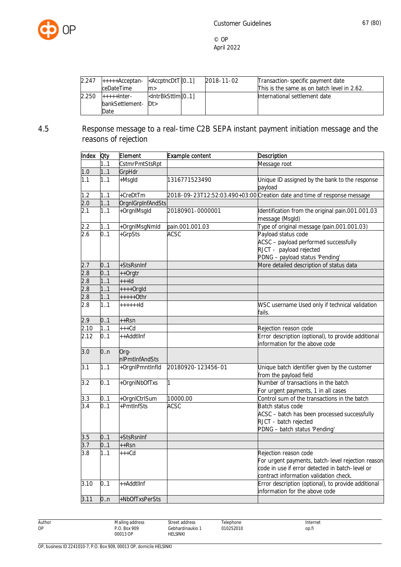

| 2.247 | $+$ ++++ $A$ cceptan- $\leq$ AccptncDtT $[01]$ |                                                                                              | 2018-11-02 | Transaction-specific payment date           |
|-------|------------------------------------------------|----------------------------------------------------------------------------------------------|------------|---------------------------------------------|
|       | ceDateTime                                     | lm>                                                                                          |            | This is the same as on batch level in 2.62. |
| 2.250 | $+++++$ Inter-                                 | <lntrbksttlml[01]< td=""><td></td><td>International settlement date</td></lntrbksttlml[01]<> |            | International settlement date               |
|       | bankSettlement- Dt>                            |                                                                                              |            |                                             |
|       | Date                                           |                                                                                              |            |                                             |

# 4.5 Response message to a real-time C2B SEPA instant payment initiation message and the reasons of rejection

| Index            | Oty | Element                | Example content    | <b>Description</b>                                                                                                                                                      |
|------------------|-----|------------------------|--------------------|-------------------------------------------------------------------------------------------------------------------------------------------------------------------------|
|                  | 1.1 | CstmrPmtStsRpt         |                    | Message root                                                                                                                                                            |
| 1.0              | 11  | GrpHdr                 |                    |                                                                                                                                                                         |
| 1.1              | 11  | +Msgld                 | 1316771523490      | Unique ID assigned by the bank to the response<br>payload                                                                                                               |
| 1.2              | 11  | +CreDtTm               |                    | 2018-09-23T12:52:03.490+03:00 Creation date and time of response message                                                                                                |
| 2.0              | 11  | OrgnlGrpInfAndSts      |                    |                                                                                                                                                                         |
| 2.1              | 11  | +OrgnlMsgld            | 20180901-0000001   | Identification from the original pain.001.001.03<br>message (Msgld)                                                                                                     |
| 2.2              | 1.1 | +OrgnlMsgNmld          | pain.001.001.03    | Type of original message (pain.001.001.03)                                                                                                                              |
| 2.6              | 0.1 | +GrpSts                | <b>ACSC</b>        | Payload status code<br>ACSC - payload performed successfully<br>RJCT - payload rejected<br>PDNG - payload status 'Pending'                                              |
| 2.7              | 0.1 | +StsRsnInf             |                    | More detailed description of status data                                                                                                                                |
| 2.8              | 0.1 | ++Orgtr                |                    |                                                                                                                                                                         |
| $\overline{2.8}$ | 1.1 | $++$ -Id               |                    |                                                                                                                                                                         |
| 2.8              | 1.1 | $++++$ Orgld           |                    |                                                                                                                                                                         |
| 2.8              | 11  | $++++-0$ thr           |                    |                                                                                                                                                                         |
| 2.8              | 1.1 | $+++++Id$              |                    | WSC username Used only if technical validation<br>fails.                                                                                                                |
| 2.9              | 0.1 | $++Rsn$                |                    |                                                                                                                                                                         |
| 2.10             | 11  | $+++Cd$                |                    | Rejection reason code                                                                                                                                                   |
| 2.12             | 0.1 | ++AddtlInf             |                    | Error description (optional), to provide additional<br>information for the above code                                                                                   |
| 3.0              | 0n  | Org-<br>nlPmtInfAndSts |                    |                                                                                                                                                                         |
| 3.1              | 1.1 | +OrgnlPmntInfld        | 20180920-123456-01 | Unique batch identifier given by the customer<br>from the payload field                                                                                                 |
| 3.2              | 0.1 | +OrgnINbOfTxs          | $\mathbf{1}$       | Number of transactions in the batch<br>For urgent payments, 1 in all cases                                                                                              |
| 3.3              | 0.1 | +OrgnlCtrlSum          | 10000.00           | Control sum of the transactions in the batch                                                                                                                            |
| 3.4              | 0.1 | +PmtInfSts             | <b>ACSC</b>        | Batch status code<br>ACSC - batch has been processed successfully<br>RJCT - batch rejected<br>PDNG - batch status 'Pending'                                             |
| 3.5              | 0.1 | +StsRsnInf             |                    |                                                                                                                                                                         |
| 3.7              | 01  | $++Rsn$                |                    |                                                                                                                                                                         |
| $\overline{3.8}$ | 11  | $+++Cd$                |                    | Rejection reason code<br>For urgent payments, batch-level rejection reason<br>code in use if error detected in batch-level or<br>contract information validation check. |
| 3.10             | 0.1 | ++AddtlInf             |                    | Error description (optional), to provide additional<br>information for the above code                                                                                   |
| 3.11             | 0n  | +NbOfTxsPerSts         |                    |                                                                                                                                                                         |

Author OP

Street address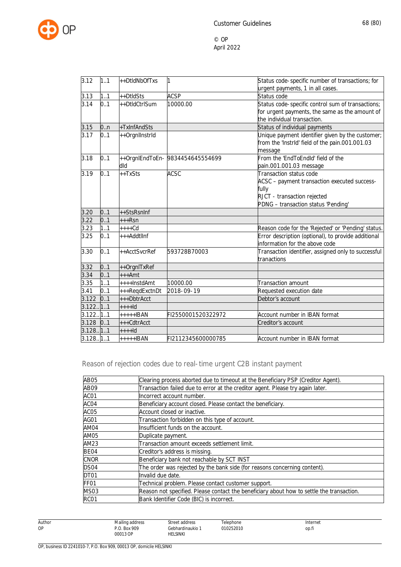

| 3.12        | 1.1 | ++DtldNbOfTxs  | 1                                | Status code-specific number of transactions; for    |
|-------------|-----|----------------|----------------------------------|-----------------------------------------------------|
|             |     |                |                                  | urgent payments, 1 in all cases.                    |
| 3.13        | 11  | ++DtldSts      | <b>ACSP</b>                      | Status code                                         |
| 3.14        | 0.1 | ++DtldCtrlSum  | 10000.00                         | Status code-specific control sum of transactions;   |
|             |     |                |                                  | for urgent payments, the same as the amount of      |
|             |     |                |                                  | the individual transaction.                         |
| 3.15        | 0n  | +TxInfAndSts   |                                  | Status of individual payments                       |
| 3.17        | 0.1 | ++Orgnllnstrld |                                  | Unique payment identifier given by the customer;    |
|             |     |                |                                  | from the 'Instrid' field of the pain.001.001.03     |
|             |     |                |                                  | message                                             |
| 3.18        | 0.1 |                | ++OrgnlEndToEn- 9834454645554699 | From the 'EndToEndId' field of the                  |
|             |     | blb            |                                  | pain.001.001.03 message                             |
| 3.19        | 0.1 | ++TxSts        | <b>ACSC</b>                      | Transaction status code                             |
|             |     |                |                                  | ACSC - payment transaction executed success-        |
|             |     |                |                                  | fully                                               |
|             |     |                |                                  | RJCT - transaction rejected                         |
|             |     |                |                                  | PDNG - transaction status 'Pending'                 |
| 3.20        | 0.1 | ++StsRsnInf    |                                  |                                                     |
| 3.22        | 0.1 | $++Rsn$        |                                  |                                                     |
| 3.23        | 1.1 | $++++$ Cd      |                                  | Reason code for the 'Rejected' or 'Pending' status. |
| 3.25        | 0.1 | +++Addtllnf    |                                  | Error description (optional), to provide additional |
|             |     |                |                                  | information for the above code                      |
| 3.30        | 0.1 | ++AcctSvcrRef  | 593728B70003                     | Transaction identifier, assigned only to successful |
|             |     |                |                                  | tranactions                                         |
| 3.32        | 0.1 | ++OrgnITxRef   |                                  |                                                     |
| 3.34        | 0.1 | $***Amt$       |                                  |                                                     |
| 3.35        | 1.1 | ++++InstdAmt   | 10000.00                         | Transaction amount                                  |
| 3.41        | 0.1 | +++RegdExctnDt | 2018-09-19                       | Requested execution date                            |
| 3.122       | 0.1 | +++DbtrAcct    |                                  | Debtor's account                                    |
| 3.122.11.1  |     | $++++ld$       |                                  |                                                     |
| 3.122111    |     | $***+IBAN$     | FI2550001520322972               | Account number in IBAN format                       |
| $3.128$ 0.1 |     | $++CdtrAcct$   |                                  | Creditor's account                                  |
| 3.128.11.1  |     | $++++ld$       |                                  |                                                     |
| 3.128.11.1  |     | +++++IBAN      | FI2112345600000785               | Account number in IBAN format                       |

Reason of rejection codes due to real-time urgent C2B instant payment

| AB05             | Clearing process aborted due to timeout at the Beneficiary PSP (Creditor Agent).          |  |  |  |
|------------------|-------------------------------------------------------------------------------------------|--|--|--|
| AB <sub>09</sub> | Transaction failed due to error at the creditor agent. Please try again later.            |  |  |  |
| ACO1             | Incorrect account number.                                                                 |  |  |  |
| ACO4             | Beneficiary account closed. Please contact the beneficiary.                               |  |  |  |
| ACO <sub>5</sub> | Account closed or inactive.                                                               |  |  |  |
| AGO1             | Transaction forbidden on this type of account.                                            |  |  |  |
| AM04             | Insufficient funds on the account.                                                        |  |  |  |
| AM05             | Duplicate payment.                                                                        |  |  |  |
| AM23             | Transaction amount exceeds settlement limit.                                              |  |  |  |
| BE <sub>04</sub> | Creditor's address is missing.                                                            |  |  |  |
| <b>CNOR</b>      | Beneficiary bank not reachable by SCT INST                                                |  |  |  |
| DS <sub>04</sub> | The order was rejected by the bank side (for reasons concerning content).                 |  |  |  |
| DT <sub>01</sub> | Invalid due date.                                                                         |  |  |  |
| FF <sub>01</sub> | Technical problem. Please contact customer support.                                       |  |  |  |
| MS03             | Reason not specified. Please contact the beneficiary about how to settle the transaction. |  |  |  |
| RC <sub>01</sub> | Bank Identifier Code (BIC) is incorrect.                                                  |  |  |  |

Author OP

Telephone 010252010

Street address Gebhardinaukio 1 HELSINKI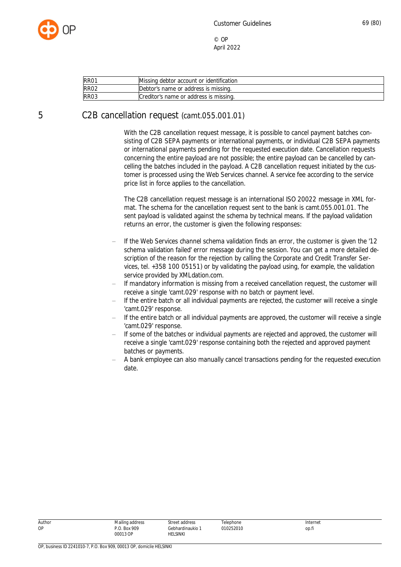

| RRO1                                                     | Missing debtor account or identification |
|----------------------------------------------------------|------------------------------------------|
| RR <sub>02</sub><br>Debtor's name or address is missing. |                                          |
| RRO3                                                     | Creditor's name or address is missing.   |

# 5 C2B cancellation request (camt.055.001.01)

With the C2B cancellation request message, it is possible to cancel payment batches consisting of C2B SEPA payments or international payments, or individual C2B SEPA payments or international payments pending for the requested execution date. Cancellation requests concerning the entire payload are not possible; the entire payload can be cancelled by cancelling the batches included in the payload. A C2B cancellation request initiated by the customer is processed using the Web Services channel. A service fee according to the service price list in force applies to the cancellation.

The C2B cancellation request message is an international ISO 20022 message in XML format. The schema for the cancellation request sent to the bank is camt.055.001.01. The sent payload is validated against the schema by technical means. If the payload validation returns an error, the customer is given the following responses:

- If the Web Services channel schema validation finds an error, the customer is given the '12 schema validation failed' error message during the session. You can get a more detailed description of the reason for the rejection by calling the Corporate and Credit Transfer Services, tel. +358 100 05151) or by validating the payload using, for example, the validation service provided by XMLdation.com.
- If mandatory information is missing from a received cancellation request, the customer will receive a single 'camt.029' response with no batch or payment level.
- If the entire batch or all individual payments are rejected, the customer will receive a single 'camt.029' response.
- If the entire batch or all individual payments are approved, the customer will receive a single 'camt.029' response.
- If some of the batches or individual payments are rejected and approved, the customer will receive a single 'camt.029' response containing both the rejected and approved payment batches or payments.
- A bank employee can also manually cancel transactions pending for the requested execution date.

| Autho |
|-------|
| υ     |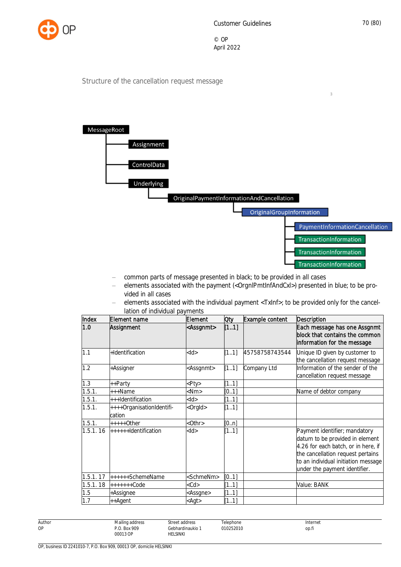

 $\overline{a}$ 

© OP April 2022

#### Structure of the cancellation request message



- common parts of message presented in black; to be provided in all cases
- elements associated with the payment (<OrgnlPmtInfAndCxl>) presented in blue; to be provided in all cases
- elements associated with the individual payment <TxInf>; to be provided only for the cancellation of individual payments

| Index    | Element name                        | Element             | <b>Oty</b> | Example content | <b>Description</b>                                                                                                                                                                                                   |
|----------|-------------------------------------|---------------------|------------|-----------------|----------------------------------------------------------------------------------------------------------------------------------------------------------------------------------------------------------------------|
| 1.0      | Assignment                          | <assgnmt></assgnmt> | [11]       |                 | Each message has one Assgnmt<br>block that contains the common<br>information for the message                                                                                                                        |
| 1.1      | +Identification                     | $<$ ld $>$          | [11]       | 45758758743544  | Unique ID given by customer to<br>the cancellation request message                                                                                                                                                   |
| 1.2      | +Assigner                           | <assgnmt></assgnmt> | [11]       | Company Ltd     | Information of the sender of the<br>cancellation request message                                                                                                                                                     |
| 1.3      | ++Party                             | Pty                 | [11]       |                 |                                                                                                                                                                                                                      |
| 1.5.1.   | +++Name                             | $<$ Nm $>$          | [01]       |                 | Name of debtor company                                                                                                                                                                                               |
| 1.5.1.   | +++Identification                   | $<$ ld $>$          | [11]       |                 |                                                                                                                                                                                                                      |
| 1.5.1.   | ++++OrganisationIdentifi-<br>cation | <orgld></orgld>     | [11]       |                 |                                                                                                                                                                                                                      |
| 1.5.1.   | $***+O$ ther                        | <0thr>              | [0n]       |                 |                                                                                                                                                                                                                      |
| 1.5.1.16 | $+++++$ Identification              | $<$ ld $>$          | [11]       |                 | Payment identifier; mandatory<br>datum to be provided in element<br>4.26 for each batch, or in here, if<br>the cancellation request pertains<br>to an individual initiation message<br>under the payment identifier. |
| 1.5.1.17 | ++++++SchemeName                    | <schmenm></schmenm> | [0.1]      |                 |                                                                                                                                                                                                                      |
| 1.5.1.18 | $+++++Code$                         | $<$ Cd $>$          | [11]       |                 | Value: BANK                                                                                                                                                                                                          |
| 1.5      | +Assignee                           | <assgne></assgne>   | [11]       |                 |                                                                                                                                                                                                                      |
| 1.7      | ++Agent                             | <agt></agt>         | [11]       |                 |                                                                                                                                                                                                                      |

| ır<br>Ш<br>$\sim$<br>۰. |
|-------------------------|
| ۰.                      |

Gebhardinaukio 1 **Telephone** 010252010

Street address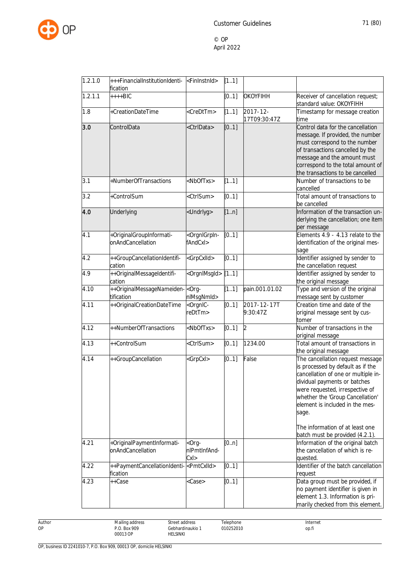

| 1.2.1.0 | +++FinancialInstitutionIdenti- <fininstnid></fininstnid> |                                                                                                                           | [11]  |                               |                                                                                                                                                                                                                                                                                                    |
|---------|----------------------------------------------------------|---------------------------------------------------------------------------------------------------------------------------|-------|-------------------------------|----------------------------------------------------------------------------------------------------------------------------------------------------------------------------------------------------------------------------------------------------------------------------------------------------|
|         | fication                                                 |                                                                                                                           |       |                               |                                                                                                                                                                                                                                                                                                    |
| 1.2.1.1 | $+++BIC$                                                 |                                                                                                                           | [0.1] | OKOYFIHH                      | Receiver of cancellation request;<br>standard value: OKOYFIHH                                                                                                                                                                                                                                      |
| 1.8     | +CreationDateTime                                        | <credttm></credttm>                                                                                                       | [11]  | $2017 - 12 -$<br>17T09:30:47Z | Timestamp for message creation<br>time                                                                                                                                                                                                                                                             |
| 3.0     | ControlData                                              | <ctrldata></ctrldata>                                                                                                     | [01]  |                               | Control data for the cancellation<br>message. If provided, the number<br>must correspond to the number<br>of transactions cancelled by the<br>message and the amount must<br>correspond to the total amount of<br>the transactions to be cancelled                                                 |
| 3.1     | +NumberOfTransactions                                    | <nboftxs></nboftxs>                                                                                                       | [11]  |                               | Number of transactions to be<br>cancelled                                                                                                                                                                                                                                                          |
| 3.2     | +ControlSum                                              | <ctrlsum></ctrlsum>                                                                                                       | [01]  |                               | Total amount of transactions to<br>be cancelled                                                                                                                                                                                                                                                    |
| 4.0     | Underlying                                               | <undrlyg></undrlyg>                                                                                                       | [1n]  |                               | Information of the transaction un-<br>derlying the cancellation; one item<br>per message                                                                                                                                                                                                           |
| 4.1     | +OriginalGroupInformati-<br>onAndCancellation            | <orgnlgrpin-<br>fAndCxl&gt;</orgnlgrpin-<br>                                                                              | [0.1] |                               | Elements 4.9 - 4.13 relate to the<br>identification of the original mes-<br>sage                                                                                                                                                                                                                   |
| 4.2     | ++GroupCancellationIdentifi-<br>cation                   | <grpcxlld></grpcxlld>                                                                                                     | [0.1] |                               | Identifier assigned by sender to<br>the cancellation request                                                                                                                                                                                                                                       |
| 4.9     | ++OriginalMessageIdentifi-<br>cation                     | <orgnlmsgld></orgnlmsgld>                                                                                                 | [11]  |                               | Identifier assigned by sender to<br>the original message                                                                                                                                                                                                                                           |
| 4.10    | ++OriginalMessageNameiden-<br>tification                 | $-$ Org $-$<br>nlMsgNmld>                                                                                                 | [11]  | pain.001.01.02                | Type and version of the original<br>message sent by customer                                                                                                                                                                                                                                       |
| 4.11    | ++OriginalCreationDateTime                               | <orgnic-<br>eDtTm&gt;</orgnic-<br>                                                                                        | [0.1] | 2017-12-17T<br>9:30:47Z       | Creation time and date of the<br>original message sent by cus-<br>tomer                                                                                                                                                                                                                            |
| 4.12    | ++NumberOfTransactions                                   | <nboftxs></nboftxs>                                                                                                       | [01]  | $\overline{2}$                | Number of transactions in the<br>original message                                                                                                                                                                                                                                                  |
| 4.13    | ++ControlSum                                             | <ctrlsum></ctrlsum>                                                                                                       | [01]  | 1234.00                       | Total amount of transactions in<br>the original message                                                                                                                                                                                                                                            |
| 4.14    | ++GroupCancellation                                      | <grpcxl></grpcxl>                                                                                                         | [01]  | False                         | The cancellation request message<br>is processed by default as if the<br>cancellation of one or multiple in-<br>dividual payments or batches<br>were requested, irrespective of<br>whether the 'Group Cancellation'<br>element is included in the mes-<br>sage.<br>The information of at least one |
| 4.21    | +OriginalPaymentInformati-                               | <org-< td=""><td>[0n]</td><td></td><td>batch must be provided (4.2.1).<br/>Information of the original batch</td></org-<> | [0n]  |                               | batch must be provided (4.2.1).<br>Information of the original batch                                                                                                                                                                                                                               |
|         | onAndCancellation                                        | nlPmtInfAnd-<br>CxI>                                                                                                      |       |                               | the cancellation of which is re-<br>quested.                                                                                                                                                                                                                                                       |
| 4.22    | ++PaymentCancellationIdenti-<br>fication                 | <pmtcxlld></pmtcxlld>                                                                                                     | [0.1] |                               | dentifier of the batch cancellation<br>request                                                                                                                                                                                                                                                     |
| 4.23    | ++Case                                                   | <case></case>                                                                                                             | [01]  |                               | Data group must be provided, if<br>no payment identifier is given in<br>element 1.3. Information is pri-<br>marily checked from this element.                                                                                                                                                      |

Author OP

Street address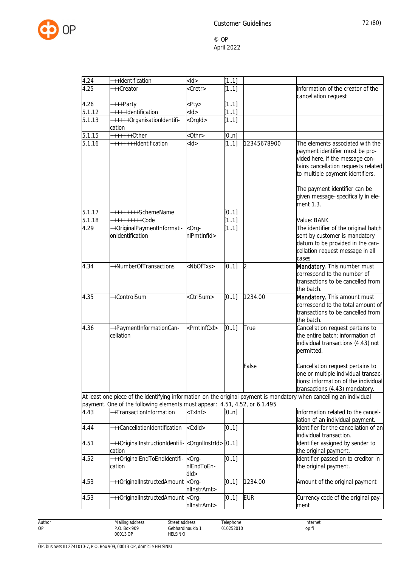

| 4.24   | +++Identification                                                                                                                                             | $<$ ld>                           | [11]  |             |                                                                                                                                                                                   |
|--------|---------------------------------------------------------------------------------------------------------------------------------------------------------------|-----------------------------------|-------|-------------|-----------------------------------------------------------------------------------------------------------------------------------------------------------------------------------|
| 4.25   | +++Creator                                                                                                                                                    | <cretr></cretr>                   | [11]  |             | Information of the creator of the<br>cancellation request                                                                                                                         |
| 4.26   | ++++Party                                                                                                                                                     | <pty></pty>                       | [11]  |             |                                                                                                                                                                                   |
| 5.1.12 | +++++Identification                                                                                                                                           | $<$ ld>                           | [11]  |             |                                                                                                                                                                                   |
| 5.1.13 | ++++++OrganisationIdentifi-<br>cation                                                                                                                         | <orgld></orgld>                   | [11]  |             |                                                                                                                                                                                   |
| 5.1.15 | $+++++Other$                                                                                                                                                  | $<$ Othr $>$                      | [0n]  |             |                                                                                                                                                                                   |
| 5.1.16 | ++++++++Identification                                                                                                                                        | $<$ ld>                           | [11]  | 12345678900 | The elements associated with the<br>payment identifier must be pro-<br>vided here, if the message con-<br>tains cancellation requests related<br>to multiple payment identifiers. |
|        |                                                                                                                                                               |                                   |       |             | The payment identifier can be<br>given message-specifically in ele-<br>ment 1.3.                                                                                                  |
| 5.1.17 | +++++++++SchemeName                                                                                                                                           |                                   | [0.1] |             |                                                                                                                                                                                   |
| 5.1.18 | ++++++++++Code                                                                                                                                                |                                   | [11]  |             | Value: BANK                                                                                                                                                                       |
| 4.29   | ++OriginalPaymentInformati-<br>onIdentification                                                                                                               | $-$ Org $-$<br>nlPmtInfld>        | [11]  |             | The identifier of the original batch<br>sent by customer is mandatory<br>datum to be provided in the can-<br>cellation request message in all<br>cases.                           |
| 4.34   | ++NumberOfTransactions                                                                                                                                        | <nboftxs></nboftxs>               | [0.1] | 2           | Mandatory. This number must<br>correspond to the number of<br>transactions to be cancelled from<br>the batch.                                                                     |
| 4.35   | ++ControlSum                                                                                                                                                  | <ctrlsum></ctrlsum>               | [01]  | 1234.00     | Mandatory. This amount must<br>correspond to the total amount of<br>transactions to be cancelled from<br>the batch.                                                               |
| 4.36   | ++PaymentInformationCan-<br>cellation                                                                                                                         | <pmtlnfcxl></pmtlnfcxl>           | [0.1] | True        | Cancellation request pertains to<br>the entire batch; information of<br>individual transactions (4.43) not<br>permitted.                                                          |
|        |                                                                                                                                                               |                                   |       | False       | Cancellation request pertains to<br>one or multiple individual transac-<br>tions: information of the individual<br>transactions (4.43) mandatory.                                 |
|        | payment. One of the following elements must appear: 4.51, 4,52, or 6.1.495                                                                                    |                                   |       |             | At least one piece of the identifying information on the original payment is mandatory when cancelling an individual                                                              |
| 4.43   | ++TransactionInformation                                                                                                                                      | $<$ TxInf $>$                     | [0n]  |             | Information related to the cancel-<br>lation of an individual payment.                                                                                                            |
| 4.44   | +++CancellationIdentification                                                                                                                                 | <cxlld></cxlld>                   | [0.1] |             | Identifier for the cancellation of an<br>individual transaction.                                                                                                                  |
| 4.51   | +++OriginalInstructionIdentifi- < OrgnIInstrId> [01]<br>cation                                                                                                |                                   |       |             | Identifier assigned by sender to<br>the original payment.                                                                                                                         |
| 4.52   | +++OriginalEndToEndIdentifi- <org-<br>cation</org-<br>                                                                                                        | nlEndToEn-<br>dld>                | [01]  |             | Identifier passed on to creditor in<br>the original payment.                                                                                                                      |
| 4.53   | +++OriginalInstructedAmount                                                                                                                                   | <org-<br>nllnstrAmt&gt;</org-<br> | [0.1] | 1234.00     | Amount of the original payment                                                                                                                                                    |
| 4.53   | +++OriginalInstructedAmount <org-< td=""><td>nllnstrAmt&gt;</td><td>[0.1]</td><td><b>EUR</b></td><td>Currency code of the original pay-<br/>ment</td></org-<> | nllnstrAmt>                       | [0.1] | <b>EUR</b>  | Currency code of the original pay-<br>ment                                                                                                                                        |

Author OP

Gebhardinaukio 1 Telephone 010252010

Street address

HELSINKI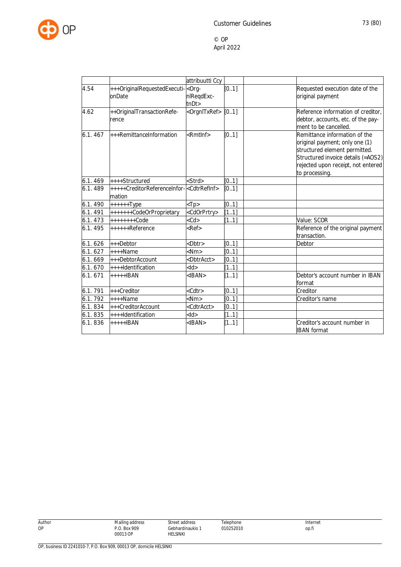

|         |                                                                   | attribuutti Ccy           |       |                                                                                                                                                                                                |
|---------|-------------------------------------------------------------------|---------------------------|-------|------------------------------------------------------------------------------------------------------------------------------------------------------------------------------------------------|
| 4.54    | +++OriginalRequestedExecuti- <org-<br>onDate</org-<br>            | nlReqdExc-<br>tnDt        | [0.1] | Requested execution date of the<br>original payment                                                                                                                                            |
| 4.62    | ++OriginalTransactionRefe-<br>rence                               | <orgnitxref></orgnitxref> | [0.1] | Reference information of creditor,<br>debtor, accounts, etc. of the pay-<br>ment to be cancelled.                                                                                              |
| 6.1.467 | $++$ RemittanceInformation                                        | $\epsilon$ Rmtlnf $>$     | [01]  | Remittance information of the<br>original payment; only one (1)<br>structured element permitted.<br>Structured invoice details (=AOS2)<br>rejected upon receipt, not entered<br>to processing. |
| 6.1.469 | $+++$ Structured                                                  | <strd></strd>             | [0.1] |                                                                                                                                                                                                |
| 6.1.489 | +++++CreditorReferenceInfor- <cdtrrefinf><br/>mation</cdtrrefinf> |                           | [0.1] |                                                                                                                                                                                                |
| 6.1.490 | $+++++Type$                                                       | $<$ Tp>                   | [0.1] |                                                                                                                                                                                                |
| 6.1.491 | +++++++CodeOrProprietary                                          | <cdorprtry></cdorprtry>   | [11]  |                                                                                                                                                                                                |
| 6.1.473 | $+++++Code$                                                       | $<$ Cd $>$                | [11]  | Value: SCOR                                                                                                                                                                                    |
| 6.1.495 | $+***+Reference$                                                  | $Ref$                     |       | Reference of the original payment<br>transaction.                                                                                                                                              |
| 6.1.626 | $+++$ Debtor                                                      | $<$ Dbtr $>$              | [0.1] | Debtor                                                                                                                                                                                         |
| 6.1.627 | $+++$ Name                                                        | $<$ Nm $>$                | [0.1] |                                                                                                                                                                                                |
| 6.1.669 | $++$ DebtorAccount                                                | <dbtracct></dbtracct>     | [0.1] |                                                                                                                                                                                                |
| 6.1.670 | $+++$ Identification                                              | $<$ ld $>$                | [11]  |                                                                                                                                                                                                |
| 6.1.671 | $++++IBAN$                                                        | $<$ IBAN $>$              | [11]  | Debtor's account number in IBAN<br>format                                                                                                                                                      |
| 6.1.791 | +++Creditor                                                       | <cdtr></cdtr>             | [0.1] | Creditor                                                                                                                                                                                       |
| 6.1.792 | $+++$ Name                                                        | $<$ Nm $>$                | [0.1] | Creditor's name                                                                                                                                                                                |
| 6.1.834 | +++CreditorAccount                                                | <cdtracct></cdtracct>     | [0.1] |                                                                                                                                                                                                |
| 6.1.835 | $+++$ Identification                                              | $<$ ld $>$                | [11]  |                                                                                                                                                                                                |
| 6.1.836 | $++++IBAN$                                                        | $<$ IBAN $>$              | [11]  | Creditor's account number in<br><b>IBAN</b> format                                                                                                                                             |

Author OP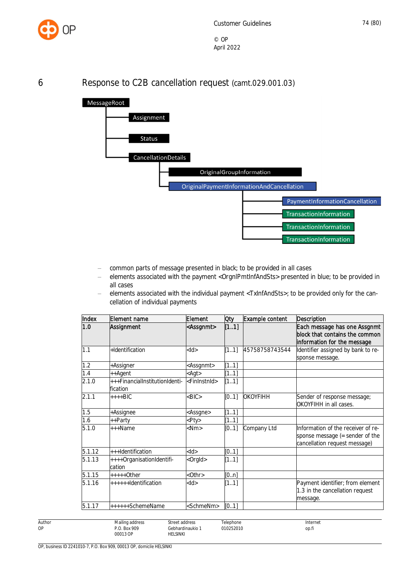

## 6 Response to C2B cancellation request (camt.029.001.03)



- common parts of message presented in black; to be provided in all cases
- elements associated with the payment <OrgnlPmtInfAndSts> presented in blue; to be provided in all cases
- elements associated with the individual payment <TxInfAndSts>; to be provided only for the cancellation of individual payments

| Index  | Element name                               | Element                   | 0ty   | Example content | <b>Description</b>                                                                                     |
|--------|--------------------------------------------|---------------------------|-------|-----------------|--------------------------------------------------------------------------------------------------------|
| 1.0    | Assignment                                 | <assgnmt></assgnmt>       | [11]  |                 | Each message has one Assgnmt<br>block that contains the common<br>information for the message          |
| 1.1    | +Identification                            | $<$ ld $>$                | [11]  | 45758758743544  | Identifier assigned by bank to re-<br>sponse message.                                                  |
| 1.2    | +Assigner                                  | <assgnmt></assgnmt>       | [11]  |                 |                                                                                                        |
| 1.4    | ++Agent                                    | $\langle$ Agt $\rangle$   | 1.1   |                 |                                                                                                        |
| 2.1.0  | +++FinancialInstitutionIdenti-<br>fication | <fininstnid></fininstnid> | [11]  |                 |                                                                                                        |
| 2.1.1  | $++++$ BIC                                 | >BIC                      | [0.1] | <b>OKOYFIHH</b> | Sender of response message;<br>OKOYFIHH in all cases.                                                  |
| 1.5    | +Assignee                                  | <assgne></assgne>         | [11]  |                 |                                                                                                        |
| 1.6    | ++Party                                    | <pty></pty>               | [11]  |                 |                                                                                                        |
| 5.1.0  | $+++Name$                                  | $<$ Nm $>$                | [0.1] | Company Ltd     | Information of the receiver of re-<br>sponse message (= sender of the<br>cancellation request message) |
| 5.1.12 | +++Identification                          | $<$ ld $>$                | [0.1] |                 |                                                                                                        |
| 5.1.13 | ++++OrganisationIdentifi-<br>cation        | <orgld></orgld>           | [11]  |                 |                                                                                                        |
| 5.1.15 | $***+O$ ther                               | $<$ Othr $>$              | [0n]  |                 |                                                                                                        |
| 5.1.16 | ++++++Identification                       | $<$ ld $>$                | [11]  |                 | Payment identifier; from element<br>1.3 in the cancellation request<br>message.                        |
| 5.1.17 | ++++++SchemeName                           | <schmenm></schmenm>       | [01]  |                 |                                                                                                        |

Author Mailing address P.O. Box 909 00013 OP Street address Gebhardinaukio 1 HELSINKI **Telephone** 010252010 Internet op.fi

OP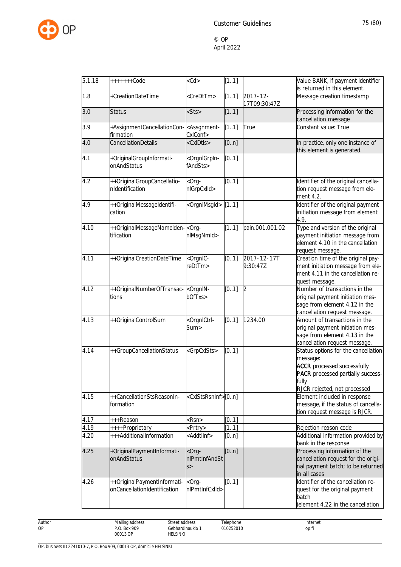

| 5.1.18 | $+++++Code$                                                 | $<$ Cd $>$                                   | [11]  |                               | Value BANK, if payment identifier                                                                                                                                          |
|--------|-------------------------------------------------------------|----------------------------------------------|-------|-------------------------------|----------------------------------------------------------------------------------------------------------------------------------------------------------------------------|
|        |                                                             |                                              |       |                               | is returned in this element.                                                                                                                                               |
| 1.8    | +CreationDateTime                                           | <credttm></credttm>                          | [11]  | $2017 - 12 -$<br>17T09:30:47Z | Message creation timestamp                                                                                                                                                 |
| 3.0    | <b>Status</b>                                               | $<$ Sts>                                     | [11]  |                               | Processing information for the<br>cancellation message                                                                                                                     |
| 3.9    | +AssignmentCancellationCon-<br>firmation                    | <assgnment-<br>CxIConf&gt;</assgnment-<br>   | [11]  | True                          | Constant value: True                                                                                                                                                       |
| 4.0    | CancellationDetails                                         | <cxidtis></cxidtis>                          | [0n]  |                               | In practice, only one instance of<br>this element is generated.                                                                                                            |
| 4.1    | +OriginalGroupInformati-<br>onAndStatus                     | <orgnlgrpin-<br>fAndSts&gt;</orgnlgrpin-<br> | [0.1] |                               |                                                                                                                                                                            |
| 4.2    | ++OriginalGroupCancellatio-<br>nIdentification              | $-$ Org $-$<br>nlGrpCxlld>                   | [0.1] |                               | Identifier of the original cancella-<br>tion request message from ele-<br>ment 4.2.                                                                                        |
| 4.9    | ++OriginalMessageIdentifi-<br>cation                        | <orgnlmsgld></orgnlmsgld>                    | [11]  |                               | Identifier of the original payment<br>initiation message from element<br>4.9.                                                                                              |
| 4.10   | ++OriginalMessageNameiden-<br>tification                    | <org-<br>nlMsgNmld&gt;</org-<br>             | [11]  | pain.001.001.02               | Type and version of the original<br>payment initiation message from<br>element 4.10 in the cancellation<br>request message.                                                |
| 4.11   | ++OriginalCreationDateTime                                  | <orgnic-<br>eDtTm&gt;</orgnic-<br>           | [0.1] | 2017-12-17T<br>9:30:47Z       | Creation time of the original pay-<br>ment initiation message from ele-<br>ment 4.11 in the cancellation re-<br>quest message.                                             |
| 4.12   | ++OriginalNumberOfTransac- <drgnin-<br>tions</drgnin-<br>   | bOfTxs                                       | [0.1] | $\overline{2}$                | Number of transactions in the<br>original payment initiation mes-<br>sage from element 4.12 in the<br>cancellation request message.                                        |
| 4.13   | ++OriginalControlSum                                        | <orgnictrl-<br>Sum&gt;</orgnictrl-<br>       | [01]  | 1234.00                       | Amount of transactions in the<br>original payment initiation mes-<br>sage from element 4.13 in the<br>cancellation request message.                                        |
| 4.14   | ++GroupCancellationStatus                                   | <grpcxists></grpcxists>                      | [0.1] |                               | Status options for the cancellation<br>message:<br><b>ACCR</b> processed successfully<br><b>PACR</b> processed partially success-<br>fully<br>RJCR rejected, not processed |
| 4.15   | ++CancellationStsReasonIn-<br>formation                     | <cxlstsrsninf>[0n]</cxlstsrsninf>            |       |                               | Element included in response<br>message, if the status of cancella-<br>tion request message is RJCR.                                                                       |
| 4.17   | +++Reason                                                   | <rsn></rsn>                                  | [0.1] |                               |                                                                                                                                                                            |
| 4.19   | ++++Proprietary                                             | <prtry></prtry>                              | [11]  |                               | Rejection reason code                                                                                                                                                      |
| 4.20   | +++AdditionalInformation                                    | <addtllnf></addtllnf>                        | [0n]  |                               | Additional information provided by<br>bank in the response                                                                                                                 |
| 4.25   | +OriginalPaymentInformati-<br>onAndStatus                   | <org-<br>nlPmtInfAndSt<br/>S&gt;</org-<br>   | [0n]  |                               | Processing information of the<br>cancellation request for the origi-<br>nal payment batch; to be returned<br>in all cases                                                  |
| 4.26   | ++OriginalPaymentInformati-<br>onCancellationIdentification | <org-<br>nlPmtInfCxlId&gt;</org-<br>         | [0.1] |                               | Identifier of the cancellation re-<br>quest for the original payment<br>batch<br>(element 4.22 in the cancellation                                                         |

Author OP

Street address

HELSINKI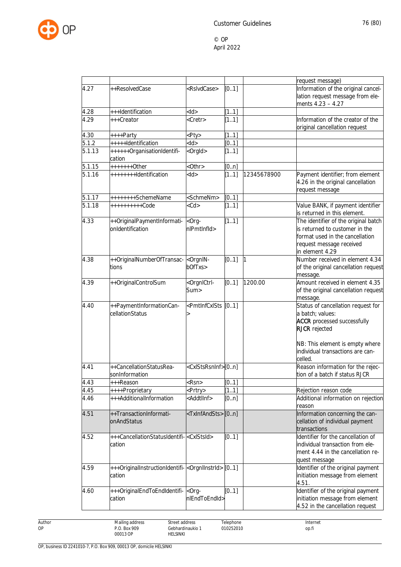

|                    |                                                                               |                                                                                                                                                                                                                                                                         |       |             | request message)                                                                                                                                                                            |
|--------------------|-------------------------------------------------------------------------------|-------------------------------------------------------------------------------------------------------------------------------------------------------------------------------------------------------------------------------------------------------------------------|-------|-------------|---------------------------------------------------------------------------------------------------------------------------------------------------------------------------------------------|
| 4.27               | ++ResolvedCase                                                                | <rslvdcase></rslvdcase>                                                                                                                                                                                                                                                 | [0.1] |             | Information of the original cancel-<br>lation request message from ele-<br>ments 4.23 - 4.27                                                                                                |
| 4.28               | +++Identification                                                             | $<$ ld>                                                                                                                                                                                                                                                                 | [11]  |             |                                                                                                                                                                                             |
| 4.29               | +++Creator                                                                    | <cretr></cretr>                                                                                                                                                                                                                                                         | [11]  |             | Information of the creator of the<br>original cancellation request                                                                                                                          |
| 4.30               | ++++Party                                                                     | <pty></pty>                                                                                                                                                                                                                                                             | [11]  |             |                                                                                                                                                                                             |
| $\overline{5.1.2}$ | +++++Identification                                                           | $<$ ld>                                                                                                                                                                                                                                                                 | [0.1] |             |                                                                                                                                                                                             |
| 5.1.13             | ++++++OrganisationIdentifi-<br>cation                                         | <orgld></orgld>                                                                                                                                                                                                                                                         | [11]  |             |                                                                                                                                                                                             |
| 5.1.15             | +++++++0ther                                                                  | $<$ Othr $>$                                                                                                                                                                                                                                                            | [0n]  |             |                                                                                                                                                                                             |
| 5.1.16             | ++++++++Identification                                                        | $<$ ld $>$                                                                                                                                                                                                                                                              | [11]  | 12345678900 | Payment identifier; from element<br>4.26 in the original cancellation<br>request message                                                                                                    |
| 5.1.17             | ++++++++SchemeName                                                            | <schmenm></schmenm>                                                                                                                                                                                                                                                     | [0.1] |             |                                                                                                                                                                                             |
| 5.1.18             | ++++++++++Code                                                                | $<$ Cd>                                                                                                                                                                                                                                                                 | [11]  |             | Value BANK, if payment identifier<br>is returned in this element.                                                                                                                           |
| 4.33               | ++OriginalPaymentInformati-<br>onIdentification                               | $&$ Org-<br>nlPmtInfld>                                                                                                                                                                                                                                                 | [11]  |             | The identifier of the original batch<br>is returned to customer in the<br>format used in the cancellation<br>request message received<br>in element 4.29                                    |
| 4.38               | ++OriginalNumberOfTransac-<br>tions                                           | <orgnin-<br>bOfTxs&gt;</orgnin-<br>                                                                                                                                                                                                                                     | [0.1] |             | Number received in element 4.34<br>of the original cancellation request<br>message.                                                                                                         |
| 4.39               | ++OriginalControlSum                                                          | <orgnictrl-<br>Sum&gt;</orgnictrl-<br>                                                                                                                                                                                                                                  | [01]  | 1200.00     | Amount received in element 4.35<br>of the original cancellation request<br>message.                                                                                                         |
| 4.40               | ++PaymentInformationCan-<br>cellationStatus                                   | <pmtlnfcxlsts [01]<="" td=""><td></td><td></td><td>Status of cancellation request for<br/>a batch; values:<br/><b>ACCR</b> processed successfully<br/><b>RJCR</b> rejected<br/>NB: This element is empty where<br/>individual transactions are can-</td></pmtlnfcxlsts> |       |             | Status of cancellation request for<br>a batch; values:<br><b>ACCR</b> processed successfully<br><b>RJCR</b> rejected<br>NB: This element is empty where<br>individual transactions are can- |
|                    |                                                                               |                                                                                                                                                                                                                                                                         |       |             | celled.                                                                                                                                                                                     |
| 4.41               | ++CancellationStatusRea-<br>sonInformation                                    | <cxlstsrsninf>[0n]</cxlstsrsninf>                                                                                                                                                                                                                                       |       |             | Reason information for the rejec-<br>tion of a batch if status RJCR                                                                                                                         |
| 4.43               | +++Reason                                                                     | <rsn></rsn>                                                                                                                                                                                                                                                             | [01]  |             |                                                                                                                                                                                             |
| 4.45               | ++++Proprietary                                                               | <prtry></prtry>                                                                                                                                                                                                                                                         | [11]  |             | Rejection reason code                                                                                                                                                                       |
| 4.46               | +++AdditionalInformation                                                      | <addtlinf></addtlinf>                                                                                                                                                                                                                                                   | [0n]  |             | Additional information on rejection<br>reason                                                                                                                                               |
| 4.51               | ++TransactionInformati-<br>onAndStatus                                        | <txinfandsts>[0n]</txinfandsts>                                                                                                                                                                                                                                         |       |             | Information concerning the can-<br>cellation of individual payment<br>transactions                                                                                                          |
| 4.52               | +++CancellationStatusIdentifi- <cxlstsid><br/>cation</cxlstsid>               |                                                                                                                                                                                                                                                                         | [0.1] |             | Identifier for the cancellation of<br>individual transaction from ele-<br>ment 4.44 in the cancellation re-<br>quest message                                                                |
| 4.59               | +++OriginalInstructionIdentifi- <orgniinstrid> [01]<br/>cation</orgniinstrid> |                                                                                                                                                                                                                                                                         |       |             | Identifier of the original payment<br>initiation message from element<br>4.51.                                                                                                              |
| 4.60               | +++OriginalEndToEndIdentifi-<br>cation                                        | <org-<br>nlEndToEndId&gt;</org-<br>                                                                                                                                                                                                                                     | [0.1] |             | Identifier of the original payment<br>initiation message from element<br>4.52 in the cancellation request                                                                                   |

Author OP

HELSINKI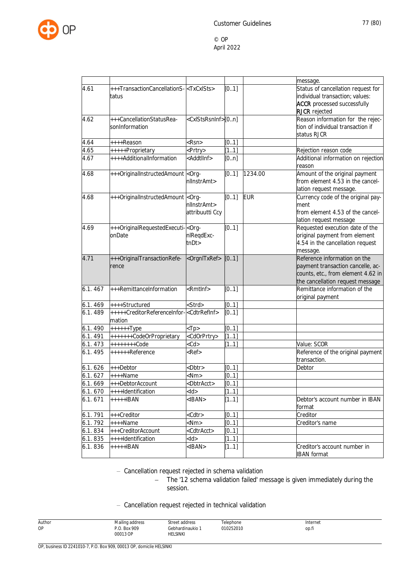

|         |                                                                                                                                                                                                                                                   |                                   |       |            | message.                                                                                                                                    |
|---------|---------------------------------------------------------------------------------------------------------------------------------------------------------------------------------------------------------------------------------------------------|-----------------------------------|-------|------------|---------------------------------------------------------------------------------------------------------------------------------------------|
| 4.61    | +++TransactionCancellationS- <txcxlsts><br/>tatus</txcxlsts>                                                                                                                                                                                      |                                   | [0.1] |            | Status of cancellation request for<br>individual transaction; values:<br><b>ACCR</b> processed successfully<br><b>RJCR</b> rejected         |
| 4.62    | +++CancellationStatusRea-<br>sonInformation                                                                                                                                                                                                       | <cxlstsrsninf>[0n]</cxlstsrsninf> |       |            | Reason information for the rejec-<br>tion of individual transaction if<br>status RJCR                                                       |
| 4.64    | ++++Reason                                                                                                                                                                                                                                        | <rsn></rsn>                       | [0.1] |            |                                                                                                                                             |
| 4.65    | +++++Proprietary                                                                                                                                                                                                                                  | <prtry></prtry>                   | [11]  |            | Rejection reason code                                                                                                                       |
| 4.67    | ++++AdditionalInformation                                                                                                                                                                                                                         | <addtlinf></addtlinf>             | [0n]  |            | Additional information on rejection<br>reason                                                                                               |
| 4.68    | +++OriginalInstructedAmount <org-< td=""><td>nllnstrAmt&gt;</td><td>[0.1]</td><td>1234.00</td><td>Amount of the original payment<br/>from element 4.53 in the cancel-<br/>lation request message.</td></org-<>                                    | nllnstrAmt>                       | [0.1] | 1234.00    | Amount of the original payment<br>from element 4.53 in the cancel-<br>lation request message.                                               |
| 4.68    | +++OriginalInstructedAmount <org-< td=""><td>nllnstrAmt&gt;<br/>attribuutti Ccy</td><td>[0.1]</td><td><b>EUR</b></td><td>Currency code of the original pay-<br/>ment<br/>from element 4.53 of the cancel-<br/>lation request message</td></org-<> | nllnstrAmt><br>attribuutti Ccy    | [0.1] | <b>EUR</b> | Currency code of the original pay-<br>ment<br>from element 4.53 of the cancel-<br>lation request message                                    |
| 4.69    | +++OriginalRequestedExecuti- <org-<br>onDate</org-<br>                                                                                                                                                                                            | nlReqdExc-<br>tnDt                | [0.1] |            | Requested execution date of the<br>original payment from element<br>4.54 in the cancellation request<br>message.                            |
| 4.71    | +++OriginalTransactionRefe-<br>rence                                                                                                                                                                                                              | <orgnitxref></orgnitxref>         | [01]  |            | Reference information on the<br>payment transaction cancelle, ac-<br>counts, etc., from element 4.62 in<br>the cancellation request message |
| 6.1.467 | +++RemittanceInformation                                                                                                                                                                                                                          | <rmtlnf></rmtlnf>                 | [0.1] |            | Remittance information of the<br>original payment                                                                                           |
| 6.1.469 | ++++Structured                                                                                                                                                                                                                                    | <strd></strd>                     | [0.1] |            |                                                                                                                                             |
| 6.1.489 | +++++CreditorReferenceInfor- <cdtrrefinf><br/>mation</cdtrrefinf>                                                                                                                                                                                 |                                   | [0.1] |            |                                                                                                                                             |
| 6.1.490 | $+++++Type$                                                                                                                                                                                                                                       | $<$ Tp>                           | [0.1] |            |                                                                                                                                             |
| 6.1.491 | +++++++CodeOrProprietary                                                                                                                                                                                                                          | <cdorprtry></cdorprtry>           | [11]  |            |                                                                                                                                             |
| 6.1.473 | $++++++Code$                                                                                                                                                                                                                                      | $<$ Cd>                           | [11]  |            | Value: SCOR                                                                                                                                 |
| 6.1.495 | ++++++Reference                                                                                                                                                                                                                                   | <ref></ref>                       |       |            | Reference of the original payment<br>transaction.                                                                                           |
| 6.1.626 | +++Debtor                                                                                                                                                                                                                                         | <dbtr></dbtr>                     | [0.1] |            | Debtor                                                                                                                                      |
| 6.1.627 | $+++Name$                                                                                                                                                                                                                                         | $<$ Nm $>$                        | [0.1] |            |                                                                                                                                             |
| 6.1.669 | +++DebtorAccount                                                                                                                                                                                                                                  | <dbtracct></dbtracct>             | [0.1] |            |                                                                                                                                             |
| 6.1.670 | ++++Identification                                                                                                                                                                                                                                | $<$ ld $>$                        | [11]  |            |                                                                                                                                             |
| 6.1.671 | $+++++IBAN$                                                                                                                                                                                                                                       | $<$ IBAN $>$                      | [11]  |            | Debtor's account number in IBAN<br>format                                                                                                   |
| 6.1.791 | +++Creditor                                                                                                                                                                                                                                       | <cdtr></cdtr>                     | [0.1] |            | Creditor                                                                                                                                    |
| 6.1.792 | ++++Name                                                                                                                                                                                                                                          | $<$ Nm $>$                        | [0.1] |            | Creditor's name                                                                                                                             |
| 6.1.834 | +++CreditorAccount                                                                                                                                                                                                                                | <cdtracct></cdtracct>             | [0.1] |            |                                                                                                                                             |
| 6.1.835 | ++++Identification                                                                                                                                                                                                                                | $<$ ld $>$                        | [11]  |            |                                                                                                                                             |
| 6.1.836 | $++++IBAN$                                                                                                                                                                                                                                        | $<$ IBAN $>$                      | [11]  |            | Creditor's account number in<br><b>IBAN</b> format                                                                                          |

- Cancellation request rejected in schema validation

- The '12 schema validation failed' message is given immediately during the session.

## - Cancellation request rejected in technical validation

| Author | Mailing address          | Street address                                 | Telephone | Internet |
|--------|--------------------------|------------------------------------------------|-----------|----------|
| OP     | P.O. Box 909<br>00013 OP | Gebhardinaukio <sup>1</sup><br><b>HELSINKI</b> | 010252010 | op.fi    |
|        |                          |                                                |           |          |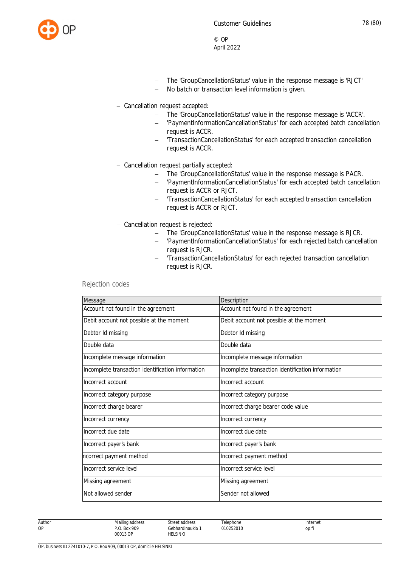

- The 'GroupCancellationStatus' value in the response message is 'RJCT'
- No batch or transaction level information is given.
- Cancellation request accepted:
	- The 'GroupCancellationStatus' value in the response message is 'ACCR'.
	- 'PaymentInformationCancellationStatus' for each accepted batch cancellation request is ACCR.
	- 'TransactionCancellationStatus' for each accepted transaction cancellation request is ACCR.
- Cancellation request partially accepted:
	- The 'GroupCancellationStatus' value in the response message is PACR.
	- 'PaymentInformationCancellationStatus' for each accepted batch cancellation request is ACCR or RJCT.
	- 'TransactionCancellationStatus' for each accepted transaction cancellation request is ACCR or RJCT.
- Cancellation request is rejected:
	- The 'GroupCancellationStatus' value in the response message is RJCR.
	- 'PaymentInformationCancellationStatus' for each rejected batch cancellation request is RJCR.
	- 'TransactionCancellationStatus' for each rejected transaction cancellation request is RJCR.

## Rejection codes

| Message                                           | Description                                       |
|---------------------------------------------------|---------------------------------------------------|
| Account not found in the agreement                | Account not found in the agreement                |
| Debit account not possible at the moment          | Debit account not possible at the moment          |
| Debtor Id missing                                 | Debtor Id missing                                 |
| Double data                                       | Double data                                       |
| Incomplete message information                    | Incomplete message information                    |
| Incomplete transaction identification information | Incomplete transaction identification information |
| Incorrect account                                 | Incorrect account                                 |
| Incorrect category purpose                        | Incorrect category purpose                        |
| Incorrect charge bearer                           | Incorrect charge bearer code value                |
| Incorrect currency                                | Incorrect currency                                |
| Incorrect due date                                | Incorrect due date                                |
| Incorrect payer's bank                            | Incorrect payer's bank                            |
| ncorrect payment method                           | Incorrect payment method                          |
| Incorrect service level                           | Incorrect service level                           |
| Missing agreement                                 | Missing agreement                                 |
| Not allowed sender                                | Sender not allowed                                |

Telephone 010252010

Author OP

Street address Gebhardinaukio 1 HELSINKI

Internet op.fi